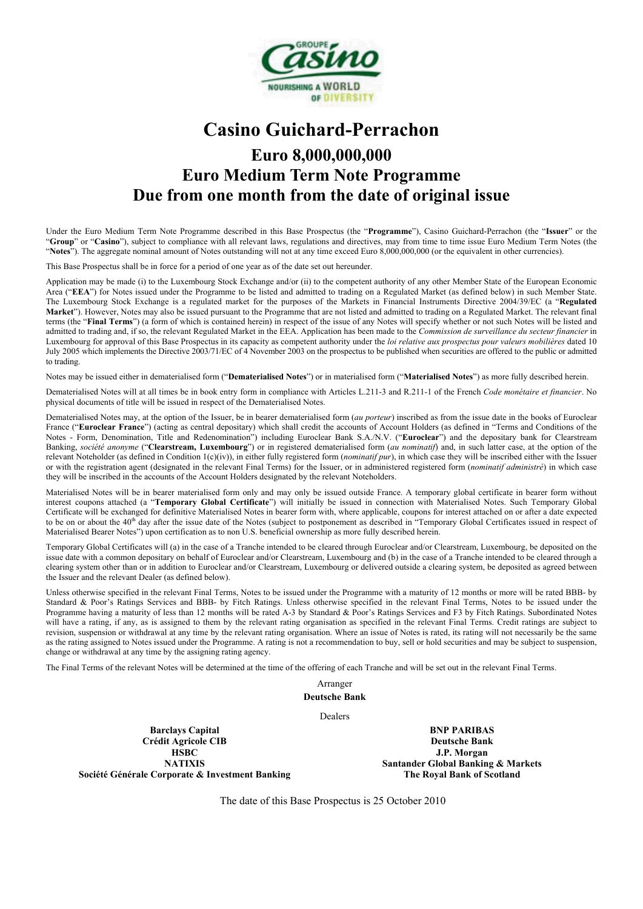

# **Casino Guichard-Perrachon Euro 8,000,000,000 Euro Medium Term Note Programme Due from one month from the date of original issue**

Under the Euro Medium Term Note Programme described in this Base Prospectus (the "**Programme**"), Casino Guichard-Perrachon (the "**Issuer**" or the "**Group**" or "**Casino**"), subject to compliance with all relevant laws, regulations and directives, may from time to time issue Euro Medium Term Notes (the "Notes"). The aggregate nominal amount of Notes outstanding will not at any time exceed Euro 8,000,000,000 (or the equivalent in other currencies).

This Base Prospectus shall be in force for a period of one year as of the date set out hereunder.

Application may be made (i) to the Luxembourg Stock Exchange and/or (ii) to the competent authority of any other Member State of the European Economic Area ("EEA") for Notes issued under the Programme to be listed and admitted to trading on a Regulated Market (as defined below) in such Member State. The Luxembourg Stock Exchange is a regulated market for the purposes of the Markets in Financial Instruments Directive 2004/39/EC (a "**Regulated Market**"). However, Notes may also be issued pursuant to the Programme that are not listed and admitted to trading on a Regulated Market. The relevant final terms (the "**Final Terms**") (a form of which is contained herein) in respect of the issue of any Notes will specify whether or not such Notes will be listed and admitted to trading and, if so, the relevant Regulated Market in the EEA. Application has been made to the *Commission de surveillance du secteur financier* in Luxembourg for approval of this Base Prospectus in its capacity as competent authority under the *loi relative aux prospectus pour valeurs mobilières* dated 10 July 2005 which implements the Directive 2003/71/EC of 4 November 2003 on the prospectus to be published when securities are offered to the public or admitted to trading.

Notes may be issued either in dematerialised form ("**Dematerialised Notes**") or in materialised form ("**Materialised Notes**") as more fully described herein.

Dematerialised Notes will at all times be in book entry form in compliance with Articles L.211-3 and R.211-1 of the French *Code monétaire et financier*. No physical documents of title will be issued in respect of the Dematerialised Notes.

Dematerialised Notes may, at the option of the Issuer, be in bearer dematerialised form (*au porteur*) inscribed as from the issue date in the books of Euroclear France ("**Euroclear France**") (acting as central depositary) which shall credit the accounts of Account Holders (as defined in "Terms and Conditions of the Notes - Form, Denomination, Title and Redenomination") including Euroclear Bank S.A./N.V. ("**Euroclear**") and the depositary bank for Clearstream Banking, *société anonyme* ("**Clearstream, Luxembourg**") or in registered dematerialised form (*au nominatif*) and, in such latter case, at the option of the relevant Noteholder (as defined in Condition 1(c)(iv)), in either fully registered form (*nominatif pur*), in which case they will be inscribed either with the Issuer or with the registration agent (designated in the relevant Final Terms) for the Issuer, or in administered registered form (*nominatif administré*) in which case they will be inscribed in the accounts of the Account Holders designated by the relevant Noteholders.

Materialised Notes will be in bearer materialised form only and may only be issued outside France. A temporary global certificate in bearer form without interest coupons attached (a "**Temporary Global Certificate**") will initially be issued in connection with Materialised Notes. Such Temporary Global Certificate will be exchanged for definitive Materialised Notes in bearer form with, where applicable, coupons for interest attached on or after a date expected to be on or about the 40<sup>th</sup> day after the issue date of the Notes (subject to postponement as described in "Temporary Global Certificates issued in respect of Materialised Bearer Notes") upon certification as to non U.S. beneficial ownership as more fully described herein.

Temporary Global Certificates will (a) in the case of a Tranche intended to be cleared through Euroclear and/or Clearstream, Luxembourg, be deposited on the issue date with a common depositary on behalf of Euroclear and/or Clearstream, Luxembourg and (b) in the case of a Tranche intended to be cleared through a clearing system other than or in addition to Euroclear and/or Clearstream, Luxembourg or delivered outside a clearing system, be deposited as agreed between the Issuer and the relevant Dealer (as defined below).

Unless otherwise specified in the relevant Final Terms, Notes to be issued under the Programme with a maturity of 12 months or more will be rated BBB- by Standard & Poor's Ratings Services and BBB- by Fitch Ratings. Unless otherwise specified in the relevant Final Terms, Notes to be issued under the Programme having a maturity of less than 12 months will be rated A-3 by Standard & Poor's Ratings Services and F3 by Fitch Ratings. Subordinated Notes will have a rating, if any, as is assigned to them by the relevant rating organisation as specified in the relevant Final Terms. Credit ratings are subject to revision, suspension or withdrawal at any time by the relevant rating organisation. Where an issue of Notes is rated, its rating will not necessarily be the same as the rating assigned to Notes issued under the Programme. A rating is not a recommendation to buy, sell or hold securities and may be subject to suspension, change or withdrawal at any time by the assigning rating agency.

The Final Terms of the relevant Notes will be determined at the time of the offering of each Tranche and will be set out in the relevant Final Terms.

Arranger **Deutsche Bank**

Dealers

**Barclays Capital Crédit Agricole CIB HSBC NATIXIS Société Générale Corporate & Investment Banking**

**BNP PARIBAS Deutsche Bank J.P. Morgan Santander Global Banking & Markets The Royal Bank of Scotland**

The date of this Base Prospectus is 25 October 2010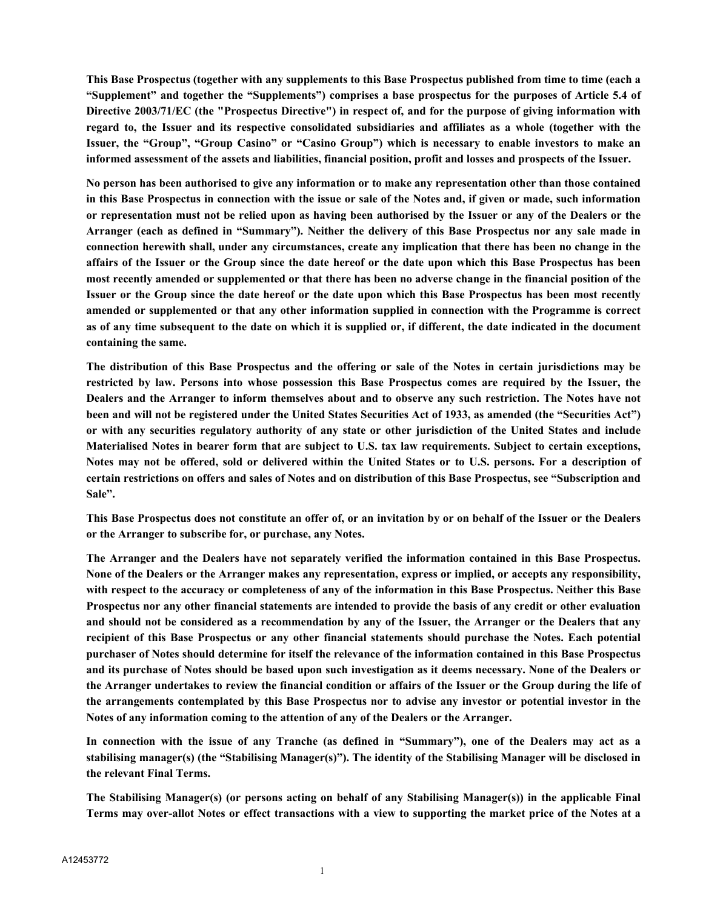**This Base Prospectus (together with any supplements to this Base Prospectus published from time to time (each a "Supplement" and together the "Supplements") comprises a base prospectus for the purposes of Article 5.4 of Directive 2003/71/EC (the "Prospectus Directive") in respect of, and for the purpose of giving information with regard to, the Issuer and its respective consolidated subsidiaries and affiliates as a whole (together with the Issuer, the "Group", "Group Casino" or "Casino Group") which is necessary to enable investors to make an informed assessment of the assets and liabilities, financial position, profit and losses and prospects of the Issuer.**

**No person has been authorised to give any information or to make any representation other than those contained in this Base Prospectus in connection with the issue or sale of the Notes and, if given or made, such information or representation must not be relied upon as having been authorised by the Issuer or any of the Dealers or the Arranger (each as defined in "Summary"). Neither the delivery of this Base Prospectus nor any sale made in connection herewith shall, under any circumstances, create any implication that there has been no change in the affairs of the Issuer or the Group since the date hereof or the date upon which this Base Prospectus has been most recently amended or supplemented or that there has been no adverse change in the financial position of the Issuer or the Group since the date hereof or the date upon which this Base Prospectus has been most recently amended or supplemented or that any other information supplied in connection with the Programme is correct as of any time subsequent to the date on which it is supplied or, if different, the date indicated in the document containing the same.**

**The distribution of this Base Prospectus and the offering or sale of the Notes in certain jurisdictions may be restricted by law. Persons into whose possession this Base Prospectus comes are required by the Issuer, the Dealers and the Arranger to inform themselves about and to observe any such restriction. The Notes have not been and will not be registered under the United States Securities Act of 1933, as amended (the "Securities Act") or with any securities regulatory authority of any state or other jurisdiction of the United States and include Materialised Notes in bearer form that are subject to U.S. tax law requirements. Subject to certain exceptions, Notes may not be offered, sold or delivered within the United States or to U.S. persons. For a description of certain restrictions on offers and sales of Notes and on distribution of this Base Prospectus, see "Subscription and Sale".**

**This Base Prospectus does not constitute an offer of, or an invitation by or on behalf of the Issuer or the Dealers or the Arranger to subscribe for, or purchase, any Notes.**

**The Arranger and the Dealers have not separately verified the information contained in this Base Prospectus. None of the Dealers or the Arranger makes any representation, express or implied, or accepts any responsibility, with respect to the accuracy or completeness of any of the information in this Base Prospectus. Neither this Base Prospectus nor any other financial statements are intended to provide the basis of any credit or other evaluation and should not be considered as a recommendation by any of the Issuer, the Arranger or the Dealers that any recipient of this Base Prospectus or any other financial statements should purchase the Notes. Each potential purchaser of Notes should determine for itself the relevance of the information contained in this Base Prospectus and its purchase of Notes should be based upon such investigation as it deems necessary. None of the Dealers or the Arranger undertakes to review the financial condition or affairs of the Issuer or the Group during the life of the arrangements contemplated by this Base Prospectus nor to advise any investor or potential investor in the Notes of any information coming to the attention of any of the Dealers or the Arranger.**

**In connection with the issue of any Tranche (as defined in "Summary"), one of the Dealers may act as a stabilising manager(s) (the "Stabilising Manager(s)"). The identity of the Stabilising Manager will be disclosed in the relevant Final Terms.** 

**The Stabilising Manager(s) (or persons acting on behalf of any Stabilising Manager(s)) in the applicable Final Terms may over-allot Notes or effect transactions with a view to supporting the market price of the Notes at a**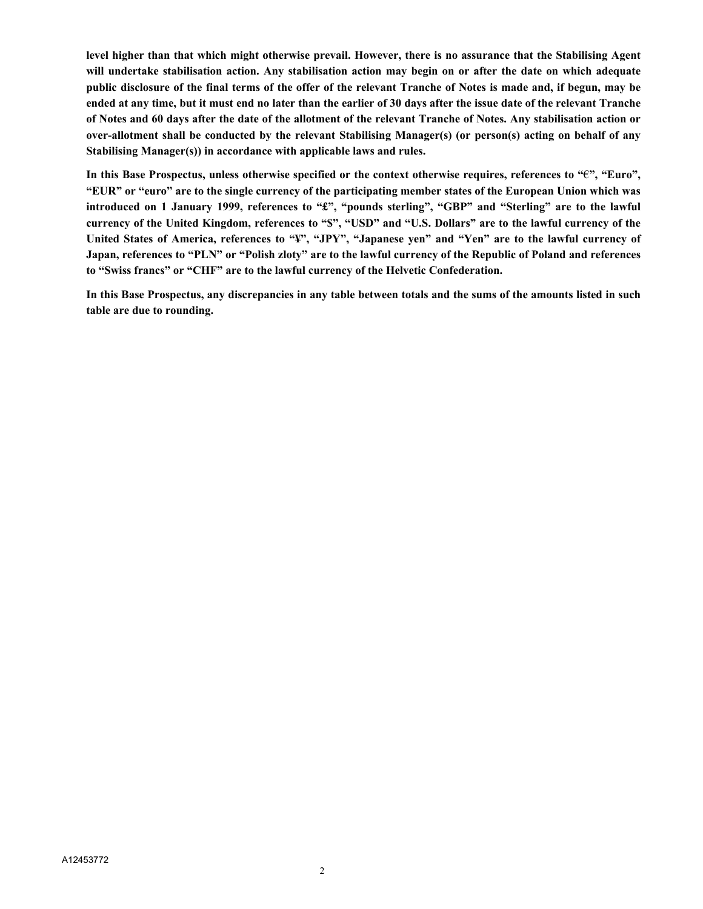**level higher than that which might otherwise prevail. However, there is no assurance that the Stabilising Agent will undertake stabilisation action. Any stabilisation action may begin on or after the date on which adequate public disclosure of the final terms of the offer of the relevant Tranche of Notes is made and, if begun, may be ended at any time, but it must end no later than the earlier of 30 days after the issue date of the relevant Tranche of Notes and 60 days after the date of the allotment of the relevant Tranche of Notes. Any stabilisation action or over-allotment shall be conducted by the relevant Stabilising Manager(s) (or person(s) acting on behalf of any Stabilising Manager(s)) in accordance with applicable laws and rules.**

**In this Base Prospectus, unless otherwise specified or the context otherwise requires, references to "**€**", "Euro", "EUR" or "euro" are to the single currency of the participating member states of the European Union which was introduced on 1 January 1999, references to "£", "pounds sterling", "GBP" and "Sterling" are to the lawful currency of the United Kingdom, references to "\$", "USD" and "U.S. Dollars" are to the lawful currency of the United States of America, references to "¥", "JPY", "Japanese yen" and "Yen" are to the lawful currency of Japan, references to "PLN" or "Polish zloty" are to the lawful currency of the Republic of Poland and references to "Swiss francs" or "CHF" are to the lawful currency of the Helvetic Confederation.**

**In this Base Prospectus, any discrepancies in any table between totals and the sums of the amounts listed in such table are due to rounding.**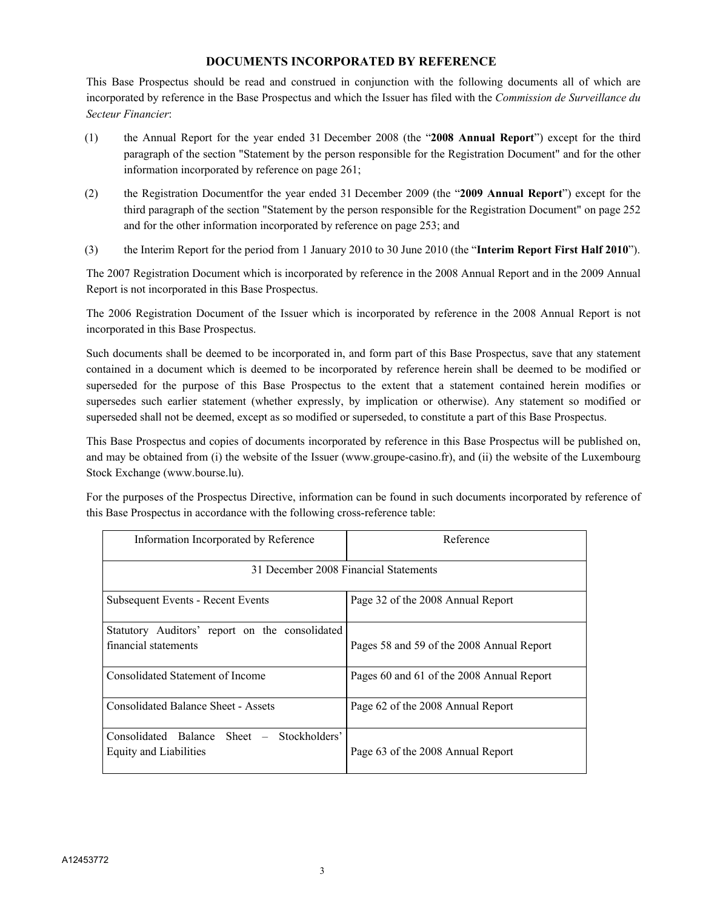## **DOCUMENTS INCORPORATED BY REFERENCE**

This Base Prospectus should be read and construed in conjunction with the following documents all of which are incorporated by reference in the Base Prospectus and which the Issuer has filed with the *Commission de Surveillance du Secteur Financier*:

- (1) the Annual Report for the year ended 31 December 2008 (the "**2008 Annual Report**") except for the third paragraph of the section "Statement by the person responsible for the Registration Document" and for the other information incorporated by reference on page 261;
- (2) the Registration Documentfor the year ended 31 December 2009 (the "**2009 Annual Report**") except for the third paragraph of the section "Statement by the person responsible for the Registration Document" on page 252 and for the other information incorporated by reference on page 253; and
- (3) the Interim Report for the period from 1 January 2010 to 30 June 2010 (the "**Interim Report First Half 2010**").

The 2007 Registration Document which is incorporated by reference in the 2008 Annual Report and in the 2009 Annual Report is not incorporated in this Base Prospectus.

The 2006 Registration Document of the Issuer which is incorporated by reference in the 2008 Annual Report is not incorporated in this Base Prospectus.

Such documents shall be deemed to be incorporated in, and form part of this Base Prospectus, save that any statement contained in a document which is deemed to be incorporated by reference herein shall be deemed to be modified or superseded for the purpose of this Base Prospectus to the extent that a statement contained herein modifies or supersedes such earlier statement (whether expressly, by implication or otherwise). Any statement so modified or superseded shall not be deemed, except as so modified or superseded, to constitute a part of this Base Prospectus.

This Base Prospectus and copies of documents incorporated by reference in this Base Prospectus will be published on, and may be obtained from (i) the website of the Issuer (www.groupe-casino.fr), and (ii) the website of the Luxembourg Stock Exchange (www.bourse.lu).

For the purposes of the Prospectus Directive, information can be found in such documents incorporated by reference of this Base Prospectus in accordance with the following cross-reference table:

| Information Incorporated by Reference                                   | Reference                                 |
|-------------------------------------------------------------------------|-------------------------------------------|
| 31 December 2008 Financial Statements                                   |                                           |
| Subsequent Events - Recent Events                                       | Page 32 of the 2008 Annual Report         |
| Statutory Auditors' report on the consolidated<br>financial statements  | Pages 58 and 59 of the 2008 Annual Report |
| Consolidated Statement of Income                                        | Pages 60 and 61 of the 2008 Annual Report |
| <b>Consolidated Balance Sheet - Assets</b>                              | Page 62 of the 2008 Annual Report         |
| Consolidated Balance Sheet –<br>Stockholders'<br>Equity and Liabilities | Page 63 of the 2008 Annual Report         |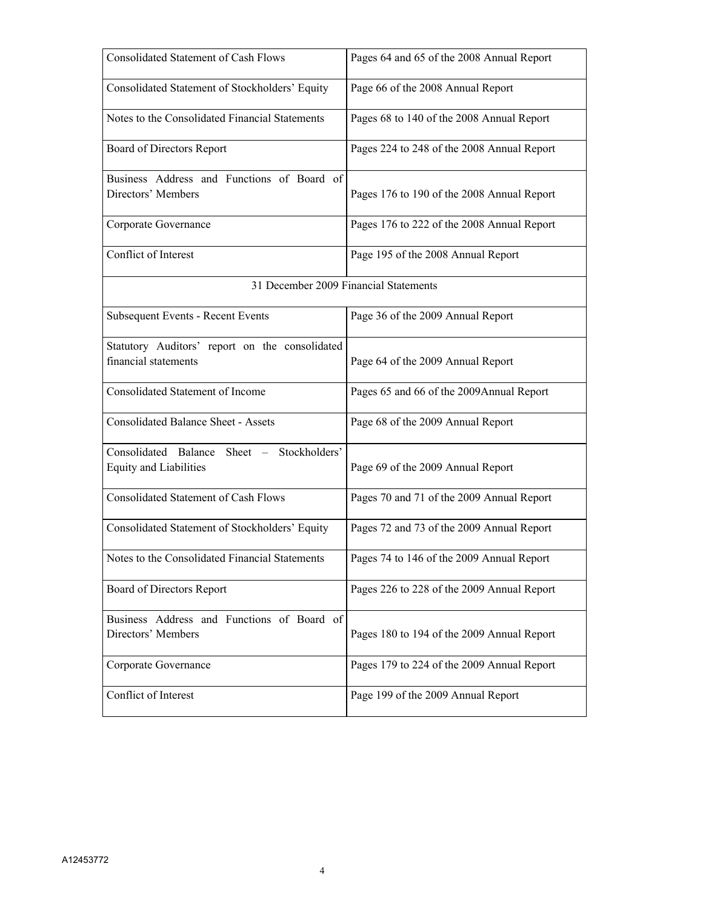| <b>Consolidated Statement of Cash Flows</b>                                 | Pages 64 and 65 of the 2008 Annual Report  |
|-----------------------------------------------------------------------------|--------------------------------------------|
| Consolidated Statement of Stockholders' Equity                              | Page 66 of the 2008 Annual Report          |
| Notes to the Consolidated Financial Statements                              | Pages 68 to 140 of the 2008 Annual Report  |
| Board of Directors Report                                                   | Pages 224 to 248 of the 2008 Annual Report |
| Business Address and Functions of Board of<br>Directors' Members            | Pages 176 to 190 of the 2008 Annual Report |
|                                                                             |                                            |
| Corporate Governance                                                        | Pages 176 to 222 of the 2008 Annual Report |
| Conflict of Interest                                                        | Page 195 of the 2008 Annual Report         |
| 31 December 2009 Financial Statements                                       |                                            |
| Subsequent Events - Recent Events                                           | Page 36 of the 2009 Annual Report          |
| Statutory Auditors' report on the consolidated                              |                                            |
| financial statements                                                        | Page 64 of the 2009 Annual Report          |
| <b>Consolidated Statement of Income</b>                                     | Pages 65 and 66 of the 2009Annual Report   |
| <b>Consolidated Balance Sheet - Assets</b>                                  | Page 68 of the 2009 Annual Report          |
| Consolidated Balance Sheet - Stockholders'<br><b>Equity and Liabilities</b> | Page 69 of the 2009 Annual Report          |
|                                                                             |                                            |
| Consolidated Statement of Cash Flows                                        | Pages 70 and 71 of the 2009 Annual Report  |
| Consolidated Statement of Stockholders' Equity                              | Pages 72 and 73 of the 2009 Annual Report  |
| Notes to the Consolidated Financial Statements                              | Pages 74 to 146 of the 2009 Annual Report  |
| Board of Directors Report                                                   | Pages 226 to 228 of the 2009 Annual Report |
| Business Address and Functions of Board of                                  |                                            |
| Directors' Members                                                          | Pages 180 to 194 of the 2009 Annual Report |
| Corporate Governance                                                        | Pages 179 to 224 of the 2009 Annual Report |
| Conflict of Interest                                                        | Page 199 of the 2009 Annual Report         |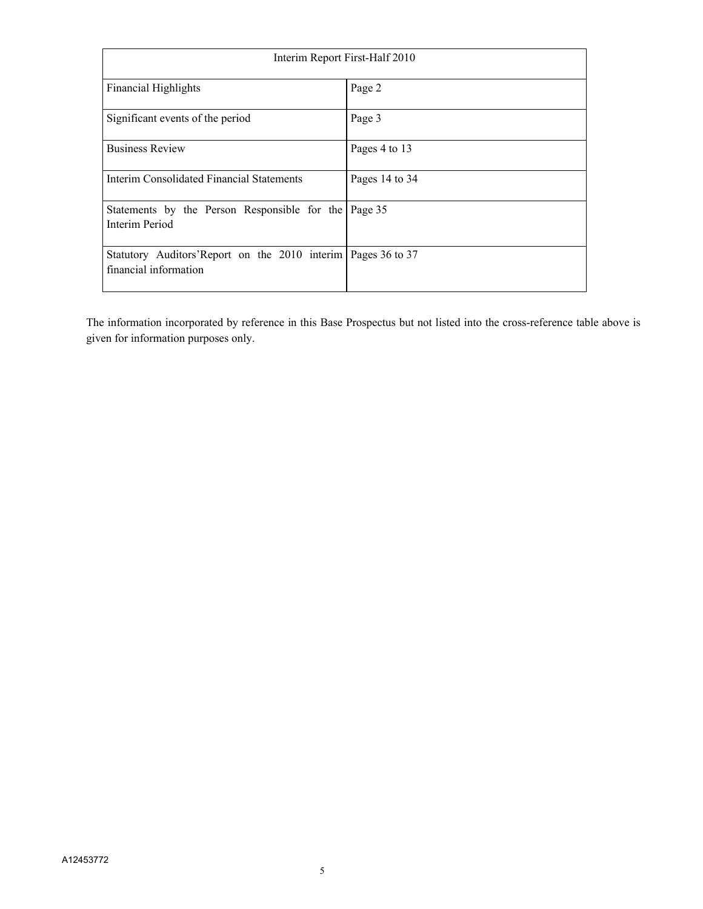| Interim Report First-Half 2010                                                          |                |
|-----------------------------------------------------------------------------------------|----------------|
| <b>Financial Highlights</b>                                                             | Page 2         |
| Significant events of the period                                                        | Page 3         |
| <b>Business Review</b>                                                                  | Pages 4 to 13  |
| Interim Consolidated Financial Statements                                               | Pages 14 to 34 |
| Statements by the Person Responsible for the Page 35<br>Interim Period                  |                |
| Statutory Auditors'Report on the 2010 interim   Pages 36 to 37<br>financial information |                |

The information incorporated by reference in this Base Prospectus but not listed into the cross-reference table above is given for information purposes only.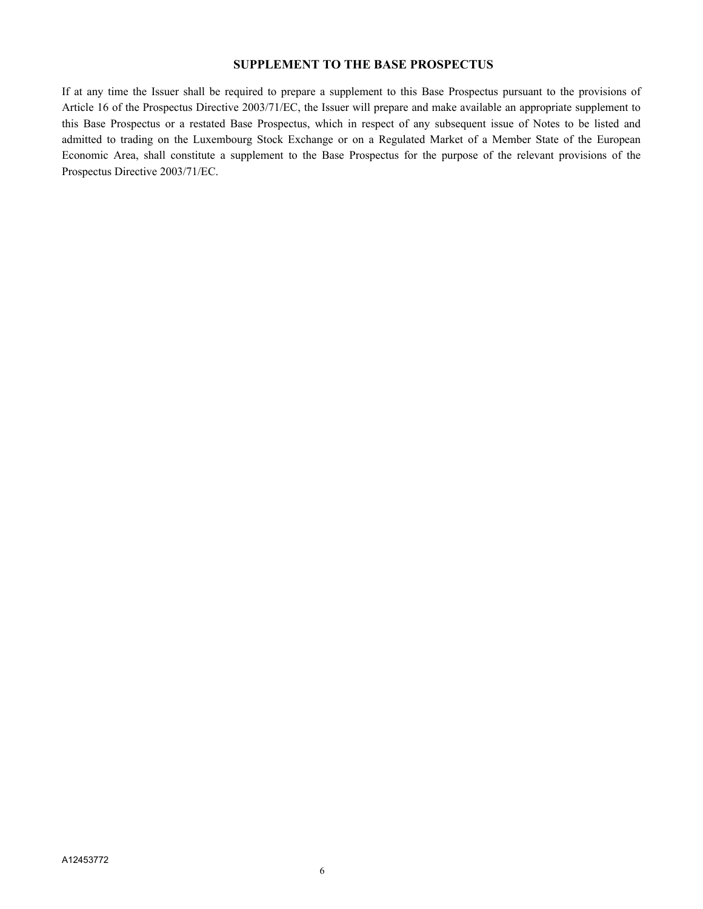## **SUPPLEMENT TO THE BASE PROSPECTUS**

If at any time the Issuer shall be required to prepare a supplement to this Base Prospectus pursuant to the provisions of Article 16 of the Prospectus Directive 2003/71/EC, the Issuer will prepare and make available an appropriate supplement to this Base Prospectus or a restated Base Prospectus, which in respect of any subsequent issue of Notes to be listed and admitted to trading on the Luxembourg Stock Exchange or on a Regulated Market of a Member State of the European Economic Area, shall constitute a supplement to the Base Prospectus for the purpose of the relevant provisions of the Prospectus Directive 2003/71/EC.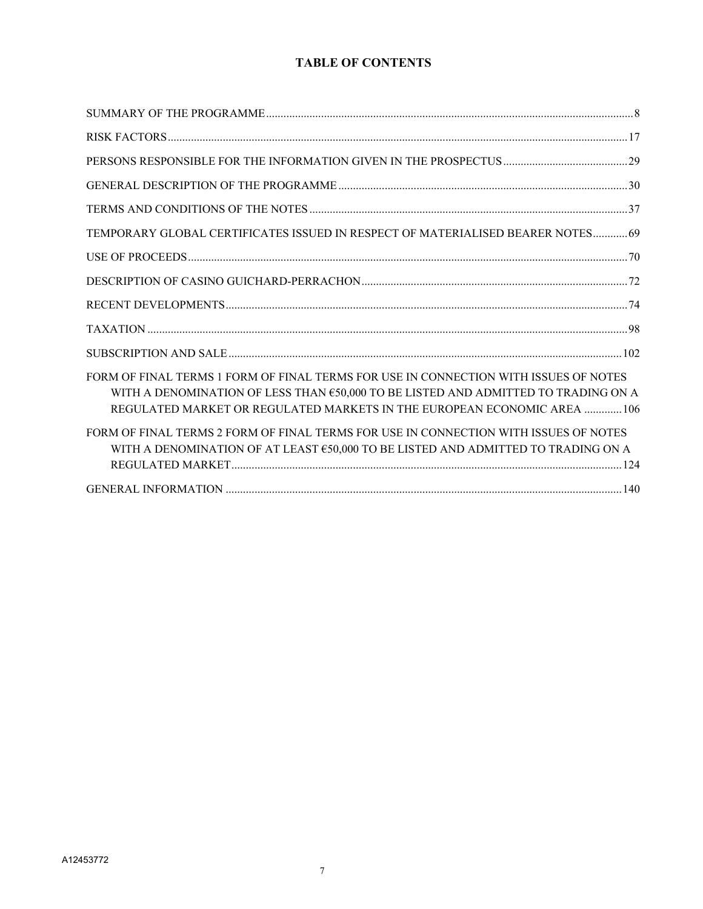## **TABLE OF CONTENTS**

| TEMPORARY GLOBAL CERTIFICATES ISSUED IN RESPECT OF MATERIALISED BEARER NOTES69                                                                                                                                                                        |  |
|-------------------------------------------------------------------------------------------------------------------------------------------------------------------------------------------------------------------------------------------------------|--|
|                                                                                                                                                                                                                                                       |  |
|                                                                                                                                                                                                                                                       |  |
|                                                                                                                                                                                                                                                       |  |
|                                                                                                                                                                                                                                                       |  |
|                                                                                                                                                                                                                                                       |  |
| FORM OF FINAL TERMS 1 FORM OF FINAL TERMS FOR USE IN CONNECTION WITH ISSUES OF NOTES<br>WITH A DENOMINATION OF LESS THAN €50,000 TO BE LISTED AND ADMITTED TO TRADING ON A<br>REGULATED MARKET OR REGULATED MARKETS IN THE EUROPEAN ECONOMIC AREA 106 |  |
| FORM OF FINAL TERMS 2 FORM OF FINAL TERMS FOR USE IN CONNECTION WITH ISSUES OF NOTES<br>WITH A DENOMINATION OF AT LEAST €50,000 TO BE LISTED AND ADMITTED TO TRADING ON A                                                                             |  |
|                                                                                                                                                                                                                                                       |  |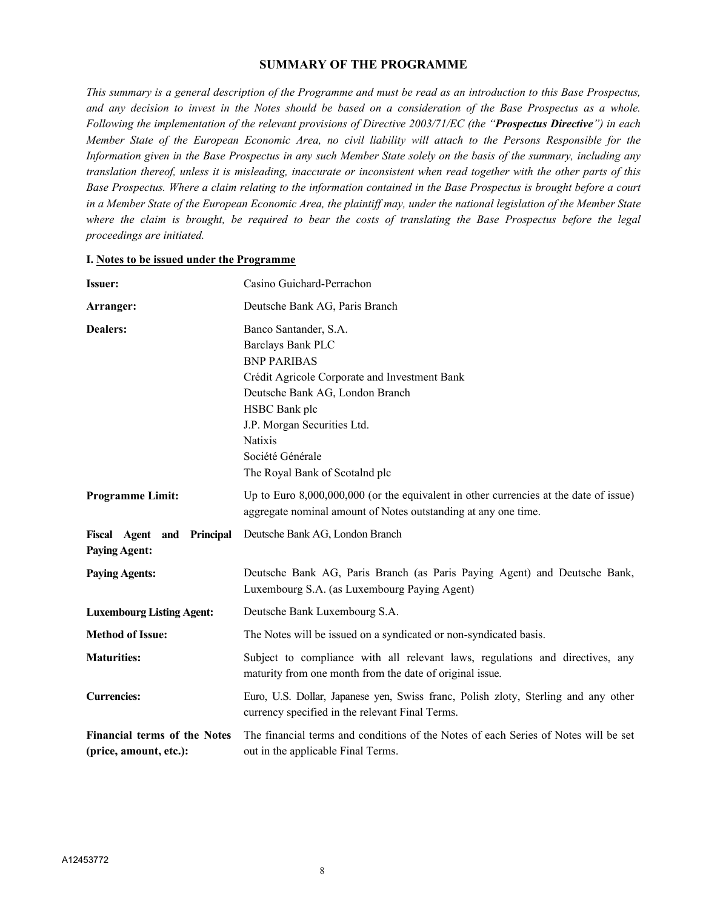## **SUMMARY OF THE PROGRAMME**

*This summary is a general description of the Programme and must be read as an introduction to this Base Prospectus, and any decision to invest in the Notes should be based on a consideration of the Base Prospectus as a whole. Following the implementation of the relevant provisions of Directive 2003/71/EC (the "Prospectus Directive") in each Member State of the European Economic Area, no civil liability will attach to the Persons Responsible for the Information given in the Base Prospectus in any such Member State solely on the basis of the summary, including any translation thereof, unless it is misleading, inaccurate or inconsistent when read together with the other parts of this Base Prospectus. Where a claim relating to the information contained in the Base Prospectus is brought before a court in a Member State of the European Economic Area, the plaintiff may, under the national legislation of the Member State where the claim is brought, be required to bear the costs of translating the Base Prospectus before the legal proceedings are initiated.*

| <b>Issuer:</b>                                                | Casino Guichard-Perrachon                                                                                                                                                                                                                                                           |
|---------------------------------------------------------------|-------------------------------------------------------------------------------------------------------------------------------------------------------------------------------------------------------------------------------------------------------------------------------------|
| Arranger:                                                     | Deutsche Bank AG, Paris Branch                                                                                                                                                                                                                                                      |
| Dealers:                                                      | Banco Santander, S.A.<br><b>Barclays Bank PLC</b><br><b>BNP PARIBAS</b><br>Crédit Agricole Corporate and Investment Bank<br>Deutsche Bank AG, London Branch<br>HSBC Bank plc<br>J.P. Morgan Securities Ltd.<br><b>Natixis</b><br>Société Générale<br>The Royal Bank of Scotalnd plc |
| <b>Programme Limit:</b>                                       | Up to Euro $8,000,000,000$ (or the equivalent in other currencies at the date of issue)<br>aggregate nominal amount of Notes outstanding at any one time.                                                                                                                           |
| Fiscal Agent and Principal<br><b>Paying Agent:</b>            | Deutsche Bank AG, London Branch                                                                                                                                                                                                                                                     |
| <b>Paying Agents:</b>                                         | Deutsche Bank AG, Paris Branch (as Paris Paying Agent) and Deutsche Bank,<br>Luxembourg S.A. (as Luxembourg Paying Agent)                                                                                                                                                           |
| <b>Luxembourg Listing Agent:</b>                              | Deutsche Bank Luxembourg S.A.                                                                                                                                                                                                                                                       |
| <b>Method of Issue:</b>                                       | The Notes will be issued on a syndicated or non-syndicated basis.                                                                                                                                                                                                                   |
| <b>Maturities:</b>                                            | Subject to compliance with all relevant laws, regulations and directives, any<br>maturity from one month from the date of original issue.                                                                                                                                           |
| <b>Currencies:</b>                                            | Euro, U.S. Dollar, Japanese yen, Swiss franc, Polish zloty, Sterling and any other<br>currency specified in the relevant Final Terms.                                                                                                                                               |
| <b>Financial terms of the Notes</b><br>(price, amount, etc.): | The financial terms and conditions of the Notes of each Series of Notes will be set<br>out in the applicable Final Terms.                                                                                                                                                           |

#### **I. Notes to be issued under the Programme**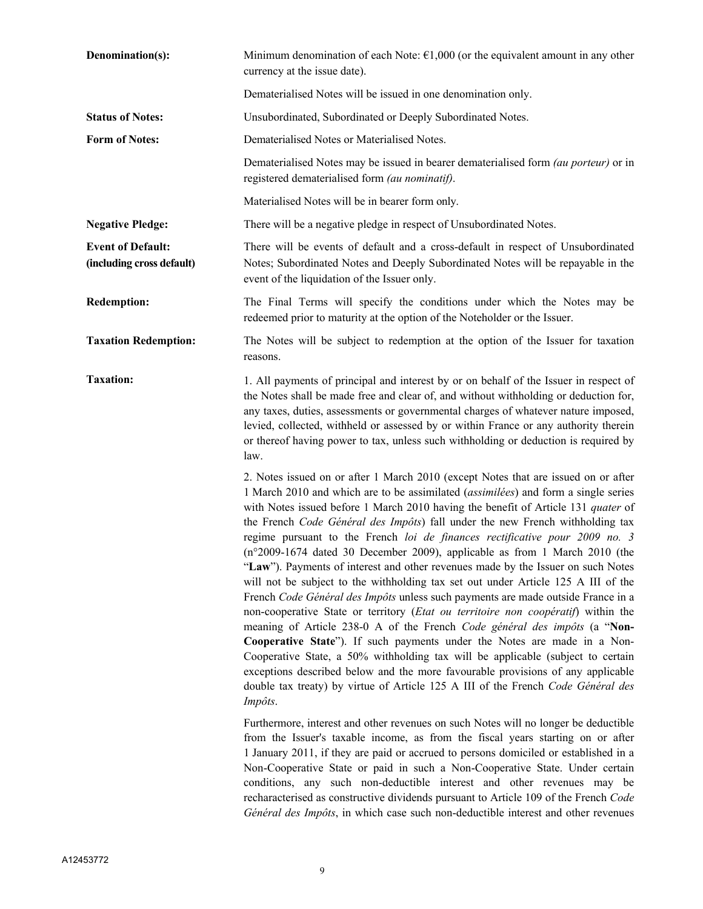| Denomination(s):                                      | Minimum denomination of each Note: $\epsilon$ 1,000 (or the equivalent amount in any other<br>currency at the issue date).                                                                                                                                                                                                                                                                                                                                                                                                                                                                                                                                                                                                                                                                                                                                                                                                                                                                                                                                                                                                                                                                                                                                                                                                                                                           |
|-------------------------------------------------------|--------------------------------------------------------------------------------------------------------------------------------------------------------------------------------------------------------------------------------------------------------------------------------------------------------------------------------------------------------------------------------------------------------------------------------------------------------------------------------------------------------------------------------------------------------------------------------------------------------------------------------------------------------------------------------------------------------------------------------------------------------------------------------------------------------------------------------------------------------------------------------------------------------------------------------------------------------------------------------------------------------------------------------------------------------------------------------------------------------------------------------------------------------------------------------------------------------------------------------------------------------------------------------------------------------------------------------------------------------------------------------------|
|                                                       | Dematerialised Notes will be issued in one denomination only.                                                                                                                                                                                                                                                                                                                                                                                                                                                                                                                                                                                                                                                                                                                                                                                                                                                                                                                                                                                                                                                                                                                                                                                                                                                                                                                        |
| <b>Status of Notes:</b>                               | Unsubordinated, Subordinated or Deeply Subordinated Notes.                                                                                                                                                                                                                                                                                                                                                                                                                                                                                                                                                                                                                                                                                                                                                                                                                                                                                                                                                                                                                                                                                                                                                                                                                                                                                                                           |
| <b>Form of Notes:</b>                                 | Dematerialised Notes or Materialised Notes.                                                                                                                                                                                                                                                                                                                                                                                                                                                                                                                                                                                                                                                                                                                                                                                                                                                                                                                                                                                                                                                                                                                                                                                                                                                                                                                                          |
|                                                       | Dematerialised Notes may be issued in bearer dematerialised form <i>(au porteur)</i> or in<br>registered dematerialised form (au nominatif).                                                                                                                                                                                                                                                                                                                                                                                                                                                                                                                                                                                                                                                                                                                                                                                                                                                                                                                                                                                                                                                                                                                                                                                                                                         |
|                                                       | Materialised Notes will be in bearer form only.                                                                                                                                                                                                                                                                                                                                                                                                                                                                                                                                                                                                                                                                                                                                                                                                                                                                                                                                                                                                                                                                                                                                                                                                                                                                                                                                      |
| <b>Negative Pledge:</b>                               | There will be a negative pledge in respect of Unsubordinated Notes.                                                                                                                                                                                                                                                                                                                                                                                                                                                                                                                                                                                                                                                                                                                                                                                                                                                                                                                                                                                                                                                                                                                                                                                                                                                                                                                  |
| <b>Event of Default:</b><br>(including cross default) | There will be events of default and a cross-default in respect of Unsubordinated<br>Notes; Subordinated Notes and Deeply Subordinated Notes will be repayable in the<br>event of the liquidation of the Issuer only.                                                                                                                                                                                                                                                                                                                                                                                                                                                                                                                                                                                                                                                                                                                                                                                                                                                                                                                                                                                                                                                                                                                                                                 |
| <b>Redemption:</b>                                    | The Final Terms will specify the conditions under which the Notes may be<br>redeemed prior to maturity at the option of the Noteholder or the Issuer.                                                                                                                                                                                                                                                                                                                                                                                                                                                                                                                                                                                                                                                                                                                                                                                                                                                                                                                                                                                                                                                                                                                                                                                                                                |
| <b>Taxation Redemption:</b>                           | The Notes will be subject to redemption at the option of the Issuer for taxation<br>reasons.                                                                                                                                                                                                                                                                                                                                                                                                                                                                                                                                                                                                                                                                                                                                                                                                                                                                                                                                                                                                                                                                                                                                                                                                                                                                                         |
| <b>Taxation:</b>                                      | 1. All payments of principal and interest by or on behalf of the Issuer in respect of<br>the Notes shall be made free and clear of, and without withholding or deduction for,<br>any taxes, duties, assessments or governmental charges of whatever nature imposed,<br>levied, collected, withheld or assessed by or within France or any authority therein<br>or thereof having power to tax, unless such withholding or deduction is required by<br>law.                                                                                                                                                                                                                                                                                                                                                                                                                                                                                                                                                                                                                                                                                                                                                                                                                                                                                                                           |
|                                                       | 2. Notes issued on or after 1 March 2010 (except Notes that are issued on or after<br>1 March 2010 and which are to be assimilated (assimilées) and form a single series<br>with Notes issued before 1 March 2010 having the benefit of Article 131 quater of<br>the French Code Général des Impôts) fall under the new French withholding tax<br>regime pursuant to the French loi de finances rectificative pour 2009 no. 3<br>$(n°2009-1674$ dated 30 December 2009), applicable as from 1 March 2010 (the<br>"Law"). Payments of interest and other revenues made by the Issuer on such Notes<br>will not be subject to the withholding tax set out under Article 125 A III of the<br>French Code Général des Impôts unless such payments are made outside France in a<br>non-cooperative State or territory (Etat ou territoire non coopératif) within the<br>meaning of Article 238-0 A of the French Code général des impôts (a "Non-<br>Cooperative State"). If such payments under the Notes are made in a Non-<br>Cooperative State, a 50% withholding tax will be applicable (subject to certain<br>exceptions described below and the more favourable provisions of any applicable<br>double tax treaty) by virtue of Article 125 A III of the French Code Général des<br>Impôts.<br>Furthermore, interest and other revenues on such Notes will no longer be deductible |
|                                                       | from the Issuer's taxable income, as from the fiscal years starting on or after<br>1 January 2011, if they are paid or accrued to persons domiciled or established in a<br>Non-Cooperative State or paid in such a Non-Cooperative State. Under certain<br>conditions, any such non-deductible interest and other revenues may be<br>recharacterised as constructive dividends pursuant to Article 109 of the French Code<br>Général des Impôts, in which case such non-deductible interest and other revenues                                                                                                                                                                                                                                                                                                                                                                                                                                                                                                                                                                                                                                                                                                                                                                                                                                                                       |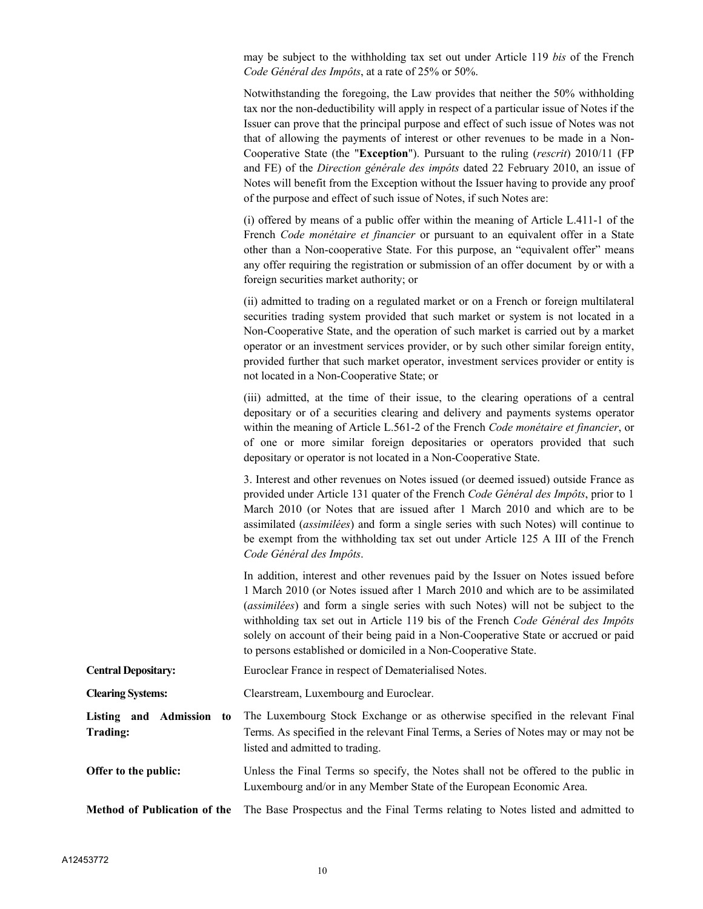may be subject to the withholding tax set out under Article 119 *bis* of the French *Code Général des Impôts*, at a rate of 25% or 50%.

Notwithstanding the foregoing, the Law provides that neither the 50% withholding tax nor the non-deductibility will apply in respect of a particular issue of Notes if the Issuer can prove that the principal purpose and effect of such issue of Notes was not that of allowing the payments of interest or other revenues to be made in a Non-Cooperative State (the "**Exception**"). Pursuant to the ruling (*rescrit*) 2010/11 (FP and FE) of the *Direction générale des impôts* dated 22 February 2010, an issue of Notes will benefit from the Exception without the Issuer having to provide any proof of the purpose and effect of such issue of Notes, if such Notes are:

(i) offered by means of a public offer within the meaning of Article L.411-1 of the French *Code monétaire et financier* or pursuant to an equivalent offer in a State other than a Non-cooperative State. For this purpose, an "equivalent offer" means any offer requiring the registration or submission of an offer document by or with a foreign securities market authority; or

(ii) admitted to trading on a regulated market or on a French or foreign multilateral securities trading system provided that such market or system is not located in a Non-Cooperative State, and the operation of such market is carried out by a market operator or an investment services provider, or by such other similar foreign entity, provided further that such market operator, investment services provider or entity is not located in a Non-Cooperative State; or

(iii) admitted, at the time of their issue, to the clearing operations of a central depositary or of a securities clearing and delivery and payments systems operator within the meaning of Article L.561-2 of the French *Code monétaire et financier*, or of one or more similar foreign depositaries or operators provided that such depositary or operator is not located in a Non-Cooperative State.

3. Interest and other revenues on Notes issued (or deemed issued) outside France as provided under Article 131 quater of the French *Code Général des Impôts*, prior to 1 March 2010 (or Notes that are issued after 1 March 2010 and which are to be assimilated (*assimilées*) and form a single series with such Notes) will continue to be exempt from the withholding tax set out under Article 125 A III of the French *Code Général des Impôts*.

In addition, interest and other revenues paid by the Issuer on Notes issued before 1 March 2010 (or Notes issued after 1 March 2010 and which are to be assimilated (*assimilées*) and form a single series with such Notes) will not be subject to the withholding tax set out in Article 119 bis of the French *Code Général des Impôts* solely on account of their being paid in a Non-Cooperative State or accrued or paid to persons established or domiciled in a Non-Cooperative State.

**Central Depositary:** Euroclear France in respect of Dematerialised Notes.

**Clearing Systems:** Clearstream, Luxembourg and Euroclear.

**Listing and Admission to Trading:** The Luxembourg Stock Exchange or as otherwise specified in the relevant Final Terms. As specified in the relevant Final Terms, a Series of Notes may or may not be listed and admitted to trading.

**Offer to the public:** Unless the Final Terms so specify, the Notes shall not be offered to the public in Luxembourg and/or in any Member State of the European Economic Area.

**Method of Publication of the** The Base Prospectus and the Final Terms relating to Notes listed and admitted to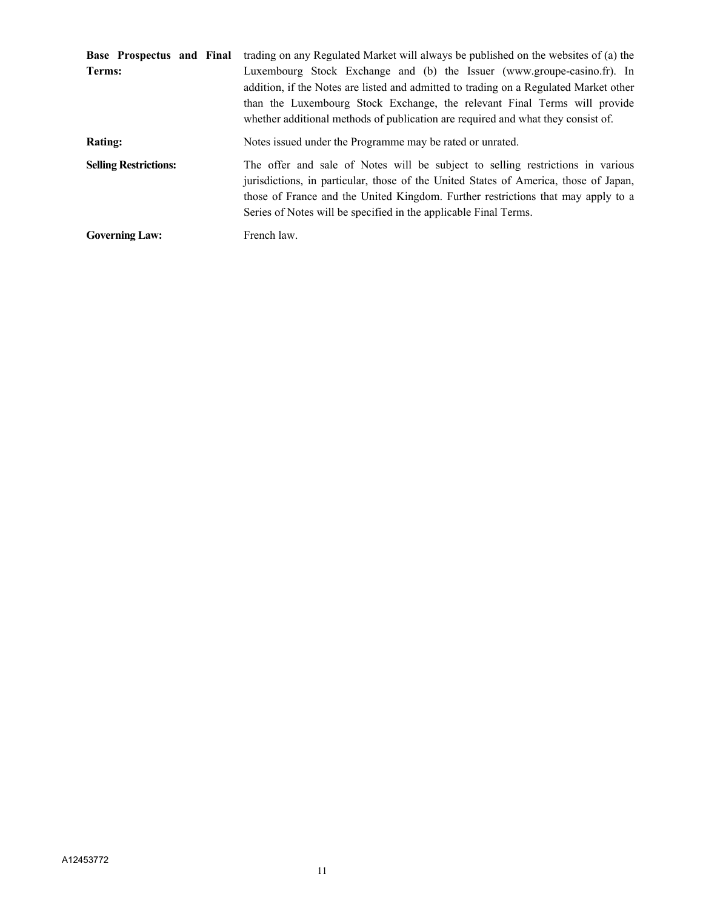| Base Prospectus and Final    | trading on any Regulated Market will always be published on the websites of (a) the                                                                                                                                                                                                                                               |
|------------------------------|-----------------------------------------------------------------------------------------------------------------------------------------------------------------------------------------------------------------------------------------------------------------------------------------------------------------------------------|
| Terms:                       | Luxembourg Stock Exchange and (b) the Issuer (www.groupe-casino.fr). In<br>addition, if the Notes are listed and admitted to trading on a Regulated Market other<br>than the Luxembourg Stock Exchange, the relevant Final Terms will provide<br>whether additional methods of publication are required and what they consist of. |
| <b>Rating:</b>               | Notes issued under the Programme may be rated or unrated.                                                                                                                                                                                                                                                                         |
| <b>Selling Restrictions:</b> | The offer and sale of Notes will be subject to selling restrictions in various<br>jurisdictions, in particular, those of the United States of America, those of Japan,<br>those of France and the United Kingdom. Further restrictions that may apply to a<br>Series of Notes will be specified in the applicable Final Terms.    |
| <b>Governing Law:</b>        | French law.                                                                                                                                                                                                                                                                                                                       |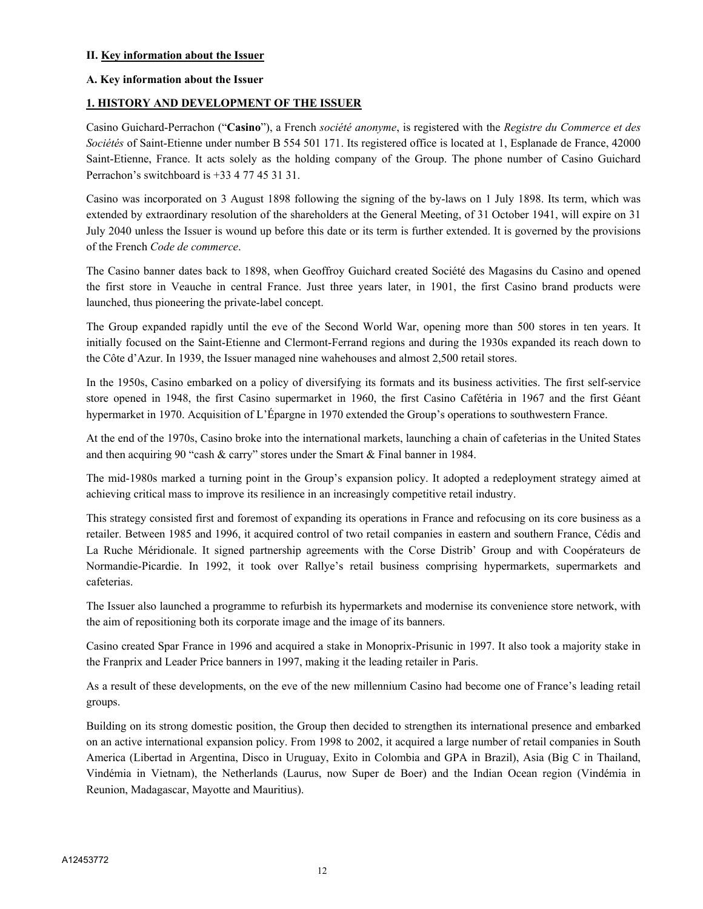## **II. Key information about the Issuer**

## **A. Key information about the Issuer**

## **1. HISTORY AND DEVELOPMENT OF THE ISSUER**

Casino Guichard-Perrachon ("**Casino**"), a French *société anonyme*, is registered with the *Registre du Commerce et des Sociétés* of Saint-Etienne under number B 554 501 171. Its registered office is located at 1, Esplanade de France, 42000 Saint-Etienne, France. It acts solely as the holding company of the Group. The phone number of Casino Guichard Perrachon's switchboard is +33 4 77 45 31 31.

Casino was incorporated on 3 August 1898 following the signing of the by-laws on 1 July 1898. Its term, which was extended by extraordinary resolution of the shareholders at the General Meeting, of 31 October 1941, will expire on 31 July 2040 unless the Issuer is wound up before this date or its term is further extended. It is governed by the provisions of the French *Code de commerce*.

The Casino banner dates back to 1898, when Geoffroy Guichard created Société des Magasins du Casino and opened the first store in Veauche in central France. Just three years later, in 1901, the first Casino brand products were launched, thus pioneering the private-label concept.

The Group expanded rapidly until the eve of the Second World War, opening more than 500 stores in ten years. It initially focused on the Saint-Etienne and Clermont-Ferrand regions and during the 1930s expanded its reach down to the Côte d'Azur. In 1939, the Issuer managed nine wahehouses and almost 2,500 retail stores.

In the 1950s, Casino embarked on a policy of diversifying its formats and its business activities. The first self-service store opened in 1948, the first Casino supermarket in 1960, the first Casino Cafétéria in 1967 and the first Géant hypermarket in 1970. Acquisition of L'Épargne in 1970 extended the Group's operations to southwestern France.

At the end of the 1970s, Casino broke into the international markets, launching a chain of cafeterias in the United States and then acquiring 90 "cash & carry" stores under the Smart & Final banner in 1984.

The mid-1980s marked a turning point in the Group's expansion policy. It adopted a redeployment strategy aimed at achieving critical mass to improve its resilience in an increasingly competitive retail industry.

This strategy consisted first and foremost of expanding its operations in France and refocusing on its core business as a retailer. Between 1985 and 1996, it acquired control of two retail companies in eastern and southern France, Cédis and La Ruche Méridionale. It signed partnership agreements with the Corse Distrib' Group and with Coopérateurs de Normandie-Picardie. In 1992, it took over Rallye's retail business comprising hypermarkets, supermarkets and cafeterias.

The Issuer also launched a programme to refurbish its hypermarkets and modernise its convenience store network, with the aim of repositioning both its corporate image and the image of its banners.

Casino created Spar France in 1996 and acquired a stake in Monoprix-Prisunic in 1997. It also took a majority stake in the Franprix and Leader Price banners in 1997, making it the leading retailer in Paris.

As a result of these developments, on the eve of the new millennium Casino had become one of France's leading retail groups.

Building on its strong domestic position, the Group then decided to strengthen its international presence and embarked on an active international expansion policy. From 1998 to 2002, it acquired a large number of retail companies in South America (Libertad in Argentina, Disco in Uruguay, Exito in Colombia and GPA in Brazil), Asia (Big C in Thailand, Vindémia in Vietnam), the Netherlands (Laurus, now Super de Boer) and the Indian Ocean region (Vindémia in Reunion, Madagascar, Mayotte and Mauritius).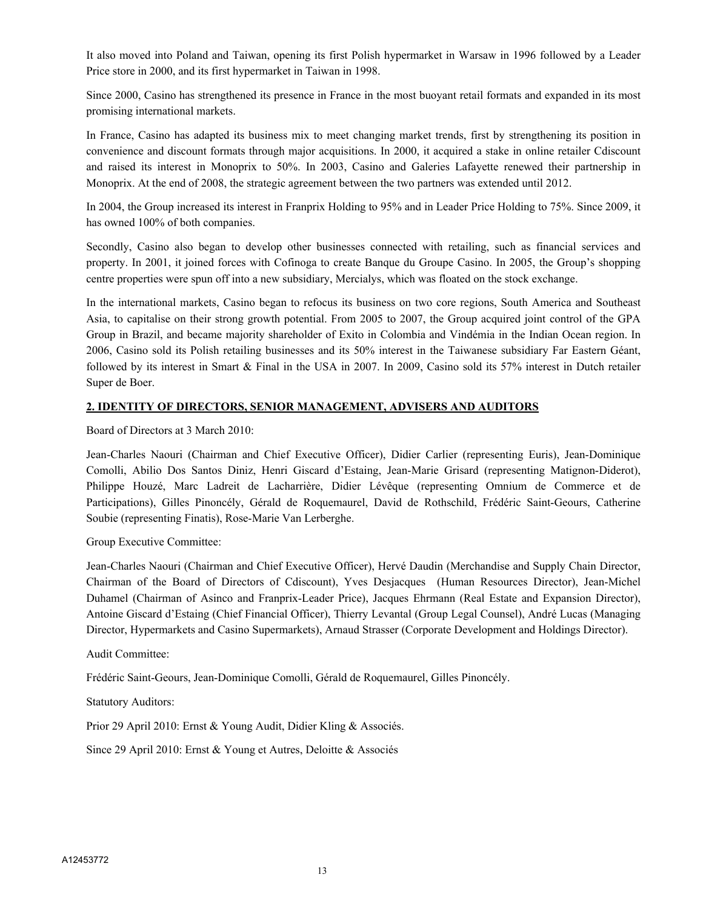It also moved into Poland and Taiwan, opening its first Polish hypermarket in Warsaw in 1996 followed by a Leader Price store in 2000, and its first hypermarket in Taiwan in 1998.

Since 2000, Casino has strengthened its presence in France in the most buoyant retail formats and expanded in its most promising international markets.

In France, Casino has adapted its business mix to meet changing market trends, first by strengthening its position in convenience and discount formats through major acquisitions. In 2000, it acquired a stake in online retailer Cdiscount and raised its interest in Monoprix to 50%. In 2003, Casino and Galeries Lafayette renewed their partnership in Monoprix. At the end of 2008, the strategic agreement between the two partners was extended until 2012.

In 2004, the Group increased its interest in Franprix Holding to 95% and in Leader Price Holding to 75%. Since 2009, it has owned 100% of both companies.

Secondly, Casino also began to develop other businesses connected with retailing, such as financial services and property. In 2001, it joined forces with Cofinoga to create Banque du Groupe Casino. In 2005, the Group's shopping centre properties were spun off into a new subsidiary, Mercialys, which was floated on the stock exchange.

In the international markets, Casino began to refocus its business on two core regions, South America and Southeast Asia, to capitalise on their strong growth potential. From 2005 to 2007, the Group acquired joint control of the GPA Group in Brazil, and became majority shareholder of Exito in Colombia and Vindémia in the Indian Ocean region. In 2006, Casino sold its Polish retailing businesses and its 50% interest in the Taiwanese subsidiary Far Eastern Géant, followed by its interest in Smart & Final in the USA in 2007. In 2009, Casino sold its 57% interest in Dutch retailer Super de Boer.

## **2. IDENTITY OF DIRECTORS, SENIOR MANAGEMENT, ADVISERS AND AUDITORS**

Board of Directors at 3 March 2010:

Jean-Charles Naouri (Chairman and Chief Executive Officer), Didier Carlier (representing Euris), Jean-Dominique Comolli, Abilio Dos Santos Diniz, Henri Giscard d'Estaing, Jean-Marie Grisard (representing Matignon-Diderot), Philippe Houzé, Marc Ladreit de Lacharrière, Didier Lévêque (representing Omnium de Commerce et de Participations), Gilles Pinoncély, Gérald de Roquemaurel, David de Rothschild, Frédéric Saint-Geours, Catherine Soubie (representing Finatis), Rose-Marie Van Lerberghe.

Group Executive Committee:

Jean-Charles Naouri (Chairman and Chief Executive Officer), Hervé Daudin (Merchandise and Supply Chain Director, Chairman of the Board of Directors of Cdiscount), Yves Desjacques (Human Resources Director), Jean-Michel Duhamel (Chairman of Asinco and Franprix-Leader Price), Jacques Ehrmann (Real Estate and Expansion Director), Antoine Giscard d'Estaing (Chief Financial Officer), Thierry Levantal (Group Legal Counsel), André Lucas (Managing Director, Hypermarkets and Casino Supermarkets), Arnaud Strasser (Corporate Development and Holdings Director).

Audit Committee:

Frédéric Saint-Geours, Jean-Dominique Comolli, Gérald de Roquemaurel, Gilles Pinoncély.

Statutory Auditors:

Prior 29 April 2010: Ernst & Young Audit, Didier Kling & Associés.

Since 29 April 2010: Ernst & Young et Autres, Deloitte & Associés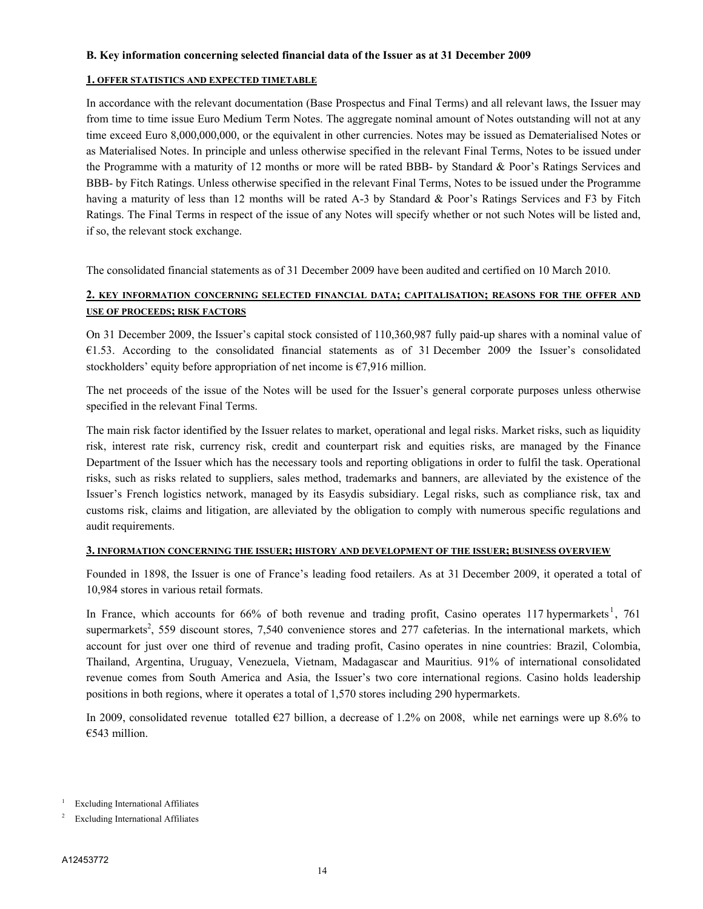#### **B. Key information concerning selected financial data of the Issuer as at 31 December 2009**

## **1. OFFER STATISTICS AND EXPECTED TIMETABLE**

In accordance with the relevant documentation (Base Prospectus and Final Terms) and all relevant laws, the Issuer may from time to time issue Euro Medium Term Notes. The aggregate nominal amount of Notes outstanding will not at any time exceed Euro 8,000,000,000, or the equivalent in other currencies. Notes may be issued as Dematerialised Notes or as Materialised Notes. In principle and unless otherwise specified in the relevant Final Terms, Notes to be issued under the Programme with a maturity of 12 months or more will be rated BBB- by Standard & Poor's Ratings Services and BBB- by Fitch Ratings. Unless otherwise specified in the relevant Final Terms, Notes to be issued under the Programme having a maturity of less than 12 months will be rated A-3 by Standard & Poor's Ratings Services and F3 by Fitch Ratings. The Final Terms in respect of the issue of any Notes will specify whether or not such Notes will be listed and, if so, the relevant stock exchange.

The consolidated financial statements as of 31 December 2009 have been audited and certified on 10 March 2010.

## **2. KEY INFORMATION CONCERNING SELECTED FINANCIAL DATA; CAPITALISATION; REASONS FOR THE OFFER AND USE OF PROCEEDS; RISK FACTORS**

On 31 December 2009, the Issuer's capital stock consisted of 110,360,987 fully paid-up shares with a nominal value of €1.53. According to the consolidated financial statements as of 31 December 2009 the Issuer's consolidated stockholders' equity before appropriation of net income is  $\epsilon$ 7,916 million.

The net proceeds of the issue of the Notes will be used for the Issuer's general corporate purposes unless otherwise specified in the relevant Final Terms.

The main risk factor identified by the Issuer relates to market, operational and legal risks. Market risks, such as liquidity risk, interest rate risk, currency risk, credit and counterpart risk and equities risks, are managed by the Finance Department of the Issuer which has the necessary tools and reporting obligations in order to fulfil the task. Operational risks, such as risks related to suppliers, sales method, trademarks and banners, are alleviated by the existence of the Issuer's French logistics network, managed by its Easydis subsidiary. Legal risks, such as compliance risk, tax and customs risk, claims and litigation, are alleviated by the obligation to comply with numerous specific regulations and audit requirements.

## **3. INFORMATION CONCERNING THE ISSUER; HISTORY AND DEVELOPMENT OF THE ISSUER; BUSINESS OVERVIEW**

Founded in 1898, the Issuer is one of France's leading food retailers. As at 31 December 2009, it operated a total of 10,984 stores in various retail formats.

In France, which accounts for 66% of both revenue and trading profit, Casino operates 117 hypermarkets<sup>1</sup>, 761 supermarkets<sup>2</sup>, 559 discount stores, 7,540 convenience stores and 277 cafeterias. In the international markets, which account for just over one third of revenue and trading profit, Casino operates in nine countries: Brazil, Colombia, Thailand, Argentina, Uruguay, Venezuela, Vietnam, Madagascar and Mauritius. 91% of international consolidated revenue comes from South America and Asia, the Issuer's two core international regions. Casino holds leadership positions in both regions, where it operates a total of 1,570 stores including 290 hypermarkets.

In 2009, consolidated revenue totalled €27 billion, a decrease of 1.2% on 2008, while net earnings were up 8.6% to €543 million.

<sup>1</sup> Excluding International Affiliates

<sup>2</sup> Excluding International Affiliates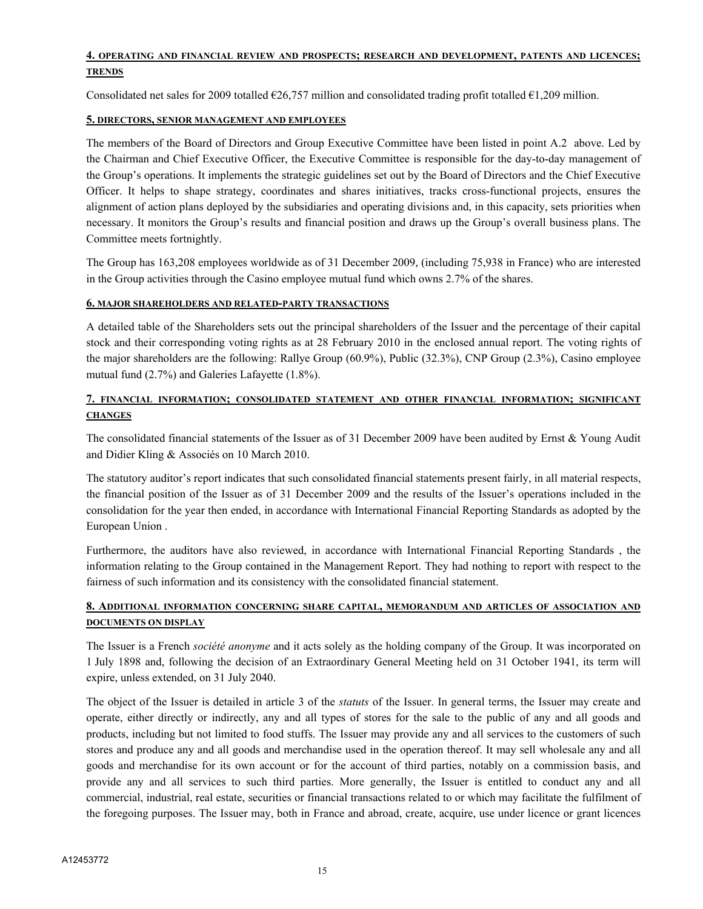## **4. OPERATING AND FINANCIAL REVIEW AND PROSPECTS; RESEARCH AND DEVELOPMENT, PATENTS AND LICENCES; TRENDS**

Consolidated net sales for 2009 totalled  $\epsilon$ 26,757 million and consolidated trading profit totalled  $\epsilon$ 1,209 million.

## **5. DIRECTORS, SENIOR MANAGEMENT AND EMPLOYEES**

The members of the Board of Directors and Group Executive Committee have been listed in point A.2 above. Led by the Chairman and Chief Executive Officer, the Executive Committee is responsible for the day-to-day management of the Group's operations. It implements the strategic guidelines set out by the Board of Directors and the Chief Executive Officer. It helps to shape strategy, coordinates and shares initiatives, tracks cross-functional projects, ensures the alignment of action plans deployed by the subsidiaries and operating divisions and, in this capacity, sets priorities when necessary. It monitors the Group's results and financial position and draws up the Group's overall business plans. The Committee meets fortnightly.

The Group has 163,208 employees worldwide as of 31 December 2009, (including 75,938 in France) who are interested in the Group activities through the Casino employee mutual fund which owns 2.7% of the shares.

#### **6. MAJOR SHAREHOLDERS AND RELATED-PARTY TRANSACTIONS**

A detailed table of the Shareholders sets out the principal shareholders of the Issuer and the percentage of their capital stock and their corresponding voting rights as at 28 February 2010 in the enclosed annual report. The voting rights of the major shareholders are the following: Rallye Group (60.9%), Public (32.3%), CNP Group (2.3%), Casino employee mutual fund (2.7%) and Galeries Lafayette (1.8%).

## **7. FINANCIAL INFORMATION; CONSOLIDATED STATEMENT AND OTHER FINANCIAL INFORMATION; SIGNIFICANT CHANGES**

The consolidated financial statements of the Issuer as of 31 December 2009 have been audited by Ernst & Young Audit and Didier Kling & Associés on 10 March 2010.

The statutory auditor's report indicates that such consolidated financial statements present fairly, in all material respects, the financial position of the Issuer as of 31 December 2009 and the results of the Issuer's operations included in the consolidation for the year then ended, in accordance with International Financial Reporting Standards as adopted by the European Union .

Furthermore, the auditors have also reviewed, in accordance with International Financial Reporting Standards , the information relating to the Group contained in the Management Report. They had nothing to report with respect to the fairness of such information and its consistency with the consolidated financial statement.

## **8. ADDITIONAL INFORMATION CONCERNING SHARE CAPITAL, MEMORANDUM AND ARTICLES OF ASSOCIATION AND DOCUMENTS ON DISPLAY**

The Issuer is a French *société anonyme* and it acts solely as the holding company of the Group. It was incorporated on 1 July 1898 and, following the decision of an Extraordinary General Meeting held on 31 October 1941, its term will expire, unless extended, on 31 July 2040.

The object of the Issuer is detailed in article 3 of the *statuts* of the Issuer. In general terms, the Issuer may create and operate, either directly or indirectly, any and all types of stores for the sale to the public of any and all goods and products, including but not limited to food stuffs. The Issuer may provide any and all services to the customers of such stores and produce any and all goods and merchandise used in the operation thereof. It may sell wholesale any and all goods and merchandise for its own account or for the account of third parties, notably on a commission basis, and provide any and all services to such third parties. More generally, the Issuer is entitled to conduct any and all commercial, industrial, real estate, securities or financial transactions related to or which may facilitate the fulfilment of the foregoing purposes. The Issuer may, both in France and abroad, create, acquire, use under licence or grant licences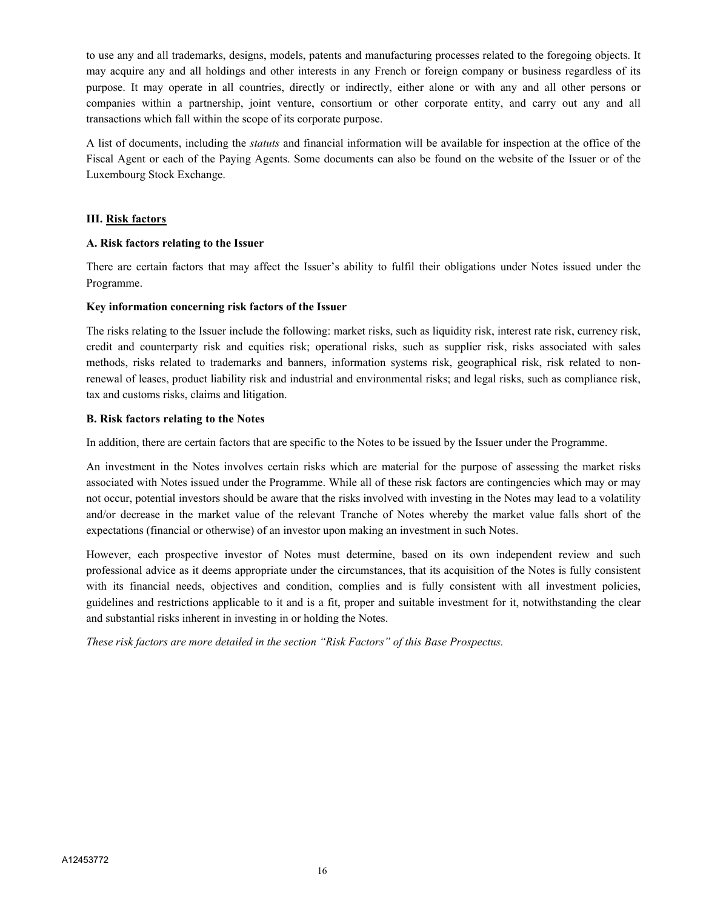to use any and all trademarks, designs, models, patents and manufacturing processes related to the foregoing objects. It may acquire any and all holdings and other interests in any French or foreign company or business regardless of its purpose. It may operate in all countries, directly or indirectly, either alone or with any and all other persons or companies within a partnership, joint venture, consortium or other corporate entity, and carry out any and all transactions which fall within the scope of its corporate purpose.

A list of documents, including the *statuts* and financial information will be available for inspection at the office of the Fiscal Agent or each of the Paying Agents. Some documents can also be found on the website of the Issuer or of the Luxembourg Stock Exchange.

## **III. Risk factors**

## **A. Risk factors relating to the Issuer**

There are certain factors that may affect the Issuer's ability to fulfil their obligations under Notes issued under the Programme.

## **Key information concerning risk factors of the Issuer**

The risks relating to the Issuer include the following: market risks, such as liquidity risk, interest rate risk, currency risk, credit and counterparty risk and equities risk; operational risks, such as supplier risk, risks associated with sales methods, risks related to trademarks and banners, information systems risk, geographical risk, risk related to nonrenewal of leases, product liability risk and industrial and environmental risks; and legal risks, such as compliance risk, tax and customs risks, claims and litigation.

## **B. Risk factors relating to the Notes**

In addition, there are certain factors that are specific to the Notes to be issued by the Issuer under the Programme.

An investment in the Notes involves certain risks which are material for the purpose of assessing the market risks associated with Notes issued under the Programme. While all of these risk factors are contingencies which may or may not occur, potential investors should be aware that the risks involved with investing in the Notes may lead to a volatility and/or decrease in the market value of the relevant Tranche of Notes whereby the market value falls short of the expectations (financial or otherwise) of an investor upon making an investment in such Notes.

However, each prospective investor of Notes must determine, based on its own independent review and such professional advice as it deems appropriate under the circumstances, that its acquisition of the Notes is fully consistent with its financial needs, objectives and condition, complies and is fully consistent with all investment policies, guidelines and restrictions applicable to it and is a fit, proper and suitable investment for it, notwithstanding the clear and substantial risks inherent in investing in or holding the Notes.

*These risk factors are more detailed in the section "Risk Factors" of this Base Prospectus.*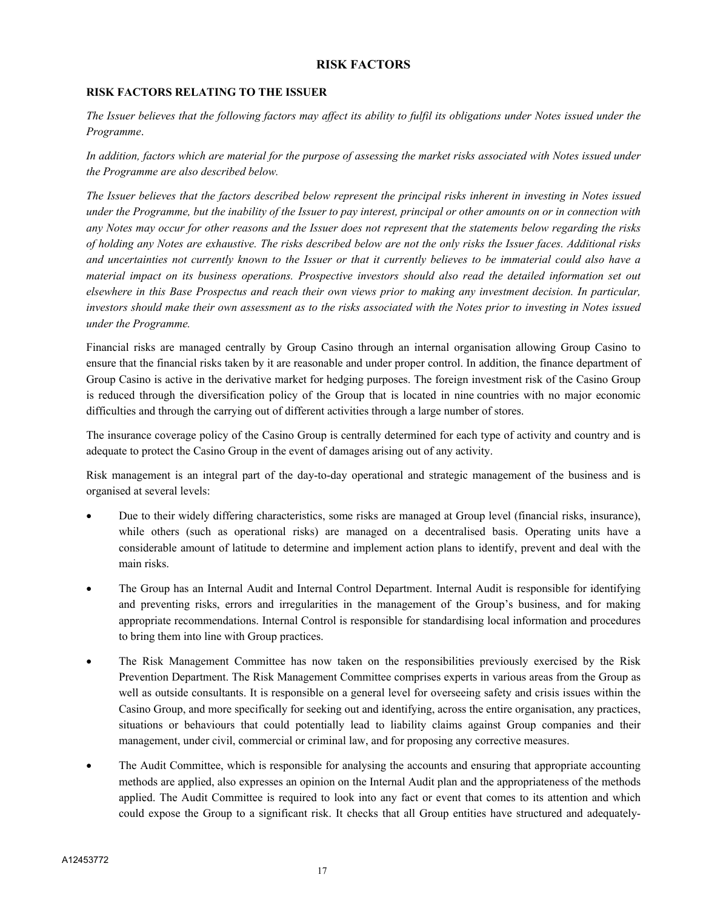## **RISK FACTORS**

## **RISK FACTORS RELATING TO THE ISSUER**

*The Issuer believes that the following factors may affect its ability to fulfil its obligations under Notes issued under the Programme*.

*In addition, factors which are material for the purpose of assessing the market risks associated with Notes issued under the Programme are also described below.*

*The Issuer believes that the factors described below represent the principal risks inherent in investing in Notes issued under the Programme, but the inability of the Issuer to pay interest, principal or other amounts on or in connection with any Notes may occur for other reasons and the Issuer does not represent that the statements below regarding the risks of holding any Notes are exhaustive. The risks described below are not the only risks the Issuer faces. Additional risks and uncertainties not currently known to the Issuer or that it currently believes to be immaterial could also have a material impact on its business operations. Prospective investors should also read the detailed information set out elsewhere in this Base Prospectus and reach their own views prior to making any investment decision. In particular, investors should make their own assessment as to the risks associated with the Notes prior to investing in Notes issued under the Programme.*

Financial risks are managed centrally by Group Casino through an internal organisation allowing Group Casino to ensure that the financial risks taken by it are reasonable and under proper control. In addition, the finance department of Group Casino is active in the derivative market for hedging purposes. The foreign investment risk of the Casino Group is reduced through the diversification policy of the Group that is located in nine countries with no major economic difficulties and through the carrying out of different activities through a large number of stores.

The insurance coverage policy of the Casino Group is centrally determined for each type of activity and country and is adequate to protect the Casino Group in the event of damages arising out of any activity.

Risk management is an integral part of the day-to-day operational and strategic management of the business and is organised at several levels:

- Due to their widely differing characteristics, some risks are managed at Group level (financial risks, insurance), while others (such as operational risks) are managed on a decentralised basis. Operating units have a considerable amount of latitude to determine and implement action plans to identify, prevent and deal with the main risks.
- The Group has an Internal Audit and Internal Control Department. Internal Audit is responsible for identifying and preventing risks, errors and irregularities in the management of the Group's business, and for making appropriate recommendations. Internal Control is responsible for standardising local information and procedures to bring them into line with Group practices.
- The Risk Management Committee has now taken on the responsibilities previously exercised by the Risk Prevention Department. The Risk Management Committee comprises experts in various areas from the Group as well as outside consultants. It is responsible on a general level for overseeing safety and crisis issues within the Casino Group, and more specifically for seeking out and identifying, across the entire organisation, any practices, situations or behaviours that could potentially lead to liability claims against Group companies and their management, under civil, commercial or criminal law, and for proposing any corrective measures.
- The Audit Committee, which is responsible for analysing the accounts and ensuring that appropriate accounting methods are applied, also expresses an opinion on the Internal Audit plan and the appropriateness of the methods applied. The Audit Committee is required to look into any fact or event that comes to its attention and which could expose the Group to a significant risk. It checks that all Group entities have structured and adequately-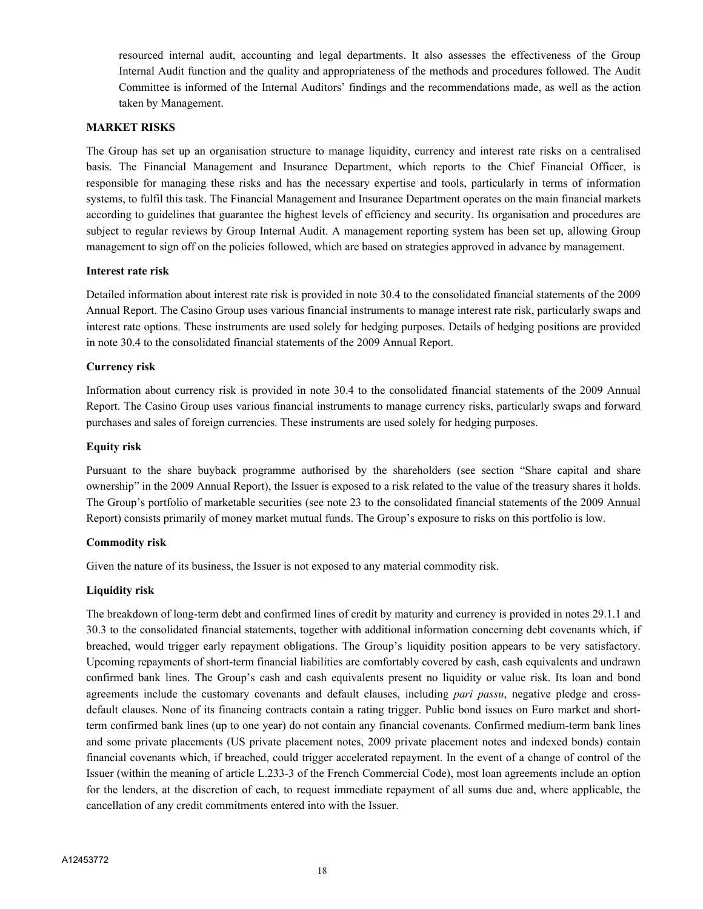resourced internal audit, accounting and legal departments. It also assesses the effectiveness of the Group Internal Audit function and the quality and appropriateness of the methods and procedures followed. The Audit Committee is informed of the Internal Auditors' findings and the recommendations made, as well as the action taken by Management.

## **MARKET RISKS**

The Group has set up an organisation structure to manage liquidity, currency and interest rate risks on a centralised basis. The Financial Management and Insurance Department, which reports to the Chief Financial Officer, is responsible for managing these risks and has the necessary expertise and tools, particularly in terms of information systems, to fulfil this task. The Financial Management and Insurance Department operates on the main financial markets according to guidelines that guarantee the highest levels of efficiency and security. Its organisation and procedures are subject to regular reviews by Group Internal Audit. A management reporting system has been set up, allowing Group management to sign off on the policies followed, which are based on strategies approved in advance by management.

## **Interest rate risk**

Detailed information about interest rate risk is provided in note 30.4 to the consolidated financial statements of the 2009 Annual Report. The Casino Group uses various financial instruments to manage interest rate risk, particularly swaps and interest rate options. These instruments are used solely for hedging purposes. Details of hedging positions are provided in note 30.4 to the consolidated financial statements of the 2009 Annual Report.

## **Currency risk**

Information about currency risk is provided in note 30.4 to the consolidated financial statements of the 2009 Annual Report. The Casino Group uses various financial instruments to manage currency risks, particularly swaps and forward purchases and sales of foreign currencies. These instruments are used solely for hedging purposes.

#### **Equity risk**

Pursuant to the share buyback programme authorised by the shareholders (see section "Share capital and share ownership" in the 2009 Annual Report), the Issuer is exposed to a risk related to the value of the treasury shares it holds. The Group's portfolio of marketable securities (see note 23 to the consolidated financial statements of the 2009 Annual Report) consists primarily of money market mutual funds. The Group's exposure to risks on this portfolio is low.

#### **Commodity risk**

Given the nature of its business, the Issuer is not exposed to any material commodity risk.

## **Liquidity risk**

The breakdown of long-term debt and confirmed lines of credit by maturity and currency is provided in notes 29.1.1 and 30.3 to the consolidated financial statements, together with additional information concerning debt covenants which, if breached, would trigger early repayment obligations. The Group's liquidity position appears to be very satisfactory. Upcoming repayments of short-term financial liabilities are comfortably covered by cash, cash equivalents and undrawn confirmed bank lines. The Group's cash and cash equivalents present no liquidity or value risk. Its loan and bond agreements include the customary covenants and default clauses, including *pari passu*, negative pledge and crossdefault clauses. None of its financing contracts contain a rating trigger. Public bond issues on Euro market and shortterm confirmed bank lines (up to one year) do not contain any financial covenants. Confirmed medium-term bank lines and some private placements (US private placement notes, 2009 private placement notes and indexed bonds) contain financial covenants which, if breached, could trigger accelerated repayment. In the event of a change of control of the Issuer (within the meaning of article L.233-3 of the French Commercial Code), most loan agreements include an option for the lenders, at the discretion of each, to request immediate repayment of all sums due and, where applicable, the cancellation of any credit commitments entered into with the Issuer.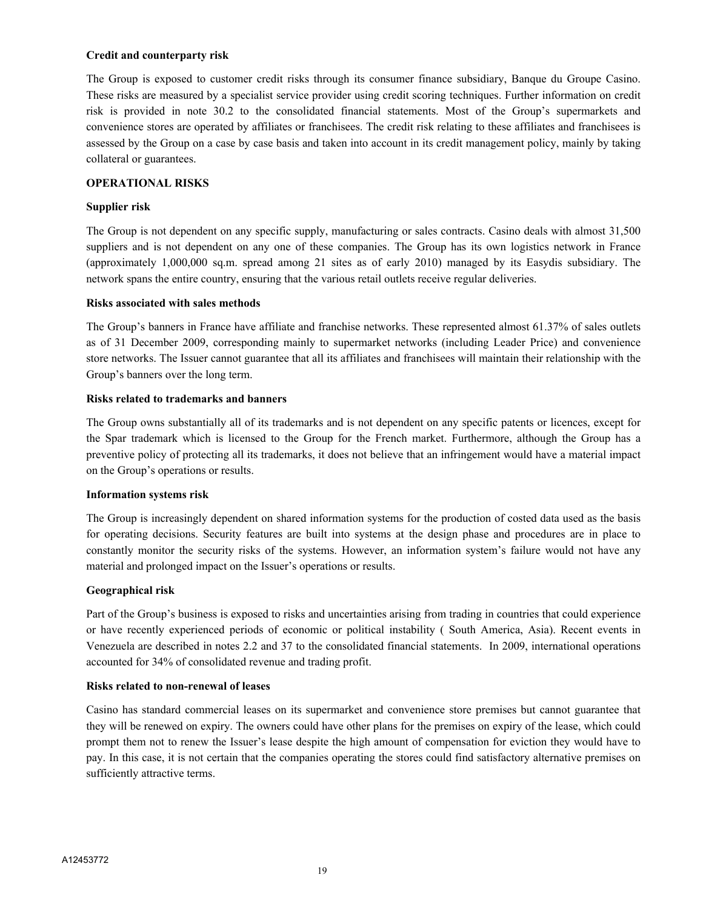#### **Credit and counterparty risk**

The Group is exposed to customer credit risks through its consumer finance subsidiary, Banque du Groupe Casino. These risks are measured by a specialist service provider using credit scoring techniques. Further information on credit risk is provided in note 30.2 to the consolidated financial statements. Most of the Group's supermarkets and convenience stores are operated by affiliates or franchisees. The credit risk relating to these affiliates and franchisees is assessed by the Group on a case by case basis and taken into account in its credit management policy, mainly by taking collateral or guarantees.

## **OPERATIONAL RISKS**

#### **Supplier risk**

The Group is not dependent on any specific supply, manufacturing or sales contracts. Casino deals with almost 31,500 suppliers and is not dependent on any one of these companies. The Group has its own logistics network in France (approximately 1,000,000 sq.m. spread among 21 sites as of early 2010) managed by its Easydis subsidiary. The network spans the entire country, ensuring that the various retail outlets receive regular deliveries.

#### **Risks associated with sales methods**

The Group's banners in France have affiliate and franchise networks. These represented almost 61.37% of sales outlets as of 31 December 2009, corresponding mainly to supermarket networks (including Leader Price) and convenience store networks. The Issuer cannot guarantee that all its affiliates and franchisees will maintain their relationship with the Group's banners over the long term.

#### **Risks related to trademarks and banners**

The Group owns substantially all of its trademarks and is not dependent on any specific patents or licences, except for the Spar trademark which is licensed to the Group for the French market. Furthermore, although the Group has a preventive policy of protecting all its trademarks, it does not believe that an infringement would have a material impact on the Group's operations or results.

#### **Information systems risk**

The Group is increasingly dependent on shared information systems for the production of costed data used as the basis for operating decisions. Security features are built into systems at the design phase and procedures are in place to constantly monitor the security risks of the systems. However, an information system's failure would not have any material and prolonged impact on the Issuer's operations or results.

#### **Geographical risk**

Part of the Group's business is exposed to risks and uncertainties arising from trading in countries that could experience or have recently experienced periods of economic or political instability ( South America, Asia). Recent events in Venezuela are described in notes 2.2 and 37 to the consolidated financial statements. In 2009, international operations accounted for 34% of consolidated revenue and trading profit.

#### **Risks related to non-renewal of leases**

Casino has standard commercial leases on its supermarket and convenience store premises but cannot guarantee that they will be renewed on expiry. The owners could have other plans for the premises on expiry of the lease, which could prompt them not to renew the Issuer's lease despite the high amount of compensation for eviction they would have to pay. In this case, it is not certain that the companies operating the stores could find satisfactory alternative premises on sufficiently attractive terms.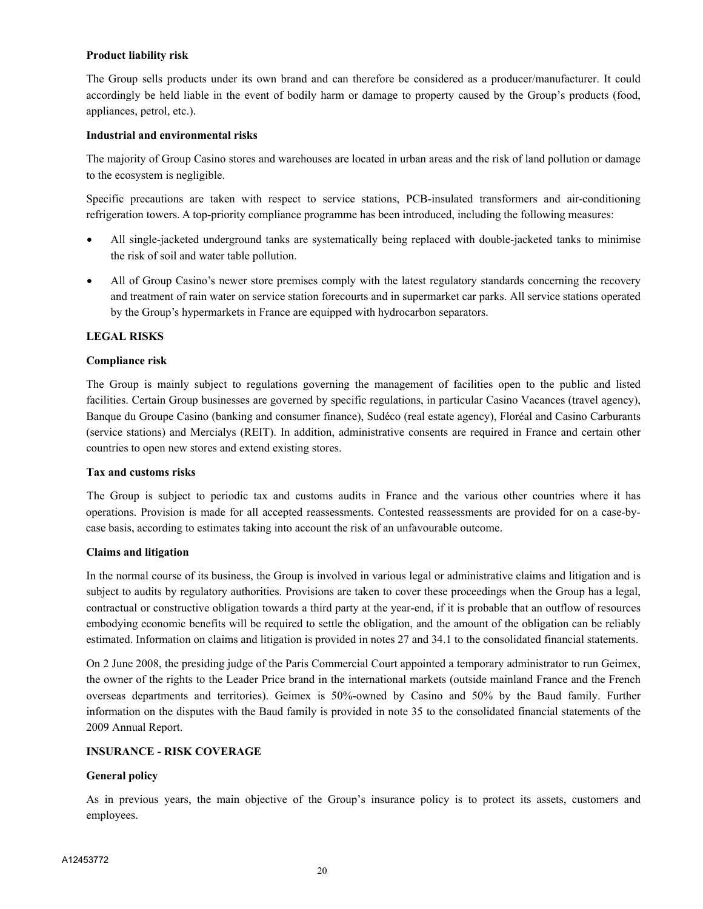#### **Product liability risk**

The Group sells products under its own brand and can therefore be considered as a producer/manufacturer. It could accordingly be held liable in the event of bodily harm or damage to property caused by the Group's products (food, appliances, petrol, etc.).

## **Industrial and environmental risks**

The majority of Group Casino stores and warehouses are located in urban areas and the risk of land pollution or damage to the ecosystem is negligible.

Specific precautions are taken with respect to service stations, PCB-insulated transformers and air-conditioning refrigeration towers. A top-priority compliance programme has been introduced, including the following measures:

- All single-jacketed underground tanks are systematically being replaced with double-jacketed tanks to minimise the risk of soil and water table pollution.
- All of Group Casino's newer store premises comply with the latest regulatory standards concerning the recovery and treatment of rain water on service station forecourts and in supermarket car parks. All service stations operated by the Group's hypermarkets in France are equipped with hydrocarbon separators.

## **LEGAL RISKS**

## **Compliance risk**

The Group is mainly subject to regulations governing the management of facilities open to the public and listed facilities. Certain Group businesses are governed by specific regulations, in particular Casino Vacances (travel agency), Banque du Groupe Casino (banking and consumer finance), Sudéco (real estate agency), Floréal and Casino Carburants (service stations) and Mercialys (REIT). In addition, administrative consents are required in France and certain other countries to open new stores and extend existing stores.

#### **Tax and customs risks**

The Group is subject to periodic tax and customs audits in France and the various other countries where it has operations. Provision is made for all accepted reassessments. Contested reassessments are provided for on a case-bycase basis, according to estimates taking into account the risk of an unfavourable outcome.

## **Claims and litigation**

In the normal course of its business, the Group is involved in various legal or administrative claims and litigation and is subject to audits by regulatory authorities. Provisions are taken to cover these proceedings when the Group has a legal, contractual or constructive obligation towards a third party at the year-end, if it is probable that an outflow of resources embodying economic benefits will be required to settle the obligation, and the amount of the obligation can be reliably estimated. Information on claims and litigation is provided in notes 27 and 34.1 to the consolidated financial statements.

On 2 June 2008, the presiding judge of the Paris Commercial Court appointed a temporary administrator to run Geimex, the owner of the rights to the Leader Price brand in the international markets (outside mainland France and the French overseas departments and territories). Geimex is 50%-owned by Casino and 50% by the Baud family. Further information on the disputes with the Baud family is provided in note 35 to the consolidated financial statements of the 2009 Annual Report.

## **INSURANCE - RISK COVERAGE**

#### **General policy**

As in previous years, the main objective of the Group's insurance policy is to protect its assets, customers and employees.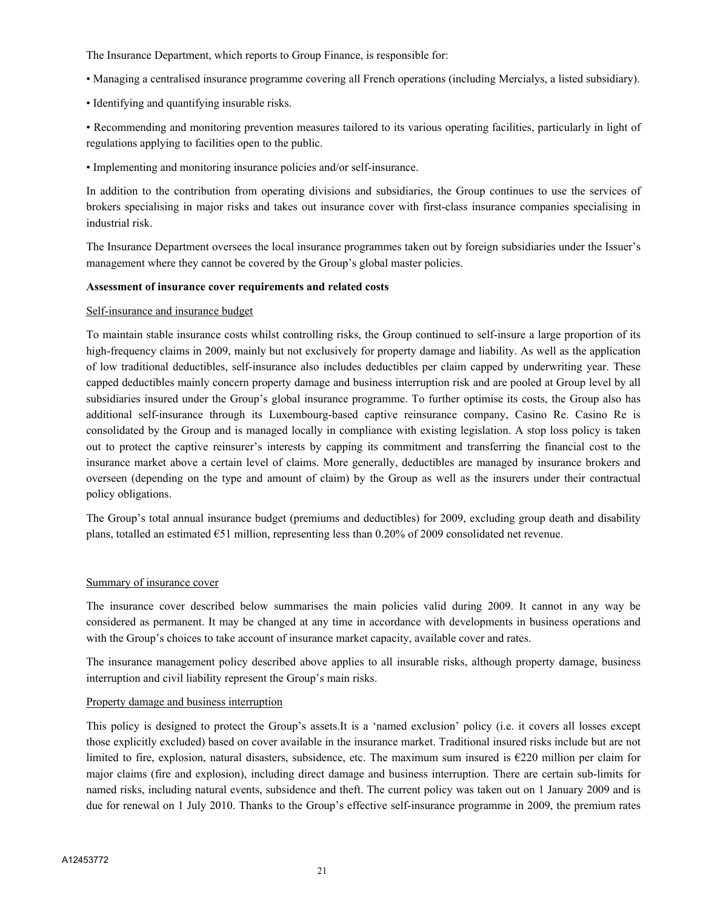The Insurance Department, which reports to Group Finance, is responsible for:

- Managing a centralised insurance programme covering all French operations (including Mercialys, a listed subsidiary).
- Identifying and quantifying insurable risks.

• Recommending and monitoring prevention measures tailored to its various operating facilities, particularly in light of regulations applying to facilities open to the public.

• Implementing and monitoring insurance policies and/or self-insurance.

In addition to the contribution from operating divisions and subsidiaries, the Group continues to use the services of brokers specialising in major risks and takes out insurance cover with first-class insurance companies specialising in industrial risk.

The Insurance Department oversees the local insurance programmes taken out by foreign subsidiaries under the Issuer's management where they cannot be covered by the Group's global master policies.

#### **Assessment of insurance cover requirements and related costs**

#### Self-insurance and insurance budget

To maintain stable insurance costs whilst controlling risks, the Group continued to self-insure a large proportion of its high-frequency claims in 2009, mainly but not exclusively for property damage and liability. As well as the application of low traditional deductibles, self-insurance also includes deductibles per claim capped by underwriting year. These capped deductibles mainly concern property damage and business interruption risk and are pooled at Group level by all subsidiaries insured under the Group's global insurance programme. To further optimise its costs, the Group also has additional self-insurance through its Luxembourg-based captive reinsurance company, Casino Re. Casino Re is consolidated by the Group and is managed locally in compliance with existing legislation. A stop loss policy is taken out to protect the captive reinsurer's interests by capping its commitment and transferring the financial cost to the insurance market above a certain level of claims. More generally, deductibles are managed by insurance brokers and overseen (depending on the type and amount of claim) by the Group as well as the insurers under their contractual policy obligations.

The Group's total annual insurance budget (premiums and deductibles) for 2009, excluding group death and disability plans, totalled an estimated €51 million, representing less than 0.20% of 2009 consolidated net revenue.

#### Summary of insurance cover

The insurance cover described below summarises the main policies valid during 2009. It cannot in any way be considered as permanent. It may be changed at any time in accordance with developments in business operations and with the Group's choices to take account of insurance market capacity, available cover and rates.

The insurance management policy described above applies to all insurable risks, although property damage, business interruption and civil liability represent the Group's main risks.

#### Property damage and business interruption

This policy is designed to protect the Group's assets.It is a 'named exclusion' policy (i.e. it covers all losses except those explicitly excluded) based on cover available in the insurance market. Traditional insured risks include but are not limited to fire, explosion, natural disasters, subsidence, etc. The maximum sum insured is  $E220$  million per claim for major claims (fire and explosion), including direct damage and business interruption. There are certain sub-limits for named risks, including natural events, subsidence and theft. The current policy was taken out on 1 January 2009 and is due for renewal on 1 July 2010. Thanks to the Group's effective self-insurance programme in 2009, the premium rates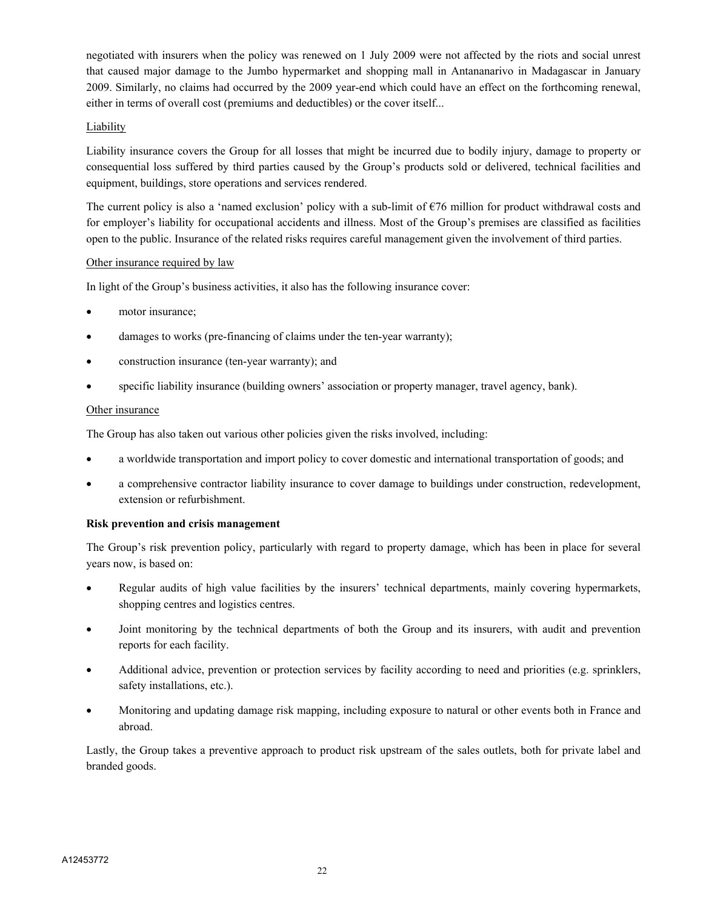negotiated with insurers when the policy was renewed on 1 July 2009 were not affected by the riots and social unrest that caused major damage to the Jumbo hypermarket and shopping mall in Antananarivo in Madagascar in January 2009. Similarly, no claims had occurred by the 2009 year-end which could have an effect on the forthcoming renewal, either in terms of overall cost (premiums and deductibles) or the cover itself...

## Liability

Liability insurance covers the Group for all losses that might be incurred due to bodily injury, damage to property or consequential loss suffered by third parties caused by the Group's products sold or delivered, technical facilities and equipment, buildings, store operations and services rendered.

The current policy is also a 'named exclusion' policy with a sub-limit of  $\epsilon$ 76 million for product withdrawal costs and for employer's liability for occupational accidents and illness. Most of the Group's premises are classified as facilities open to the public. Insurance of the related risks requires careful management given the involvement of third parties.

## Other insurance required by law

In light of the Group's business activities, it also has the following insurance cover:

- motor insurance;
- damages to works (pre-financing of claims under the ten-year warranty);
- construction insurance (ten-year warranty); and
- specific liability insurance (building owners' association or property manager, travel agency, bank).

## Other insurance

The Group has also taken out various other policies given the risks involved, including:

- a worldwide transportation and import policy to cover domestic and international transportation of goods; and
- a comprehensive contractor liability insurance to cover damage to buildings under construction, redevelopment, extension or refurbishment.

## **Risk prevention and crisis management**

The Group's risk prevention policy, particularly with regard to property damage, which has been in place for several years now, is based on:

- Regular audits of high value facilities by the insurers' technical departments, mainly covering hypermarkets, shopping centres and logistics centres.
- Joint monitoring by the technical departments of both the Group and its insurers, with audit and prevention reports for each facility.
- Additional advice, prevention or protection services by facility according to need and priorities (e.g. sprinklers, safety installations, etc.).
- Monitoring and updating damage risk mapping, including exposure to natural or other events both in France and abroad.

Lastly, the Group takes a preventive approach to product risk upstream of the sales outlets, both for private label and branded goods.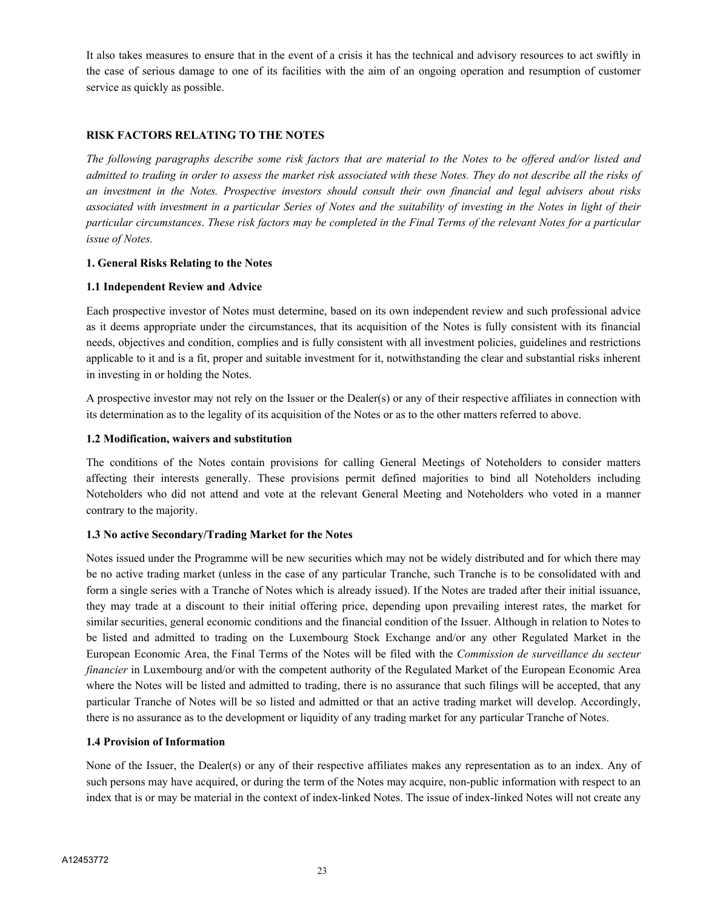It also takes measures to ensure that in the event of a crisis it has the technical and advisory resources to act swiftly in the case of serious damage to one of its facilities with the aim of an ongoing operation and resumption of customer service as quickly as possible.

## **RISK FACTORS RELATING TO THE NOTES**

*The following paragraphs describe some risk factors that are material to the Notes to be offered and/or listed and admitted to trading in order to assess the market risk associated with these Notes. They do not describe all the risks of an investment in the Notes. Prospective investors should consult their own financial and legal advisers about risks associated with investment in a particular Series of Notes and the suitability of investing in the Notes in light of their particular circumstances*. *These risk factors may be completed in the Final Terms of the relevant Notes for a particular issue of Notes.*

## **1. General Risks Relating to the Notes**

## **1.1 Independent Review and Advice**

Each prospective investor of Notes must determine, based on its own independent review and such professional advice as it deems appropriate under the circumstances, that its acquisition of the Notes is fully consistent with its financial needs, objectives and condition, complies and is fully consistent with all investment policies, guidelines and restrictions applicable to it and is a fit, proper and suitable investment for it, notwithstanding the clear and substantial risks inherent in investing in or holding the Notes.

A prospective investor may not rely on the Issuer or the Dealer(s) or any of their respective affiliates in connection with its determination as to the legality of its acquisition of the Notes or as to the other matters referred to above.

## **1.2 Modification, waivers and substitution**

The conditions of the Notes contain provisions for calling General Meetings of Noteholders to consider matters affecting their interests generally. These provisions permit defined majorities to bind all Noteholders including Noteholders who did not attend and vote at the relevant General Meeting and Noteholders who voted in a manner contrary to the majority.

## **1.3 No active Secondary/Trading Market for the Notes**

Notes issued under the Programme will be new securities which may not be widely distributed and for which there may be no active trading market (unless in the case of any particular Tranche, such Tranche is to be consolidated with and form a single series with a Tranche of Notes which is already issued). If the Notes are traded after their initial issuance, they may trade at a discount to their initial offering price, depending upon prevailing interest rates, the market for similar securities, general economic conditions and the financial condition of the Issuer. Although in relation to Notes to be listed and admitted to trading on the Luxembourg Stock Exchange and/or any other Regulated Market in the European Economic Area, the Final Terms of the Notes will be filed with the *Commission de surveillance du secteur financier* in Luxembourg and/or with the competent authority of the Regulated Market of the European Economic Area where the Notes will be listed and admitted to trading, there is no assurance that such filings will be accepted, that any particular Tranche of Notes will be so listed and admitted or that an active trading market will develop. Accordingly, there is no assurance as to the development or liquidity of any trading market for any particular Tranche of Notes.

## **1.4 Provision of Information**

None of the Issuer, the Dealer(s) or any of their respective affiliates makes any representation as to an index. Any of such persons may have acquired, or during the term of the Notes may acquire, non-public information with respect to an index that is or may be material in the context of index-linked Notes. The issue of index-linked Notes will not create any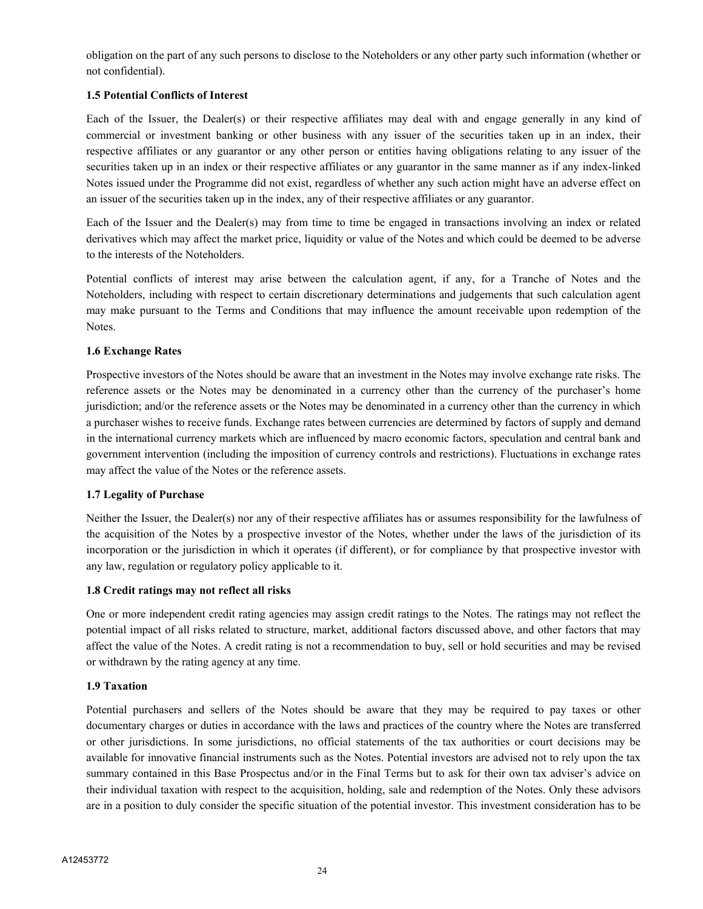obligation on the part of any such persons to disclose to the Noteholders or any other party such information (whether or not confidential).

## **1.5 Potential Conflicts of Interest**

Each of the Issuer, the Dealer(s) or their respective affiliates may deal with and engage generally in any kind of commercial or investment banking or other business with any issuer of the securities taken up in an index, their respective affiliates or any guarantor or any other person or entities having obligations relating to any issuer of the securities taken up in an index or their respective affiliates or any guarantor in the same manner as if any index-linked Notes issued under the Programme did not exist, regardless of whether any such action might have an adverse effect on an issuer of the securities taken up in the index, any of their respective affiliates or any guarantor.

Each of the Issuer and the Dealer(s) may from time to time be engaged in transactions involving an index or related derivatives which may affect the market price, liquidity or value of the Notes and which could be deemed to be adverse to the interests of the Noteholders.

Potential conflicts of interest may arise between the calculation agent, if any, for a Tranche of Notes and the Noteholders, including with respect to certain discretionary determinations and judgements that such calculation agent may make pursuant to the Terms and Conditions that may influence the amount receivable upon redemption of the Notes.

## **1.6 Exchange Rates**

Prospective investors of the Notes should be aware that an investment in the Notes may involve exchange rate risks. The reference assets or the Notes may be denominated in a currency other than the currency of the purchaser's home jurisdiction; and/or the reference assets or the Notes may be denominated in a currency other than the currency in which a purchaser wishes to receive funds. Exchange rates between currencies are determined by factors of supply and demand in the international currency markets which are influenced by macro economic factors, speculation and central bank and government intervention (including the imposition of currency controls and restrictions). Fluctuations in exchange rates may affect the value of the Notes or the reference assets.

## **1.7 Legality of Purchase**

Neither the Issuer, the Dealer(s) nor any of their respective affiliates has or assumes responsibility for the lawfulness of the acquisition of the Notes by a prospective investor of the Notes, whether under the laws of the jurisdiction of its incorporation or the jurisdiction in which it operates (if different), or for compliance by that prospective investor with any law, regulation or regulatory policy applicable to it.

## **1.8 Credit ratings may not reflect all risks**

One or more independent credit rating agencies may assign credit ratings to the Notes. The ratings may not reflect the potential impact of all risks related to structure, market, additional factors discussed above, and other factors that may affect the value of the Notes. A credit rating is not a recommendation to buy, sell or hold securities and may be revised or withdrawn by the rating agency at any time.

## **1.9 Taxation**

Potential purchasers and sellers of the Notes should be aware that they may be required to pay taxes or other documentary charges or duties in accordance with the laws and practices of the country where the Notes are transferred or other jurisdictions. In some jurisdictions, no official statements of the tax authorities or court decisions may be available for innovative financial instruments such as the Notes. Potential investors are advised not to rely upon the tax summary contained in this Base Prospectus and/or in the Final Terms but to ask for their own tax adviser's advice on their individual taxation with respect to the acquisition, holding, sale and redemption of the Notes. Only these advisors are in a position to duly consider the specific situation of the potential investor. This investment consideration has to be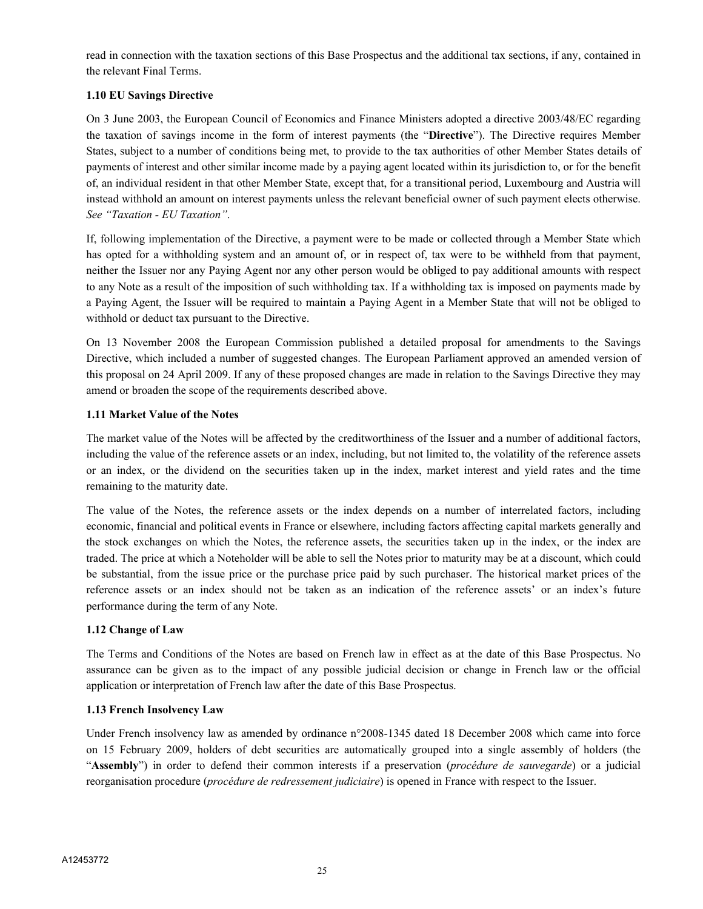read in connection with the taxation sections of this Base Prospectus and the additional tax sections, if any, contained in the relevant Final Terms.

## **1.10 EU Savings Directive**

On 3 June 2003, the European Council of Economics and Finance Ministers adopted a directive 2003/48/EC regarding the taxation of savings income in the form of interest payments (the "**Directive**"). The Directive requires Member States, subject to a number of conditions being met, to provide to the tax authorities of other Member States details of payments of interest and other similar income made by a paying agent located within its jurisdiction to, or for the benefit of, an individual resident in that other Member State, except that, for a transitional period, Luxembourg and Austria will instead withhold an amount on interest payments unless the relevant beneficial owner of such payment elects otherwise. *See "Taxation - EU Taxation"*.

If, following implementation of the Directive, a payment were to be made or collected through a Member State which has opted for a withholding system and an amount of, or in respect of, tax were to be withheld from that payment, neither the Issuer nor any Paying Agent nor any other person would be obliged to pay additional amounts with respect to any Note as a result of the imposition of such withholding tax. If a withholding tax is imposed on payments made by a Paying Agent, the Issuer will be required to maintain a Paying Agent in a Member State that will not be obliged to withhold or deduct tax pursuant to the Directive.

On 13 November 2008 the European Commission published a detailed proposal for amendments to the Savings Directive, which included a number of suggested changes. The European Parliament approved an amended version of this proposal on 24 April 2009. If any of these proposed changes are made in relation to the Savings Directive they may amend or broaden the scope of the requirements described above.

## **1.11 Market Value of the Notes**

The market value of the Notes will be affected by the creditworthiness of the Issuer and a number of additional factors, including the value of the reference assets or an index, including, but not limited to, the volatility of the reference assets or an index, or the dividend on the securities taken up in the index, market interest and yield rates and the time remaining to the maturity date.

The value of the Notes, the reference assets or the index depends on a number of interrelated factors, including economic, financial and political events in France or elsewhere, including factors affecting capital markets generally and the stock exchanges on which the Notes, the reference assets, the securities taken up in the index, or the index are traded. The price at which a Noteholder will be able to sell the Notes prior to maturity may be at a discount, which could be substantial, from the issue price or the purchase price paid by such purchaser. The historical market prices of the reference assets or an index should not be taken as an indication of the reference assets' or an index's future performance during the term of any Note.

## **1.12 Change of Law**

The Terms and Conditions of the Notes are based on French law in effect as at the date of this Base Prospectus. No assurance can be given as to the impact of any possible judicial decision or change in French law or the official application or interpretation of French law after the date of this Base Prospectus.

## **1.13 French Insolvency Law**

Under French insolvency law as amended by ordinance n°2008-1345 dated 18 December 2008 which came into force on 15 February 2009, holders of debt securities are automatically grouped into a single assembly of holders (the "**Assembly**") in order to defend their common interests if a preservation (*procédure de sauvegarde*) or a judicial reorganisation procedure (*procédure de redressement judiciaire*) is opened in France with respect to the Issuer.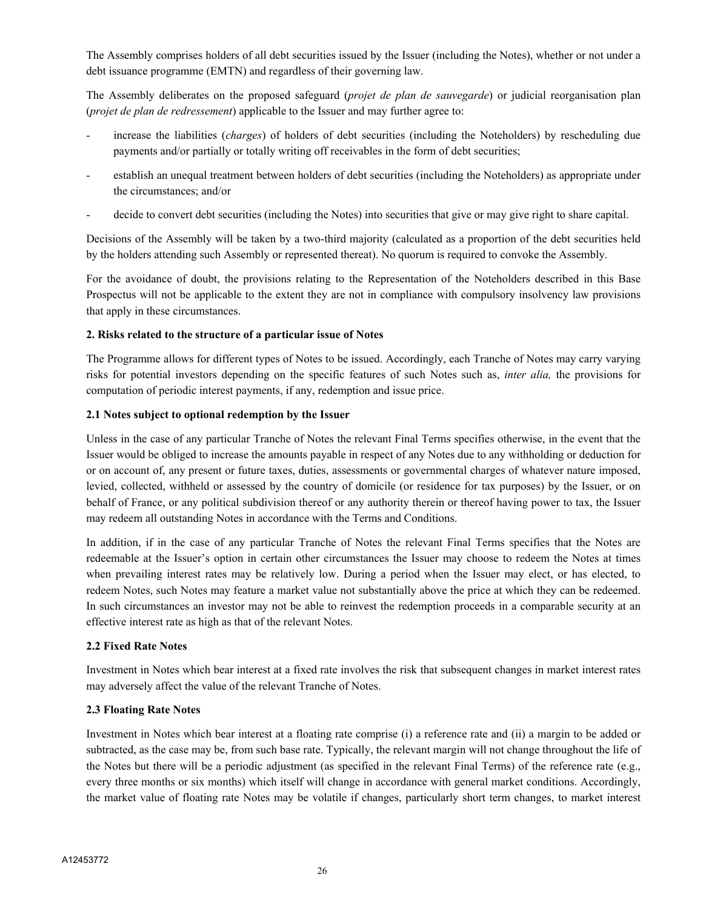The Assembly comprises holders of all debt securities issued by the Issuer (including the Notes), whether or not under a debt issuance programme (EMTN) and regardless of their governing law.

The Assembly deliberates on the proposed safeguard (*projet de plan de sauvegarde*) or judicial reorganisation plan (*projet de plan de redressement*) applicable to the Issuer and may further agree to:

- increase the liabilities (*charges*) of holders of debt securities (including the Noteholders) by rescheduling due payments and/or partially or totally writing off receivables in the form of debt securities;
- establish an unequal treatment between holders of debt securities (including the Noteholders) as appropriate under the circumstances; and/or
- decide to convert debt securities (including the Notes) into securities that give or may give right to share capital.

Decisions of the Assembly will be taken by a two-third majority (calculated as a proportion of the debt securities held by the holders attending such Assembly or represented thereat). No quorum is required to convoke the Assembly.

For the avoidance of doubt, the provisions relating to the Representation of the Noteholders described in this Base Prospectus will not be applicable to the extent they are not in compliance with compulsory insolvency law provisions that apply in these circumstances.

## **2. Risks related to the structure of a particular issue of Notes**

The Programme allows for different types of Notes to be issued. Accordingly, each Tranche of Notes may carry varying risks for potential investors depending on the specific features of such Notes such as, *inter alia,* the provisions for computation of periodic interest payments, if any, redemption and issue price.

## **2.1 Notes subject to optional redemption by the Issuer**

Unless in the case of any particular Tranche of Notes the relevant Final Terms specifies otherwise, in the event that the Issuer would be obliged to increase the amounts payable in respect of any Notes due to any withholding or deduction for or on account of, any present or future taxes, duties, assessments or governmental charges of whatever nature imposed, levied, collected, withheld or assessed by the country of domicile (or residence for tax purposes) by the Issuer, or on behalf of France, or any political subdivision thereof or any authority therein or thereof having power to tax, the Issuer may redeem all outstanding Notes in accordance with the Terms and Conditions.

In addition, if in the case of any particular Tranche of Notes the relevant Final Terms specifies that the Notes are redeemable at the Issuer's option in certain other circumstances the Issuer may choose to redeem the Notes at times when prevailing interest rates may be relatively low. During a period when the Issuer may elect, or has elected, to redeem Notes, such Notes may feature a market value not substantially above the price at which they can be redeemed. In such circumstances an investor may not be able to reinvest the redemption proceeds in a comparable security at an effective interest rate as high as that of the relevant Notes.

## **2.2 Fixed Rate Notes**

Investment in Notes which bear interest at a fixed rate involves the risk that subsequent changes in market interest rates may adversely affect the value of the relevant Tranche of Notes.

## **2.3 Floating Rate Notes**

Investment in Notes which bear interest at a floating rate comprise (i) a reference rate and (ii) a margin to be added or subtracted, as the case may be, from such base rate. Typically, the relevant margin will not change throughout the life of the Notes but there will be a periodic adjustment (as specified in the relevant Final Terms) of the reference rate (e.g., every three months or six months) which itself will change in accordance with general market conditions. Accordingly, the market value of floating rate Notes may be volatile if changes, particularly short term changes, to market interest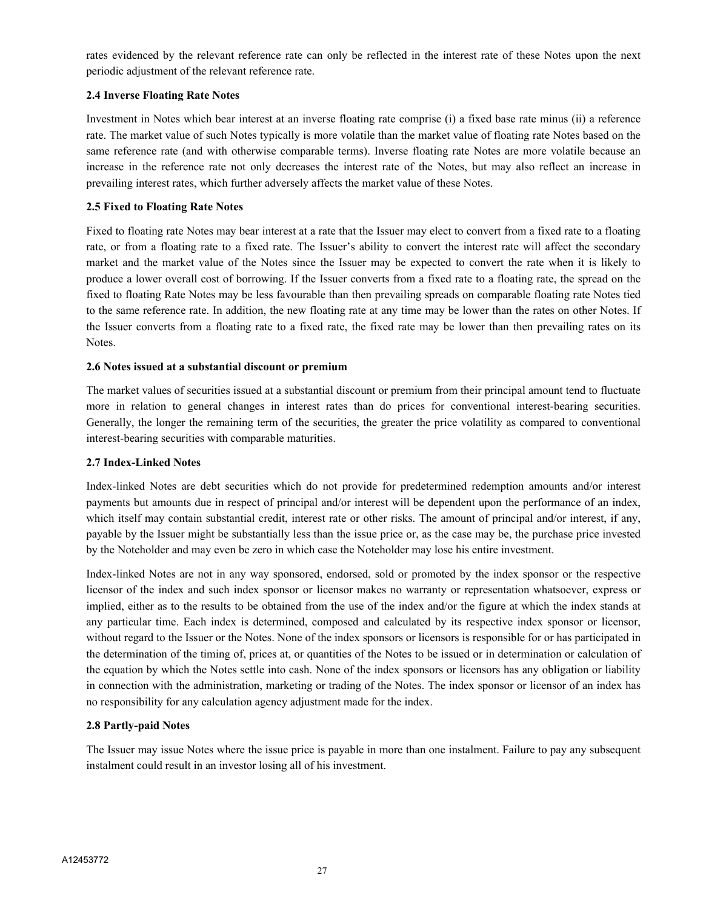rates evidenced by the relevant reference rate can only be reflected in the interest rate of these Notes upon the next periodic adjustment of the relevant reference rate.

## **2.4 Inverse Floating Rate Notes**

Investment in Notes which bear interest at an inverse floating rate comprise (i) a fixed base rate minus (ii) a reference rate. The market value of such Notes typically is more volatile than the market value of floating rate Notes based on the same reference rate (and with otherwise comparable terms). Inverse floating rate Notes are more volatile because an increase in the reference rate not only decreases the interest rate of the Notes, but may also reflect an increase in prevailing interest rates, which further adversely affects the market value of these Notes.

## **2.5 Fixed to Floating Rate Notes**

Fixed to floating rate Notes may bear interest at a rate that the Issuer may elect to convert from a fixed rate to a floating rate, or from a floating rate to a fixed rate. The Issuer's ability to convert the interest rate will affect the secondary market and the market value of the Notes since the Issuer may be expected to convert the rate when it is likely to produce a lower overall cost of borrowing. If the Issuer converts from a fixed rate to a floating rate, the spread on the fixed to floating Rate Notes may be less favourable than then prevailing spreads on comparable floating rate Notes tied to the same reference rate. In addition, the new floating rate at any time may be lower than the rates on other Notes. If the Issuer converts from a floating rate to a fixed rate, the fixed rate may be lower than then prevailing rates on its Notes.

## **2.6 Notes issued at a substantial discount or premium**

The market values of securities issued at a substantial discount or premium from their principal amount tend to fluctuate more in relation to general changes in interest rates than do prices for conventional interest-bearing securities. Generally, the longer the remaining term of the securities, the greater the price volatility as compared to conventional interest-bearing securities with comparable maturities.

## **2.7 Index-Linked Notes**

Index-linked Notes are debt securities which do not provide for predetermined redemption amounts and/or interest payments but amounts due in respect of principal and/or interest will be dependent upon the performance of an index, which itself may contain substantial credit, interest rate or other risks. The amount of principal and/or interest, if any, payable by the Issuer might be substantially less than the issue price or, as the case may be, the purchase price invested by the Noteholder and may even be zero in which case the Noteholder may lose his entire investment.

Index-linked Notes are not in any way sponsored, endorsed, sold or promoted by the index sponsor or the respective licensor of the index and such index sponsor or licensor makes no warranty or representation whatsoever, express or implied, either as to the results to be obtained from the use of the index and/or the figure at which the index stands at any particular time. Each index is determined, composed and calculated by its respective index sponsor or licensor, without regard to the Issuer or the Notes. None of the index sponsors or licensors is responsible for or has participated in the determination of the timing of, prices at, or quantities of the Notes to be issued or in determination or calculation of the equation by which the Notes settle into cash. None of the index sponsors or licensors has any obligation or liability in connection with the administration, marketing or trading of the Notes. The index sponsor or licensor of an index has no responsibility for any calculation agency adjustment made for the index.

## **2.8 Partly-paid Notes**

The Issuer may issue Notes where the issue price is payable in more than one instalment. Failure to pay any subsequent instalment could result in an investor losing all of his investment.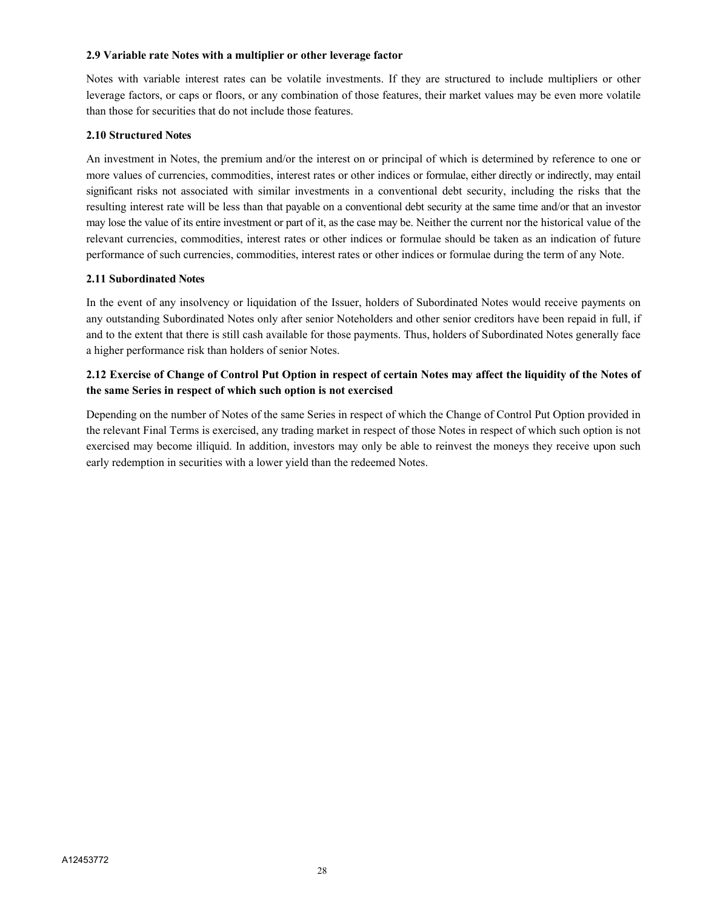#### **2.9 Variable rate Notes with a multiplier or other leverage factor**

Notes with variable interest rates can be volatile investments. If they are structured to include multipliers or other leverage factors, or caps or floors, or any combination of those features, their market values may be even more volatile than those for securities that do not include those features.

## **2.10 Structured Notes**

An investment in Notes, the premium and/or the interest on or principal of which is determined by reference to one or more values of currencies, commodities, interest rates or other indices or formulae, either directly or indirectly, may entail significant risks not associated with similar investments in a conventional debt security, including the risks that the resulting interest rate will be less than that payable on a conventional debt security at the same time and/or that an investor may lose the value of its entire investment or part of it, as the case may be. Neither the current nor the historical value of the relevant currencies, commodities, interest rates or other indices or formulae should be taken as an indication of future performance of such currencies, commodities, interest rates or other indices or formulae during the term of any Note.

## **2.11 Subordinated Notes**

In the event of any insolvency or liquidation of the Issuer, holders of Subordinated Notes would receive payments on any outstanding Subordinated Notes only after senior Noteholders and other senior creditors have been repaid in full, if and to the extent that there is still cash available for those payments. Thus, holders of Subordinated Notes generally face a higher performance risk than holders of senior Notes.

## **2.12 Exercise of Change of Control Put Option in respect of certain Notes may affect the liquidity of the Notes of the same Series in respect of which such option is not exercised**

Depending on the number of Notes of the same Series in respect of which the Change of Control Put Option provided in the relevant Final Terms is exercised, any trading market in respect of those Notes in respect of which such option is not exercised may become illiquid. In addition, investors may only be able to reinvest the moneys they receive upon such early redemption in securities with a lower yield than the redeemed Notes.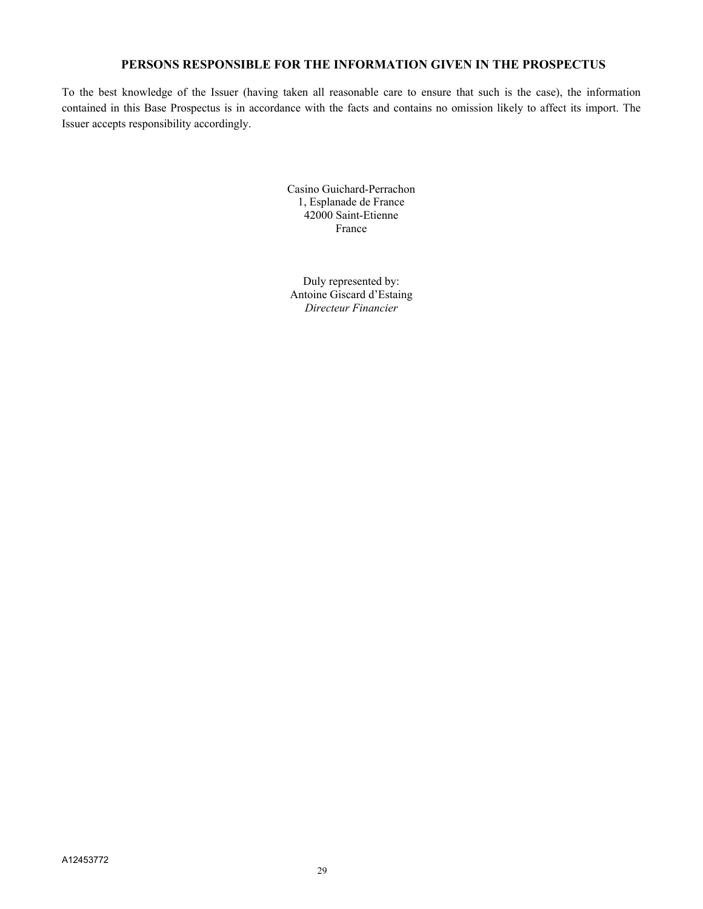## **PERSONS RESPONSIBLE FOR THE INFORMATION GIVEN IN THE PROSPECTUS**

To the best knowledge of the Issuer (having taken all reasonable care to ensure that such is the case), the information contained in this Base Prospectus is in accordance with the facts and contains no omission likely to affect its import. The Issuer accepts responsibility accordingly.

> Casino Guichard-Perrachon 1, Esplanade de France 42000 Saint-Etienne France

Duly represented by: Antoine Giscard d'Estaing *Directeur Financier*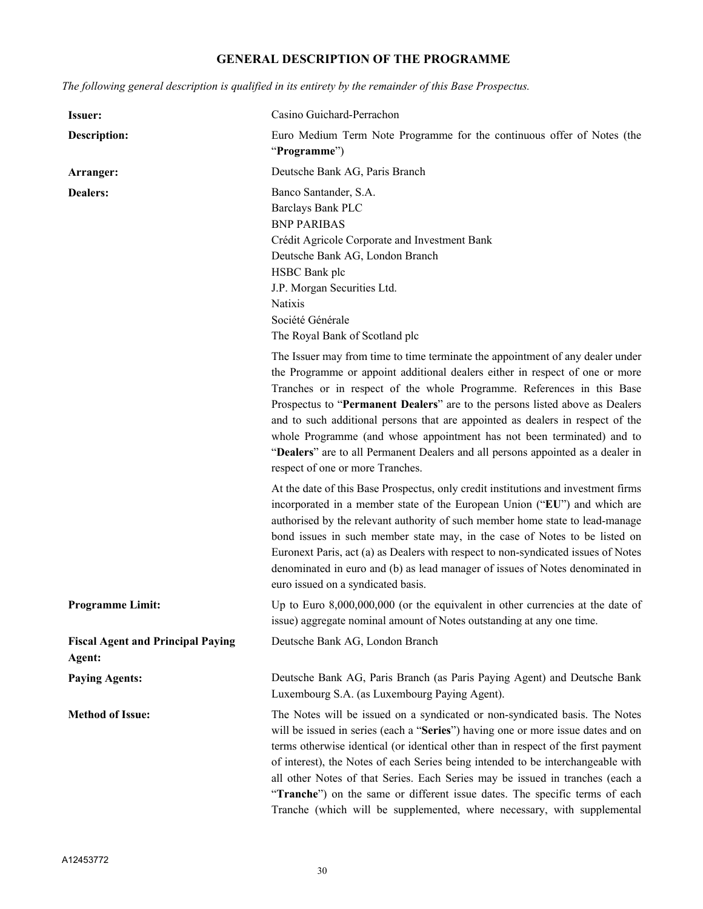## **GENERAL DESCRIPTION OF THE PROGRAMME**

*The following general description is qualified in its entirety by the remainder of this Base Prospectus.*

| <b>Issuer:</b>                                     | Casino Guichard-Perrachon                                                                                                                                                                                                                                                                                                                                                                                                                                                                                                                                                                                   |
|----------------------------------------------------|-------------------------------------------------------------------------------------------------------------------------------------------------------------------------------------------------------------------------------------------------------------------------------------------------------------------------------------------------------------------------------------------------------------------------------------------------------------------------------------------------------------------------------------------------------------------------------------------------------------|
| <b>Description:</b>                                | Euro Medium Term Note Programme for the continuous offer of Notes (the<br>"Programme")                                                                                                                                                                                                                                                                                                                                                                                                                                                                                                                      |
| Arranger:                                          | Deutsche Bank AG, Paris Branch                                                                                                                                                                                                                                                                                                                                                                                                                                                                                                                                                                              |
| <b>Dealers:</b>                                    | Banco Santander, S.A.<br><b>Barclays Bank PLC</b><br><b>BNP PARIBAS</b><br>Crédit Agricole Corporate and Investment Bank<br>Deutsche Bank AG, London Branch<br>HSBC Bank plc<br>J.P. Morgan Securities Ltd.<br>Natixis<br>Société Générale<br>The Royal Bank of Scotland plc                                                                                                                                                                                                                                                                                                                                |
|                                                    | The Issuer may from time to time terminate the appointment of any dealer under<br>the Programme or appoint additional dealers either in respect of one or more<br>Tranches or in respect of the whole Programme. References in this Base<br>Prospectus to "Permanent Dealers" are to the persons listed above as Dealers<br>and to such additional persons that are appointed as dealers in respect of the<br>whole Programme (and whose appointment has not been terminated) and to<br>"Dealers" are to all Permanent Dealers and all persons appointed as a dealer in<br>respect of one or more Tranches. |
|                                                    | At the date of this Base Prospectus, only credit institutions and investment firms<br>incorporated in a member state of the European Union ("EU") and which are<br>authorised by the relevant authority of such member home state to lead-manage<br>bond issues in such member state may, in the case of Notes to be listed on<br>Euronext Paris, act (a) as Dealers with respect to non-syndicated issues of Notes<br>denominated in euro and (b) as lead manager of issues of Notes denominated in<br>euro issued on a syndicated basis.                                                                  |
| <b>Programme Limit:</b>                            | Up to Euro $8,000,000,000$ (or the equivalent in other currencies at the date of<br>issue) aggregate nominal amount of Notes outstanding at any one time.                                                                                                                                                                                                                                                                                                                                                                                                                                                   |
| <b>Fiscal Agent and Principal Paying</b><br>Agent: | Deutsche Bank AG, London Branch                                                                                                                                                                                                                                                                                                                                                                                                                                                                                                                                                                             |
| <b>Paying Agents:</b>                              | Deutsche Bank AG, Paris Branch (as Paris Paying Agent) and Deutsche Bank<br>Luxembourg S.A. (as Luxembourg Paying Agent).                                                                                                                                                                                                                                                                                                                                                                                                                                                                                   |
| <b>Method of Issue:</b>                            | The Notes will be issued on a syndicated or non-syndicated basis. The Notes<br>will be issued in series (each a "Series") having one or more issue dates and on<br>terms otherwise identical (or identical other than in respect of the first payment<br>of interest), the Notes of each Series being intended to be interchangeable with<br>all other Notes of that Series. Each Series may be issued in tranches (each a<br>"Tranche") on the same or different issue dates. The specific terms of each<br>Tranche (which will be supplemented, where necessary, with supplemental                        |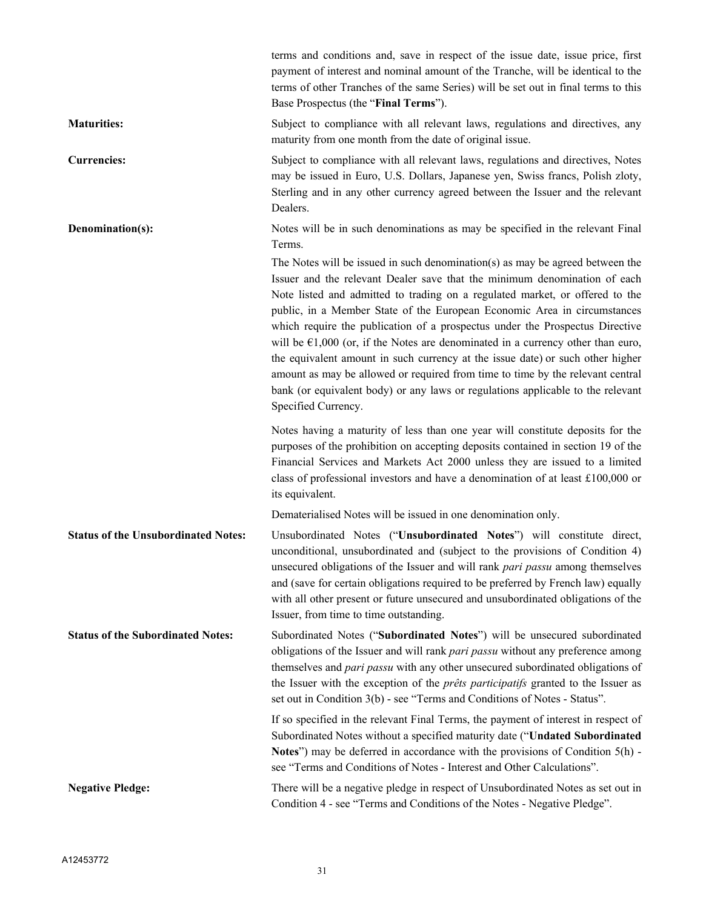|                                            | terms and conditions and, save in respect of the issue date, issue price, first<br>payment of interest and nominal amount of the Tranche, will be identical to the<br>terms of other Tranches of the same Series) will be set out in final terms to this<br>Base Prospectus (the "Final Terms").                                                                                                                                                                                                                                                                                                                                                                                                                                                                                                                                                                             |
|--------------------------------------------|------------------------------------------------------------------------------------------------------------------------------------------------------------------------------------------------------------------------------------------------------------------------------------------------------------------------------------------------------------------------------------------------------------------------------------------------------------------------------------------------------------------------------------------------------------------------------------------------------------------------------------------------------------------------------------------------------------------------------------------------------------------------------------------------------------------------------------------------------------------------------|
| <b>Maturities:</b>                         | Subject to compliance with all relevant laws, regulations and directives, any<br>maturity from one month from the date of original issue.                                                                                                                                                                                                                                                                                                                                                                                                                                                                                                                                                                                                                                                                                                                                    |
| <b>Currencies:</b>                         | Subject to compliance with all relevant laws, regulations and directives, Notes<br>may be issued in Euro, U.S. Dollars, Japanese yen, Swiss francs, Polish zloty,<br>Sterling and in any other currency agreed between the Issuer and the relevant<br>Dealers.                                                                                                                                                                                                                                                                                                                                                                                                                                                                                                                                                                                                               |
| Denomination(s):                           | Notes will be in such denominations as may be specified in the relevant Final<br>Terms.<br>The Notes will be issued in such denomination(s) as may be agreed between the<br>Issuer and the relevant Dealer save that the minimum denomination of each<br>Note listed and admitted to trading on a regulated market, or offered to the<br>public, in a Member State of the European Economic Area in circumstances<br>which require the publication of a prospectus under the Prospectus Directive<br>will be $\epsilon$ 1,000 (or, if the Notes are denominated in a currency other than euro,<br>the equivalent amount in such currency at the issue date) or such other higher<br>amount as may be allowed or required from time to time by the relevant central<br>bank (or equivalent body) or any laws or regulations applicable to the relevant<br>Specified Currency. |
|                                            | Notes having a maturity of less than one year will constitute deposits for the<br>purposes of the prohibition on accepting deposits contained in section 19 of the<br>Financial Services and Markets Act 2000 unless they are issued to a limited<br>class of professional investors and have a denomination of at least £100,000 or<br>its equivalent.<br>Dematerialised Notes will be issued in one denomination only.                                                                                                                                                                                                                                                                                                                                                                                                                                                     |
| <b>Status of the Unsubordinated Notes:</b> | Unsubordinated Notes ("Unsubordinated Notes") will constitute direct,<br>unconditional, unsubordinated and (subject to the provisions of Condition 4)<br>unsecured obligations of the Issuer and will rank <i>pari passu</i> among themselves<br>and (save for certain obligations required to be preferred by French law) equally<br>with all other present or future unsecured and unsubordinated obligations of the<br>Issuer, from time to time outstanding.                                                                                                                                                                                                                                                                                                                                                                                                             |
| <b>Status of the Subordinated Notes:</b>   | Subordinated Notes ("Subordinated Notes") will be unsecured subordinated<br>obligations of the Issuer and will rank pari passu without any preference among<br>themselves and pari passu with any other unsecured subordinated obligations of<br>the Issuer with the exception of the <i>prêts participatifs</i> granted to the Issuer as<br>set out in Condition 3(b) - see "Terms and Conditions of Notes - Status".                                                                                                                                                                                                                                                                                                                                                                                                                                                       |
|                                            | If so specified in the relevant Final Terms, the payment of interest in respect of<br>Subordinated Notes without a specified maturity date ("Undated Subordinated<br>Notes") may be deferred in accordance with the provisions of Condition 5(h) -<br>see "Terms and Conditions of Notes - Interest and Other Calculations".                                                                                                                                                                                                                                                                                                                                                                                                                                                                                                                                                 |
| <b>Negative Pledge:</b>                    | There will be a negative pledge in respect of Unsubordinated Notes as set out in<br>Condition 4 - see "Terms and Conditions of the Notes - Negative Pledge".                                                                                                                                                                                                                                                                                                                                                                                                                                                                                                                                                                                                                                                                                                                 |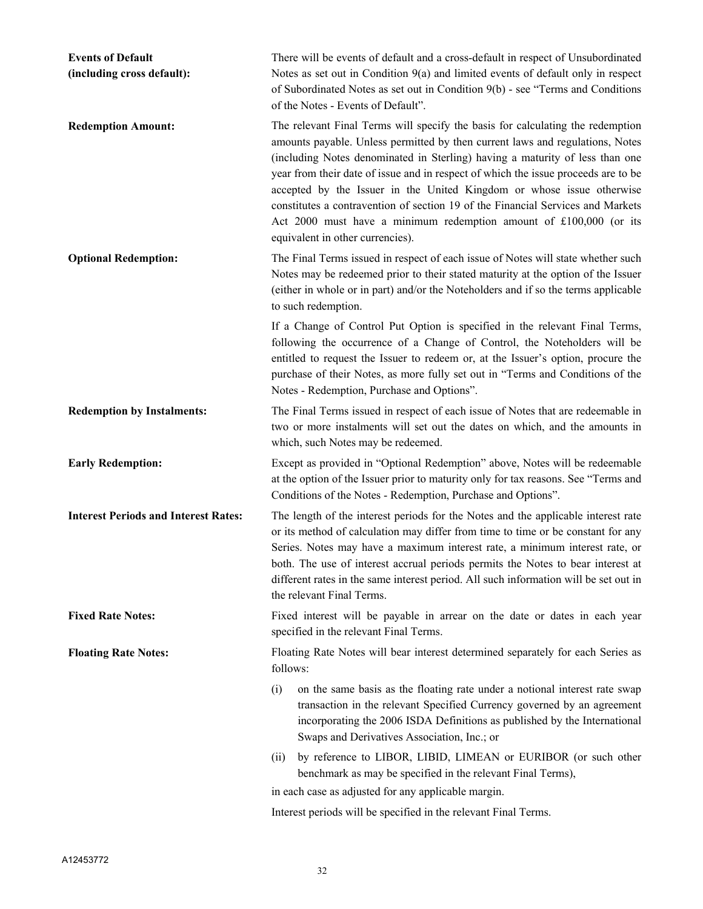| <b>Events of Default</b><br>(including cross default): | There will be events of default and a cross-default in respect of Unsubordinated<br>Notes as set out in Condition $9(a)$ and limited events of default only in respect<br>of Subordinated Notes as set out in Condition 9(b) - see "Terms and Conditions<br>of the Notes - Events of Default".                                                                                                                                                                                                                                                                                                              |
|--------------------------------------------------------|-------------------------------------------------------------------------------------------------------------------------------------------------------------------------------------------------------------------------------------------------------------------------------------------------------------------------------------------------------------------------------------------------------------------------------------------------------------------------------------------------------------------------------------------------------------------------------------------------------------|
| <b>Redemption Amount:</b>                              | The relevant Final Terms will specify the basis for calculating the redemption<br>amounts payable. Unless permitted by then current laws and regulations, Notes<br>(including Notes denominated in Sterling) having a maturity of less than one<br>year from their date of issue and in respect of which the issue proceeds are to be<br>accepted by the Issuer in the United Kingdom or whose issue otherwise<br>constitutes a contravention of section 19 of the Financial Services and Markets<br>Act 2000 must have a minimum redemption amount of £100,000 (or its<br>equivalent in other currencies). |
| <b>Optional Redemption:</b>                            | The Final Terms issued in respect of each issue of Notes will state whether such<br>Notes may be redeemed prior to their stated maturity at the option of the Issuer<br>(either in whole or in part) and/or the Noteholders and if so the terms applicable<br>to such redemption.                                                                                                                                                                                                                                                                                                                           |
|                                                        | If a Change of Control Put Option is specified in the relevant Final Terms,<br>following the occurrence of a Change of Control, the Noteholders will be<br>entitled to request the Issuer to redeem or, at the Issuer's option, procure the<br>purchase of their Notes, as more fully set out in "Terms and Conditions of the<br>Notes - Redemption, Purchase and Options".                                                                                                                                                                                                                                 |
| <b>Redemption by Instalments:</b>                      | The Final Terms issued in respect of each issue of Notes that are redeemable in<br>two or more instalments will set out the dates on which, and the amounts in<br>which, such Notes may be redeemed.                                                                                                                                                                                                                                                                                                                                                                                                        |
| <b>Early Redemption:</b>                               | Except as provided in "Optional Redemption" above, Notes will be redeemable<br>at the option of the Issuer prior to maturity only for tax reasons. See "Terms and<br>Conditions of the Notes - Redemption, Purchase and Options".                                                                                                                                                                                                                                                                                                                                                                           |
| <b>Interest Periods and Interest Rates:</b>            | The length of the interest periods for the Notes and the applicable interest rate<br>or its method of calculation may differ from time to time or be constant for any<br>Series. Notes may have a maximum interest rate, a minimum interest rate, or<br>both. The use of interest accrual periods permits the Notes to bear interest at<br>different rates in the same interest period. All such information will be set out in<br>the relevant Final Terms.                                                                                                                                                |
| <b>Fixed Rate Notes:</b>                               | Fixed interest will be payable in arrear on the date or dates in each year<br>specified in the relevant Final Terms.                                                                                                                                                                                                                                                                                                                                                                                                                                                                                        |
| <b>Floating Rate Notes:</b>                            | Floating Rate Notes will bear interest determined separately for each Series as<br>follows:                                                                                                                                                                                                                                                                                                                                                                                                                                                                                                                 |
|                                                        | on the same basis as the floating rate under a notional interest rate swap<br>(i)<br>transaction in the relevant Specified Currency governed by an agreement<br>incorporating the 2006 ISDA Definitions as published by the International<br>Swaps and Derivatives Association, Inc.; or                                                                                                                                                                                                                                                                                                                    |
|                                                        | by reference to LIBOR, LIBID, LIMEAN or EURIBOR (or such other<br>(ii)<br>benchmark as may be specified in the relevant Final Terms),                                                                                                                                                                                                                                                                                                                                                                                                                                                                       |
|                                                        | in each case as adjusted for any applicable margin.                                                                                                                                                                                                                                                                                                                                                                                                                                                                                                                                                         |
|                                                        | Interest periods will be specified in the relevant Final Terms.                                                                                                                                                                                                                                                                                                                                                                                                                                                                                                                                             |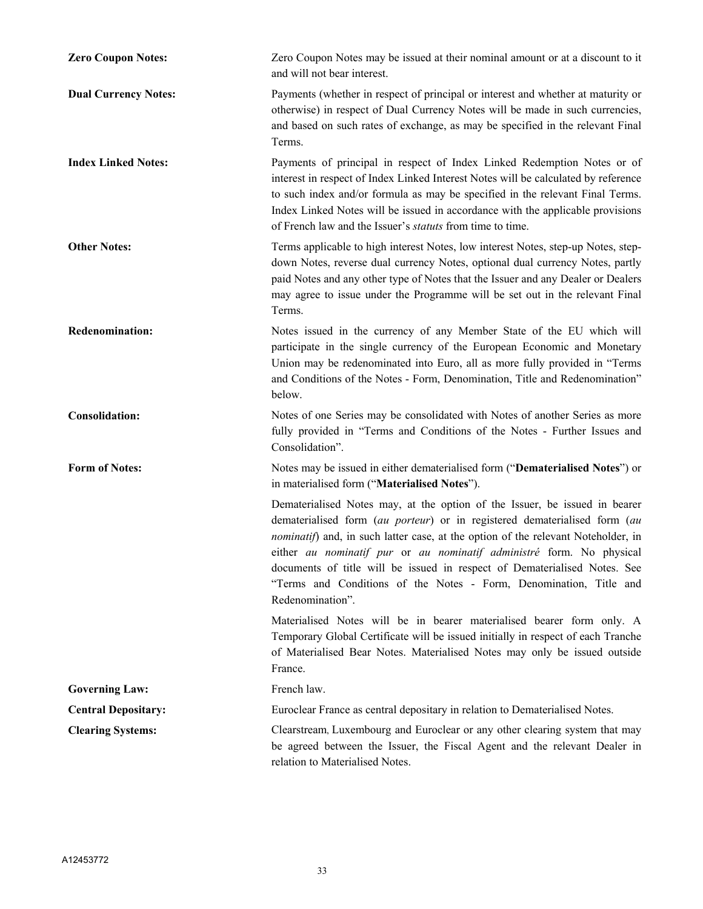| <b>Zero Coupon Notes:</b>   | Zero Coupon Notes may be issued at their nominal amount or at a discount to it<br>and will not bear interest.                                                                                                                                                                                                                                                                                                                                                                               |
|-----------------------------|---------------------------------------------------------------------------------------------------------------------------------------------------------------------------------------------------------------------------------------------------------------------------------------------------------------------------------------------------------------------------------------------------------------------------------------------------------------------------------------------|
| <b>Dual Currency Notes:</b> | Payments (whether in respect of principal or interest and whether at maturity or<br>otherwise) in respect of Dual Currency Notes will be made in such currencies,<br>and based on such rates of exchange, as may be specified in the relevant Final<br>Terms.                                                                                                                                                                                                                               |
| <b>Index Linked Notes:</b>  | Payments of principal in respect of Index Linked Redemption Notes or of<br>interest in respect of Index Linked Interest Notes will be calculated by reference<br>to such index and/or formula as may be specified in the relevant Final Terms.<br>Index Linked Notes will be issued in accordance with the applicable provisions<br>of French law and the Issuer's <i>statuts</i> from time to time.                                                                                        |
| <b>Other Notes:</b>         | Terms applicable to high interest Notes, low interest Notes, step-up Notes, step-<br>down Notes, reverse dual currency Notes, optional dual currency Notes, partly<br>paid Notes and any other type of Notes that the Issuer and any Dealer or Dealers<br>may agree to issue under the Programme will be set out in the relevant Final<br>Terms.                                                                                                                                            |
| <b>Redenomination:</b>      | Notes issued in the currency of any Member State of the EU which will<br>participate in the single currency of the European Economic and Monetary<br>Union may be redenominated into Euro, all as more fully provided in "Terms<br>and Conditions of the Notes - Form, Denomination, Title and Redenomination"<br>below.                                                                                                                                                                    |
| <b>Consolidation:</b>       | Notes of one Series may be consolidated with Notes of another Series as more<br>fully provided in "Terms and Conditions of the Notes - Further Issues and<br>Consolidation".                                                                                                                                                                                                                                                                                                                |
| <b>Form of Notes:</b>       | Notes may be issued in either dematerialised form ("Dematerialised Notes") or<br>in materialised form ("Materialised Notes").                                                                                                                                                                                                                                                                                                                                                               |
|                             | Dematerialised Notes may, at the option of the Issuer, be issued in bearer<br>dematerialised form (au porteur) or in registered dematerialised form (au<br>nominatif) and, in such latter case, at the option of the relevant Noteholder, in<br>either au nominatif pur or au nominatif administré form. No physical<br>documents of title will be issued in respect of Dematerialised Notes. See<br>"Terms and Conditions of the Notes - Form, Denomination, Title and<br>Redenomination". |
|                             | Materialised Notes will be in bearer materialised bearer form only. A<br>Temporary Global Certificate will be issued initially in respect of each Tranche<br>of Materialised Bear Notes. Materialised Notes may only be issued outside<br>France.                                                                                                                                                                                                                                           |
| <b>Governing Law:</b>       | French law.                                                                                                                                                                                                                                                                                                                                                                                                                                                                                 |
| <b>Central Depositary:</b>  | Euroclear France as central depositary in relation to Dematerialised Notes.                                                                                                                                                                                                                                                                                                                                                                                                                 |
| <b>Clearing Systems:</b>    | Clearstream, Luxembourg and Euroclear or any other clearing system that may<br>be agreed between the Issuer, the Fiscal Agent and the relevant Dealer in<br>relation to Materialised Notes.                                                                                                                                                                                                                                                                                                 |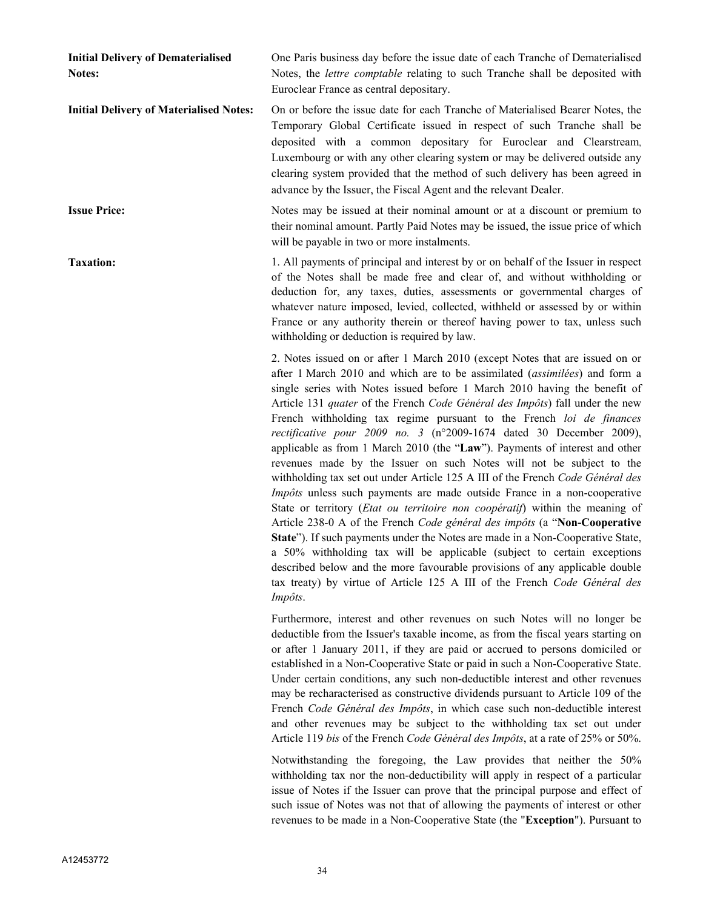| <b>Initial Delivery of Dematerialised</b><br><b>Notes:</b> | One Paris business day before the issue date of each Tranche of Dematerialised<br>Notes, the lettre comptable relating to such Tranche shall be deposited with<br>Euroclear France as central depositary.                                                                                                                                                                                                                                                                                                                                                                                                                                                                                                                                                                                                                                                                                                                                                                                                                                                                                                                                                                                                                                                                                    |
|------------------------------------------------------------|----------------------------------------------------------------------------------------------------------------------------------------------------------------------------------------------------------------------------------------------------------------------------------------------------------------------------------------------------------------------------------------------------------------------------------------------------------------------------------------------------------------------------------------------------------------------------------------------------------------------------------------------------------------------------------------------------------------------------------------------------------------------------------------------------------------------------------------------------------------------------------------------------------------------------------------------------------------------------------------------------------------------------------------------------------------------------------------------------------------------------------------------------------------------------------------------------------------------------------------------------------------------------------------------|
| <b>Initial Delivery of Materialised Notes:</b>             | On or before the issue date for each Tranche of Materialised Bearer Notes, the<br>Temporary Global Certificate issued in respect of such Tranche shall be<br>deposited with a common depositary for Euroclear and Clearstream,<br>Luxembourg or with any other clearing system or may be delivered outside any<br>clearing system provided that the method of such delivery has been agreed in<br>advance by the Issuer, the Fiscal Agent and the relevant Dealer.                                                                                                                                                                                                                                                                                                                                                                                                                                                                                                                                                                                                                                                                                                                                                                                                                           |
| <b>Issue Price:</b>                                        | Notes may be issued at their nominal amount or at a discount or premium to<br>their nominal amount. Partly Paid Notes may be issued, the issue price of which<br>will be payable in two or more instalments.                                                                                                                                                                                                                                                                                                                                                                                                                                                                                                                                                                                                                                                                                                                                                                                                                                                                                                                                                                                                                                                                                 |
| <b>Taxation:</b>                                           | 1. All payments of principal and interest by or on behalf of the Issuer in respect<br>of the Notes shall be made free and clear of, and without withholding or<br>deduction for, any taxes, duties, assessments or governmental charges of<br>whatever nature imposed, levied, collected, withheld or assessed by or within<br>France or any authority therein or thereof having power to tax, unless such<br>with holding or deduction is required by law.                                                                                                                                                                                                                                                                                                                                                                                                                                                                                                                                                                                                                                                                                                                                                                                                                                  |
|                                                            | 2. Notes issued on or after 1 March 2010 (except Notes that are issued on or<br>after 1 March 2010 and which are to be assimilated (assimilées) and form a<br>single series with Notes issued before 1 March 2010 having the benefit of<br>Article 131 quater of the French Code Général des Impôts) fall under the new<br>French withholding tax regime pursuant to the French loi de finances<br>rectificative pour 2009 no. 3 (n°2009-1674 dated 30 December 2009),<br>applicable as from 1 March 2010 (the "Law"). Payments of interest and other<br>revenues made by the Issuer on such Notes will not be subject to the<br>withholding tax set out under Article 125 A III of the French Code Général des<br>Impôts unless such payments are made outside France in a non-cooperative<br>State or territory (Etat ou territoire non coopératif) within the meaning of<br>Article 238-0 A of the French Code général des impôts (a "Non-Cooperative<br>State"). If such payments under the Notes are made in a Non-Cooperative State,<br>a 50% withholding tax will be applicable (subject to certain exceptions<br>described below and the more favourable provisions of any applicable double<br>tax treaty) by virtue of Article 125 A III of the French Code Général des<br>Impôts. |
|                                                            | Furthermore, interest and other revenues on such Notes will no longer be<br>deductible from the Issuer's taxable income, as from the fiscal years starting on<br>or after 1 January 2011, if they are paid or accrued to persons domiciled or<br>established in a Non-Cooperative State or paid in such a Non-Cooperative State.<br>Under certain conditions, any such non-deductible interest and other revenues<br>may be recharacterised as constructive dividends pursuant to Article 109 of the<br>French Code Général des Impôts, in which case such non-deductible interest<br>and other revenues may be subject to the withholding tax set out under<br>Article 119 bis of the French Code Général des Impôts, at a rate of 25% or 50%.                                                                                                                                                                                                                                                                                                                                                                                                                                                                                                                                              |
|                                                            | Notwithstanding the foregoing, the Law provides that neither the 50%<br>withholding tax nor the non-deductibility will apply in respect of a particular                                                                                                                                                                                                                                                                                                                                                                                                                                                                                                                                                                                                                                                                                                                                                                                                                                                                                                                                                                                                                                                                                                                                      |

issue of Notes if the Issuer can prove that the principal purpose and effect of such issue of Notes was not that of allowing the payments of interest or other revenues to be made in a Non-Cooperative State (the "**Exception**"). Pursuant to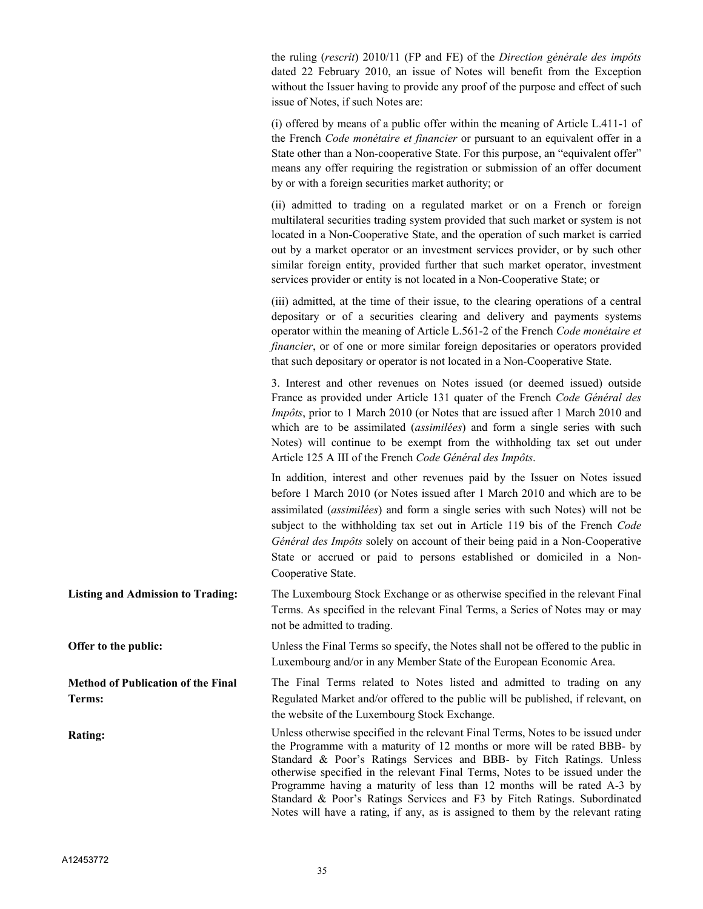the ruling (*rescrit*) 2010/11 (FP and FE) of the *Direction générale des impôts* dated 22 February 2010, an issue of Notes will benefit from the Exception without the Issuer having to provide any proof of the purpose and effect of such issue of Notes, if such Notes are:

(i) offered by means of a public offer within the meaning of Article L.411-1 of the French *Code monétaire et financier* or pursuant to an equivalent offer in a State other than a Non-cooperative State. For this purpose, an "equivalent offer" means any offer requiring the registration or submission of an offer document by or with a foreign securities market authority; or

(ii) admitted to trading on a regulated market or on a French or foreign multilateral securities trading system provided that such market or system is not located in a Non-Cooperative State, and the operation of such market is carried out by a market operator or an investment services provider, or by such other similar foreign entity, provided further that such market operator, investment services provider or entity is not located in a Non-Cooperative State; or

(iii) admitted, at the time of their issue, to the clearing operations of a central depositary or of a securities clearing and delivery and payments systems operator within the meaning of Article L.561-2 of the French *Code monétaire et financier*, or of one or more similar foreign depositaries or operators provided that such depositary or operator is not located in a Non-Cooperative State.

3. Interest and other revenues on Notes issued (or deemed issued) outside France as provided under Article 131 quater of the French *Code Général des Impôts*, prior to 1 March 2010 (or Notes that are issued after 1 March 2010 and which are to be assimilated (*assimilées*) and form a single series with such Notes) will continue to be exempt from the withholding tax set out under Article 125 A III of the French *Code Général des Impôts*.

In addition, interest and other revenues paid by the Issuer on Notes issued before 1 March 2010 (or Notes issued after 1 March 2010 and which are to be assimilated (*assimilées*) and form a single series with such Notes) will not be subject to the withholding tax set out in Article 119 bis of the French *Code Général des Impôts* solely on account of their being paid in a Non-Cooperative State or accrued or paid to persons established or domiciled in a Non-Cooperative State.

**Listing and Admission to Trading:** The Luxembourg Stock Exchange or as otherwise specified in the relevant Final Terms. As specified in the relevant Final Terms, a Series of Notes may or may not be admitted to trading.

**Offer to the public:** Unless the Final Terms so specify, the Notes shall not be offered to the public in Luxembourg and/or in any Member State of the European Economic Area.

> The Final Terms related to Notes listed and admitted to trading on any Regulated Market and/or offered to the public will be published, if relevant, on the website of the Luxembourg Stock Exchange.

**Rating:** Unless otherwise specified in the relevant Final Terms, Notes to be issued under the Programme with a maturity of 12 months or more will be rated BBB- by Standard & Poor's Ratings Services and BBB- by Fitch Ratings. Unless otherwise specified in the relevant Final Terms, Notes to be issued under the Programme having a maturity of less than 12 months will be rated A-3 by Standard & Poor's Ratings Services and F3 by Fitch Ratings. Subordinated Notes will have a rating, if any, as is assigned to them by the relevant rating

**Terms:**

**Method of Publication of the Final**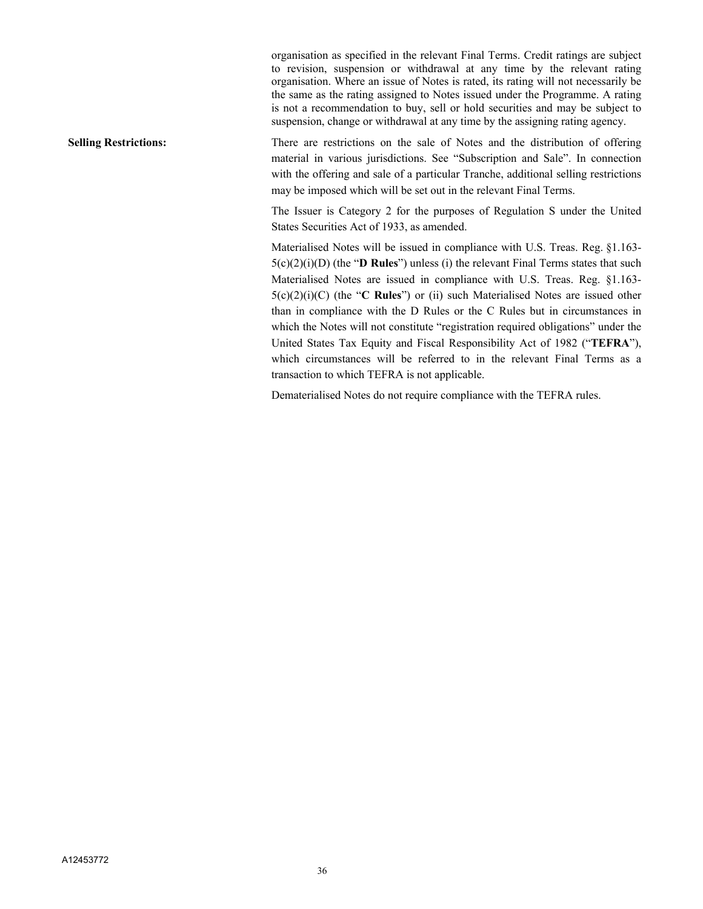organisation as specified in the relevant Final Terms. Credit ratings are subject to revision, suspension or withdrawal at any time by the relevant rating organisation. Where an issue of Notes is rated, its rating will not necessarily be the same as the rating assigned to Notes issued under the Programme. A rating is not a recommendation to buy, sell or hold securities and may be subject to suspension, change or withdrawal at any time by the assigning rating agency.

**Selling Restrictions:** There are restrictions on the sale of Notes and the distribution of offering material in various jurisdictions. See "Subscription and Sale". In connection with the offering and sale of a particular Tranche, additional selling restrictions may be imposed which will be set out in the relevant Final Terms.

> The Issuer is Category 2 for the purposes of Regulation S under the United States Securities Act of 1933, as amended.

> Materialised Notes will be issued in compliance with U.S. Treas. Reg. §1.163- 5(c)(2)(i)(D) (the "**D Rules**") unless (i) the relevant Final Terms states that such Materialised Notes are issued in compliance with U.S. Treas. Reg. §1.163- 5(c)(2)(i)(C) (the "**C Rules**") or (ii) such Materialised Notes are issued other than in compliance with the D Rules or the C Rules but in circumstances in which the Notes will not constitute "registration required obligations" under the United States Tax Equity and Fiscal Responsibility Act of 1982 ("**TEFRA**"), which circumstances will be referred to in the relevant Final Terms as a transaction to which TEFRA is not applicable.

Dematerialised Notes do not require compliance with the TEFRA rules.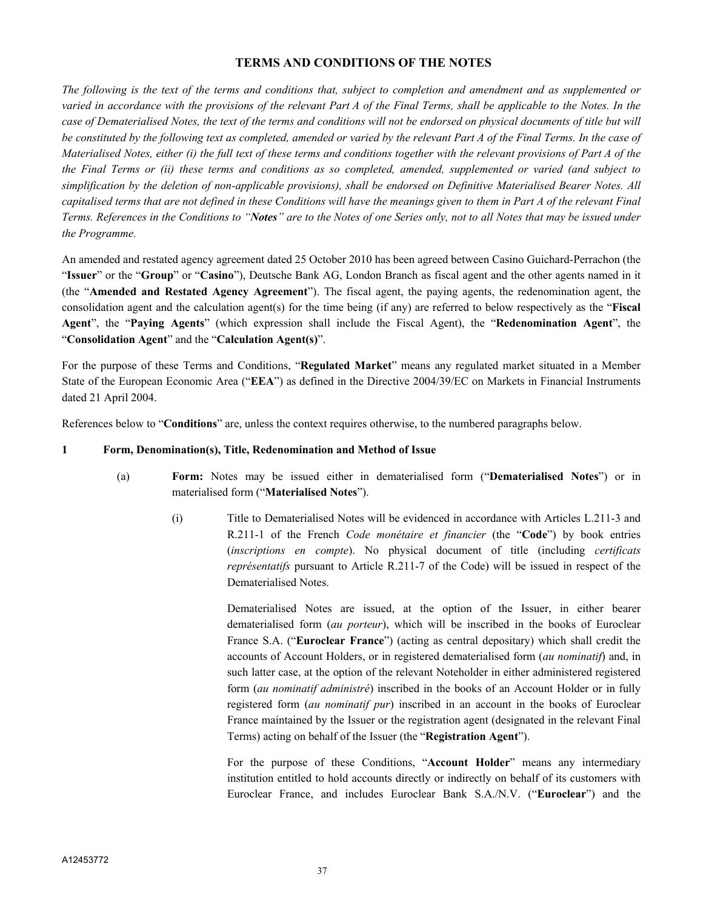## **TERMS AND CONDITIONS OF THE NOTES**

*The following is the text of the terms and conditions that, subject to completion and amendment and as supplemented or varied in accordance with the provisions of the relevant Part A of the Final Terms, shall be applicable to the Notes. In the case of Dematerialised Notes, the text of the terms and conditions will not be endorsed on physical documents of title but will be constituted by the following text as completed, amended or varied by the relevant Part A of the Final Terms. In the case of Materialised Notes, either (i) the full text of these terms and conditions together with the relevant provisions of Part A of the the Final Terms or (ii) these terms and conditions as so completed, amended, supplemented or varied (and subject to simplification by the deletion of non-applicable provisions), shall be endorsed on Definitive Materialised Bearer Notes. All capitalised terms that are not defined in these Conditions will have the meanings given to them in Part A of the relevant Final Terms. References in the Conditions to "Notes" are to the Notes of one Series only, not to all Notes that may be issued under the Programme.*

An amended and restated agency agreement dated 25 October 2010 has been agreed between Casino Guichard-Perrachon (the "**Issuer**" or the "**Group**" or "**Casino**"), Deutsche Bank AG, London Branch as fiscal agent and the other agents named in it (the "**Amended and Restated Agency Agreement**"). The fiscal agent, the paying agents, the redenomination agent, the consolidation agent and the calculation agent(s) for the time being (if any) are referred to below respectively as the "**Fiscal Agent**", the "**Paying Agents**" (which expression shall include the Fiscal Agent), the "**Redenomination Agent**", the "**Consolidation Agent**" and the "**Calculation Agent(s)**".

For the purpose of these Terms and Conditions, "**Regulated Market**" means any regulated market situated in a Member State of the European Economic Area ("**EEA**") as defined in the Directive 2004/39/EC on Markets in Financial Instruments dated 21 April 2004.

References below to "**Conditions**" are, unless the context requires otherwise, to the numbered paragraphs below.

#### **1 Form, Denomination(s), Title, Redenomination and Method of Issue**

- (a) **Form:** Notes may be issued either in dematerialised form ("**Dematerialised Notes**") or in materialised form ("**Materialised Notes**").
	- (i) Title to Dematerialised Notes will be evidenced in accordance with Articles L.211-3 and R.211-1 of the French *Code monétaire et financier* (the "**Code**") by book entries (*inscriptions en compte*). No physical document of title (including *certificats représentatifs* pursuant to Article R.211-7 of the Code) will be issued in respect of the Dematerialised Notes.

Dematerialised Notes are issued, at the option of the Issuer, in either bearer dematerialised form (*au porteur*), which will be inscribed in the books of Euroclear France S.A. ("**Euroclear France**") (acting as central depositary) which shall credit the accounts of Account Holders, or in registered dematerialised form (*au nominatif*) and, in such latter case, at the option of the relevant Noteholder in either administered registered form (*au nominatif administré*) inscribed in the books of an Account Holder or in fully registered form (*au nominatif pur*) inscribed in an account in the books of Euroclear France maintained by the Issuer or the registration agent (designated in the relevant Final Terms) acting on behalf of the Issuer (the "**Registration Agent**").

For the purpose of these Conditions, "**Account Holder**" means any intermediary institution entitled to hold accounts directly or indirectly on behalf of its customers with Euroclear France, and includes Euroclear Bank S.A./N.V. ("**Euroclear**") and the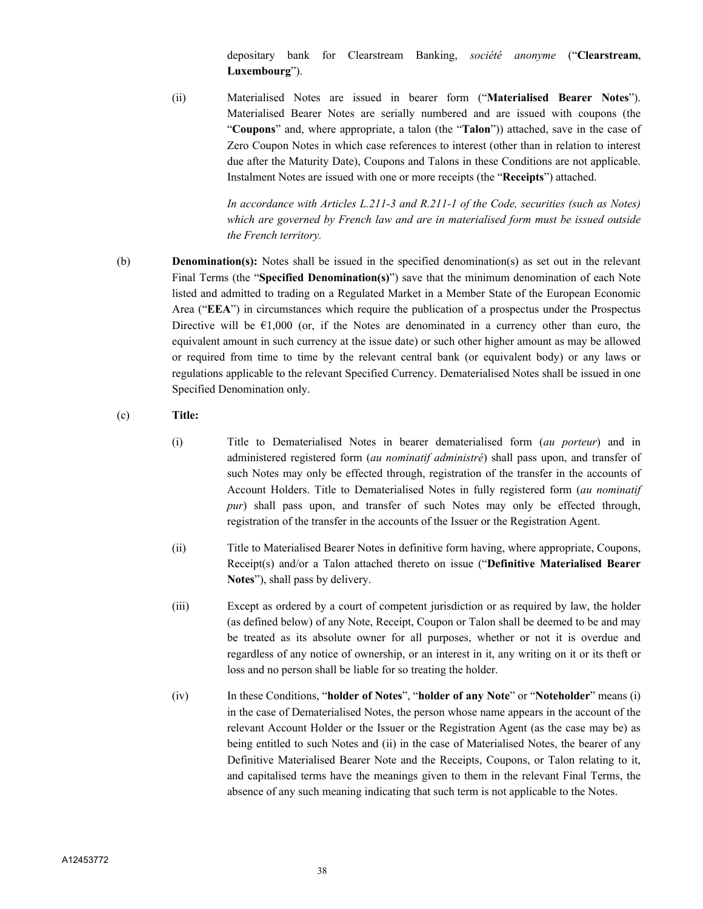depositary bank for Clearstream Banking, *société anonyme* ("**Clearstream, Luxembourg**").

(ii) Materialised Notes are issued in bearer form ("**Materialised Bearer Notes**"). Materialised Bearer Notes are serially numbered and are issued with coupons (the "**Coupons**" and, where appropriate, a talon (the "**Talon**")) attached, save in the case of Zero Coupon Notes in which case references to interest (other than in relation to interest due after the Maturity Date), Coupons and Talons in these Conditions are not applicable. Instalment Notes are issued with one or more receipts (the "**Receipts**") attached.

> *In accordance with Articles L.211-3 and R.211-1 of the Code, securities (such as Notes) which are governed by French law and are in materialised form must be issued outside the French territory.*

(b) **Denomination(s):** Notes shall be issued in the specified denomination(s) as set out in the relevant Final Terms (the "**Specified Denomination(s)**") save that the minimum denomination of each Note listed and admitted to trading on a Regulated Market in a Member State of the European Economic Area ("**EEA**") in circumstances which require the publication of a prospectus under the Prospectus Directive will be  $\epsilon 1,000$  (or, if the Notes are denominated in a currency other than euro, the equivalent amount in such currency at the issue date) or such other higher amount as may be allowed or required from time to time by the relevant central bank (or equivalent body) or any laws or regulations applicable to the relevant Specified Currency. Dematerialised Notes shall be issued in one Specified Denomination only.

## (c) **Title:**

- (i) Title to Dematerialised Notes in bearer dematerialised form (*au porteur*) and in administered registered form (*au nominatif administré*) shall pass upon, and transfer of such Notes may only be effected through, registration of the transfer in the accounts of Account Holders. Title to Dematerialised Notes in fully registered form (*au nominatif pur*) shall pass upon, and transfer of such Notes may only be effected through, registration of the transfer in the accounts of the Issuer or the Registration Agent.
- (ii) Title to Materialised Bearer Notes in definitive form having, where appropriate, Coupons, Receipt(s) and/or a Talon attached thereto on issue ("**Definitive Materialised Bearer Notes**"), shall pass by delivery.
- (iii) Except as ordered by a court of competent jurisdiction or as required by law, the holder (as defined below) of any Note, Receipt, Coupon or Talon shall be deemed to be and may be treated as its absolute owner for all purposes, whether or not it is overdue and regardless of any notice of ownership, or an interest in it, any writing on it or its theft or loss and no person shall be liable for so treating the holder.
- (iv) In these Conditions, "**holder of Notes**", "**holder of any Note**" or "**Noteholder**" means (i) in the case of Dematerialised Notes, the person whose name appears in the account of the relevant Account Holder or the Issuer or the Registration Agent (as the case may be) as being entitled to such Notes and (ii) in the case of Materialised Notes, the bearer of any Definitive Materialised Bearer Note and the Receipts, Coupons, or Talon relating to it, and capitalised terms have the meanings given to them in the relevant Final Terms, the absence of any such meaning indicating that such term is not applicable to the Notes.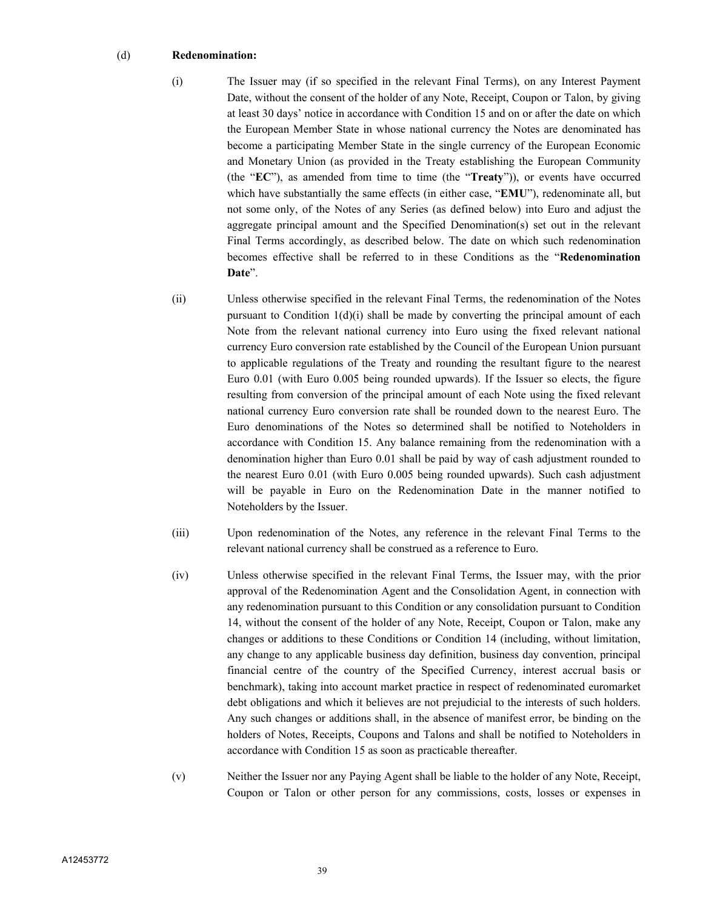#### (d) **Redenomination:**

- (i) The Issuer may (if so specified in the relevant Final Terms), on any Interest Payment Date, without the consent of the holder of any Note, Receipt, Coupon or Talon, by giving at least 30 days' notice in accordance with Condition 15 and on or after the date on which the European Member State in whose national currency the Notes are denominated has become a participating Member State in the single currency of the European Economic and Monetary Union (as provided in the Treaty establishing the European Community (the "**EC**"), as amended from time to time (the "**Treaty**")), or events have occurred which have substantially the same effects (in either case, "**EMU**"), redenominate all, but not some only, of the Notes of any Series (as defined below) into Euro and adjust the aggregate principal amount and the Specified Denomination(s) set out in the relevant Final Terms accordingly, as described below. The date on which such redenomination becomes effective shall be referred to in these Conditions as the "**Redenomination Date**".
- (ii) Unless otherwise specified in the relevant Final Terms, the redenomination of the Notes pursuant to Condition  $1(d)(i)$  shall be made by converting the principal amount of each Note from the relevant national currency into Euro using the fixed relevant national currency Euro conversion rate established by the Council of the European Union pursuant to applicable regulations of the Treaty and rounding the resultant figure to the nearest Euro 0.01 (with Euro 0.005 being rounded upwards). If the Issuer so elects, the figure resulting from conversion of the principal amount of each Note using the fixed relevant national currency Euro conversion rate shall be rounded down to the nearest Euro. The Euro denominations of the Notes so determined shall be notified to Noteholders in accordance with Condition 15. Any balance remaining from the redenomination with a denomination higher than Euro 0.01 shall be paid by way of cash adjustment rounded to the nearest Euro 0.01 (with Euro 0.005 being rounded upwards). Such cash adjustment will be payable in Euro on the Redenomination Date in the manner notified to Noteholders by the Issuer.
- (iii) Upon redenomination of the Notes, any reference in the relevant Final Terms to the relevant national currency shall be construed as a reference to Euro.
- (iv) Unless otherwise specified in the relevant Final Terms, the Issuer may, with the prior approval of the Redenomination Agent and the Consolidation Agent, in connection with any redenomination pursuant to this Condition or any consolidation pursuant to Condition 14, without the consent of the holder of any Note, Receipt, Coupon or Talon, make any changes or additions to these Conditions or Condition 14 (including, without limitation, any change to any applicable business day definition, business day convention, principal financial centre of the country of the Specified Currency, interest accrual basis or benchmark), taking into account market practice in respect of redenominated euromarket debt obligations and which it believes are not prejudicial to the interests of such holders. Any such changes or additions shall, in the absence of manifest error, be binding on the holders of Notes, Receipts, Coupons and Talons and shall be notified to Noteholders in accordance with Condition 15 as soon as practicable thereafter.
- (v) Neither the Issuer nor any Paying Agent shall be liable to the holder of any Note, Receipt, Coupon or Talon or other person for any commissions, costs, losses or expenses in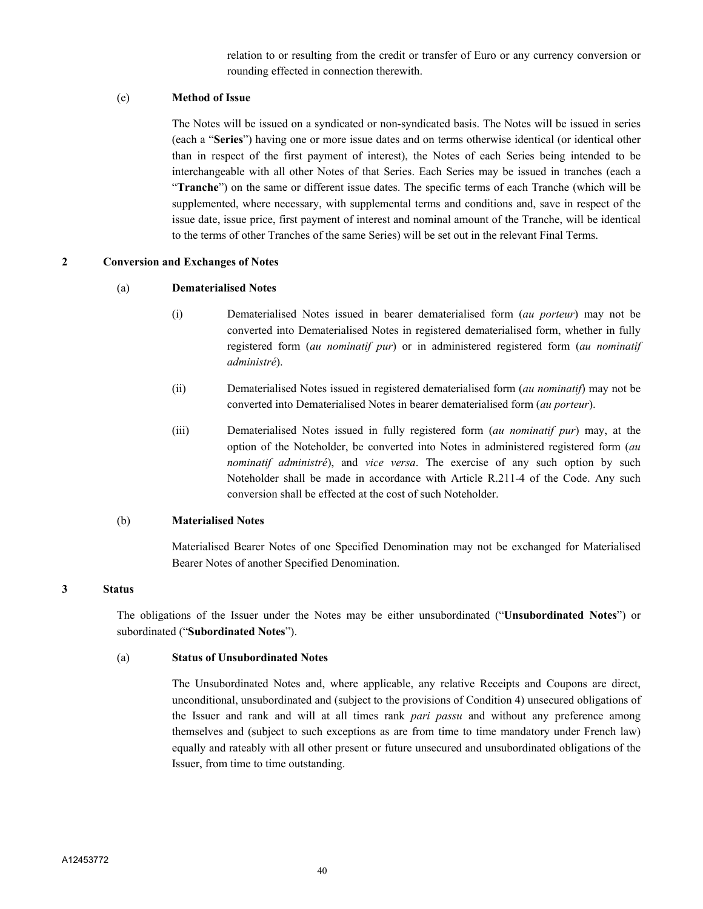relation to or resulting from the credit or transfer of Euro or any currency conversion or rounding effected in connection therewith.

## (e) **Method of Issue**

The Notes will be issued on a syndicated or non-syndicated basis. The Notes will be issued in series (each a "**Series**") having one or more issue dates and on terms otherwise identical (or identical other than in respect of the first payment of interest), the Notes of each Series being intended to be interchangeable with all other Notes of that Series. Each Series may be issued in tranches (each a "**Tranche**") on the same or different issue dates. The specific terms of each Tranche (which will be supplemented, where necessary, with supplemental terms and conditions and, save in respect of the issue date, issue price, first payment of interest and nominal amount of the Tranche, will be identical to the terms of other Tranches of the same Series) will be set out in the relevant Final Terms.

#### **2 Conversion and Exchanges of Notes**

#### (a) **Dematerialised Notes**

- (i) Dematerialised Notes issued in bearer dematerialised form (*au porteur*) may not be converted into Dematerialised Notes in registered dematerialised form, whether in fully registered form (*au nominatif pur*) or in administered registered form (*au nominatif administré*).
- (ii) Dematerialised Notes issued in registered dematerialised form (*au nominatif*) may not be converted into Dematerialised Notes in bearer dematerialised form (*au porteur*).
- (iii) Dematerialised Notes issued in fully registered form (*au nominatif pur*) may, at the option of the Noteholder, be converted into Notes in administered registered form (*au nominatif administré*), and *vice versa*. The exercise of any such option by such Noteholder shall be made in accordance with Article R.211-4 of the Code. Any such conversion shall be effected at the cost of such Noteholder.

#### (b) **Materialised Notes**

Materialised Bearer Notes of one Specified Denomination may not be exchanged for Materialised Bearer Notes of another Specified Denomination.

#### **3 Status**

The obligations of the Issuer under the Notes may be either unsubordinated ("**Unsubordinated Notes**") or subordinated ("**Subordinated Notes**").

#### (a) **Status of Unsubordinated Notes**

The Unsubordinated Notes and, where applicable, any relative Receipts and Coupons are direct, unconditional, unsubordinated and (subject to the provisions of Condition 4) unsecured obligations of the Issuer and rank and will at all times rank *pari passu* and without any preference among themselves and (subject to such exceptions as are from time to time mandatory under French law) equally and rateably with all other present or future unsecured and unsubordinated obligations of the Issuer, from time to time outstanding.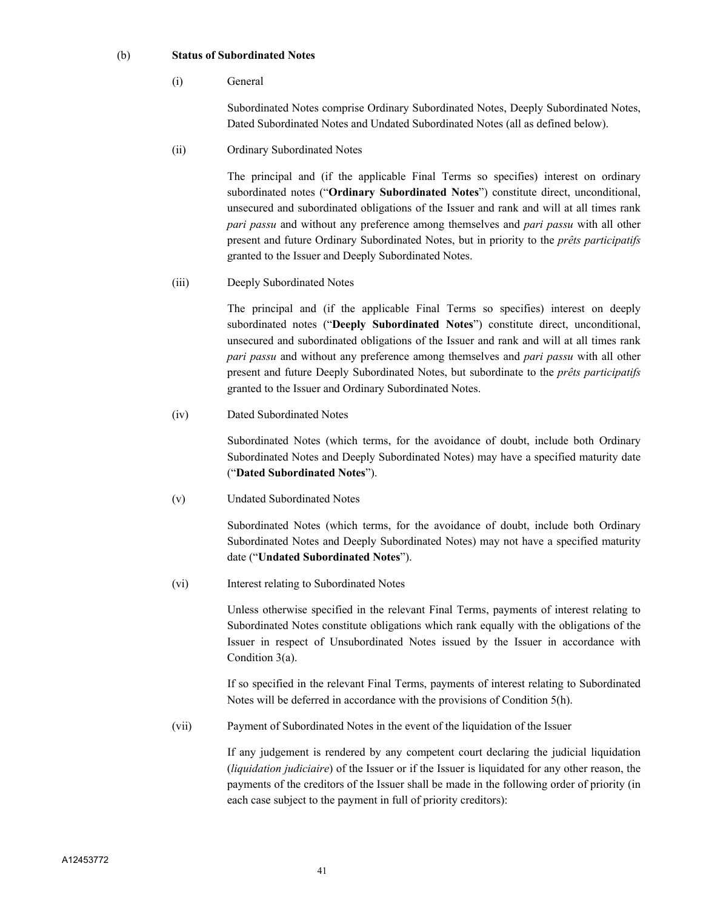#### (b) **Status of Subordinated Notes**

(i) General

Subordinated Notes comprise Ordinary Subordinated Notes, Deeply Subordinated Notes, Dated Subordinated Notes and Undated Subordinated Notes (all as defined below).

(ii) Ordinary Subordinated Notes

The principal and (if the applicable Final Terms so specifies) interest on ordinary subordinated notes ("**Ordinary Subordinated Notes**") constitute direct, unconditional, unsecured and subordinated obligations of the Issuer and rank and will at all times rank *pari passu* and without any preference among themselves and *pari passu* with all other present and future Ordinary Subordinated Notes, but in priority to the *prêts participatifs*  granted to the Issuer and Deeply Subordinated Notes.

(iii) Deeply Subordinated Notes

The principal and (if the applicable Final Terms so specifies) interest on deeply subordinated notes ("**Deeply Subordinated Notes**") constitute direct, unconditional, unsecured and subordinated obligations of the Issuer and rank and will at all times rank *pari passu* and without any preference among themselves and *pari passu* with all other present and future Deeply Subordinated Notes, but subordinate to the *prêts participatifs*  granted to the Issuer and Ordinary Subordinated Notes.

(iv) Dated Subordinated Notes

Subordinated Notes (which terms, for the avoidance of doubt, include both Ordinary Subordinated Notes and Deeply Subordinated Notes) may have a specified maturity date ("**Dated Subordinated Notes**").

(v) Undated Subordinated Notes

Subordinated Notes (which terms, for the avoidance of doubt, include both Ordinary Subordinated Notes and Deeply Subordinated Notes) may not have a specified maturity date ("**Undated Subordinated Notes**").

(vi) Interest relating to Subordinated Notes

Unless otherwise specified in the relevant Final Terms, payments of interest relating to Subordinated Notes constitute obligations which rank equally with the obligations of the Issuer in respect of Unsubordinated Notes issued by the Issuer in accordance with Condition 3(a).

If so specified in the relevant Final Terms, payments of interest relating to Subordinated Notes will be deferred in accordance with the provisions of Condition 5(h).

(vii) Payment of Subordinated Notes in the event of the liquidation of the Issuer

If any judgement is rendered by any competent court declaring the judicial liquidation (*liquidation judiciaire*) of the Issuer or if the Issuer is liquidated for any other reason, the payments of the creditors of the Issuer shall be made in the following order of priority (in each case subject to the payment in full of priority creditors):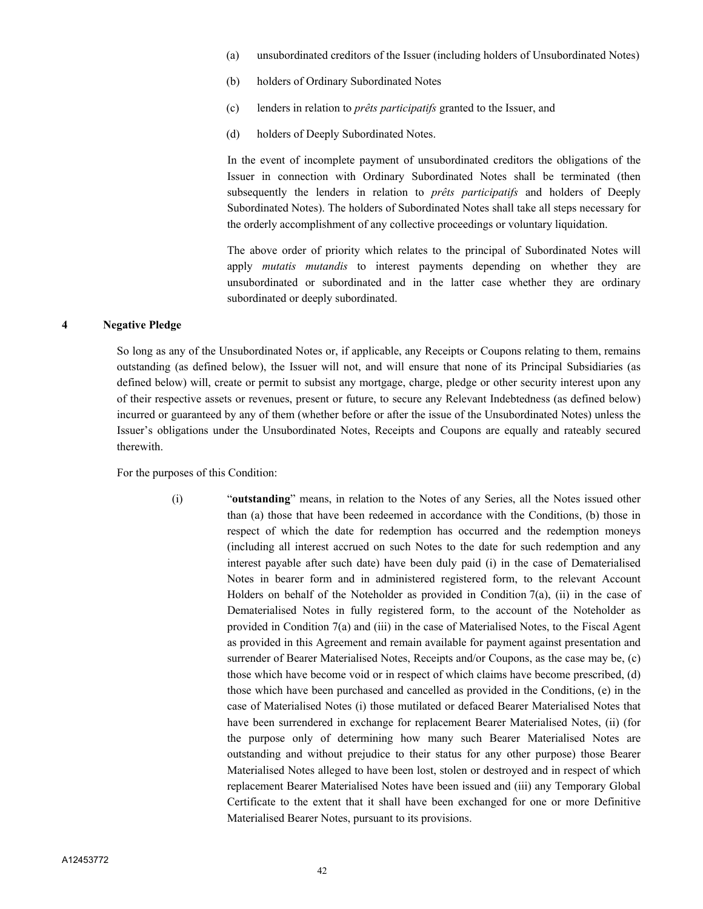- (a) unsubordinated creditors of the Issuer (including holders of Unsubordinated Notes)
- (b) holders of Ordinary Subordinated Notes
- (c) lenders in relation to *prêts participatifs* granted to the Issuer, and
- (d) holders of Deeply Subordinated Notes.

In the event of incomplete payment of unsubordinated creditors the obligations of the Issuer in connection with Ordinary Subordinated Notes shall be terminated (then subsequently the lenders in relation to *prêts participatifs* and holders of Deeply Subordinated Notes). The holders of Subordinated Notes shall take all steps necessary for the orderly accomplishment of any collective proceedings or voluntary liquidation.

The above order of priority which relates to the principal of Subordinated Notes will apply *mutatis mutandis* to interest payments depending on whether they are unsubordinated or subordinated and in the latter case whether they are ordinary subordinated or deeply subordinated.

#### **4 Negative Pledge**

So long as any of the Unsubordinated Notes or, if applicable, any Receipts or Coupons relating to them, remains outstanding (as defined below), the Issuer will not, and will ensure that none of its Principal Subsidiaries (as defined below) will, create or permit to subsist any mortgage, charge, pledge or other security interest upon any of their respective assets or revenues, present or future, to secure any Relevant Indebtedness (as defined below) incurred or guaranteed by any of them (whether before or after the issue of the Unsubordinated Notes) unless the Issuer's obligations under the Unsubordinated Notes, Receipts and Coupons are equally and rateably secured therewith.

For the purposes of this Condition:

(i) "**outstanding**" means, in relation to the Notes of any Series, all the Notes issued other than (a) those that have been redeemed in accordance with the Conditions, (b) those in respect of which the date for redemption has occurred and the redemption moneys (including all interest accrued on such Notes to the date for such redemption and any interest payable after such date) have been duly paid (i) in the case of Dematerialised Notes in bearer form and in administered registered form, to the relevant Account Holders on behalf of the Noteholder as provided in Condition 7(a), (ii) in the case of Dematerialised Notes in fully registered form, to the account of the Noteholder as provided in Condition 7(a) and (iii) in the case of Materialised Notes, to the Fiscal Agent as provided in this Agreement and remain available for payment against presentation and surrender of Bearer Materialised Notes, Receipts and/or Coupons, as the case may be, (c) those which have become void or in respect of which claims have become prescribed, (d) those which have been purchased and cancelled as provided in the Conditions, (e) in the case of Materialised Notes (i) those mutilated or defaced Bearer Materialised Notes that have been surrendered in exchange for replacement Bearer Materialised Notes, (ii) (for the purpose only of determining how many such Bearer Materialised Notes are outstanding and without prejudice to their status for any other purpose) those Bearer Materialised Notes alleged to have been lost, stolen or destroyed and in respect of which replacement Bearer Materialised Notes have been issued and (iii) any Temporary Global Certificate to the extent that it shall have been exchanged for one or more Definitive Materialised Bearer Notes, pursuant to its provisions.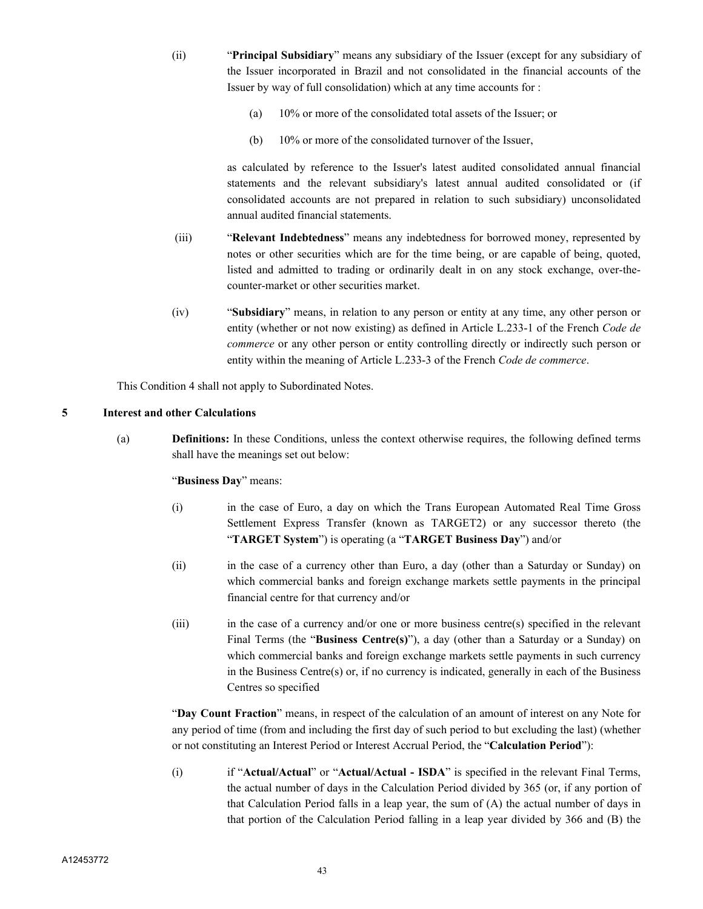- (ii) "**Principal Subsidiary**" means any subsidiary of the Issuer (except for any subsidiary of the Issuer incorporated in Brazil and not consolidated in the financial accounts of the Issuer by way of full consolidation) which at any time accounts for :
	- (a) 10% or more of the consolidated total assets of the Issuer; or
	- (b) 10% or more of the consolidated turnover of the Issuer,

as calculated by reference to the Issuer's latest audited consolidated annual financial statements and the relevant subsidiary's latest annual audited consolidated or (if consolidated accounts are not prepared in relation to such subsidiary) unconsolidated annual audited financial statements.

- (iii) "**Relevant Indebtedness**" means any indebtedness for borrowed money, represented by notes or other securities which are for the time being, or are capable of being, quoted, listed and admitted to trading or ordinarily dealt in on any stock exchange, over-thecounter-market or other securities market.
- (iv) "**Subsidiary**" means, in relation to any person or entity at any time, any other person or entity (whether or not now existing) as defined in Article L.233-1 of the French *Code de commerce* or any other person or entity controlling directly or indirectly such person or entity within the meaning of Article L.233-3 of the French *Code de commerce*.

This Condition 4 shall not apply to Subordinated Notes.

#### **5 Interest and other Calculations**

(a) **Definitions:** In these Conditions, unless the context otherwise requires, the following defined terms shall have the meanings set out below:

#### "**Business Day**" means:

- (i) in the case of Euro, a day on which the Trans European Automated Real Time Gross Settlement Express Transfer (known as TARGET2) or any successor thereto (the "**TARGET System**") is operating (a "**TARGET Business Day**") and/or
- (ii) in the case of a currency other than Euro, a day (other than a Saturday or Sunday) on which commercial banks and foreign exchange markets settle payments in the principal financial centre for that currency and/or
- (iii) in the case of a currency and/or one or more business centre(s) specified in the relevant Final Terms (the "**Business Centre(s)**"), a day (other than a Saturday or a Sunday) on which commercial banks and foreign exchange markets settle payments in such currency in the Business Centre(s) or, if no currency is indicated, generally in each of the Business Centres so specified

"**Day Count Fraction**" means, in respect of the calculation of an amount of interest on any Note for any period of time (from and including the first day of such period to but excluding the last) (whether or not constituting an Interest Period or Interest Accrual Period, the "**Calculation Period**"):

(i) if "**Actual/Actual**" or "**Actual/Actual - ISDA**" is specified in the relevant Final Terms, the actual number of days in the Calculation Period divided by 365 (or, if any portion of that Calculation Period falls in a leap year, the sum of (A) the actual number of days in that portion of the Calculation Period falling in a leap year divided by 366 and (B) the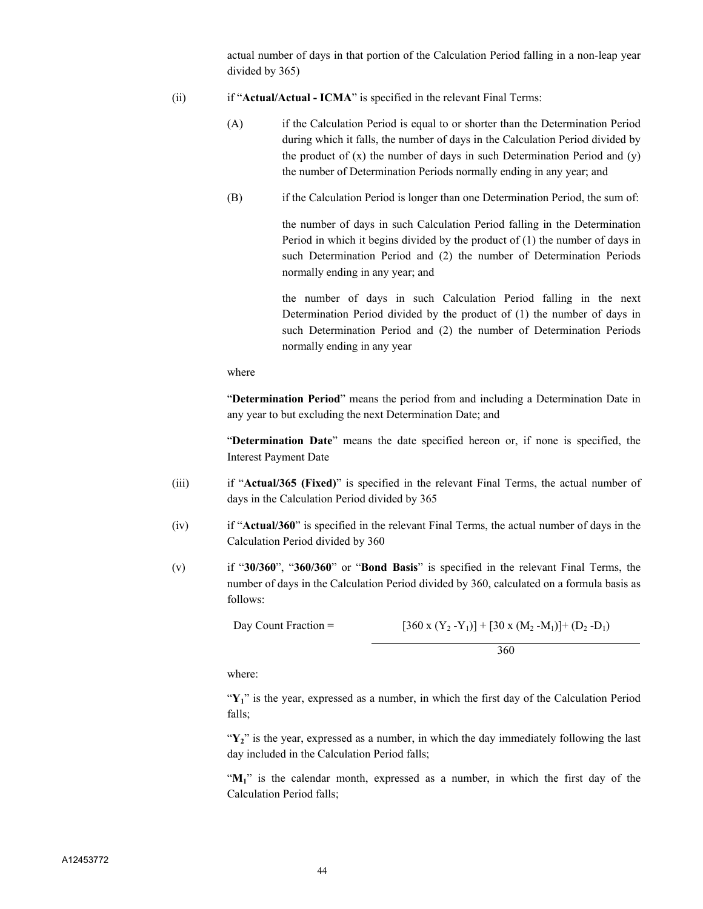actual number of days in that portion of the Calculation Period falling in a non-leap year divided by 365)

- (ii) if "**Actual/Actual ICMA**" is specified in the relevant Final Terms:
	- (A) if the Calculation Period is equal to or shorter than the Determination Period during which it falls, the number of days in the Calculation Period divided by the product of  $(x)$  the number of days in such Determination Period and  $(y)$ the number of Determination Periods normally ending in any year; and
	- (B) if the Calculation Period is longer than one Determination Period, the sum of:

the number of days in such Calculation Period falling in the Determination Period in which it begins divided by the product of (1) the number of days in such Determination Period and (2) the number of Determination Periods normally ending in any year; and

the number of days in such Calculation Period falling in the next Determination Period divided by the product of (1) the number of days in such Determination Period and (2) the number of Determination Periods normally ending in any year

where

"**Determination Period**" means the period from and including a Determination Date in any year to but excluding the next Determination Date; and

"**Determination Date**" means the date specified hereon or, if none is specified, the Interest Payment Date

- (iii) if "**Actual/365 (Fixed)**" is specified in the relevant Final Terms, the actual number of days in the Calculation Period divided by 365
- (iv) if "**Actual/360**" is specified in the relevant Final Terms, the actual number of days in the Calculation Period divided by 360
- (v) if "**30/360**", "**360/360**" or "**Bond Basis**" is specified in the relevant Final Terms, the number of days in the Calculation Period divided by 360, calculated on a formula basis as follows:

Day Count Fraction =  $[360 \times (Y_2 - Y_1)] + [30 \times (M_2 - M_1)] + (D_2 - D_1)$ 360

where:

"Y<sub>1</sub>" is the year, expressed as a number, in which the first day of the Calculation Period falls;

"Y<sub>2</sub>" is the year, expressed as a number, in which the day immediately following the last day included in the Calculation Period falls;

"M<sub>1</sub>" is the calendar month, expressed as a number, in which the first day of the Calculation Period falls;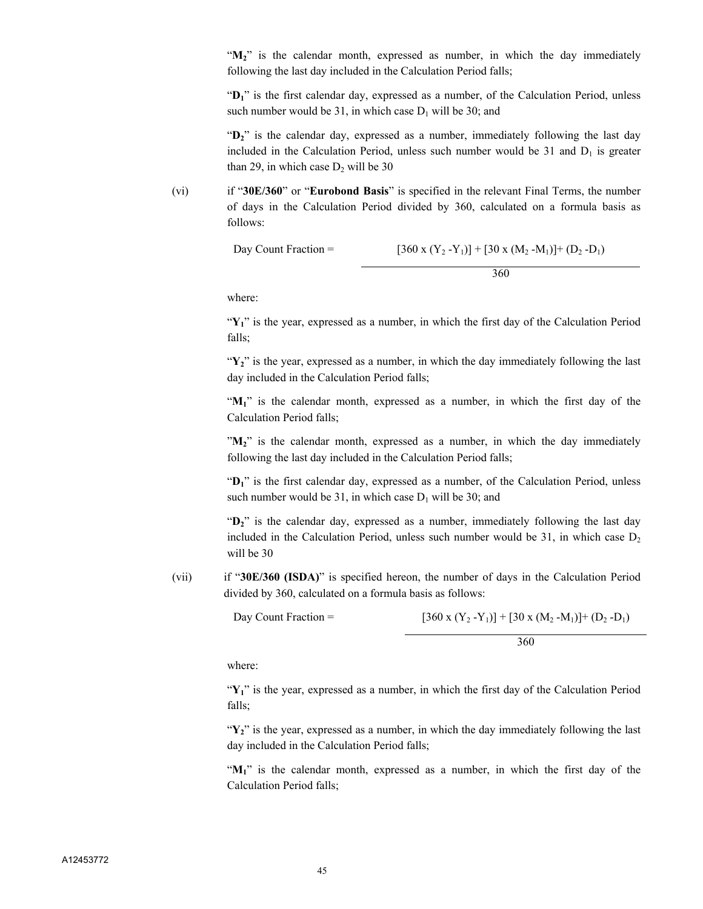"M<sub>2</sub>" is the calendar month, expressed as number, in which the day immediately following the last day included in the Calculation Period falls;

"D<sub>1</sub>" is the first calendar day, expressed as a number, of the Calculation Period, unless such number would be 31, in which case  $D_1$  will be 30; and

"D<sub>2</sub>" is the calendar day, expressed as a number, immediately following the last day included in the Calculation Period, unless such number would be  $31$  and  $D_1$  is greater than 29, in which case  $D_2$  will be 30

(vi) if "**30E/360**" or "**Eurobond Basis**" is specified in the relevant Final Terms, the number of days in the Calculation Period divided by 360, calculated on a formula basis as follows:

Day Count Fraction = 
$$
[360 \times (Y_2 - Y_1)] + [30 \times (M_2 - M_1)] + (D_2 - D_1)
$$

$$
360
$$

where:

"Y<sub>1</sub>" is the year, expressed as a number, in which the first day of the Calculation Period falls;

" $Y_2$ " is the year, expressed as a number, in which the day immediately following the last day included in the Calculation Period falls;

"**M1**" is the calendar month, expressed as a number, in which the first day of the Calculation Period falls;

"M<sub>2</sub>" is the calendar month, expressed as a number, in which the day immediately following the last day included in the Calculation Period falls;

"**D1**" is the first calendar day, expressed as a number, of the Calculation Period, unless such number would be 31, in which case  $D_1$  will be 30; and

"**D2**" is the calendar day, expressed as a number, immediately following the last day included in the Calculation Period, unless such number would be 31, in which case  $D_2$ will be 30

(vii) if "**30E/360 (ISDA)**" is specified hereon, the number of days in the Calculation Period divided by 360, calculated on a formula basis as follows:

Day Count Fraction =  $[360 \times (Y_2 - Y_1)] + [30 \times (M_2 - M_1)] + (D_2 - D_1)$ 

360

where:

"Y<sub>1</sub>" is the year, expressed as a number, in which the first day of the Calculation Period falls;

 $\mathbf{Y}_2$ " is the year, expressed as a number, in which the day immediately following the last day included in the Calculation Period falls;

"**M1**" is the calendar month, expressed as a number, in which the first day of the Calculation Period falls;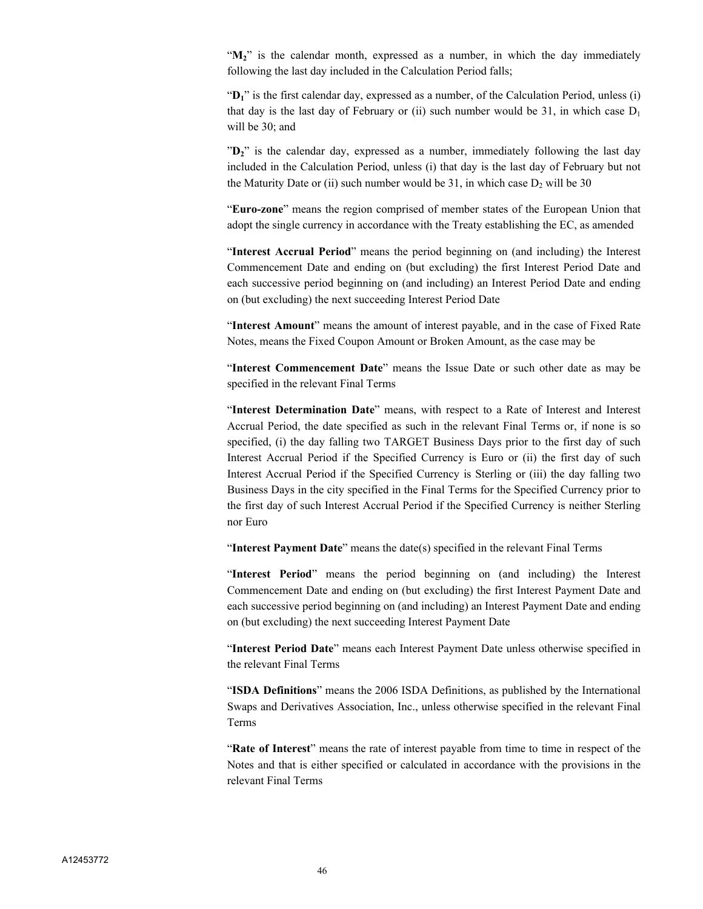" $M_2$ " is the calendar month, expressed as a number, in which the day immediately following the last day included in the Calculation Period falls;

"D<sub>1</sub>" is the first calendar day, expressed as a number, of the Calculation Period, unless (i) that day is the last day of February or (ii) such number would be 31, in which case  $D_1$ will be 30; and

" $D_2$ " is the calendar day, expressed as a number, immediately following the last day included in the Calculation Period, unless (i) that day is the last day of February but not the Maturity Date or (ii) such number would be 31, in which case  $D_2$  will be 30

"**Euro-zone**" means the region comprised of member states of the European Union that adopt the single currency in accordance with the Treaty establishing the EC, as amended

"**Interest Accrual Period**" means the period beginning on (and including) the Interest Commencement Date and ending on (but excluding) the first Interest Period Date and each successive period beginning on (and including) an Interest Period Date and ending on (but excluding) the next succeeding Interest Period Date

"**Interest Amount**" means the amount of interest payable, and in the case of Fixed Rate Notes, means the Fixed Coupon Amount or Broken Amount, as the case may be

"**Interest Commencement Date**" means the Issue Date or such other date as may be specified in the relevant Final Terms

"**Interest Determination Date**" means, with respect to a Rate of Interest and Interest Accrual Period, the date specified as such in the relevant Final Terms or, if none is so specified, (i) the day falling two TARGET Business Days prior to the first day of such Interest Accrual Period if the Specified Currency is Euro or (ii) the first day of such Interest Accrual Period if the Specified Currency is Sterling or (iii) the day falling two Business Days in the city specified in the Final Terms for the Specified Currency prior to the first day of such Interest Accrual Period if the Specified Currency is neither Sterling nor Euro

"**Interest Payment Date**" means the date(s) specified in the relevant Final Terms

"**Interest Period**" means the period beginning on (and including) the Interest Commencement Date and ending on (but excluding) the first Interest Payment Date and each successive period beginning on (and including) an Interest Payment Date and ending on (but excluding) the next succeeding Interest Payment Date

"**Interest Period Date**" means each Interest Payment Date unless otherwise specified in the relevant Final Terms

"**ISDA Definitions**" means the 2006 ISDA Definitions, as published by the International Swaps and Derivatives Association, Inc., unless otherwise specified in the relevant Final Terms

"**Rate of Interest**" means the rate of interest payable from time to time in respect of the Notes and that is either specified or calculated in accordance with the provisions in the relevant Final Terms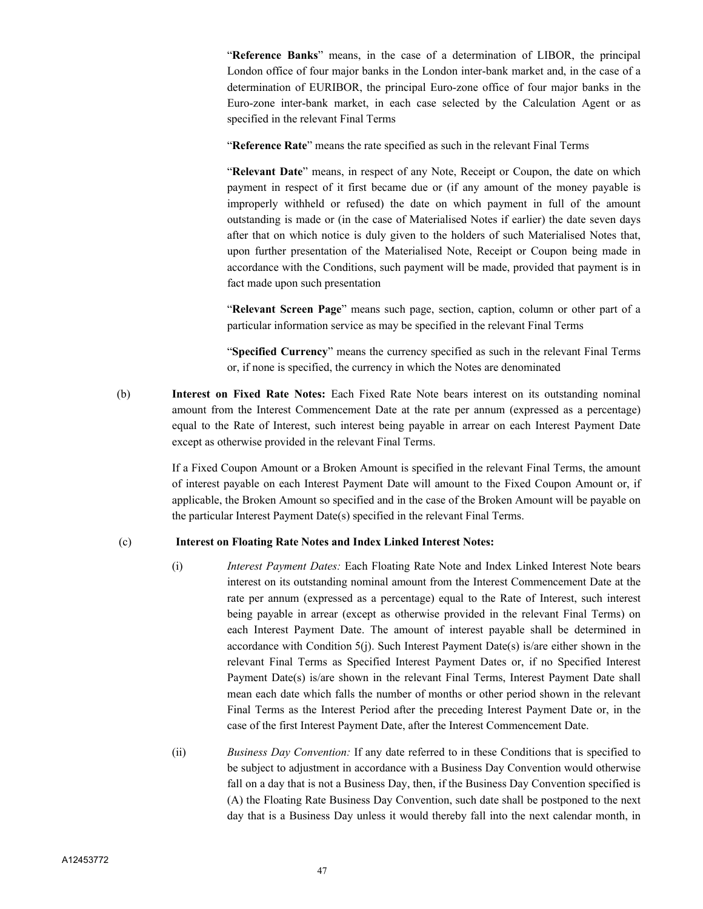"**Reference Banks**" means, in the case of a determination of LIBOR, the principal London office of four major banks in the London inter-bank market and, in the case of a determination of EURIBOR, the principal Euro-zone office of four major banks in the Euro-zone inter-bank market, in each case selected by the Calculation Agent or as specified in the relevant Final Terms

"**Reference Rate**" means the rate specified as such in the relevant Final Terms

"**Relevant Date**" means, in respect of any Note, Receipt or Coupon, the date on which payment in respect of it first became due or (if any amount of the money payable is improperly withheld or refused) the date on which payment in full of the amount outstanding is made or (in the case of Materialised Notes if earlier) the date seven days after that on which notice is duly given to the holders of such Materialised Notes that, upon further presentation of the Materialised Note, Receipt or Coupon being made in accordance with the Conditions, such payment will be made, provided that payment is in fact made upon such presentation

"**Relevant Screen Page**" means such page, section, caption, column or other part of a particular information service as may be specified in the relevant Final Terms

"**Specified Currency**" means the currency specified as such in the relevant Final Terms or, if none is specified, the currency in which the Notes are denominated

(b) **Interest on Fixed Rate Notes:** Each Fixed Rate Note bears interest on its outstanding nominal amount from the Interest Commencement Date at the rate per annum (expressed as a percentage) equal to the Rate of Interest, such interest being payable in arrear on each Interest Payment Date except as otherwise provided in the relevant Final Terms.

> If a Fixed Coupon Amount or a Broken Amount is specified in the relevant Final Terms, the amount of interest payable on each Interest Payment Date will amount to the Fixed Coupon Amount or, if applicable, the Broken Amount so specified and in the case of the Broken Amount will be payable on the particular Interest Payment Date(s) specified in the relevant Final Terms.

## (c) **Interest on Floating Rate Notes and Index Linked Interest Notes:**

- (i) *Interest Payment Dates:* Each Floating Rate Note and Index Linked Interest Note bears interest on its outstanding nominal amount from the Interest Commencement Date at the rate per annum (expressed as a percentage) equal to the Rate of Interest, such interest being payable in arrear (except as otherwise provided in the relevant Final Terms) on each Interest Payment Date. The amount of interest payable shall be determined in accordance with Condition  $5(j)$ . Such Interest Payment Date(s) is/are either shown in the relevant Final Terms as Specified Interest Payment Dates or, if no Specified Interest Payment Date(s) is/are shown in the relevant Final Terms, Interest Payment Date shall mean each date which falls the number of months or other period shown in the relevant Final Terms as the Interest Period after the preceding Interest Payment Date or, in the case of the first Interest Payment Date, after the Interest Commencement Date.
- (ii) *Business Day Convention:* If any date referred to in these Conditions that is specified to be subject to adjustment in accordance with a Business Day Convention would otherwise fall on a day that is not a Business Day, then, if the Business Day Convention specified is (A) the Floating Rate Business Day Convention, such date shall be postponed to the next day that is a Business Day unless it would thereby fall into the next calendar month, in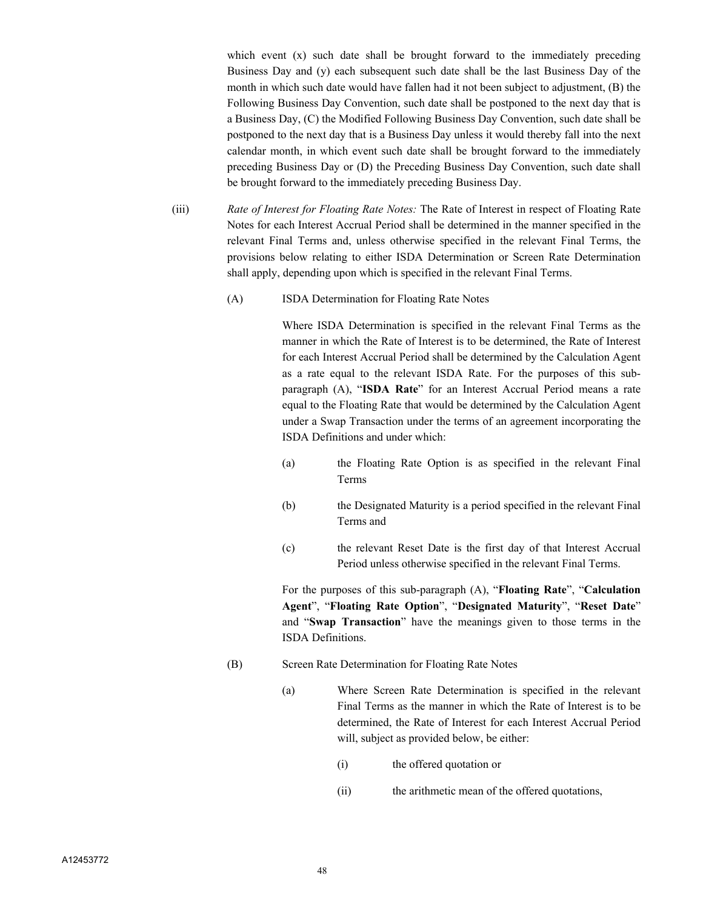which event (x) such date shall be brought forward to the immediately preceding Business Day and (y) each subsequent such date shall be the last Business Day of the month in which such date would have fallen had it not been subject to adjustment, (B) the Following Business Day Convention, such date shall be postponed to the next day that is a Business Day, (C) the Modified Following Business Day Convention, such date shall be postponed to the next day that is a Business Day unless it would thereby fall into the next calendar month, in which event such date shall be brought forward to the immediately preceding Business Day or (D) the Preceding Business Day Convention, such date shall be brought forward to the immediately preceding Business Day.

- (iii) *Rate of Interest for Floating Rate Notes:* The Rate of Interest in respect of Floating Rate Notes for each Interest Accrual Period shall be determined in the manner specified in the relevant Final Terms and, unless otherwise specified in the relevant Final Terms, the provisions below relating to either ISDA Determination or Screen Rate Determination shall apply, depending upon which is specified in the relevant Final Terms.
	- (A) ISDA Determination for Floating Rate Notes

Where ISDA Determination is specified in the relevant Final Terms as the manner in which the Rate of Interest is to be determined, the Rate of Interest for each Interest Accrual Period shall be determined by the Calculation Agent as a rate equal to the relevant ISDA Rate. For the purposes of this subparagraph (A), "**ISDA Rate**" for an Interest Accrual Period means a rate equal to the Floating Rate that would be determined by the Calculation Agent under a Swap Transaction under the terms of an agreement incorporating the ISDA Definitions and under which:

- (a) the Floating Rate Option is as specified in the relevant Final Terms
- (b) the Designated Maturity is a period specified in the relevant Final Terms and
- (c) the relevant Reset Date is the first day of that Interest Accrual Period unless otherwise specified in the relevant Final Terms.

For the purposes of this sub-paragraph (A), "**Floating Rate**", "**Calculation Agent**", "**Floating Rate Option**", "**Designated Maturity**", "**Reset Date**" and "**Swap Transaction**" have the meanings given to those terms in the ISDA Definitions.

- (B) Screen Rate Determination for Floating Rate Notes
	- (a) Where Screen Rate Determination is specified in the relevant Final Terms as the manner in which the Rate of Interest is to be determined, the Rate of Interest for each Interest Accrual Period will, subject as provided below, be either:
		- (i) the offered quotation or
		- (ii) the arithmetic mean of the offered quotations,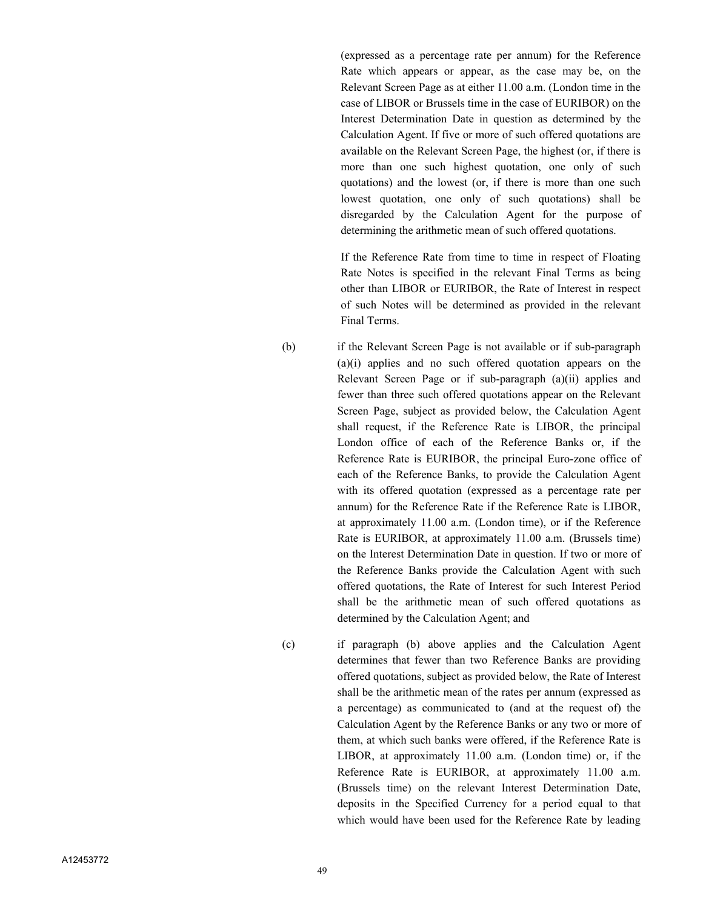(expressed as a percentage rate per annum) for the Reference Rate which appears or appear, as the case may be, on the Relevant Screen Page as at either 11.00 a.m. (London time in the case of LIBOR or Brussels time in the case of EURIBOR) on the Interest Determination Date in question as determined by the Calculation Agent. If five or more of such offered quotations are available on the Relevant Screen Page, the highest (or, if there is more than one such highest quotation, one only of such quotations) and the lowest (or, if there is more than one such lowest quotation, one only of such quotations) shall be disregarded by the Calculation Agent for the purpose of determining the arithmetic mean of such offered quotations.

If the Reference Rate from time to time in respect of Floating Rate Notes is specified in the relevant Final Terms as being other than LIBOR or EURIBOR, the Rate of Interest in respect of such Notes will be determined as provided in the relevant Final Terms.

(b) if the Relevant Screen Page is not available or if sub-paragraph (a)(i) applies and no such offered quotation appears on the Relevant Screen Page or if sub-paragraph (a)(ii) applies and fewer than three such offered quotations appear on the Relevant Screen Page, subject as provided below, the Calculation Agent shall request, if the Reference Rate is LIBOR, the principal London office of each of the Reference Banks or, if the Reference Rate is EURIBOR, the principal Euro-zone office of each of the Reference Banks, to provide the Calculation Agent with its offered quotation (expressed as a percentage rate per annum) for the Reference Rate if the Reference Rate is LIBOR, at approximately 11.00 a.m. (London time), or if the Reference Rate is EURIBOR, at approximately 11.00 a.m. (Brussels time) on the Interest Determination Date in question. If two or more of the Reference Banks provide the Calculation Agent with such offered quotations, the Rate of Interest for such Interest Period shall be the arithmetic mean of such offered quotations as determined by the Calculation Agent; and

(c) if paragraph (b) above applies and the Calculation Agent determines that fewer than two Reference Banks are providing offered quotations, subject as provided below, the Rate of Interest shall be the arithmetic mean of the rates per annum (expressed as a percentage) as communicated to (and at the request of) the Calculation Agent by the Reference Banks or any two or more of them, at which such banks were offered, if the Reference Rate is LIBOR, at approximately 11.00 a.m. (London time) or, if the Reference Rate is EURIBOR, at approximately 11.00 a.m. (Brussels time) on the relevant Interest Determination Date, deposits in the Specified Currency for a period equal to that which would have been used for the Reference Rate by leading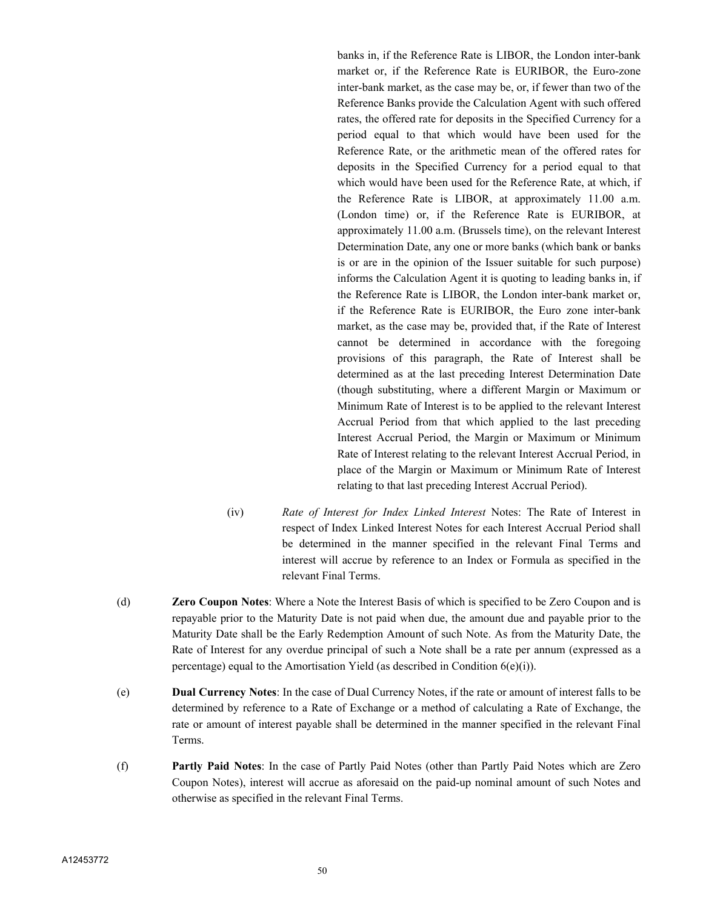banks in, if the Reference Rate is LIBOR, the London inter-bank market or, if the Reference Rate is EURIBOR, the Euro-zone inter-bank market, as the case may be, or, if fewer than two of the Reference Banks provide the Calculation Agent with such offered rates, the offered rate for deposits in the Specified Currency for a period equal to that which would have been used for the Reference Rate, or the arithmetic mean of the offered rates for deposits in the Specified Currency for a period equal to that which would have been used for the Reference Rate, at which, if the Reference Rate is LIBOR, at approximately 11.00 a.m. (London time) or, if the Reference Rate is EURIBOR, at approximately 11.00 a.m. (Brussels time), on the relevant Interest Determination Date, any one or more banks (which bank or banks is or are in the opinion of the Issuer suitable for such purpose) informs the Calculation Agent it is quoting to leading banks in, if the Reference Rate is LIBOR, the London inter-bank market or, if the Reference Rate is EURIBOR, the Euro zone inter-bank market, as the case may be, provided that, if the Rate of Interest cannot be determined in accordance with the foregoing provisions of this paragraph, the Rate of Interest shall be determined as at the last preceding Interest Determination Date (though substituting, where a different Margin or Maximum or Minimum Rate of Interest is to be applied to the relevant Interest Accrual Period from that which applied to the last preceding Interest Accrual Period, the Margin or Maximum or Minimum Rate of Interest relating to the relevant Interest Accrual Period, in place of the Margin or Maximum or Minimum Rate of Interest relating to that last preceding Interest Accrual Period).

- (iv) *Rate of Interest for Index Linked Interest* Notes: The Rate of Interest in respect of Index Linked Interest Notes for each Interest Accrual Period shall be determined in the manner specified in the relevant Final Terms and interest will accrue by reference to an Index or Formula as specified in the relevant Final Terms.
- (d) **Zero Coupon Notes**: Where a Note the Interest Basis of which is specified to be Zero Coupon and is repayable prior to the Maturity Date is not paid when due, the amount due and payable prior to the Maturity Date shall be the Early Redemption Amount of such Note. As from the Maturity Date, the Rate of Interest for any overdue principal of such a Note shall be a rate per annum (expressed as a percentage) equal to the Amortisation Yield (as described in Condition 6(e)(i)).
- (e) **Dual Currency Notes**: In the case of Dual Currency Notes, if the rate or amount of interest falls to be determined by reference to a Rate of Exchange or a method of calculating a Rate of Exchange, the rate or amount of interest payable shall be determined in the manner specified in the relevant Final Terms.
- (f) **Partly Paid Notes**: In the case of Partly Paid Notes (other than Partly Paid Notes which are Zero Coupon Notes), interest will accrue as aforesaid on the paid-up nominal amount of such Notes and otherwise as specified in the relevant Final Terms.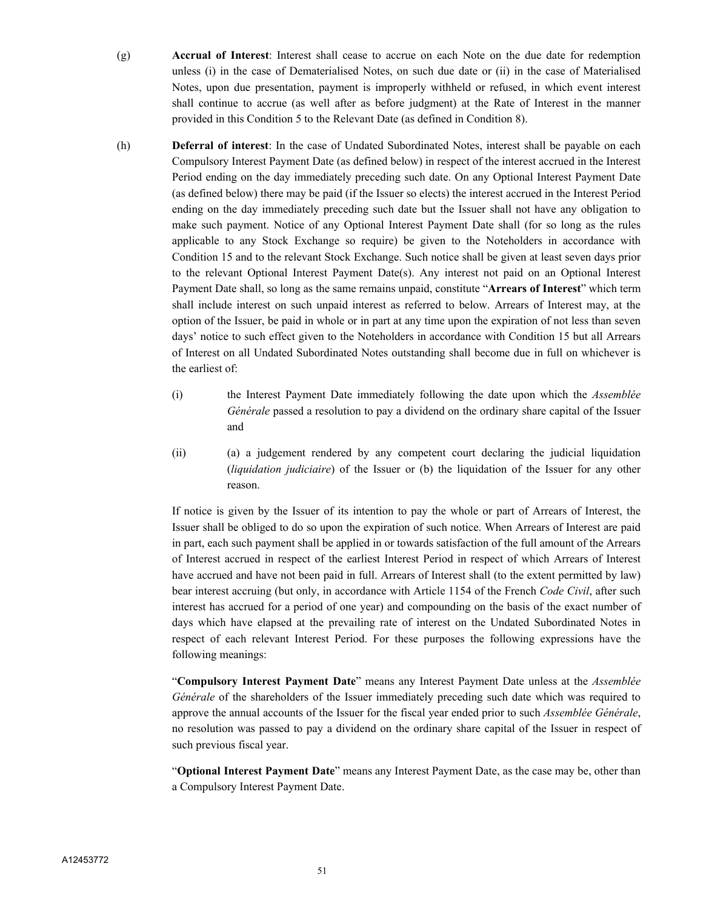- (g) **Accrual of Interest**: Interest shall cease to accrue on each Note on the due date for redemption unless (i) in the case of Dematerialised Notes, on such due date or (ii) in the case of Materialised Notes, upon due presentation, payment is improperly withheld or refused, in which event interest shall continue to accrue (as well after as before judgment) at the Rate of Interest in the manner provided in this Condition 5 to the Relevant Date (as defined in Condition 8).
- (h) **Deferral of interest**: In the case of Undated Subordinated Notes, interest shall be payable on each Compulsory Interest Payment Date (as defined below) in respect of the interest accrued in the Interest Period ending on the day immediately preceding such date. On any Optional Interest Payment Date (as defined below) there may be paid (if the Issuer so elects) the interest accrued in the Interest Period ending on the day immediately preceding such date but the Issuer shall not have any obligation to make such payment. Notice of any Optional Interest Payment Date shall (for so long as the rules applicable to any Stock Exchange so require) be given to the Noteholders in accordance with Condition 15 and to the relevant Stock Exchange. Such notice shall be given at least seven days prior to the relevant Optional Interest Payment Date(s). Any interest not paid on an Optional Interest Payment Date shall, so long as the same remains unpaid, constitute "**Arrears of Interest**" which term shall include interest on such unpaid interest as referred to below. Arrears of Interest may, at the option of the Issuer, be paid in whole or in part at any time upon the expiration of not less than seven days' notice to such effect given to the Noteholders in accordance with Condition 15 but all Arrears of Interest on all Undated Subordinated Notes outstanding shall become due in full on whichever is the earliest of:
	- (i) the Interest Payment Date immediately following the date upon which the *Assemblée Générale* passed a resolution to pay a dividend on the ordinary share capital of the Issuer and
	- (ii) (a) a judgement rendered by any competent court declaring the judicial liquidation (*liquidation judiciaire*) of the Issuer or (b) the liquidation of the Issuer for any other reason.

If notice is given by the Issuer of its intention to pay the whole or part of Arrears of Interest, the Issuer shall be obliged to do so upon the expiration of such notice. When Arrears of Interest are paid in part, each such payment shall be applied in or towards satisfaction of the full amount of the Arrears of Interest accrued in respect of the earliest Interest Period in respect of which Arrears of Interest have accrued and have not been paid in full. Arrears of Interest shall (to the extent permitted by law) bear interest accruing (but only, in accordance with Article 1154 of the French *Code Civil*, after such interest has accrued for a period of one year) and compounding on the basis of the exact number of days which have elapsed at the prevailing rate of interest on the Undated Subordinated Notes in respect of each relevant Interest Period. For these purposes the following expressions have the following meanings:

"**Compulsory Interest Payment Date**" means any Interest Payment Date unless at the *Assemblée Générale* of the shareholders of the Issuer immediately preceding such date which was required to approve the annual accounts of the Issuer for the fiscal year ended prior to such *Assemblée Générale*, no resolution was passed to pay a dividend on the ordinary share capital of the Issuer in respect of such previous fiscal year.

"**Optional Interest Payment Date**" means any Interest Payment Date, as the case may be, other than a Compulsory Interest Payment Date.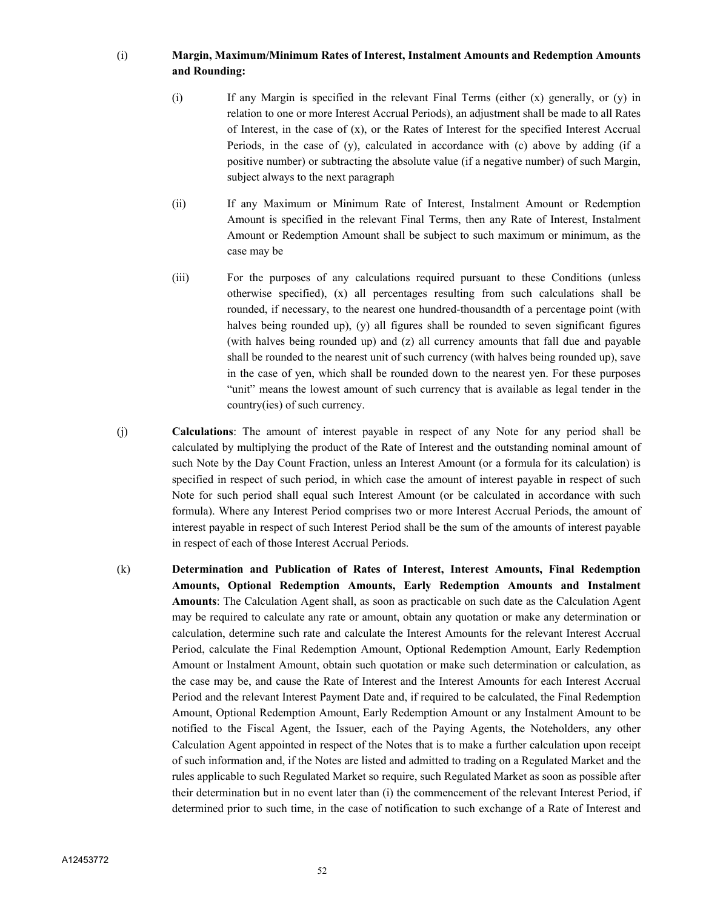## (i) **Margin, Maximum/Minimum Rates of Interest, Instalment Amounts and Redemption Amounts and Rounding:**

- (i) If any Margin is specified in the relevant Final Terms (either (x) generally, or (y) in relation to one or more Interest Accrual Periods), an adjustment shall be made to all Rates of Interest, in the case of  $(x)$ , or the Rates of Interest for the specified Interest Accrual Periods, in the case of (y), calculated in accordance with (c) above by adding (if a positive number) or subtracting the absolute value (if a negative number) of such Margin, subject always to the next paragraph
- (ii) If any Maximum or Minimum Rate of Interest, Instalment Amount or Redemption Amount is specified in the relevant Final Terms, then any Rate of Interest, Instalment Amount or Redemption Amount shall be subject to such maximum or minimum, as the case may be
- (iii) For the purposes of any calculations required pursuant to these Conditions (unless otherwise specified), (x) all percentages resulting from such calculations shall be rounded, if necessary, to the nearest one hundred-thousandth of a percentage point (with halves being rounded up), (y) all figures shall be rounded to seven significant figures (with halves being rounded up) and (z) all currency amounts that fall due and payable shall be rounded to the nearest unit of such currency (with halves being rounded up), save in the case of yen, which shall be rounded down to the nearest yen. For these purposes "unit" means the lowest amount of such currency that is available as legal tender in the country(ies) of such currency.
- (j) **Calculations**: The amount of interest payable in respect of any Note for any period shall be calculated by multiplying the product of the Rate of Interest and the outstanding nominal amount of such Note by the Day Count Fraction, unless an Interest Amount (or a formula for its calculation) is specified in respect of such period, in which case the amount of interest payable in respect of such Note for such period shall equal such Interest Amount (or be calculated in accordance with such formula). Where any Interest Period comprises two or more Interest Accrual Periods, the amount of interest payable in respect of such Interest Period shall be the sum of the amounts of interest payable in respect of each of those Interest Accrual Periods.
- (k) **Determination and Publication of Rates of Interest, Interest Amounts, Final Redemption Amounts, Optional Redemption Amounts, Early Redemption Amounts and Instalment Amounts**: The Calculation Agent shall, as soon as practicable on such date as the Calculation Agent may be required to calculate any rate or amount, obtain any quotation or make any determination or calculation, determine such rate and calculate the Interest Amounts for the relevant Interest Accrual Period, calculate the Final Redemption Amount, Optional Redemption Amount, Early Redemption Amount or Instalment Amount, obtain such quotation or make such determination or calculation, as the case may be, and cause the Rate of Interest and the Interest Amounts for each Interest Accrual Period and the relevant Interest Payment Date and, if required to be calculated, the Final Redemption Amount, Optional Redemption Amount, Early Redemption Amount or any Instalment Amount to be notified to the Fiscal Agent, the Issuer, each of the Paying Agents, the Noteholders, any other Calculation Agent appointed in respect of the Notes that is to make a further calculation upon receipt of such information and, if the Notes are listed and admitted to trading on a Regulated Market and the rules applicable to such Regulated Market so require, such Regulated Market as soon as possible after their determination but in no event later than (i) the commencement of the relevant Interest Period, if determined prior to such time, in the case of notification to such exchange of a Rate of Interest and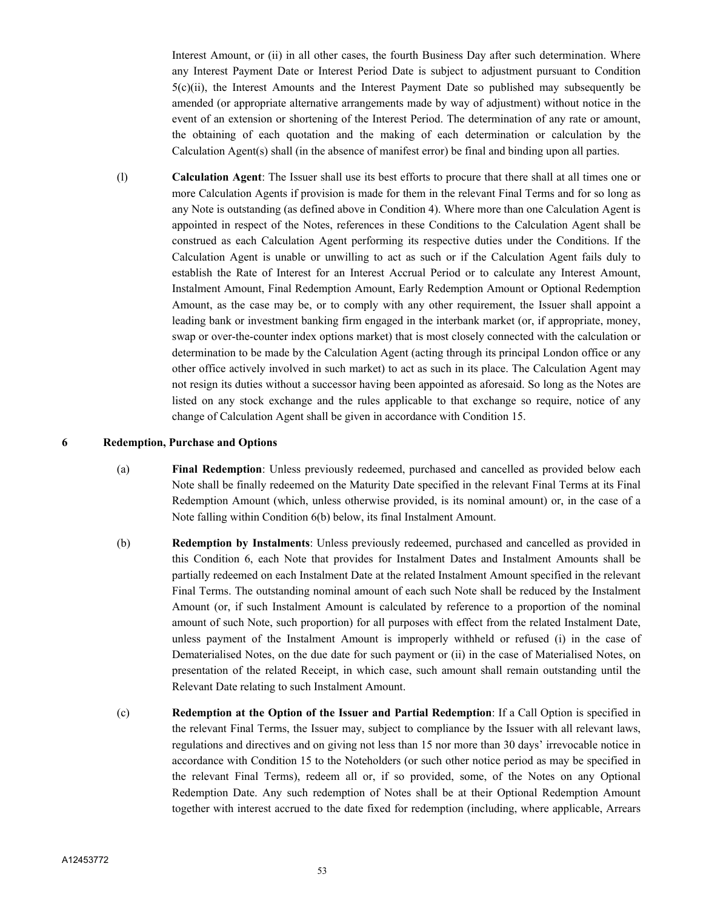Interest Amount, or (ii) in all other cases, the fourth Business Day after such determination. Where any Interest Payment Date or Interest Period Date is subject to adjustment pursuant to Condition 5(c)(ii), the Interest Amounts and the Interest Payment Date so published may subsequently be amended (or appropriate alternative arrangements made by way of adjustment) without notice in the event of an extension or shortening of the Interest Period. The determination of any rate or amount, the obtaining of each quotation and the making of each determination or calculation by the Calculation Agent(s) shall (in the absence of manifest error) be final and binding upon all parties.

(l) **Calculation Agent**: The Issuer shall use its best efforts to procure that there shall at all times one or more Calculation Agents if provision is made for them in the relevant Final Terms and for so long as any Note is outstanding (as defined above in Condition 4). Where more than one Calculation Agent is appointed in respect of the Notes, references in these Conditions to the Calculation Agent shall be construed as each Calculation Agent performing its respective duties under the Conditions. If the Calculation Agent is unable or unwilling to act as such or if the Calculation Agent fails duly to establish the Rate of Interest for an Interest Accrual Period or to calculate any Interest Amount, Instalment Amount, Final Redemption Amount, Early Redemption Amount or Optional Redemption Amount, as the case may be, or to comply with any other requirement, the Issuer shall appoint a leading bank or investment banking firm engaged in the interbank market (or, if appropriate, money, swap or over-the-counter index options market) that is most closely connected with the calculation or determination to be made by the Calculation Agent (acting through its principal London office or any other office actively involved in such market) to act as such in its place. The Calculation Agent may not resign its duties without a successor having been appointed as aforesaid. So long as the Notes are listed on any stock exchange and the rules applicable to that exchange so require, notice of any change of Calculation Agent shall be given in accordance with Condition 15.

## **6 Redemption, Purchase and Options**

- (a) **Final Redemption**: Unless previously redeemed, purchased and cancelled as provided below each Note shall be finally redeemed on the Maturity Date specified in the relevant Final Terms at its Final Redemption Amount (which, unless otherwise provided, is its nominal amount) or, in the case of a Note falling within Condition 6(b) below, its final Instalment Amount.
- (b) **Redemption by Instalments**: Unless previously redeemed, purchased and cancelled as provided in this Condition 6, each Note that provides for Instalment Dates and Instalment Amounts shall be partially redeemed on each Instalment Date at the related Instalment Amount specified in the relevant Final Terms. The outstanding nominal amount of each such Note shall be reduced by the Instalment Amount (or, if such Instalment Amount is calculated by reference to a proportion of the nominal amount of such Note, such proportion) for all purposes with effect from the related Instalment Date, unless payment of the Instalment Amount is improperly withheld or refused (i) in the case of Dematerialised Notes, on the due date for such payment or (ii) in the case of Materialised Notes, on presentation of the related Receipt, in which case, such amount shall remain outstanding until the Relevant Date relating to such Instalment Amount.
- (c) **Redemption at the Option of the Issuer and Partial Redemption**: If a Call Option is specified in the relevant Final Terms, the Issuer may, subject to compliance by the Issuer with all relevant laws, regulations and directives and on giving not less than 15 nor more than 30 days' irrevocable notice in accordance with Condition 15 to the Noteholders (or such other notice period as may be specified in the relevant Final Terms), redeem all or, if so provided, some, of the Notes on any Optional Redemption Date. Any such redemption of Notes shall be at their Optional Redemption Amount together with interest accrued to the date fixed for redemption (including, where applicable, Arrears

53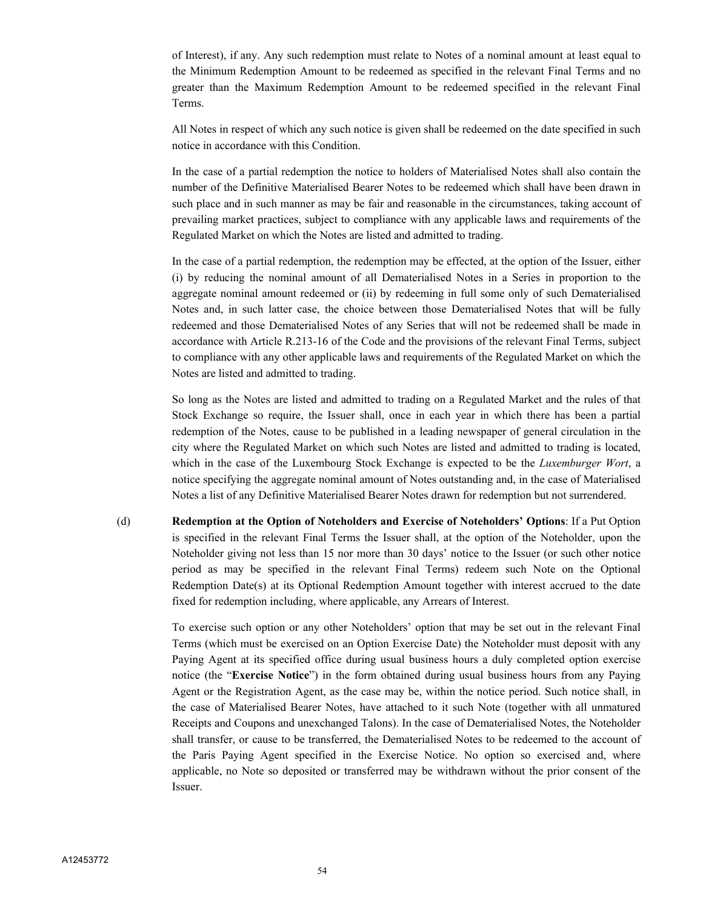of Interest), if any. Any such redemption must relate to Notes of a nominal amount at least equal to the Minimum Redemption Amount to be redeemed as specified in the relevant Final Terms and no greater than the Maximum Redemption Amount to be redeemed specified in the relevant Final Terms.

All Notes in respect of which any such notice is given shall be redeemed on the date specified in such notice in accordance with this Condition.

In the case of a partial redemption the notice to holders of Materialised Notes shall also contain the number of the Definitive Materialised Bearer Notes to be redeemed which shall have been drawn in such place and in such manner as may be fair and reasonable in the circumstances, taking account of prevailing market practices, subject to compliance with any applicable laws and requirements of the Regulated Market on which the Notes are listed and admitted to trading.

In the case of a partial redemption, the redemption may be effected, at the option of the Issuer, either (i) by reducing the nominal amount of all Dematerialised Notes in a Series in proportion to the aggregate nominal amount redeemed or (ii) by redeeming in full some only of such Dematerialised Notes and, in such latter case, the choice between those Dematerialised Notes that will be fully redeemed and those Dematerialised Notes of any Series that will not be redeemed shall be made in accordance with Article R.213-16 of the Code and the provisions of the relevant Final Terms, subject to compliance with any other applicable laws and requirements of the Regulated Market on which the Notes are listed and admitted to trading.

So long as the Notes are listed and admitted to trading on a Regulated Market and the rules of that Stock Exchange so require, the Issuer shall, once in each year in which there has been a partial redemption of the Notes, cause to be published in a leading newspaper of general circulation in the city where the Regulated Market on which such Notes are listed and admitted to trading is located, which in the case of the Luxembourg Stock Exchange is expected to be the *Luxemburger Wort*, a notice specifying the aggregate nominal amount of Notes outstanding and, in the case of Materialised Notes a list of any Definitive Materialised Bearer Notes drawn for redemption but not surrendered.

(d) **Redemption at the Option of Noteholders and Exercise of Noteholders' Options**: If a Put Option is specified in the relevant Final Terms the Issuer shall, at the option of the Noteholder, upon the Noteholder giving not less than 15 nor more than 30 days' notice to the Issuer (or such other notice period as may be specified in the relevant Final Terms) redeem such Note on the Optional Redemption Date(s) at its Optional Redemption Amount together with interest accrued to the date fixed for redemption including, where applicable, any Arrears of Interest.

> To exercise such option or any other Noteholders' option that may be set out in the relevant Final Terms (which must be exercised on an Option Exercise Date) the Noteholder must deposit with any Paying Agent at its specified office during usual business hours a duly completed option exercise notice (the "**Exercise Notice**") in the form obtained during usual business hours from any Paying Agent or the Registration Agent, as the case may be, within the notice period. Such notice shall, in the case of Materialised Bearer Notes, have attached to it such Note (together with all unmatured Receipts and Coupons and unexchanged Talons). In the case of Dematerialised Notes, the Noteholder shall transfer, or cause to be transferred, the Dematerialised Notes to be redeemed to the account of the Paris Paying Agent specified in the Exercise Notice. No option so exercised and, where applicable, no Note so deposited or transferred may be withdrawn without the prior consent of the Issuer.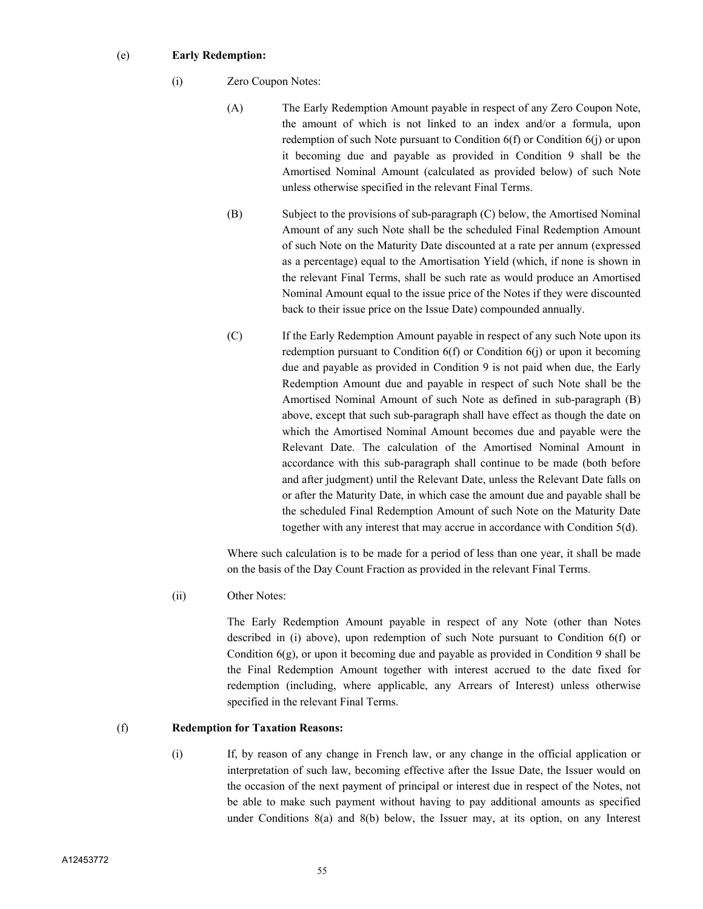## (e) **Early Redemption:**

- (i) Zero Coupon Notes:
	- (A) The Early Redemption Amount payable in respect of any Zero Coupon Note, the amount of which is not linked to an index and/or a formula, upon redemption of such Note pursuant to Condition 6(f) or Condition 6(j) or upon it becoming due and payable as provided in Condition 9 shall be the Amortised Nominal Amount (calculated as provided below) of such Note unless otherwise specified in the relevant Final Terms.
	- (B) Subject to the provisions of sub-paragraph (C) below, the Amortised Nominal Amount of any such Note shall be the scheduled Final Redemption Amount of such Note on the Maturity Date discounted at a rate per annum (expressed as a percentage) equal to the Amortisation Yield (which, if none is shown in the relevant Final Terms, shall be such rate as would produce an Amortised Nominal Amount equal to the issue price of the Notes if they were discounted back to their issue price on the Issue Date) compounded annually.
	- (C) If the Early Redemption Amount payable in respect of any such Note upon its redemption pursuant to Condition 6(f) or Condition 6(j) or upon it becoming due and payable as provided in Condition 9 is not paid when due, the Early Redemption Amount due and payable in respect of such Note shall be the Amortised Nominal Amount of such Note as defined in sub-paragraph (B) above, except that such sub-paragraph shall have effect as though the date on which the Amortised Nominal Amount becomes due and payable were the Relevant Date. The calculation of the Amortised Nominal Amount in accordance with this sub-paragraph shall continue to be made (both before and after judgment) until the Relevant Date, unless the Relevant Date falls on or after the Maturity Date, in which case the amount due and payable shall be the scheduled Final Redemption Amount of such Note on the Maturity Date together with any interest that may accrue in accordance with Condition 5(d).

Where such calculation is to be made for a period of less than one year, it shall be made on the basis of the Day Count Fraction as provided in the relevant Final Terms.

(ii) Other Notes:

The Early Redemption Amount payable in respect of any Note (other than Notes described in (i) above), upon redemption of such Note pursuant to Condition 6(f) or Condition  $6(g)$ , or upon it becoming due and payable as provided in Condition 9 shall be the Final Redemption Amount together with interest accrued to the date fixed for redemption (including, where applicable, any Arrears of Interest) unless otherwise specified in the relevant Final Terms.

#### (f) **Redemption for Taxation Reasons:**

(i) If, by reason of any change in French law, or any change in the official application or interpretation of such law, becoming effective after the Issue Date, the Issuer would on the occasion of the next payment of principal or interest due in respect of the Notes, not be able to make such payment without having to pay additional amounts as specified under Conditions 8(a) and 8(b) below, the Issuer may, at its option, on any Interest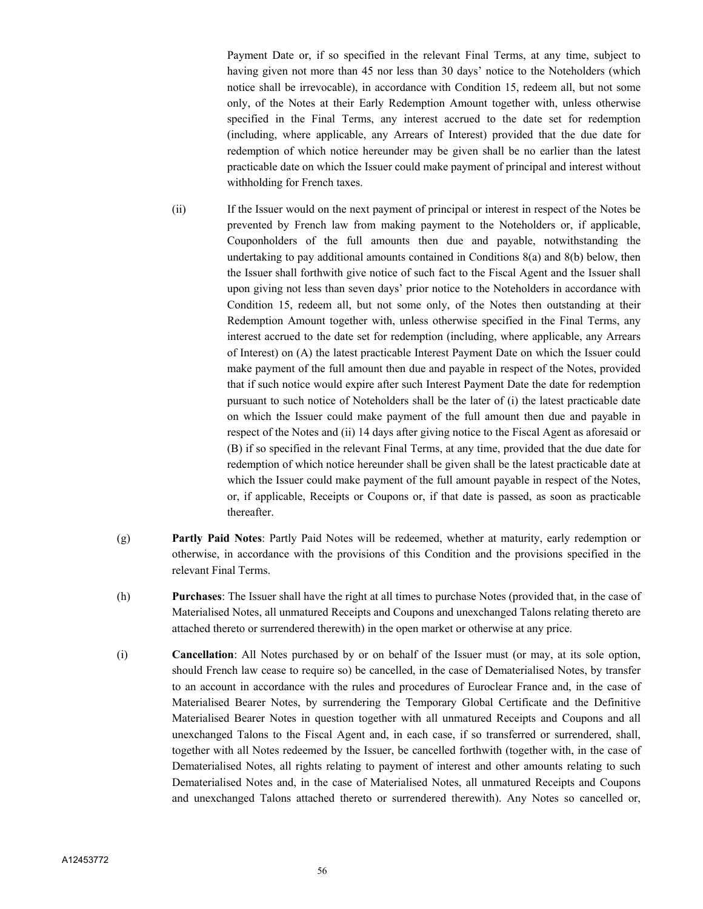Payment Date or, if so specified in the relevant Final Terms, at any time, subject to having given not more than 45 nor less than 30 days' notice to the Noteholders (which notice shall be irrevocable), in accordance with Condition 15, redeem all, but not some only, of the Notes at their Early Redemption Amount together with, unless otherwise specified in the Final Terms, any interest accrued to the date set for redemption (including, where applicable, any Arrears of Interest) provided that the due date for redemption of which notice hereunder may be given shall be no earlier than the latest practicable date on which the Issuer could make payment of principal and interest without withholding for French taxes.

- (ii) If the Issuer would on the next payment of principal or interest in respect of the Notes be prevented by French law from making payment to the Noteholders or, if applicable, Couponholders of the full amounts then due and payable, notwithstanding the undertaking to pay additional amounts contained in Conditions 8(a) and 8(b) below, then the Issuer shall forthwith give notice of such fact to the Fiscal Agent and the Issuer shall upon giving not less than seven days' prior notice to the Noteholders in accordance with Condition 15, redeem all, but not some only, of the Notes then outstanding at their Redemption Amount together with, unless otherwise specified in the Final Terms, any interest accrued to the date set for redemption (including, where applicable, any Arrears of Interest) on (A) the latest practicable Interest Payment Date on which the Issuer could make payment of the full amount then due and payable in respect of the Notes, provided that if such notice would expire after such Interest Payment Date the date for redemption pursuant to such notice of Noteholders shall be the later of (i) the latest practicable date on which the Issuer could make payment of the full amount then due and payable in respect of the Notes and (ii) 14 days after giving notice to the Fiscal Agent as aforesaid or (B) if so specified in the relevant Final Terms, at any time, provided that the due date for redemption of which notice hereunder shall be given shall be the latest practicable date at which the Issuer could make payment of the full amount payable in respect of the Notes, or, if applicable, Receipts or Coupons or, if that date is passed, as soon as practicable thereafter.
- (g) **Partly Paid Notes**: Partly Paid Notes will be redeemed, whether at maturity, early redemption or otherwise, in accordance with the provisions of this Condition and the provisions specified in the relevant Final Terms.
- (h) **Purchases**: The Issuer shall have the right at all times to purchase Notes (provided that, in the case of Materialised Notes, all unmatured Receipts and Coupons and unexchanged Talons relating thereto are attached thereto or surrendered therewith) in the open market or otherwise at any price.
- (i) **Cancellation**: All Notes purchased by or on behalf of the Issuer must (or may, at its sole option, should French law cease to require so) be cancelled, in the case of Dematerialised Notes, by transfer to an account in accordance with the rules and procedures of Euroclear France and, in the case of Materialised Bearer Notes, by surrendering the Temporary Global Certificate and the Definitive Materialised Bearer Notes in question together with all unmatured Receipts and Coupons and all unexchanged Talons to the Fiscal Agent and, in each case, if so transferred or surrendered, shall, together with all Notes redeemed by the Issuer, be cancelled forthwith (together with, in the case of Dematerialised Notes, all rights relating to payment of interest and other amounts relating to such Dematerialised Notes and, in the case of Materialised Notes, all unmatured Receipts and Coupons and unexchanged Talons attached thereto or surrendered therewith). Any Notes so cancelled or,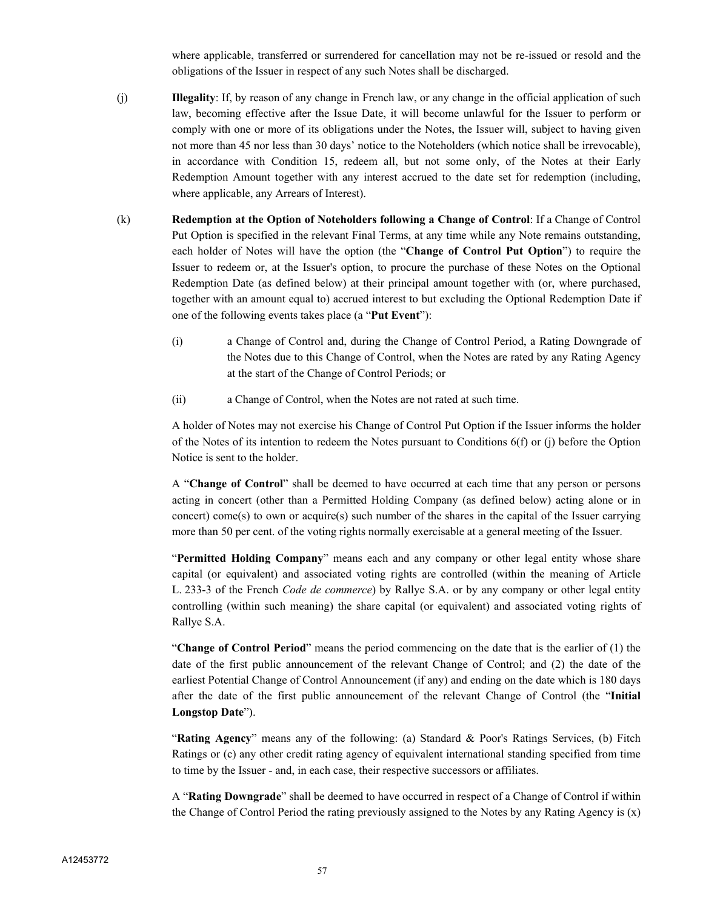where applicable, transferred or surrendered for cancellation may not be re-issued or resold and the obligations of the Issuer in respect of any such Notes shall be discharged.

- (j) **Illegality**: If, by reason of any change in French law, or any change in the official application of such law, becoming effective after the Issue Date, it will become unlawful for the Issuer to perform or comply with one or more of its obligations under the Notes, the Issuer will, subject to having given not more than 45 nor less than 30 days' notice to the Noteholders (which notice shall be irrevocable), in accordance with Condition 15, redeem all, but not some only, of the Notes at their Early Redemption Amount together with any interest accrued to the date set for redemption (including, where applicable, any Arrears of Interest).
- (k) **Redemption at the Option of Noteholders following a Change of Control**: If a Change of Control Put Option is specified in the relevant Final Terms, at any time while any Note remains outstanding, each holder of Notes will have the option (the "**Change of Control Put Option**") to require the Issuer to redeem or, at the Issuer's option, to procure the purchase of these Notes on the Optional Redemption Date (as defined below) at their principal amount together with (or, where purchased, together with an amount equal to) accrued interest to but excluding the Optional Redemption Date if one of the following events takes place (a "**Put Event**"):
	- (i) a Change of Control and, during the Change of Control Period, a Rating Downgrade of the Notes due to this Change of Control, when the Notes are rated by any Rating Agency at the start of the Change of Control Periods; or
	- (ii) a Change of Control, when the Notes are not rated at such time.

A holder of Notes may not exercise his Change of Control Put Option if the Issuer informs the holder of the Notes of its intention to redeem the Notes pursuant to Conditions 6(f) or (j) before the Option Notice is sent to the holder.

A "**Change of Control**" shall be deemed to have occurred at each time that any person or persons acting in concert (other than a Permitted Holding Company (as defined below) acting alone or in concert) come(s) to own or acquire(s) such number of the shares in the capital of the Issuer carrying more than 50 per cent. of the voting rights normally exercisable at a general meeting of the Issuer.

"**Permitted Holding Company**" means each and any company or other legal entity whose share capital (or equivalent) and associated voting rights are controlled (within the meaning of Article L. 233-3 of the French *Code de commerce*) by Rallye S.A. or by any company or other legal entity controlling (within such meaning) the share capital (or equivalent) and associated voting rights of Rallye S.A.

"**Change of Control Period**" means the period commencing on the date that is the earlier of (1) the date of the first public announcement of the relevant Change of Control; and (2) the date of the earliest Potential Change of Control Announcement (if any) and ending on the date which is 180 days after the date of the first public announcement of the relevant Change of Control (the "**Initial Longstop Date**").

"**Rating Agency**" means any of the following: (a) Standard & Poor's Ratings Services, (b) Fitch Ratings or (c) any other credit rating agency of equivalent international standing specified from time to time by the Issuer - and, in each case, their respective successors or affiliates.

A "**Rating Downgrade**" shall be deemed to have occurred in respect of a Change of Control if within the Change of Control Period the rating previously assigned to the Notes by any Rating Agency is  $(x)$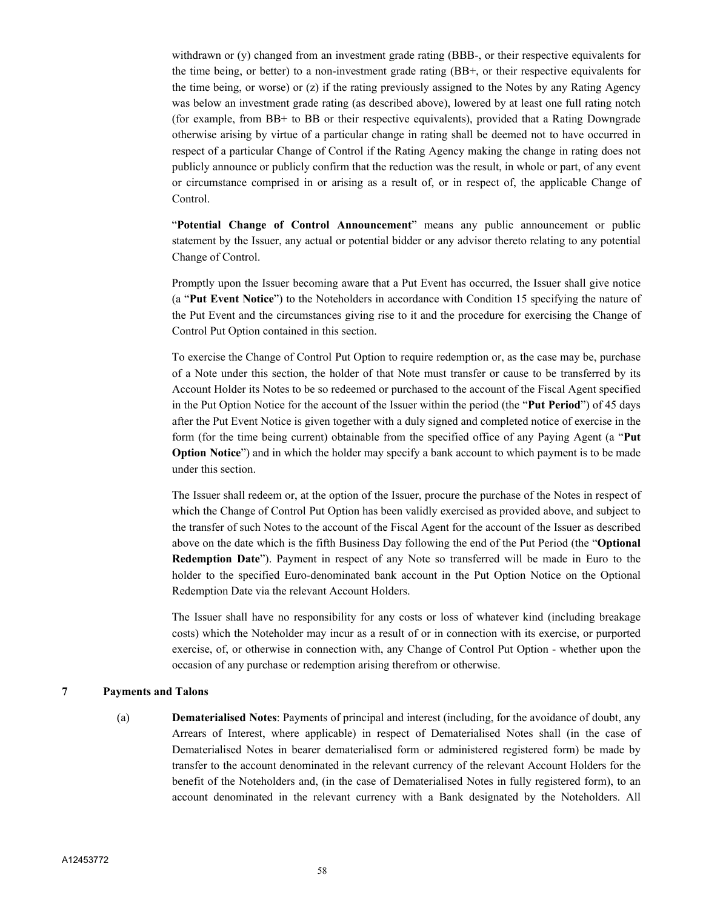withdrawn or (y) changed from an investment grade rating (BBB-, or their respective equivalents for the time being, or better) to a non-investment grade rating (BB+, or their respective equivalents for the time being, or worse) or (z) if the rating previously assigned to the Notes by any Rating Agency was below an investment grade rating (as described above), lowered by at least one full rating notch (for example, from BB+ to BB or their respective equivalents), provided that a Rating Downgrade otherwise arising by virtue of a particular change in rating shall be deemed not to have occurred in respect of a particular Change of Control if the Rating Agency making the change in rating does not publicly announce or publicly confirm that the reduction was the result, in whole or part, of any event or circumstance comprised in or arising as a result of, or in respect of, the applicable Change of **Control.** 

"**Potential Change of Control Announcement**" means any public announcement or public statement by the Issuer, any actual or potential bidder or any advisor thereto relating to any potential Change of Control.

Promptly upon the Issuer becoming aware that a Put Event has occurred, the Issuer shall give notice (a "**Put Event Notice**") to the Noteholders in accordance with Condition 15 specifying the nature of the Put Event and the circumstances giving rise to it and the procedure for exercising the Change of Control Put Option contained in this section.

To exercise the Change of Control Put Option to require redemption or, as the case may be, purchase of a Note under this section, the holder of that Note must transfer or cause to be transferred by its Account Holder its Notes to be so redeemed or purchased to the account of the Fiscal Agent specified in the Put Option Notice for the account of the Issuer within the period (the "**Put Period**") of 45 days after the Put Event Notice is given together with a duly signed and completed notice of exercise in the form (for the time being current) obtainable from the specified office of any Paying Agent (a "**Put Option Notice**") and in which the holder may specify a bank account to which payment is to be made under this section.

The Issuer shall redeem or, at the option of the Issuer, procure the purchase of the Notes in respect of which the Change of Control Put Option has been validly exercised as provided above, and subject to the transfer of such Notes to the account of the Fiscal Agent for the account of the Issuer as described above on the date which is the fifth Business Day following the end of the Put Period (the "**Optional Redemption Date**"). Payment in respect of any Note so transferred will be made in Euro to the holder to the specified Euro-denominated bank account in the Put Option Notice on the Optional Redemption Date via the relevant Account Holders.

The Issuer shall have no responsibility for any costs or loss of whatever kind (including breakage costs) which the Noteholder may incur as a result of or in connection with its exercise, or purported exercise, of, or otherwise in connection with, any Change of Control Put Option - whether upon the occasion of any purchase or redemption arising therefrom or otherwise.

#### **7 Payments and Talons**

(a) **Dematerialised Notes**: Payments of principal and interest (including, for the avoidance of doubt, any Arrears of Interest, where applicable) in respect of Dematerialised Notes shall (in the case of Dematerialised Notes in bearer dematerialised form or administered registered form) be made by transfer to the account denominated in the relevant currency of the relevant Account Holders for the benefit of the Noteholders and, (in the case of Dematerialised Notes in fully registered form), to an account denominated in the relevant currency with a Bank designated by the Noteholders. All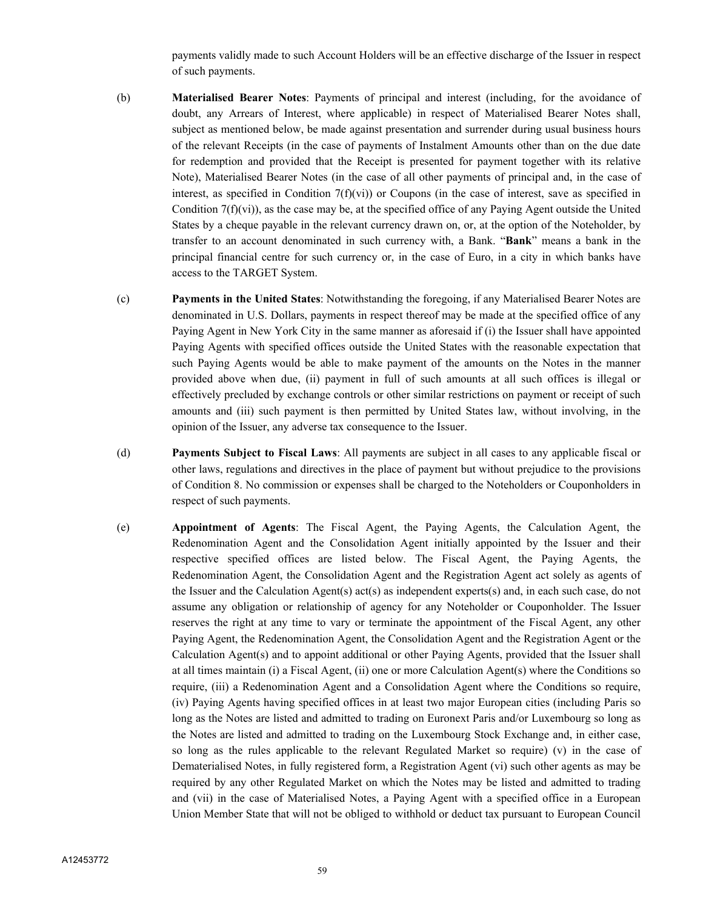payments validly made to such Account Holders will be an effective discharge of the Issuer in respect of such payments.

- (b) **Materialised Bearer Notes**: Payments of principal and interest (including, for the avoidance of doubt, any Arrears of Interest, where applicable) in respect of Materialised Bearer Notes shall, subject as mentioned below, be made against presentation and surrender during usual business hours of the relevant Receipts (in the case of payments of Instalment Amounts other than on the due date for redemption and provided that the Receipt is presented for payment together with its relative Note), Materialised Bearer Notes (in the case of all other payments of principal and, in the case of interest, as specified in Condition  $7(f)(vi)$  or Coupons (in the case of interest, save as specified in Condition  $7(f)(vi)$ , as the case may be, at the specified office of any Paying Agent outside the United States by a cheque payable in the relevant currency drawn on, or, at the option of the Noteholder, by transfer to an account denominated in such currency with, a Bank. "**Bank**" means a bank in the principal financial centre for such currency or, in the case of Euro, in a city in which banks have access to the TARGET System.
- (c) **Payments in the United States**: Notwithstanding the foregoing, if any Materialised Bearer Notes are denominated in U.S. Dollars, payments in respect thereof may be made at the specified office of any Paying Agent in New York City in the same manner as aforesaid if (i) the Issuer shall have appointed Paying Agents with specified offices outside the United States with the reasonable expectation that such Paying Agents would be able to make payment of the amounts on the Notes in the manner provided above when due, (ii) payment in full of such amounts at all such offices is illegal or effectively precluded by exchange controls or other similar restrictions on payment or receipt of such amounts and (iii) such payment is then permitted by United States law, without involving, in the opinion of the Issuer, any adverse tax consequence to the Issuer.
- (d) **Payments Subject to Fiscal Laws**: All payments are subject in all cases to any applicable fiscal or other laws, regulations and directives in the place of payment but without prejudice to the provisions of Condition 8. No commission or expenses shall be charged to the Noteholders or Couponholders in respect of such payments.
- (e) **Appointment of Agents**: The Fiscal Agent, the Paying Agents, the Calculation Agent, the Redenomination Agent and the Consolidation Agent initially appointed by the Issuer and their respective specified offices are listed below. The Fiscal Agent, the Paying Agents, the Redenomination Agent, the Consolidation Agent and the Registration Agent act solely as agents of the Issuer and the Calculation Agent(s) act(s) as independent experts(s) and, in each such case, do not assume any obligation or relationship of agency for any Noteholder or Couponholder. The Issuer reserves the right at any time to vary or terminate the appointment of the Fiscal Agent, any other Paying Agent, the Redenomination Agent, the Consolidation Agent and the Registration Agent or the Calculation Agent(s) and to appoint additional or other Paying Agents, provided that the Issuer shall at all times maintain (i) a Fiscal Agent, (ii) one or more Calculation Agent(s) where the Conditions so require, (iii) a Redenomination Agent and a Consolidation Agent where the Conditions so require, (iv) Paying Agents having specified offices in at least two major European cities (including Paris so long as the Notes are listed and admitted to trading on Euronext Paris and/or Luxembourg so long as the Notes are listed and admitted to trading on the Luxembourg Stock Exchange and, in either case, so long as the rules applicable to the relevant Regulated Market so require) (v) in the case of Dematerialised Notes, in fully registered form, a Registration Agent (vi) such other agents as may be required by any other Regulated Market on which the Notes may be listed and admitted to trading and (vii) in the case of Materialised Notes, a Paying Agent with a specified office in a European Union Member State that will not be obliged to withhold or deduct tax pursuant to European Council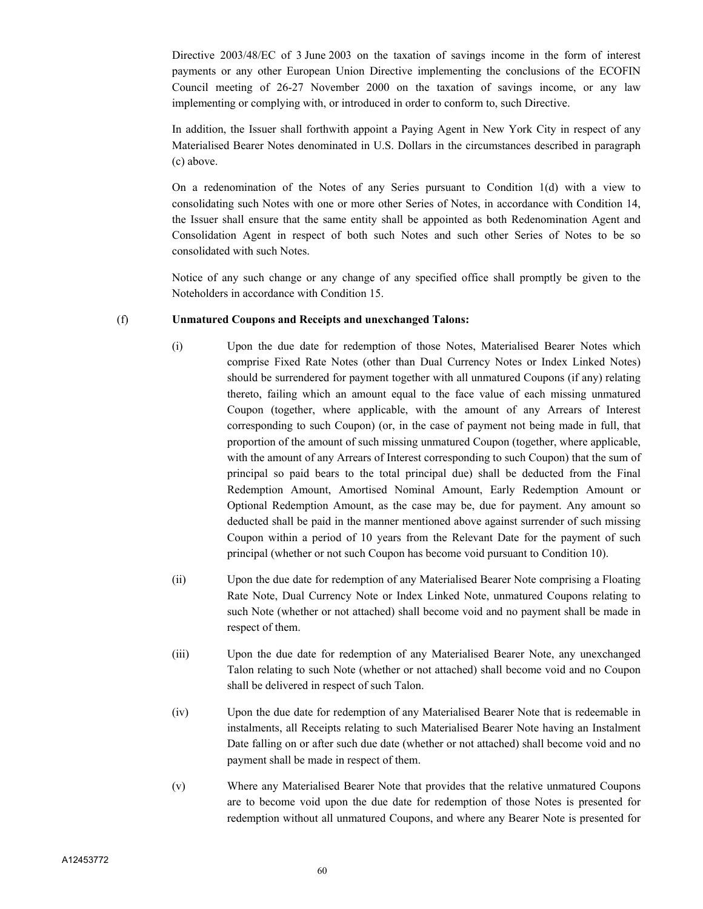Directive 2003/48/EC of 3 June 2003 on the taxation of savings income in the form of interest payments or any other European Union Directive implementing the conclusions of the ECOFIN Council meeting of 26-27 November 2000 on the taxation of savings income, or any law implementing or complying with, or introduced in order to conform to, such Directive.

In addition, the Issuer shall forthwith appoint a Paying Agent in New York City in respect of any Materialised Bearer Notes denominated in U.S. Dollars in the circumstances described in paragraph (c) above.

On a redenomination of the Notes of any Series pursuant to Condition 1(d) with a view to consolidating such Notes with one or more other Series of Notes, in accordance with Condition 14, the Issuer shall ensure that the same entity shall be appointed as both Redenomination Agent and Consolidation Agent in respect of both such Notes and such other Series of Notes to be so consolidated with such Notes.

Notice of any such change or any change of any specified office shall promptly be given to the Noteholders in accordance with Condition 15.

## (f) **Unmatured Coupons and Receipts and unexchanged Talons:**

- (i) Upon the due date for redemption of those Notes, Materialised Bearer Notes which comprise Fixed Rate Notes (other than Dual Currency Notes or Index Linked Notes) should be surrendered for payment together with all unmatured Coupons (if any) relating thereto, failing which an amount equal to the face value of each missing unmatured Coupon (together, where applicable, with the amount of any Arrears of Interest corresponding to such Coupon) (or, in the case of payment not being made in full, that proportion of the amount of such missing unmatured Coupon (together, where applicable, with the amount of any Arrears of Interest corresponding to such Coupon) that the sum of principal so paid bears to the total principal due) shall be deducted from the Final Redemption Amount, Amortised Nominal Amount, Early Redemption Amount or Optional Redemption Amount, as the case may be, due for payment. Any amount so deducted shall be paid in the manner mentioned above against surrender of such missing Coupon within a period of 10 years from the Relevant Date for the payment of such principal (whether or not such Coupon has become void pursuant to Condition 10).
- (ii) Upon the due date for redemption of any Materialised Bearer Note comprising a Floating Rate Note, Dual Currency Note or Index Linked Note, unmatured Coupons relating to such Note (whether or not attached) shall become void and no payment shall be made in respect of them.
- (iii) Upon the due date for redemption of any Materialised Bearer Note, any unexchanged Talon relating to such Note (whether or not attached) shall become void and no Coupon shall be delivered in respect of such Talon.
- (iv) Upon the due date for redemption of any Materialised Bearer Note that is redeemable in instalments, all Receipts relating to such Materialised Bearer Note having an Instalment Date falling on or after such due date (whether or not attached) shall become void and no payment shall be made in respect of them.
- (v) Where any Materialised Bearer Note that provides that the relative unmatured Coupons are to become void upon the due date for redemption of those Notes is presented for redemption without all unmatured Coupons, and where any Bearer Note is presented for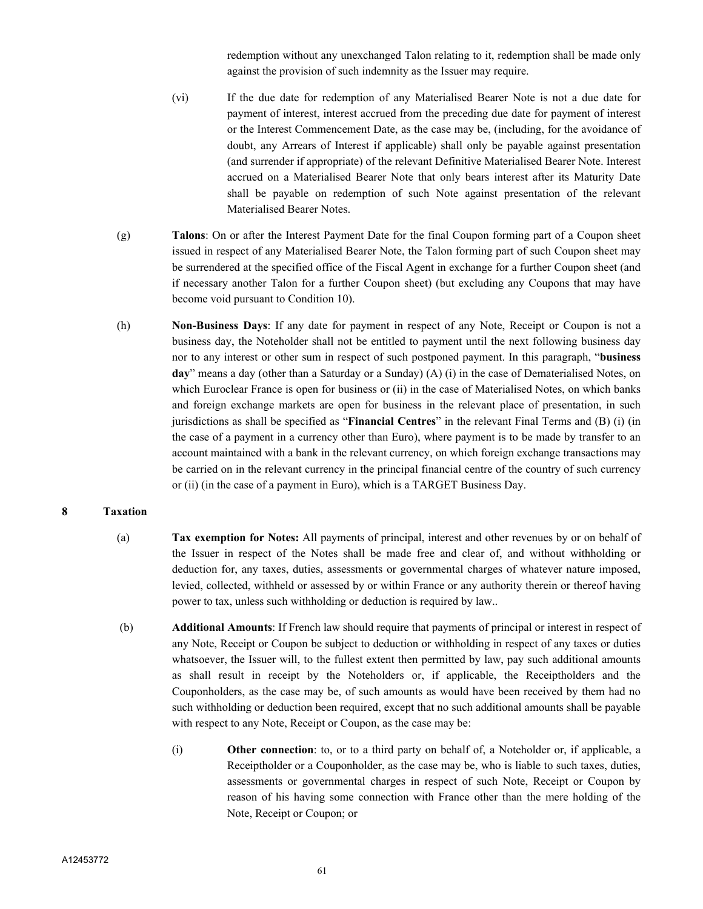redemption without any unexchanged Talon relating to it, redemption shall be made only against the provision of such indemnity as the Issuer may require.

- (vi) If the due date for redemption of any Materialised Bearer Note is not a due date for payment of interest, interest accrued from the preceding due date for payment of interest or the Interest Commencement Date, as the case may be, (including, for the avoidance of doubt, any Arrears of Interest if applicable) shall only be payable against presentation (and surrender if appropriate) of the relevant Definitive Materialised Bearer Note. Interest accrued on a Materialised Bearer Note that only bears interest after its Maturity Date shall be payable on redemption of such Note against presentation of the relevant Materialised Bearer Notes.
- (g) **Talons**: On or after the Interest Payment Date for the final Coupon forming part of a Coupon sheet issued in respect of any Materialised Bearer Note, the Talon forming part of such Coupon sheet may be surrendered at the specified office of the Fiscal Agent in exchange for a further Coupon sheet (and if necessary another Talon for a further Coupon sheet) (but excluding any Coupons that may have become void pursuant to Condition 10).
- (h) **Non-Business Days**: If any date for payment in respect of any Note, Receipt or Coupon is not a business day, the Noteholder shall not be entitled to payment until the next following business day nor to any interest or other sum in respect of such postponed payment. In this paragraph, "**business day**" means a day (other than a Saturday or a Sunday) (A) (i) in the case of Dematerialised Notes, on which Euroclear France is open for business or (ii) in the case of Materialised Notes, on which banks and foreign exchange markets are open for business in the relevant place of presentation, in such jurisdictions as shall be specified as "**Financial Centres**" in the relevant Final Terms and (B) (i) (in the case of a payment in a currency other than Euro), where payment is to be made by transfer to an account maintained with a bank in the relevant currency, on which foreign exchange transactions may be carried on in the relevant currency in the principal financial centre of the country of such currency or (ii) (in the case of a payment in Euro), which is a TARGET Business Day.

## **8 Taxation**

- (a) **Tax exemption for Notes:** All payments of principal, interest and other revenues by or on behalf of the Issuer in respect of the Notes shall be made free and clear of, and without withholding or deduction for, any taxes, duties, assessments or governmental charges of whatever nature imposed, levied, collected, withheld or assessed by or within France or any authority therein or thereof having power to tax, unless such withholding or deduction is required by law..
- (b) **Additional Amounts**: If French law should require that payments of principal or interest in respect of any Note, Receipt or Coupon be subject to deduction or withholding in respect of any taxes or duties whatsoever, the Issuer will, to the fullest extent then permitted by law, pay such additional amounts as shall result in receipt by the Noteholders or, if applicable, the Receiptholders and the Couponholders, as the case may be, of such amounts as would have been received by them had no such withholding or deduction been required, except that no such additional amounts shall be payable with respect to any Note, Receipt or Coupon, as the case may be:
	- (i) **Other connection**: to, or to a third party on behalf of, a Noteholder or, if applicable, a Receiptholder or a Couponholder, as the case may be, who is liable to such taxes, duties, assessments or governmental charges in respect of such Note, Receipt or Coupon by reason of his having some connection with France other than the mere holding of the Note, Receipt or Coupon; or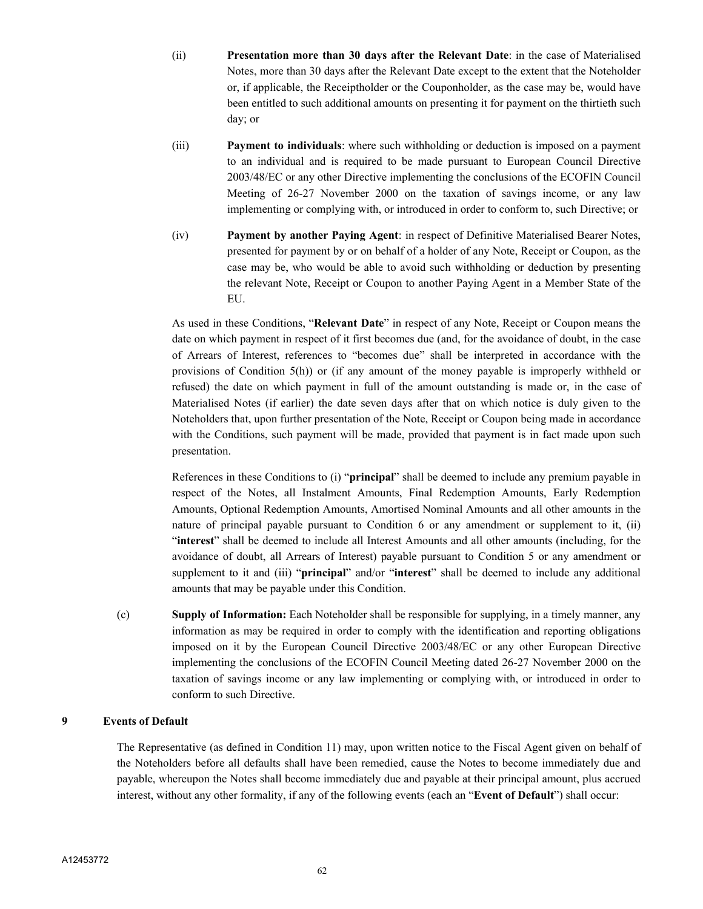- (ii) **Presentation more than 30 days after the Relevant Date**: in the case of Materialised Notes, more than 30 days after the Relevant Date except to the extent that the Noteholder or, if applicable, the Receiptholder or the Couponholder, as the case may be, would have been entitled to such additional amounts on presenting it for payment on the thirtieth such day; or
- (iii) **Payment to individuals**: where such withholding or deduction is imposed on a payment to an individual and is required to be made pursuant to European Council Directive 2003/48/EC or any other Directive implementing the conclusions of the ECOFIN Council Meeting of 26-27 November 2000 on the taxation of savings income, or any law implementing or complying with, or introduced in order to conform to, such Directive; or
- (iv) **Payment by another Paying Agent**: in respect of Definitive Materialised Bearer Notes, presented for payment by or on behalf of a holder of any Note, Receipt or Coupon, as the case may be, who would be able to avoid such withholding or deduction by presenting the relevant Note, Receipt or Coupon to another Paying Agent in a Member State of the EU.

As used in these Conditions, "**Relevant Date**" in respect of any Note, Receipt or Coupon means the date on which payment in respect of it first becomes due (and, for the avoidance of doubt, in the case of Arrears of Interest, references to "becomes due" shall be interpreted in accordance with the provisions of Condition 5(h)) or (if any amount of the money payable is improperly withheld or refused) the date on which payment in full of the amount outstanding is made or, in the case of Materialised Notes (if earlier) the date seven days after that on which notice is duly given to the Noteholders that, upon further presentation of the Note, Receipt or Coupon being made in accordance with the Conditions, such payment will be made, provided that payment is in fact made upon such presentation.

References in these Conditions to (i) "**principal**" shall be deemed to include any premium payable in respect of the Notes, all Instalment Amounts, Final Redemption Amounts, Early Redemption Amounts, Optional Redemption Amounts, Amortised Nominal Amounts and all other amounts in the nature of principal payable pursuant to Condition 6 or any amendment or supplement to it, (ii) "**interest**" shall be deemed to include all Interest Amounts and all other amounts (including, for the avoidance of doubt, all Arrears of Interest) payable pursuant to Condition 5 or any amendment or supplement to it and (iii) "**principal**" and/or "**interest**" shall be deemed to include any additional amounts that may be payable under this Condition.

(c) **Supply of Information:** Each Noteholder shall be responsible for supplying, in a timely manner, any information as may be required in order to comply with the identification and reporting obligations imposed on it by the European Council Directive 2003/48/EC or any other European Directive implementing the conclusions of the ECOFIN Council Meeting dated 26-27 November 2000 on the taxation of savings income or any law implementing or complying with, or introduced in order to conform to such Directive.

## **9 Events of Default**

The Representative (as defined in Condition 11) may, upon written notice to the Fiscal Agent given on behalf of the Noteholders before all defaults shall have been remedied, cause the Notes to become immediately due and payable, whereupon the Notes shall become immediately due and payable at their principal amount, plus accrued interest, without any other formality, if any of the following events (each an "**Event of Default**") shall occur: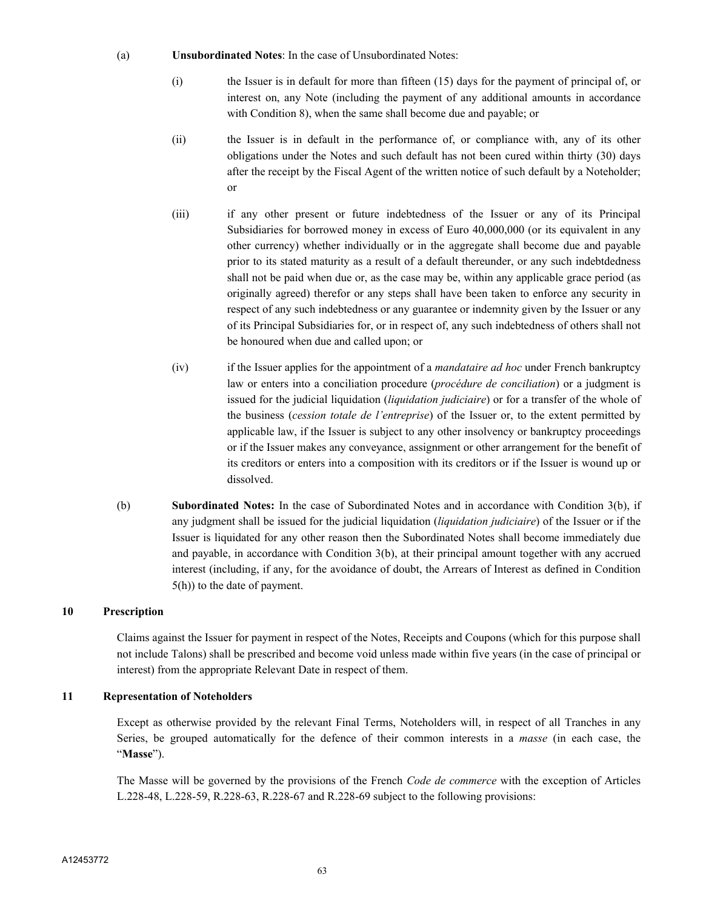#### (a) **Unsubordinated Notes**: In the case of Unsubordinated Notes:

- (i) the Issuer is in default for more than fifteen (15) days for the payment of principal of, or interest on, any Note (including the payment of any additional amounts in accordance with Condition 8), when the same shall become due and payable; or
- (ii) the Issuer is in default in the performance of, or compliance with, any of its other obligations under the Notes and such default has not been cured within thirty (30) days after the receipt by the Fiscal Agent of the written notice of such default by a Noteholder; or
- (iii) if any other present or future indebtedness of the Issuer or any of its Principal Subsidiaries for borrowed money in excess of Euro 40,000,000 (or its equivalent in any other currency) whether individually or in the aggregate shall become due and payable prior to its stated maturity as a result of a default thereunder, or any such indebtdedness shall not be paid when due or, as the case may be, within any applicable grace period (as originally agreed) therefor or any steps shall have been taken to enforce any security in respect of any such indebtedness or any guarantee or indemnity given by the Issuer or any of its Principal Subsidiaries for, or in respect of, any such indebtedness of others shall not be honoured when due and called upon; or
- (iv) if the Issuer applies for the appointment of a *mandataire ad hoc* under French bankruptcy law or enters into a conciliation procedure (*procédure de conciliation*) or a judgment is issued for the judicial liquidation (*liquidation judiciaire*) or for a transfer of the whole of the business (*cession totale de l'entreprise*) of the Issuer or, to the extent permitted by applicable law, if the Issuer is subject to any other insolvency or bankruptcy proceedings or if the Issuer makes any conveyance, assignment or other arrangement for the benefit of its creditors or enters into a composition with its creditors or if the Issuer is wound up or dissolved.
- (b) **Subordinated Notes:** In the case of Subordinated Notes and in accordance with Condition 3(b), if any judgment shall be issued for the judicial liquidation (*liquidation judiciaire*) of the Issuer or if the Issuer is liquidated for any other reason then the Subordinated Notes shall become immediately due and payable, in accordance with Condition 3(b), at their principal amount together with any accrued interest (including, if any, for the avoidance of doubt, the Arrears of Interest as defined in Condition 5(h)) to the date of payment.

# **10 Prescription**

Claims against the Issuer for payment in respect of the Notes, Receipts and Coupons (which for this purpose shall not include Talons) shall be prescribed and become void unless made within five years (in the case of principal or interest) from the appropriate Relevant Date in respect of them.

## **11 Representation of Noteholders**

Except as otherwise provided by the relevant Final Terms, Noteholders will, in respect of all Tranches in any Series, be grouped automatically for the defence of their common interests in a *masse* (in each case, the "**Masse**").

The Masse will be governed by the provisions of the French *Code de commerce* with the exception of Articles L.228-48, L.228-59, R.228-63, R.228-67 and R.228-69 subject to the following provisions: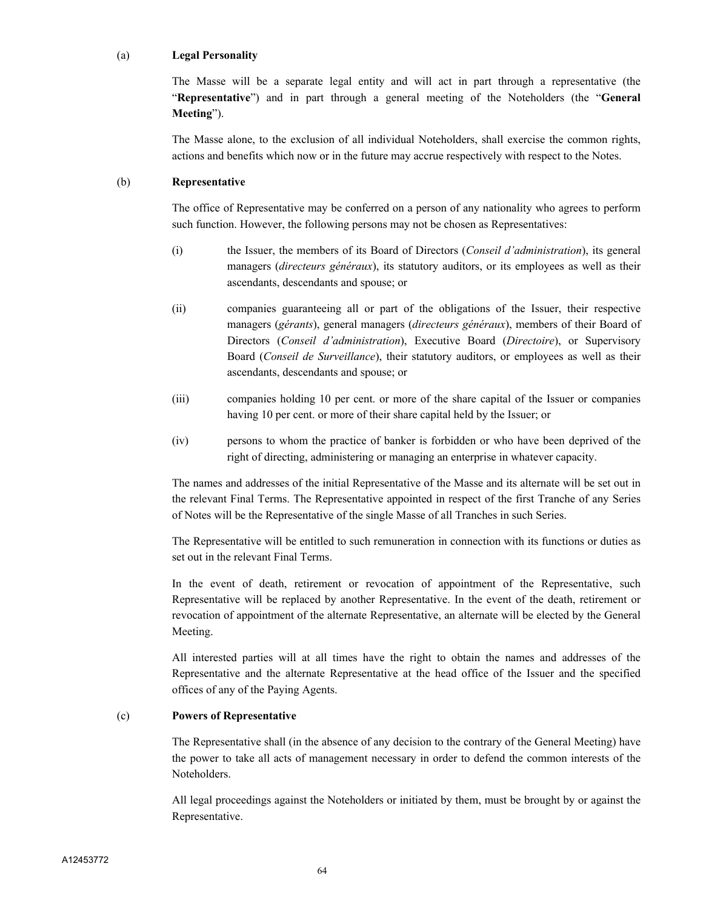#### (a) **Legal Personality**

The Masse will be a separate legal entity and will act in part through a representative (the "**Representative**") and in part through a general meeting of the Noteholders (the "**General Meeting**").

The Masse alone, to the exclusion of all individual Noteholders, shall exercise the common rights, actions and benefits which now or in the future may accrue respectively with respect to the Notes.

## (b) **Representative**

The office of Representative may be conferred on a person of any nationality who agrees to perform such function. However, the following persons may not be chosen as Representatives:

- (i) the Issuer, the members of its Board of Directors (*Conseil d'administration*), its general managers (*directeurs généraux*), its statutory auditors, or its employees as well as their ascendants, descendants and spouse; or
- (ii) companies guaranteeing all or part of the obligations of the Issuer, their respective managers (*gérants*), general managers (*directeurs généraux*), members of their Board of Directors (*Conseil d'administration*), Executive Board (*Directoire*), or Supervisory Board (*Conseil de Surveillance*), their statutory auditors, or employees as well as their ascendants, descendants and spouse; or
- (iii) companies holding 10 per cent. or more of the share capital of the Issuer or companies having 10 per cent. or more of their share capital held by the Issuer; or
- (iv) persons to whom the practice of banker is forbidden or who have been deprived of the right of directing, administering or managing an enterprise in whatever capacity.

The names and addresses of the initial Representative of the Masse and its alternate will be set out in the relevant Final Terms. The Representative appointed in respect of the first Tranche of any Series of Notes will be the Representative of the single Masse of all Tranches in such Series.

The Representative will be entitled to such remuneration in connection with its functions or duties as set out in the relevant Final Terms.

In the event of death, retirement or revocation of appointment of the Representative, such Representative will be replaced by another Representative. In the event of the death, retirement or revocation of appointment of the alternate Representative, an alternate will be elected by the General Meeting.

All interested parties will at all times have the right to obtain the names and addresses of the Representative and the alternate Representative at the head office of the Issuer and the specified offices of any of the Paying Agents.

## (c) **Powers of Representative**

The Representative shall (in the absence of any decision to the contrary of the General Meeting) have the power to take all acts of management necessary in order to defend the common interests of the Noteholders.

All legal proceedings against the Noteholders or initiated by them, must be brought by or against the Representative.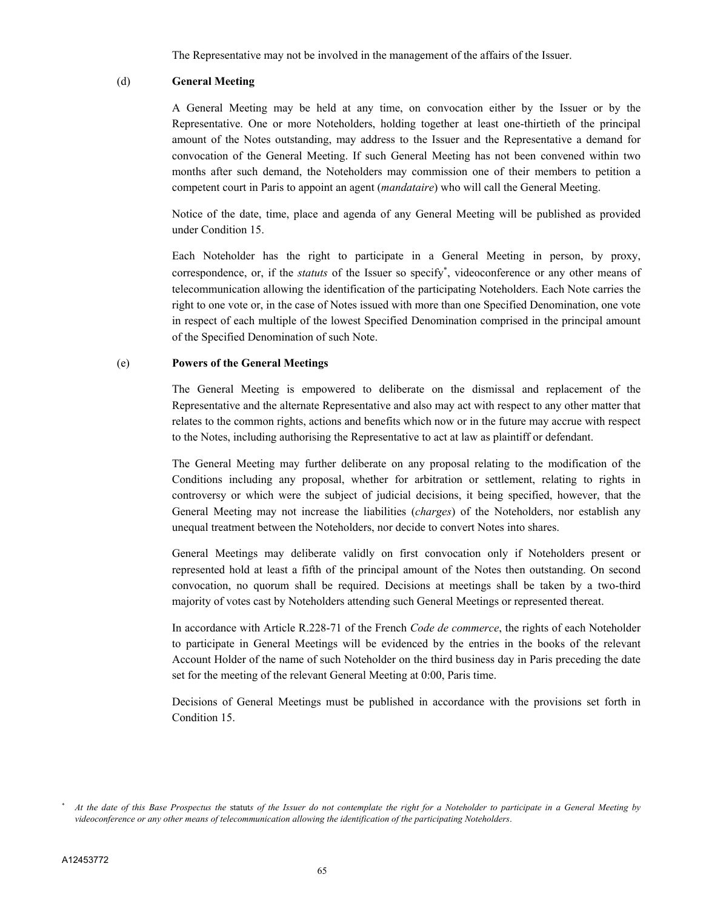The Representative may not be involved in the management of the affairs of the Issuer.

#### (d) **General Meeting**

A General Meeting may be held at any time, on convocation either by the Issuer or by the Representative. One or more Noteholders, holding together at least one-thirtieth of the principal amount of the Notes outstanding, may address to the Issuer and the Representative a demand for convocation of the General Meeting. If such General Meeting has not been convened within two months after such demand, the Noteholders may commission one of their members to petition a competent court in Paris to appoint an agent (*mandataire*) who will call the General Meeting.

Notice of the date, time, place and agenda of any General Meeting will be published as provided under Condition 15.

Each Noteholder has the right to participate in a General Meeting in person, by proxy, correspondence, or, if the *statuts* of the Issuer so specify , videoconference or any other means of telecommunication allowing the identification of the participating Noteholders. Each Note carries the right to one vote or, in the case of Notes issued with more than one Specified Denomination, one vote in respect of each multiple of the lowest Specified Denomination comprised in the principal amount of the Specified Denomination of such Note.

#### (e) **Powers of the General Meetings**

The General Meeting is empowered to deliberate on the dismissal and replacement of the Representative and the alternate Representative and also may act with respect to any other matter that relates to the common rights, actions and benefits which now or in the future may accrue with respect to the Notes, including authorising the Representative to act at law as plaintiff or defendant.

The General Meeting may further deliberate on any proposal relating to the modification of the Conditions including any proposal, whether for arbitration or settlement, relating to rights in controversy or which were the subject of judicial decisions, it being specified, however, that the General Meeting may not increase the liabilities (*charges*) of the Noteholders, nor establish any unequal treatment between the Noteholders, nor decide to convert Notes into shares.

General Meetings may deliberate validly on first convocation only if Noteholders present or represented hold at least a fifth of the principal amount of the Notes then outstanding. On second convocation, no quorum shall be required. Decisions at meetings shall be taken by a two-third majority of votes cast by Noteholders attending such General Meetings or represented thereat.

In accordance with Article R.228-71 of the French *Code de commerce*, the rights of each Noteholder to participate in General Meetings will be evidenced by the entries in the books of the relevant Account Holder of the name of such Noteholder on the third business day in Paris preceding the date set for the meeting of the relevant General Meeting at 0:00, Paris time.

Decisions of General Meetings must be published in accordance with the provisions set forth in Condition 15.

*At the date of this Base Prospectus the* statut*s of the Issuer do not contemplate the right for a Noteholder to participate in a General Meeting by videoconference or any other means of telecommunication allowing the identification of the participating Noteholders*.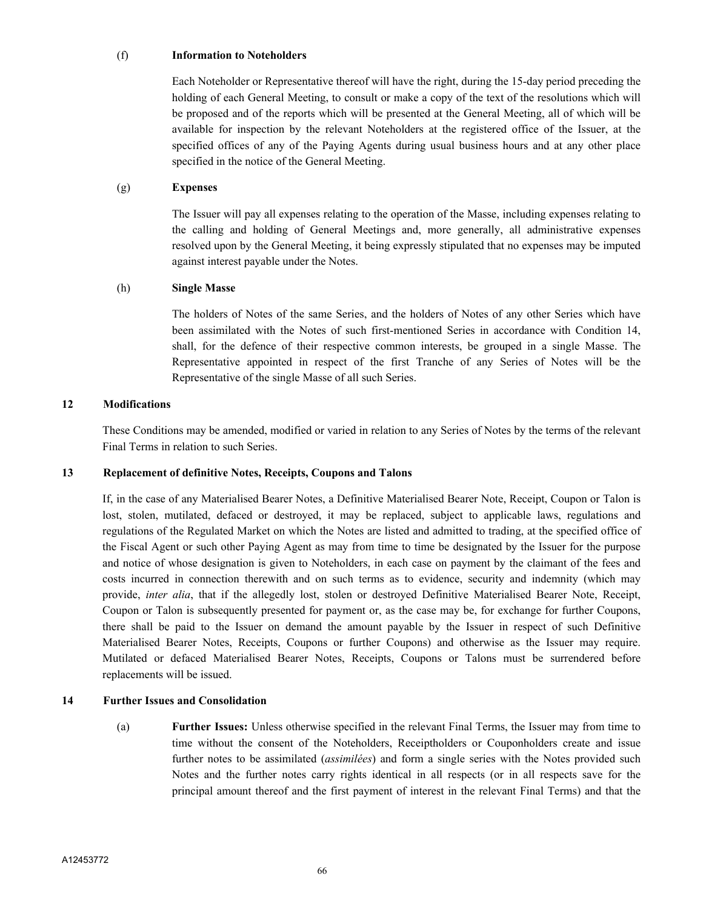#### (f) **Information to Noteholders**

Each Noteholder or Representative thereof will have the right, during the 15-day period preceding the holding of each General Meeting, to consult or make a copy of the text of the resolutions which will be proposed and of the reports which will be presented at the General Meeting, all of which will be available for inspection by the relevant Noteholders at the registered office of the Issuer, at the specified offices of any of the Paying Agents during usual business hours and at any other place specified in the notice of the General Meeting.

## (g) **Expenses**

The Issuer will pay all expenses relating to the operation of the Masse, including expenses relating to the calling and holding of General Meetings and, more generally, all administrative expenses resolved upon by the General Meeting, it being expressly stipulated that no expenses may be imputed against interest payable under the Notes.

## (h) **Single Masse**

The holders of Notes of the same Series, and the holders of Notes of any other Series which have been assimilated with the Notes of such first-mentioned Series in accordance with Condition 14, shall, for the defence of their respective common interests, be grouped in a single Masse. The Representative appointed in respect of the first Tranche of any Series of Notes will be the Representative of the single Masse of all such Series.

## **12 Modifications**

These Conditions may be amended, modified or varied in relation to any Series of Notes by the terms of the relevant Final Terms in relation to such Series.

## **13 Replacement of definitive Notes, Receipts, Coupons and Talons**

If, in the case of any Materialised Bearer Notes, a Definitive Materialised Bearer Note, Receipt, Coupon or Talon is lost, stolen, mutilated, defaced or destroyed, it may be replaced, subject to applicable laws, regulations and regulations of the Regulated Market on which the Notes are listed and admitted to trading, at the specified office of the Fiscal Agent or such other Paying Agent as may from time to time be designated by the Issuer for the purpose and notice of whose designation is given to Noteholders, in each case on payment by the claimant of the fees and costs incurred in connection therewith and on such terms as to evidence, security and indemnity (which may provide, *inter alia*, that if the allegedly lost, stolen or destroyed Definitive Materialised Bearer Note, Receipt, Coupon or Talon is subsequently presented for payment or, as the case may be, for exchange for further Coupons, there shall be paid to the Issuer on demand the amount payable by the Issuer in respect of such Definitive Materialised Bearer Notes, Receipts, Coupons or further Coupons) and otherwise as the Issuer may require. Mutilated or defaced Materialised Bearer Notes, Receipts, Coupons or Talons must be surrendered before replacements will be issued.

## **14 Further Issues and Consolidation**

(a) **Further Issues:** Unless otherwise specified in the relevant Final Terms, the Issuer may from time to time without the consent of the Noteholders, Receiptholders or Couponholders create and issue further notes to be assimilated (*assimilées*) and form a single series with the Notes provided such Notes and the further notes carry rights identical in all respects (or in all respects save for the principal amount thereof and the first payment of interest in the relevant Final Terms) and that the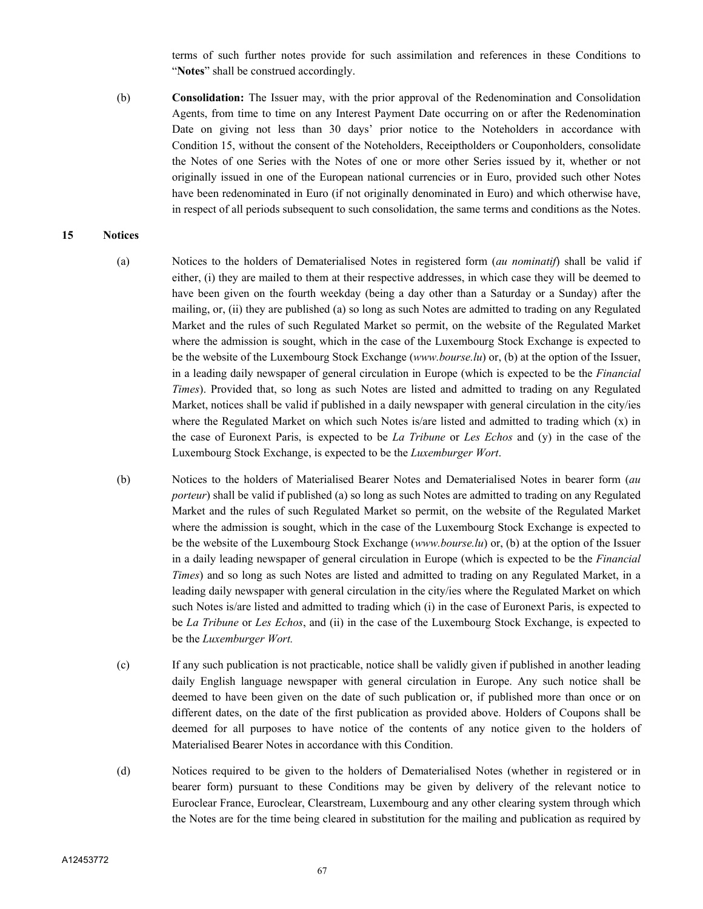terms of such further notes provide for such assimilation and references in these Conditions to "**Notes**" shall be construed accordingly.

(b) **Consolidation:** The Issuer may, with the prior approval of the Redenomination and Consolidation Agents, from time to time on any Interest Payment Date occurring on or after the Redenomination Date on giving not less than 30 days' prior notice to the Noteholders in accordance with Condition 15, without the consent of the Noteholders, Receiptholders or Couponholders, consolidate the Notes of one Series with the Notes of one or more other Series issued by it, whether or not originally issued in one of the European national currencies or in Euro, provided such other Notes have been redenominated in Euro (if not originally denominated in Euro) and which otherwise have, in respect of all periods subsequent to such consolidation, the same terms and conditions as the Notes.

#### **15 Notices**

- (a) Notices to the holders of Dematerialised Notes in registered form (*au nominatif*) shall be valid if either, (i) they are mailed to them at their respective addresses, in which case they will be deemed to have been given on the fourth weekday (being a day other than a Saturday or a Sunday) after the mailing, or, (ii) they are published (a) so long as such Notes are admitted to trading on any Regulated Market and the rules of such Regulated Market so permit, on the website of the Regulated Market where the admission is sought, which in the case of the Luxembourg Stock Exchange is expected to be the website of the Luxembourg Stock Exchange (*www.bourse.lu*) or, (b) at the option of the Issuer, in a leading daily newspaper of general circulation in Europe (which is expected to be the *Financial Times*). Provided that, so long as such Notes are listed and admitted to trading on any Regulated Market, notices shall be valid if published in a daily newspaper with general circulation in the city/ies where the Regulated Market on which such Notes is/are listed and admitted to trading which  $(x)$  in the case of Euronext Paris, is expected to be *La Tribune* or *Les Echos* and (y) in the case of the Luxembourg Stock Exchange, is expected to be the *Luxemburger Wort*.
- (b) Notices to the holders of Materialised Bearer Notes and Dematerialised Notes in bearer form (*au porteur*) shall be valid if published (a) so long as such Notes are admitted to trading on any Regulated Market and the rules of such Regulated Market so permit, on the website of the Regulated Market where the admission is sought, which in the case of the Luxembourg Stock Exchange is expected to be the website of the Luxembourg Stock Exchange (*www.bourse.lu*) or, (b) at the option of the Issuer in a daily leading newspaper of general circulation in Europe (which is expected to be the *Financial Times*) and so long as such Notes are listed and admitted to trading on any Regulated Market, in a leading daily newspaper with general circulation in the city/ies where the Regulated Market on which such Notes is/are listed and admitted to trading which (i) in the case of Euronext Paris, is expected to be *La Tribune* or *Les Echos*, and (ii) in the case of the Luxembourg Stock Exchange, is expected to be the *Luxemburger Wort.*
- (c) If any such publication is not practicable, notice shall be validly given if published in another leading daily English language newspaper with general circulation in Europe. Any such notice shall be deemed to have been given on the date of such publication or, if published more than once or on different dates, on the date of the first publication as provided above. Holders of Coupons shall be deemed for all purposes to have notice of the contents of any notice given to the holders of Materialised Bearer Notes in accordance with this Condition.
- (d) Notices required to be given to the holders of Dematerialised Notes (whether in registered or in bearer form) pursuant to these Conditions may be given by delivery of the relevant notice to Euroclear France, Euroclear, Clearstream, Luxembourg and any other clearing system through which the Notes are for the time being cleared in substitution for the mailing and publication as required by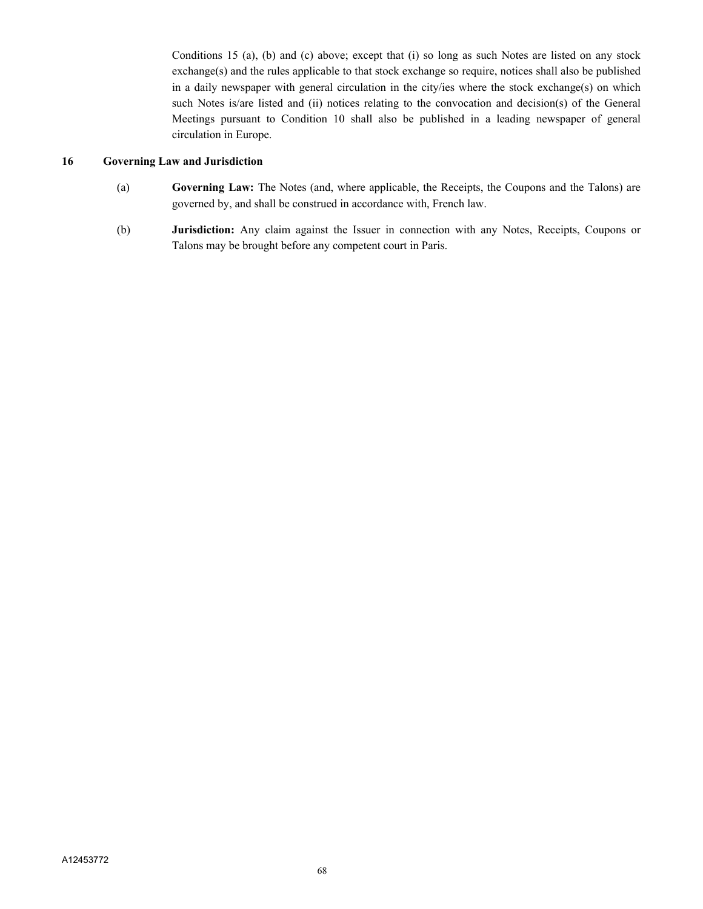Conditions 15 (a), (b) and (c) above; except that (i) so long as such Notes are listed on any stock exchange(s) and the rules applicable to that stock exchange so require, notices shall also be published in a daily newspaper with general circulation in the city/ies where the stock exchange(s) on which such Notes is/are listed and (ii) notices relating to the convocation and decision(s) of the General Meetings pursuant to Condition 10 shall also be published in a leading newspaper of general circulation in Europe.

## **16 Governing Law and Jurisdiction**

- (a) **Governing Law:** The Notes (and, where applicable, the Receipts, the Coupons and the Talons) are governed by, and shall be construed in accordance with, French law.
- (b) **Jurisdiction:** Any claim against the Issuer in connection with any Notes, Receipts, Coupons or Talons may be brought before any competent court in Paris.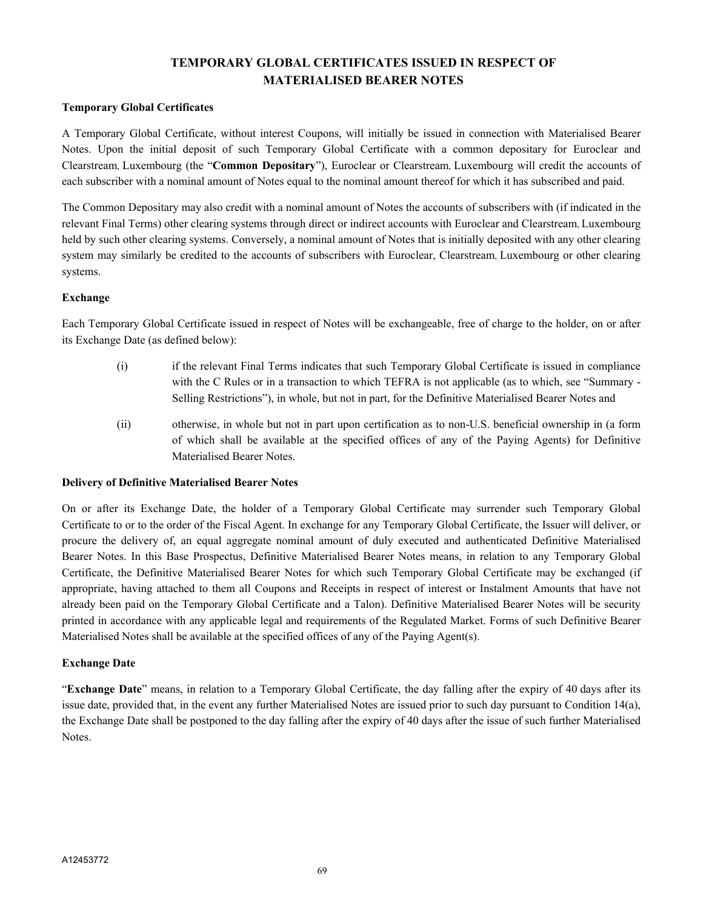# **TEMPORARY GLOBAL CERTIFICATES ISSUED IN RESPECT OF MATERIALISED BEARER NOTES**

## **Temporary Global Certificates**

A Temporary Global Certificate, without interest Coupons, will initially be issued in connection with Materialised Bearer Notes. Upon the initial deposit of such Temporary Global Certificate with a common depositary for Euroclear and Clearstream, Luxembourg (the "**Common Depositary**"), Euroclear or Clearstream, Luxembourg will credit the accounts of each subscriber with a nominal amount of Notes equal to the nominal amount thereof for which it has subscribed and paid.

The Common Depositary may also credit with a nominal amount of Notes the accounts of subscribers with (if indicated in the relevant Final Terms) other clearing systems through direct or indirect accounts with Euroclear and Clearstream, Luxembourg held by such other clearing systems. Conversely, a nominal amount of Notes that is initially deposited with any other clearing system may similarly be credited to the accounts of subscribers with Euroclear, Clearstream, Luxembourg or other clearing systems.

## **Exchange**

Each Temporary Global Certificate issued in respect of Notes will be exchangeable, free of charge to the holder, on or after its Exchange Date (as defined below):

- (i) if the relevant Final Terms indicates that such Temporary Global Certificate is issued in compliance with the C Rules or in a transaction to which TEFRA is not applicable (as to which, see "Summary -Selling Restrictions"), in whole, but not in part, for the Definitive Materialised Bearer Notes and
- (ii) otherwise, in whole but not in part upon certification as to non-U.S. beneficial ownership in (a form of which shall be available at the specified offices of any of the Paying Agents) for Definitive Materialised Bearer Notes.

## **Delivery of Definitive Materialised Bearer Notes**

On or after its Exchange Date, the holder of a Temporary Global Certificate may surrender such Temporary Global Certificate to or to the order of the Fiscal Agent. In exchange for any Temporary Global Certificate, the Issuer will deliver, or procure the delivery of, an equal aggregate nominal amount of duly executed and authenticated Definitive Materialised Bearer Notes. In this Base Prospectus, Definitive Materialised Bearer Notes means, in relation to any Temporary Global Certificate, the Definitive Materialised Bearer Notes for which such Temporary Global Certificate may be exchanged (if appropriate, having attached to them all Coupons and Receipts in respect of interest or Instalment Amounts that have not already been paid on the Temporary Global Certificate and a Talon). Definitive Materialised Bearer Notes will be security printed in accordance with any applicable legal and requirements of the Regulated Market. Forms of such Definitive Bearer Materialised Notes shall be available at the specified offices of any of the Paying Agent(s).

## **Exchange Date**

"**Exchange Date**" means, in relation to a Temporary Global Certificate, the day falling after the expiry of 40 days after its issue date, provided that, in the event any further Materialised Notes are issued prior to such day pursuant to Condition 14(a), the Exchange Date shall be postponed to the day falling after the expiry of 40 days after the issue of such further Materialised Notes.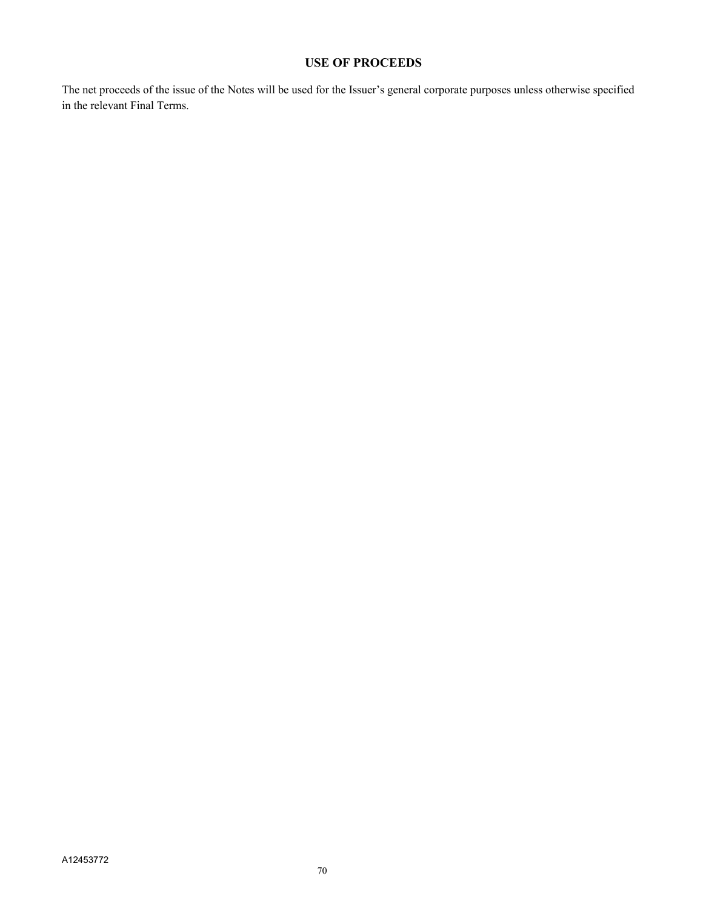# **USE OF PROCEEDS**

The net proceeds of the issue of the Notes will be used for the Issuer's general corporate purposes unless otherwise specified in the relevant Final Terms.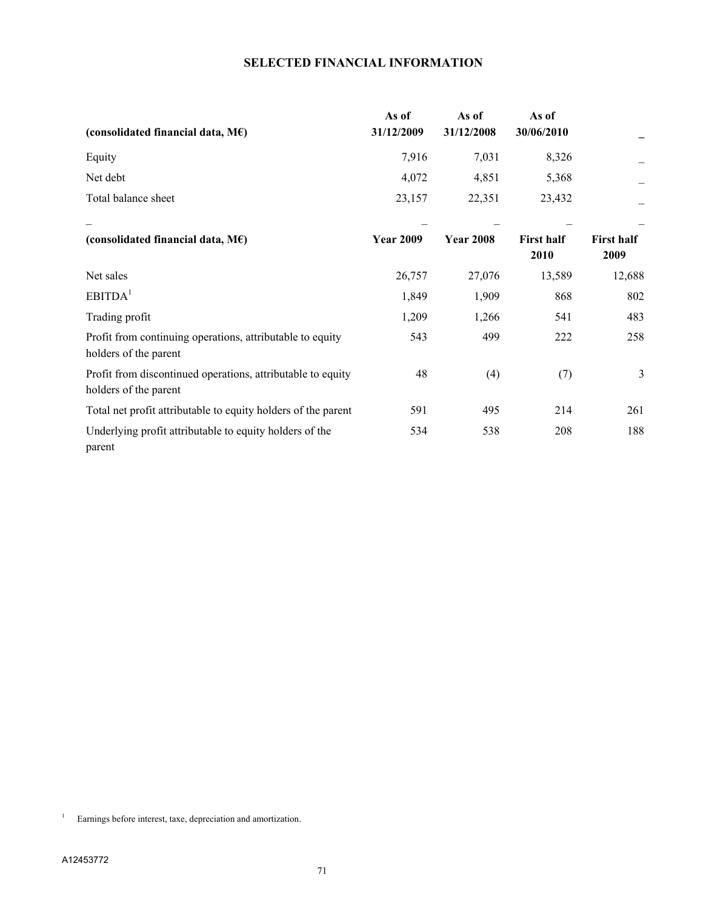# **SELECTED FINANCIAL INFORMATION**

| (consolidated financial data, $M\epsilon$ )                                          | As of<br>31/12/2009 | As of<br>31/12/2008 | As of<br>30/06/2010       |                           |
|--------------------------------------------------------------------------------------|---------------------|---------------------|---------------------------|---------------------------|
| Equity                                                                               | 7,916               | 7,031               | 8,326                     |                           |
| Net debt                                                                             | 4,072               | 4,851               | 5,368                     |                           |
| Total balance sheet                                                                  | 23,157              | 22,351              | 23,432                    |                           |
| (consolidated financial data, $M\epsilon$ )                                          | <b>Year 2009</b>    | <b>Year 2008</b>    | <b>First half</b><br>2010 | <b>First half</b><br>2009 |
| Net sales                                                                            | 26,757              | 27,076              | 13,589                    | 12,688                    |
| EBITDA <sup>1</sup>                                                                  | 1,849               | 1,909               | 868                       | 802                       |
| Trading profit                                                                       | 1,209               | 1,266               | 541                       | 483                       |
| Profit from continuing operations, attributable to equity<br>holders of the parent   | 543                 | 499                 | 222                       | 258                       |
| Profit from discontinued operations, attributable to equity<br>holders of the parent | 48                  | (4)                 | (7)                       | $\mathfrak{Z}$            |
| Total net profit attributable to equity holders of the parent                        | 591                 | 495                 | 214                       | 261                       |
| Underlying profit attributable to equity holders of the<br>parent                    | 534                 | 538                 | 208                       | 188                       |

1 Earnings before interest, taxe, depreciation and amortization.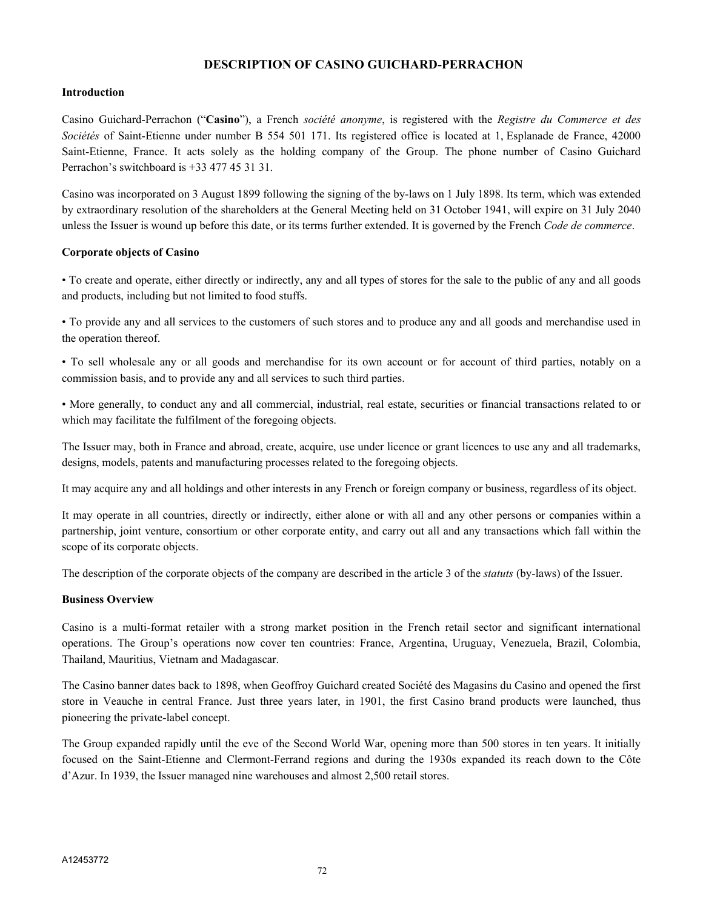## **DESCRIPTION OF CASINO GUICHARD-PERRACHON**

#### **Introduction**

Casino Guichard-Perrachon ("**Casino**"), a French *société anonyme*, is registered with the *Registre du Commerce et des Sociétés* of Saint-Etienne under number B 554 501 171. Its registered office is located at 1, Esplanade de France, 42000 Saint-Etienne, France. It acts solely as the holding company of the Group. The phone number of Casino Guichard Perrachon's switchboard is +33 477 45 31 31.

Casino was incorporated on 3 August 1899 following the signing of the by-laws on 1 July 1898. Its term, which was extended by extraordinary resolution of the shareholders at the General Meeting held on 31 October 1941, will expire on 31 July 2040 unless the Issuer is wound up before this date, or its terms further extended. It is governed by the French *Code de commerce*.

#### **Corporate objects of Casino**

• To create and operate, either directly or indirectly, any and all types of stores for the sale to the public of any and all goods and products, including but not limited to food stuffs.

• To provide any and all services to the customers of such stores and to produce any and all goods and merchandise used in the operation thereof.

• To sell wholesale any or all goods and merchandise for its own account or for account of third parties, notably on a commission basis, and to provide any and all services to such third parties.

• More generally, to conduct any and all commercial, industrial, real estate, securities or financial transactions related to or which may facilitate the fulfilment of the foregoing objects.

The Issuer may, both in France and abroad, create, acquire, use under licence or grant licences to use any and all trademarks, designs, models, patents and manufacturing processes related to the foregoing objects.

It may acquire any and all holdings and other interests in any French or foreign company or business, regardless of its object.

It may operate in all countries, directly or indirectly, either alone or with all and any other persons or companies within a partnership, joint venture, consortium or other corporate entity, and carry out all and any transactions which fall within the scope of its corporate objects.

The description of the corporate objects of the company are described in the article 3 of the *statuts* (by-laws) of the Issuer.

## **Business Overview**

Casino is a multi-format retailer with a strong market position in the French retail sector and significant international operations. The Group's operations now cover ten countries: France, Argentina, Uruguay, Venezuela, Brazil, Colombia, Thailand, Mauritius, Vietnam and Madagascar.

The Casino banner dates back to 1898, when Geoffroy Guichard created Société des Magasins du Casino and opened the first store in Veauche in central France. Just three years later, in 1901, the first Casino brand products were launched, thus pioneering the private-label concept.

The Group expanded rapidly until the eve of the Second World War, opening more than 500 stores in ten years. It initially focused on the Saint-Etienne and Clermont-Ferrand regions and during the 1930s expanded its reach down to the Côte d'Azur. In 1939, the Issuer managed nine warehouses and almost 2,500 retail stores.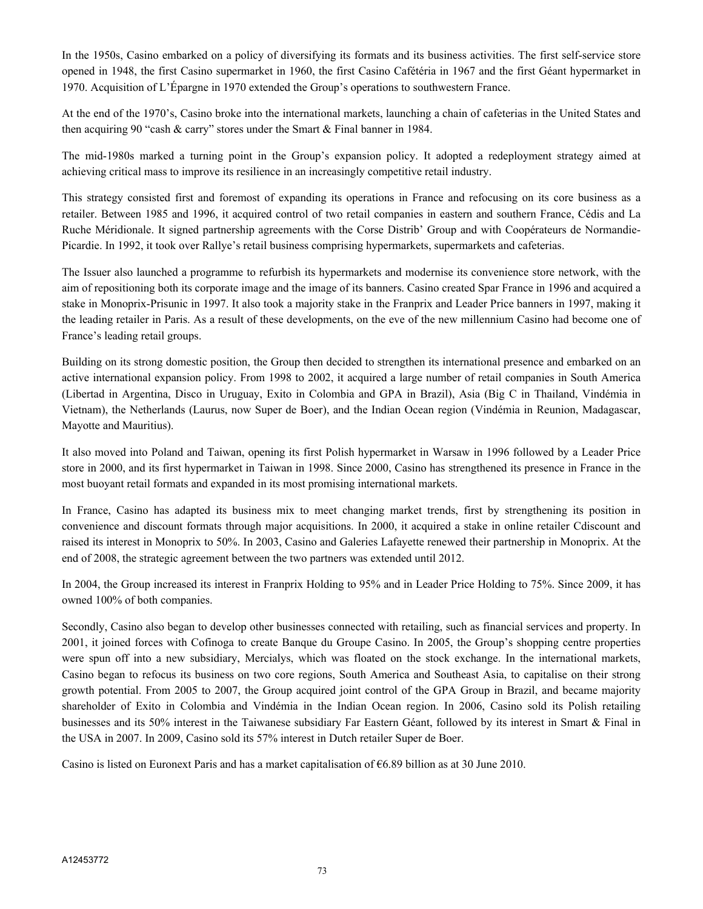In the 1950s, Casino embarked on a policy of diversifying its formats and its business activities. The first self-service store opened in 1948, the first Casino supermarket in 1960, the first Casino Cafétéria in 1967 and the first Géant hypermarket in 1970. Acquisition of L'Épargne in 1970 extended the Group's operations to southwestern France.

At the end of the 1970's, Casino broke into the international markets, launching a chain of cafeterias in the United States and then acquiring 90 "cash & carry" stores under the Smart & Final banner in 1984.

The mid-1980s marked a turning point in the Group's expansion policy. It adopted a redeployment strategy aimed at achieving critical mass to improve its resilience in an increasingly competitive retail industry.

This strategy consisted first and foremost of expanding its operations in France and refocusing on its core business as a retailer. Between 1985 and 1996, it acquired control of two retail companies in eastern and southern France, Cédis and La Ruche Méridionale. It signed partnership agreements with the Corse Distrib' Group and with Coopérateurs de Normandie-Picardie. In 1992, it took over Rallye's retail business comprising hypermarkets, supermarkets and cafeterias.

The Issuer also launched a programme to refurbish its hypermarkets and modernise its convenience store network, with the aim of repositioning both its corporate image and the image of its banners. Casino created Spar France in 1996 and acquired a stake in Monoprix-Prisunic in 1997. It also took a majority stake in the Franprix and Leader Price banners in 1997, making it the leading retailer in Paris. As a result of these developments, on the eve of the new millennium Casino had become one of France's leading retail groups.

Building on its strong domestic position, the Group then decided to strengthen its international presence and embarked on an active international expansion policy. From 1998 to 2002, it acquired a large number of retail companies in South America (Libertad in Argentina, Disco in Uruguay, Exito in Colombia and GPA in Brazil), Asia (Big C in Thailand, Vindémia in Vietnam), the Netherlands (Laurus, now Super de Boer), and the Indian Ocean region (Vindémia in Reunion, Madagascar, Mayotte and Mauritius).

It also moved into Poland and Taiwan, opening its first Polish hypermarket in Warsaw in 1996 followed by a Leader Price store in 2000, and its first hypermarket in Taiwan in 1998. Since 2000, Casino has strengthened its presence in France in the most buoyant retail formats and expanded in its most promising international markets.

In France, Casino has adapted its business mix to meet changing market trends, first by strengthening its position in convenience and discount formats through major acquisitions. In 2000, it acquired a stake in online retailer Cdiscount and raised its interest in Monoprix to 50%. In 2003, Casino and Galeries Lafayette renewed their partnership in Monoprix. At the end of 2008, the strategic agreement between the two partners was extended until 2012.

In 2004, the Group increased its interest in Franprix Holding to 95% and in Leader Price Holding to 75%. Since 2009, it has owned 100% of both companies.

Secondly, Casino also began to develop other businesses connected with retailing, such as financial services and property. In 2001, it joined forces with Cofinoga to create Banque du Groupe Casino. In 2005, the Group's shopping centre properties were spun off into a new subsidiary, Mercialys, which was floated on the stock exchange. In the international markets, Casino began to refocus its business on two core regions, South America and Southeast Asia, to capitalise on their strong growth potential. From 2005 to 2007, the Group acquired joint control of the GPA Group in Brazil, and became majority shareholder of Exito in Colombia and Vindémia in the Indian Ocean region. In 2006, Casino sold its Polish retailing businesses and its 50% interest in the Taiwanese subsidiary Far Eastern Géant, followed by its interest in Smart & Final in the USA in 2007. In 2009, Casino sold its 57% interest in Dutch retailer Super de Boer.

Casino is listed on Euronext Paris and has a market capitalisation of  $66.89$  billion as at 30 June 2010.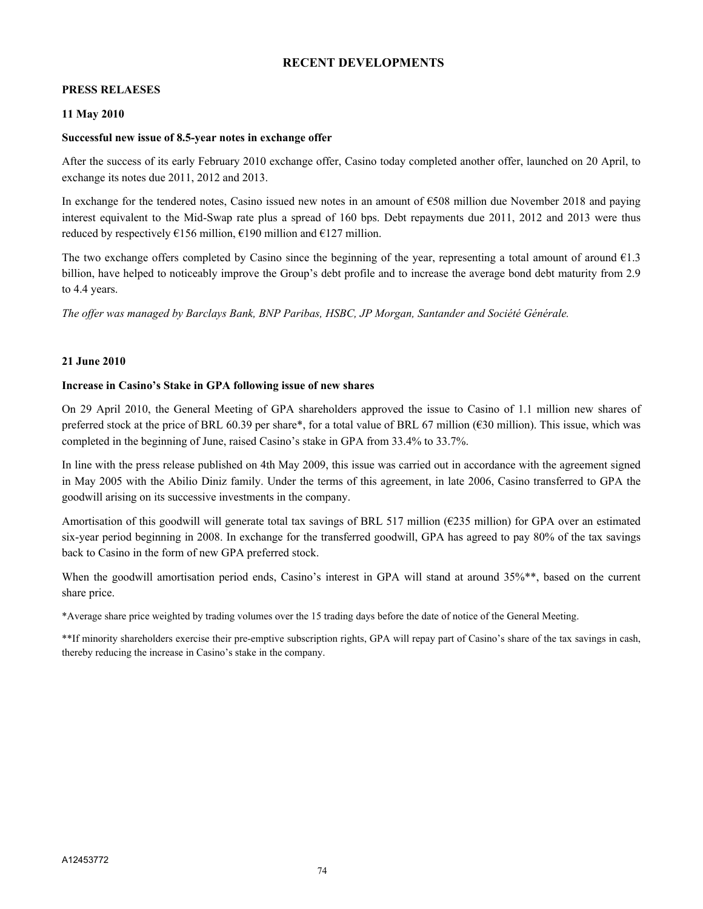# **RECENT DEVELOPMENTS**

#### **PRESS RELAESES**

#### **11 May 2010**

#### **Successful new issue of 8.5-year notes in exchange offer**

After the success of its early February 2010 exchange offer, Casino today completed another offer, launched on 20 April, to exchange its notes due 2011, 2012 and 2013.

In exchange for the tendered notes, Casino issued new notes in an amount of €508 million due November 2018 and paying interest equivalent to the Mid-Swap rate plus a spread of 160 bps. Debt repayments due 2011, 2012 and 2013 were thus reduced by respectively  $\epsilon$ 156 million,  $\epsilon$ 190 million and  $\epsilon$ 127 million.

The two exchange offers completed by Casino since the beginning of the year, representing a total amount of around  $E1.3$ billion, have helped to noticeably improve the Group's debt profile and to increase the average bond debt maturity from 2.9 to 4.4 years.

*The offer was managed by Barclays Bank, BNP Paribas, HSBC, JP Morgan, Santander and Société Générale.*

## **21 June 2010**

#### **Increase in Casino's Stake in GPA following issue of new shares**

On 29 April 2010, the General Meeting of GPA shareholders approved the issue to Casino of 1.1 million new shares of preferred stock at the price of BRL 60.39 per share\*, for a total value of BRL 67 million (€30 million). This issue, which was completed in the beginning of June, raised Casino's stake in GPA from 33.4% to 33.7%.

In line with the press release published on 4th May 2009, this issue was carried out in accordance with the agreement signed in May 2005 with the Abilio Diniz family. Under the terms of this agreement, in late 2006, Casino transferred to GPA the goodwill arising on its successive investments in the company.

Amortisation of this goodwill will generate total tax savings of BRL 517 million ( $\epsilon$ 235 million) for GPA over an estimated six-year period beginning in 2008. In exchange for the transferred goodwill, GPA has agreed to pay 80% of the tax savings back to Casino in the form of new GPA preferred stock.

When the goodwill amortisation period ends, Casino's interest in GPA will stand at around 35%<sup>\*\*</sup>, based on the current share price.

\*Average share price weighted by trading volumes over the 15 trading days before the date of notice of the General Meeting.

\*\*If minority shareholders exercise their pre-emptive subscription rights, GPA will repay part of Casino's share of the tax savings in cash, thereby reducing the increase in Casino's stake in the company.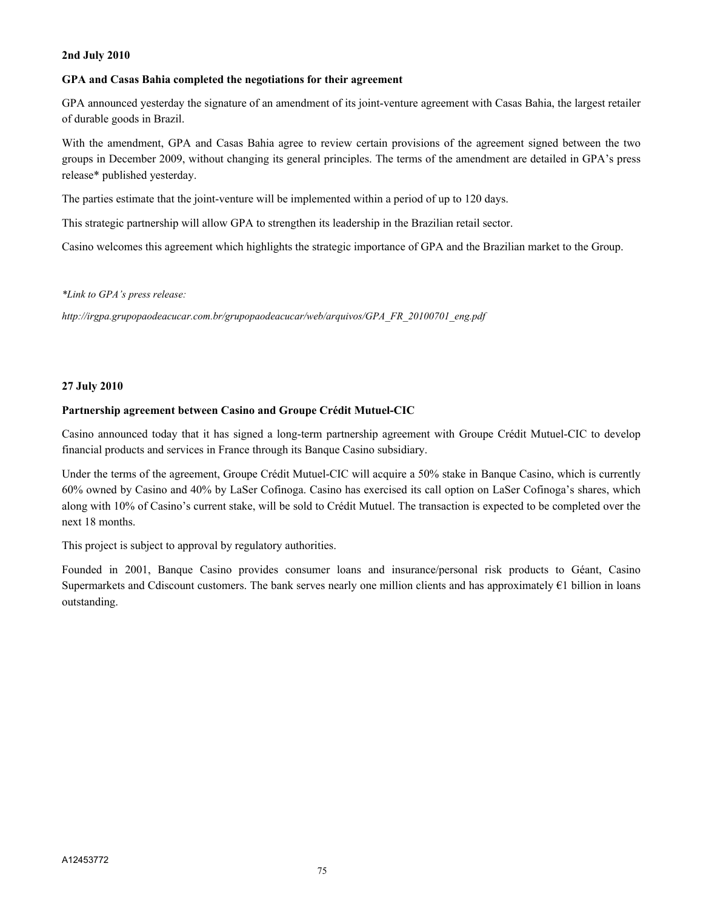#### **2nd July 2010**

# **GPA and Casas Bahia completed the negotiations for their agreement**

GPA announced yesterday the signature of an amendment of its joint-venture agreement with Casas Bahia, the largest retailer of durable goods in Brazil.

With the amendment, GPA and Casas Bahia agree to review certain provisions of the agreement signed between the two groups in December 2009, without changing its general principles. The terms of the amendment are detailed in GPA's press release\* published yesterday.

The parties estimate that the joint-venture will be implemented within a period of up to 120 days.

This strategic partnership will allow GPA to strengthen its leadership in the Brazilian retail sector.

Casino welcomes this agreement which highlights the strategic importance of GPA and the Brazilian market to the Group.

*\*Link to GPA's press release:* 

*http://irgpa.grupopaodeacucar.com.br/grupopaodeacucar/web/arquivos/GPA\_FR\_20100701\_eng.pdf* 

# **27 July 2010**

# **Partnership agreement between Casino and Groupe Crédit Mutuel-CIC**

Casino announced today that it has signed a long-term partnership agreement with Groupe Crédit Mutuel-CIC to develop financial products and services in France through its Banque Casino subsidiary.

Under the terms of the agreement, Groupe Crédit Mutuel-CIC will acquire a 50% stake in Banque Casino, which is currently 60% owned by Casino and 40% by LaSer Cofinoga. Casino has exercised its call option on LaSer Cofinoga's shares, which along with 10% of Casino's current stake, will be sold to Crédit Mutuel. The transaction is expected to be completed over the next 18 months.

This project is subject to approval by regulatory authorities.

Founded in 2001, Banque Casino provides consumer loans and insurance/personal risk products to Géant, Casino Supermarkets and Cdiscount customers. The bank serves nearly one million clients and has approximately €1 billion in loans outstanding.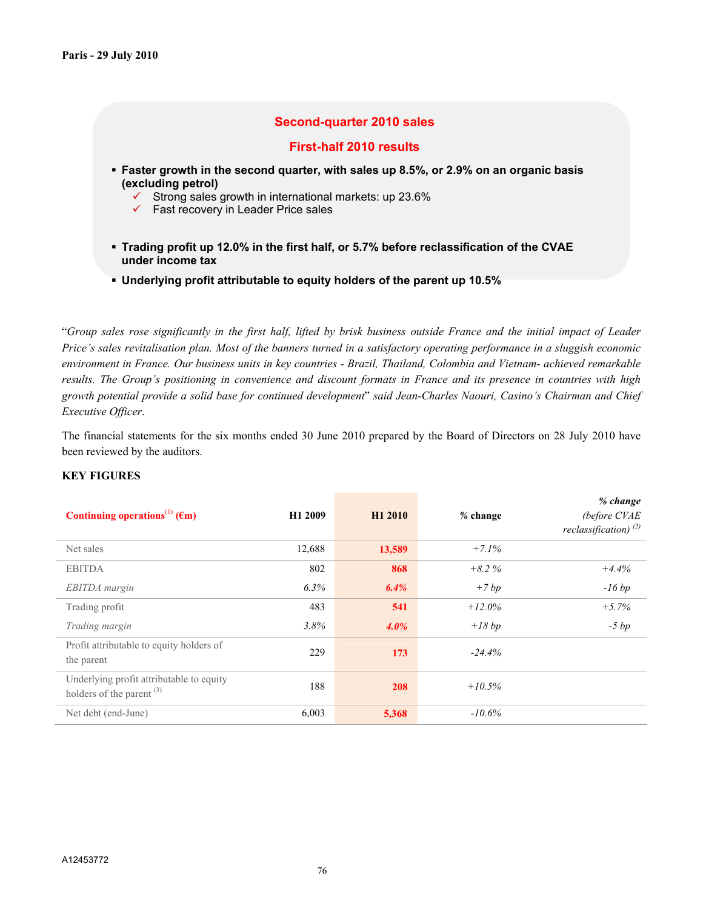# **Second-quarter 2010 sales**

## **First-half 2010 results**

- **Faster growth in the second quarter, with sales up 8.5%, or 2.9% on an organic basis (excluding petrol)**
	- $\checkmark$  Strong sales growth in international markets: up 23.6%
	- $\checkmark$  Fast recovery in Leader Price sales
- **Trading profit up 12.0% in the first half, or 5.7% before reclassification of the CVAE under income tax**
- **Underlying profit attributable to equity holders of the parent up 10.5%**

"*Group sales rose significantly in the first half, lifted by brisk business outside France and the initial impact of Leader Price's sales revitalisation plan. Most of the banners turned in a satisfactory operating performance in a sluggish economic environment in France. Our business units in key countries - Brazil, Thailand, Colombia and Vietnam- achieved remarkable results. The Group's positioning in convenience and discount formats in France and its presence in countries with high growth potential provide a solid base for continued development*" *said Jean-Charles Naouri, Casino's Chairman and Chief Executive Officer*.

The financial statements for the six months ended 30 June 2010 prepared by the Board of Directors on 28 July 2010 have been reviewed by the auditors.

#### **KEY FIGURES**

| Continuing operations <sup>(1)</sup> ( $\epsilon$ m)                             | H1 2009 | H1 2010 | $%$ change | % change<br>(before CVAE<br>reclassification) $^{(2)}$ |
|----------------------------------------------------------------------------------|---------|---------|------------|--------------------------------------------------------|
| Net sales                                                                        | 12,688  | 13,589  | $+7.1%$    |                                                        |
| <b>EBITDA</b>                                                                    | 802     | 868     | $+8.2%$    | $+4.4%$                                                |
| EBITDA margin                                                                    | 6.3%    | 6.4%    | $+7bp$     | $-16bp$                                                |
| Trading profit                                                                   | 483     | 541     | $+12.0\%$  | $+5.7%$                                                |
| Trading margin                                                                   | 3.8%    | $4.0\%$ | $+18 bp$   | $-5 bp$                                                |
| Profit attributable to equity holders of<br>the parent                           | 229     | 173     | $-24.4%$   |                                                        |
| Underlying profit attributable to equity<br>holders of the parent <sup>(3)</sup> | 188     | 208     | $+10.5\%$  |                                                        |
| Net debt (end-June)                                                              | 6,003   | 5,368   | $-10.6\%$  |                                                        |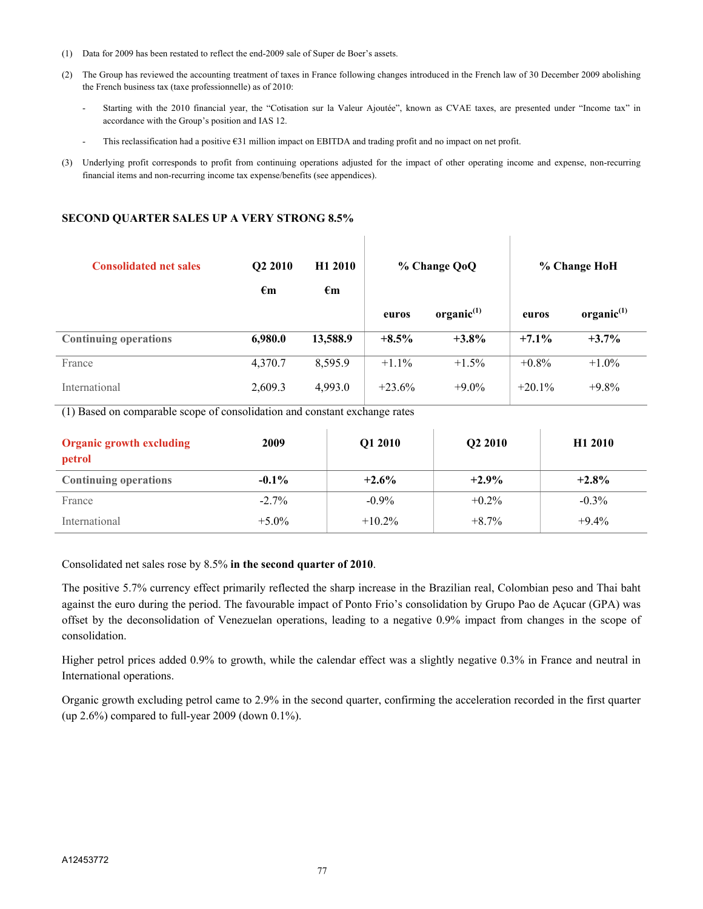- (1) Data for 2009 has been restated to reflect the end-2009 sale of Super de Boer's assets.
- (2) The Group has reviewed the accounting treatment of taxes in France following changes introduced in the French law of 30 December 2009 abolishing the French business tax (taxe professionnelle) as of 2010:
	- Starting with the 2010 financial year, the "Cotisation sur la Valeur Ajoutée", known as CVAE taxes, are presented under "Income tax" in accordance with the Group's position and IAS 12.
	- This reclassification had a positive €31 million impact on EBITDA and trading profit and no impact on net profit.
- (3) Underlying profit corresponds to profit from continuing operations adjusted for the impact of other operating income and expense, non-recurring financial items and non-recurring income tax expense/benefits (see appendices).

 $\overline{\phantom{a}}$ 

#### **SECOND QUARTER SALES UP A VERY STRONG 8.5%**

| <b>Consolidated net sales</b> | Q <sub>2</sub> 2010<br>$\epsilon_{\rm m}$ | H <sub>1</sub> 2010<br>$\epsilon_{\text{m}}$ | % Change QoQ |                        |           | % Change HoH           |
|-------------------------------|-------------------------------------------|----------------------------------------------|--------------|------------------------|-----------|------------------------|
|                               |                                           |                                              | euros        | organic <sup>(1)</sup> | euros     | organic <sup>(1)</sup> |
| <b>Continuing operations</b>  | 6,980.0                                   | 13,588.9                                     | $+8.5\%$     | $+3.8\%$               | $+7.1\%$  | $+3.7\%$               |
| France                        | 4,370.7                                   | 8,595.9                                      | $+1.1\%$     | $+1.5\%$               | $+0.8\%$  | $+1.0\%$               |
| International                 | 2,609.3                                   | 4,993.0                                      | $+23.6%$     | $+9.0\%$               | $+20.1\%$ | $+9.8\%$               |

(1) Based on comparable scope of consolidation and constant exchange rates

| <b>Organic growth excluding</b><br>petrol | 2009     | Q1 2010   | Q <sub>2</sub> 2010 | H <sub>1</sub> 2010 |
|-------------------------------------------|----------|-----------|---------------------|---------------------|
| <b>Continuing operations</b>              | $-0.1\%$ | $+2.6%$   | $+2.9\%$            | $+2.8%$             |
| France                                    | $-2.7\%$ | $-0.9\%$  | $+0.2\%$            | $-0.3\%$            |
| International                             | $+5.0\%$ | $+10.2\%$ | $+8.7\%$            | $+9.4%$             |

Consolidated net sales rose by 8.5% **in the second quarter of 2010**.

The positive 5.7% currency effect primarily reflected the sharp increase in the Brazilian real, Colombian peso and Thai baht against the euro during the period. The favourable impact of Ponto Frio's consolidation by Grupo Pao de Açucar (GPA) was offset by the deconsolidation of Venezuelan operations, leading to a negative 0.9% impact from changes in the scope of consolidation.

Higher petrol prices added 0.9% to growth, while the calendar effect was a slightly negative 0.3% in France and neutral in International operations.

Organic growth excluding petrol came to 2.9% in the second quarter, confirming the acceleration recorded in the first quarter (up 2.6%) compared to full-year 2009 (down 0.1%).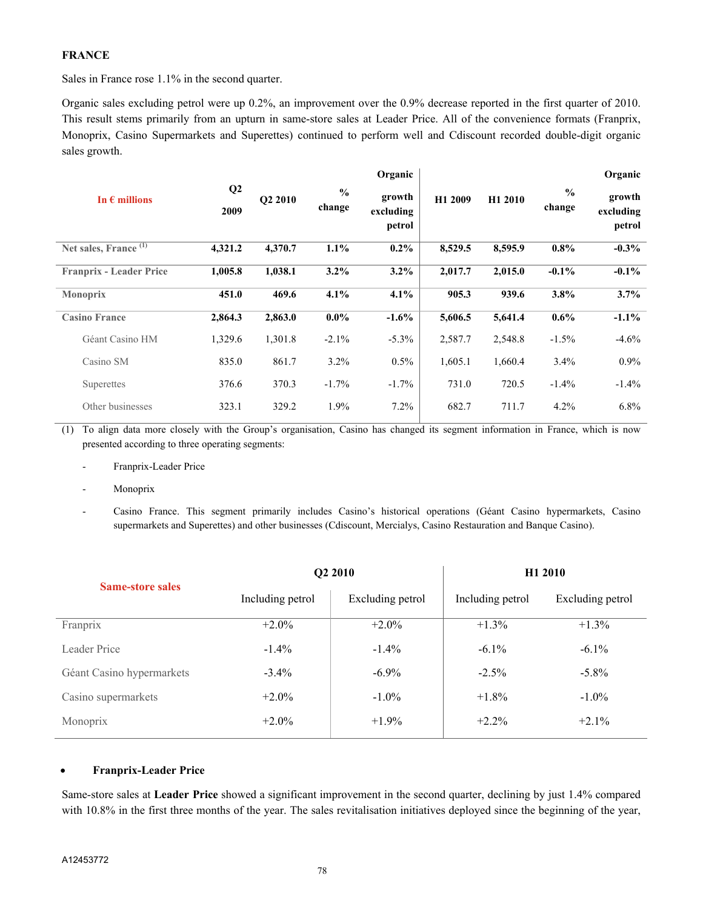## **FRANCE**

Sales in France rose 1.1% in the second quarter.

Organic sales excluding petrol were up 0.2%, an improvement over the 0.9% decrease reported in the first quarter of 2010. This result stems primarily from an upturn in same-store sales at Leader Price. All of the convenience formats (Franprix, Monoprix, Casino Supermarkets and Superettes) continued to perform well and Cdiscount recorded double-digit organic sales growth.

| In $\epsilon$ millions           | Q2<br>2009 | <b>O2 2010</b> | $\frac{0}{0}$<br>change | Organic<br>growth<br>excluding<br>petrol | H <sub>1</sub> 2009 | H1 2010 | $\frac{0}{0}$<br>change | Organic<br>growth<br>excluding<br>petrol |
|----------------------------------|------------|----------------|-------------------------|------------------------------------------|---------------------|---------|-------------------------|------------------------------------------|
| Net sales, France <sup>(1)</sup> | 4,321.2    | 4,370.7        | 1.1%                    | $0.2\%$                                  | 8,529.5             | 8,595.9 | $0.8\%$                 | $-0.3\%$                                 |
| <b>Franprix - Leader Price</b>   | 1,005.8    | 1,038.1        | 3.2%                    | $3.2\%$                                  | 2,017.7             | 2,015.0 | $-0.1\%$                | $-0.1\%$                                 |
| <b>Monoprix</b>                  | 451.0      | 469.6          | 4.1%                    | 4.1%                                     | 905.3               | 939.6   | 3.8%                    | 3.7%                                     |
| <b>Casino France</b>             | 2,864.3    | 2,863.0        | $0.0\%$                 | $-1.6%$                                  | 5,606.5             | 5,641.4 | $0.6\%$                 | $-1.1\%$                                 |
| Géant Casino HM                  | 1,329.6    | 1,301.8        | $-2.1\%$                | $-5.3\%$                                 | 2,587.7             | 2,548.8 | $-1.5\%$                | $-4.6%$                                  |
| Casino SM                        | 835.0      | 861.7          | 3.2%                    | $0.5\%$                                  | 1,605.1             | 1,660.4 | 3.4%                    | $0.9\%$                                  |
| Superettes                       | 376.6      | 370.3          | $-1.7\%$                | $-1.7%$                                  | 731.0               | 720.5   | $-1.4\%$                | $-1.4%$                                  |
| Other businesses                 | 323.1      | 329.2          | 1.9%                    | 7.2%                                     | 682.7               | 711.7   | 4.2%                    | 6.8%                                     |

(1) To align data more closely with the Group's organisation, Casino has changed its segment information in France, which is now presented according to three operating segments:

- Franprix-Leader Price
- **Monoprix**

Casino France. This segment primarily includes Casino's historical operations (Géant Casino hypermarkets, Casino supermarkets and Superettes) and other businesses (Cdiscount, Mercialys, Casino Restauration and Banque Casino).

|                           |                                      | Q <sub>2</sub> 2010 | H <sub>1</sub> 2010 |                  |  |
|---------------------------|--------------------------------------|---------------------|---------------------|------------------|--|
| <b>Same-store sales</b>   | Excluding petrol<br>Including petrol |                     | Including petrol    | Excluding petrol |  |
| Franprix                  | $+2.0\%$                             | $+2.0\%$            | $+1.3\%$            | $+1.3\%$         |  |
| Leader Price              | $-1.4\%$                             | $-1.4\%$            | $-6.1\%$            | $-6.1\%$         |  |
| Géant Casino hypermarkets | $-3.4\%$                             | $-6.9\%$            | $-2.5\%$            | $-5.8\%$         |  |
| Casino supermarkets       | $+2.0\%$                             | $-1.0\%$            | $+1.8\%$            | $-1.0\%$         |  |
| Monoprix                  | $+2.0\%$                             | $+1.9\%$            | $+2.2\%$            | $+2.1\%$         |  |

## **Franprix-Leader Price**

Same-store sales at **Leader Price** showed a significant improvement in the second quarter, declining by just 1.4% compared with 10.8% in the first three months of the year. The sales revitalisation initiatives deployed since the beginning of the year,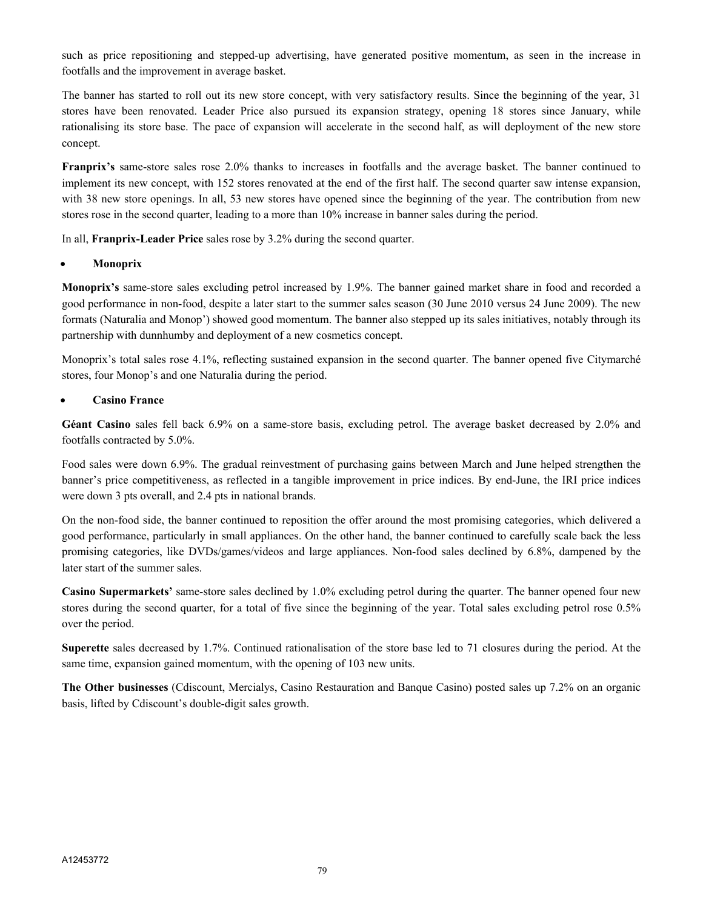such as price repositioning and stepped-up advertising, have generated positive momentum, as seen in the increase in footfalls and the improvement in average basket.

The banner has started to roll out its new store concept, with very satisfactory results. Since the beginning of the year, 31 stores have been renovated. Leader Price also pursued its expansion strategy, opening 18 stores since January, while rationalising its store base. The pace of expansion will accelerate in the second half, as will deployment of the new store concept.

**Franprix's** same-store sales rose 2.0% thanks to increases in footfalls and the average basket. The banner continued to implement its new concept, with 152 stores renovated at the end of the first half. The second quarter saw intense expansion, with 38 new store openings. In all, 53 new stores have opened since the beginning of the year. The contribution from new stores rose in the second quarter, leading to a more than 10% increase in banner sales during the period.

In all, **Franprix-Leader Price** sales rose by 3.2% during the second quarter.

## **Monoprix**

**Monoprix's** same-store sales excluding petrol increased by 1.9%. The banner gained market share in food and recorded a good performance in non-food, despite a later start to the summer sales season (30 June 2010 versus 24 June 2009). The new formats (Naturalia and Monop') showed good momentum. The banner also stepped up its sales initiatives, notably through its partnership with dunnhumby and deployment of a new cosmetics concept.

Monoprix's total sales rose 4.1%, reflecting sustained expansion in the second quarter. The banner opened five Citymarché stores, four Monop's and one Naturalia during the period.

# **Casino France**

**Géant Casino** sales fell back 6.9% on a same-store basis, excluding petrol. The average basket decreased by 2.0% and footfalls contracted by 5.0%.

Food sales were down 6.9%. The gradual reinvestment of purchasing gains between March and June helped strengthen the banner's price competitiveness, as reflected in a tangible improvement in price indices. By end-June, the IRI price indices were down 3 pts overall, and 2.4 pts in national brands.

On the non-food side, the banner continued to reposition the offer around the most promising categories, which delivered a good performance, particularly in small appliances. On the other hand, the banner continued to carefully scale back the less promising categories, like DVDs/games/videos and large appliances. Non-food sales declined by 6.8%, dampened by the later start of the summer sales.

**Casino Supermarkets'** same-store sales declined by 1.0% excluding petrol during the quarter. The banner opened four new stores during the second quarter, for a total of five since the beginning of the year. Total sales excluding petrol rose 0.5% over the period.

**Superette** sales decreased by 1.7%. Continued rationalisation of the store base led to 71 closures during the period. At the same time, expansion gained momentum, with the opening of 103 new units.

**The Other businesses** (Cdiscount, Mercialys, Casino Restauration and Banque Casino) posted sales up 7.2% on an organic basis, lifted by Cdiscount's double-digit sales growth.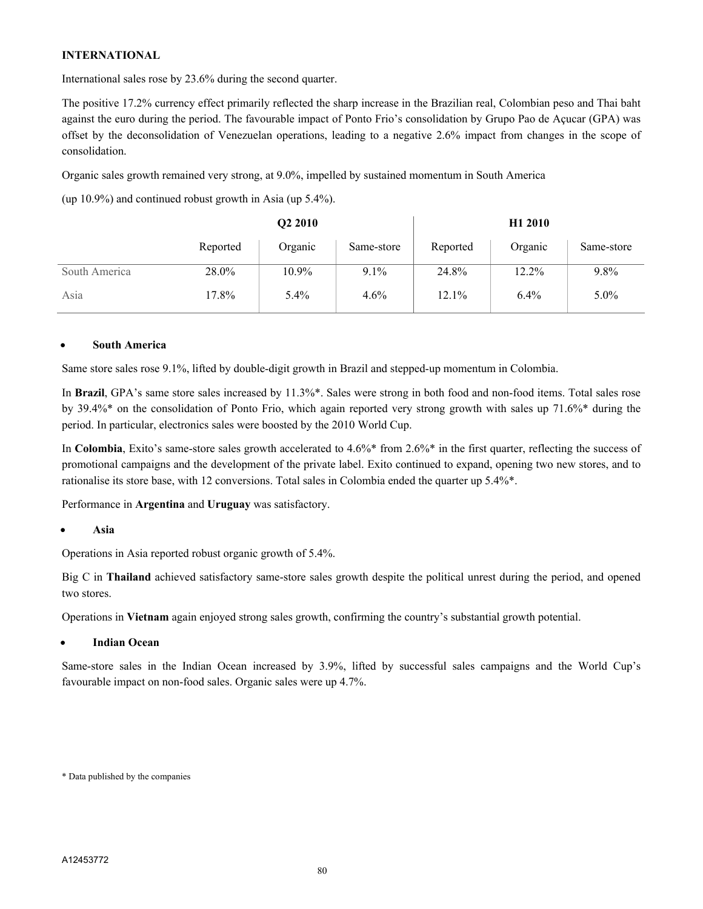## **INTERNATIONAL**

International sales rose by 23.6% during the second quarter.

The positive 17.2% currency effect primarily reflected the sharp increase in the Brazilian real, Colombian peso and Thai baht against the euro during the period. The favourable impact of Ponto Frio's consolidation by Grupo Pao de Açucar (GPA) was offset by the deconsolidation of Venezuelan operations, leading to a negative 2.6% impact from changes in the scope of consolidation.

Organic sales growth remained very strong, at 9.0%, impelled by sustained momentum in South America

(up 10.9%) and continued robust growth in Asia (up 5.4%).

|               |          | Q2 2010 |            |          | H <sub>1</sub> 2010 |            |  |
|---------------|----------|---------|------------|----------|---------------------|------------|--|
|               | Reported | Organic | Same-store | Reported | Organic             | Same-store |  |
| South America | 28.0%    | 10.9%   | $9.1\%$    | 24.8%    | $12.2\%$            | 9.8%       |  |
| Asia          | 17.8%    | $5.4\%$ | $4.6\%$    | 12.1%    | $6.4\%$             | $5.0\%$    |  |

## **South America**

Same store sales rose 9.1%, lifted by double-digit growth in Brazil and stepped-up momentum in Colombia.

In **Brazil**, GPA's same store sales increased by 11.3%\*. Sales were strong in both food and non-food items. Total sales rose by 39.4%\* on the consolidation of Ponto Frio, which again reported very strong growth with sales up 71.6%\* during the period. In particular, electronics sales were boosted by the 2010 World Cup.

In **Colombia**, Exito's same-store sales growth accelerated to 4.6%\* from 2.6%\* in the first quarter, reflecting the success of promotional campaigns and the development of the private label. Exito continued to expand, opening two new stores, and to rationalise its store base, with 12 conversions. Total sales in Colombia ended the quarter up 5.4%\*.

Performance in **Argentina** and **Uruguay** was satisfactory.

## **Asia**

Operations in Asia reported robust organic growth of 5.4%.

Big C in **Thailand** achieved satisfactory same-store sales growth despite the political unrest during the period, and opened two stores.

Operations in **Vietnam** again enjoyed strong sales growth, confirming the country's substantial growth potential.

## **Indian Ocean**

Same-store sales in the Indian Ocean increased by 3.9%, lifted by successful sales campaigns and the World Cup's favourable impact on non-food sales. Organic sales were up 4.7%.

<sup>\*</sup> Data published by the companies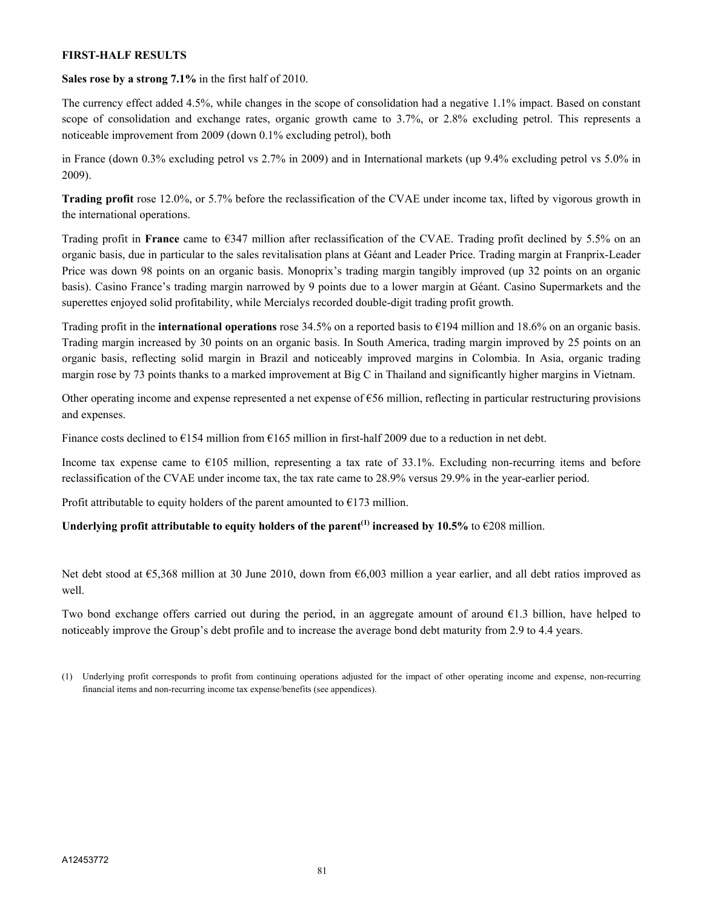#### **FIRST-HALF RESULTS**

**Sales rose by a strong 7.1%** in the first half of 2010.

The currency effect added 4.5%, while changes in the scope of consolidation had a negative 1.1% impact. Based on constant scope of consolidation and exchange rates, organic growth came to 3.7%, or 2.8% excluding petrol. This represents a noticeable improvement from 2009 (down 0.1% excluding petrol), both

in France (down 0.3% excluding petrol vs 2.7% in 2009) and in International markets (up 9.4% excluding petrol vs 5.0% in 2009).

**Trading profit** rose 12.0%, or 5.7% before the reclassification of the CVAE under income tax, lifted by vigorous growth in the international operations.

Trading profit in **France** came to €347 million after reclassification of the CVAE. Trading profit declined by 5.5% on an organic basis, due in particular to the sales revitalisation plans at Géant and Leader Price. Trading margin at Franprix-Leader Price was down 98 points on an organic basis. Monoprix's trading margin tangibly improved (up 32 points on an organic basis). Casino France's trading margin narrowed by 9 points due to a lower margin at Géant. Casino Supermarkets and the superettes enjoyed solid profitability, while Mercialys recorded double-digit trading profit growth.

Trading profit in the **international operations** rose 34.5% on a reported basis to €194 million and 18.6% on an organic basis. Trading margin increased by 30 points on an organic basis. In South America, trading margin improved by 25 points on an organic basis, reflecting solid margin in Brazil and noticeably improved margins in Colombia. In Asia, organic trading margin rose by 73 points thanks to a marked improvement at Big C in Thailand and significantly higher margins in Vietnam.

Other operating income and expense represented a net expense of €56 million, reflecting in particular restructuring provisions and expenses.

Finance costs declined to  $\epsilon$ 154 million from  $\epsilon$ 165 million in first-half 2009 due to a reduction in net debt.

Income tax expense came to  $E105$  million, representing a tax rate of 33.1%. Excluding non-recurring items and before reclassification of the CVAE under income tax, the tax rate came to 28.9% versus 29.9% in the year-earlier period.

Profit attributable to equity holders of the parent amounted to  $E$ 173 million.

**Underlying profit attributable to equity holders of the parent<sup>** $(1)$ **</sup> increased by 10.5% to**  $\epsilon$ **208 million.** 

Net debt stood at €5,368 million at 30 June 2010, down from €6,003 million a year earlier, and all debt ratios improved as well.

Two bond exchange offers carried out during the period, in an aggregate amount of around  $\epsilon$ 1.3 billion, have helped to noticeably improve the Group's debt profile and to increase the average bond debt maturity from 2.9 to 4.4 years.

<sup>(1)</sup> Underlying profit corresponds to profit from continuing operations adjusted for the impact of other operating income and expense, non-recurring financial items and non-recurring income tax expense/benefits (see appendices).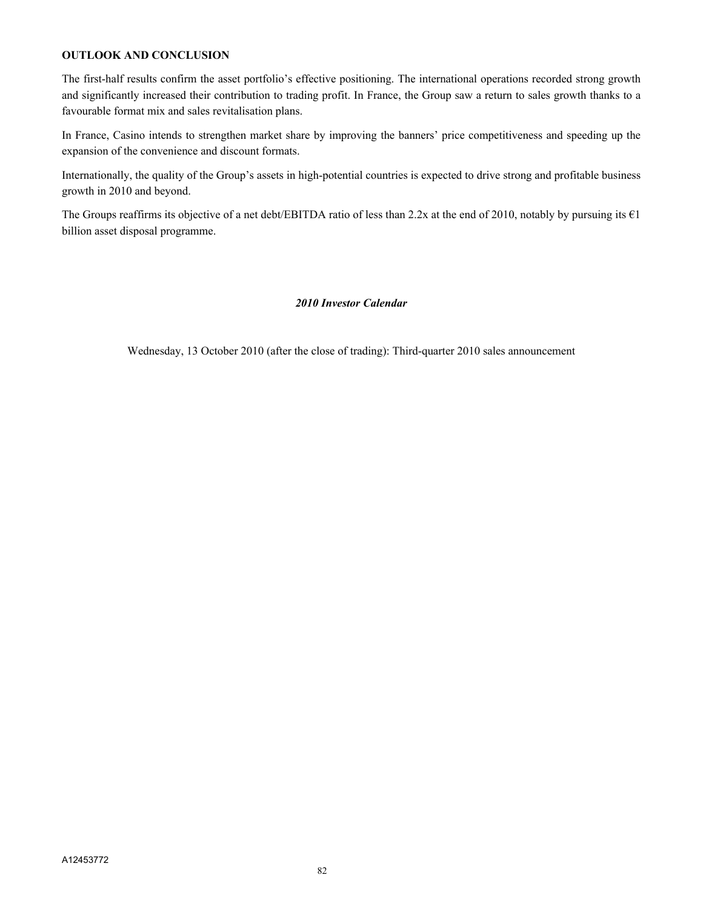### **OUTLOOK AND CONCLUSION**

The first-half results confirm the asset portfolio's effective positioning. The international operations recorded strong growth and significantly increased their contribution to trading profit. In France, the Group saw a return to sales growth thanks to a favourable format mix and sales revitalisation plans.

In France, Casino intends to strengthen market share by improving the banners' price competitiveness and speeding up the expansion of the convenience and discount formats.

Internationally, the quality of the Group's assets in high-potential countries is expected to drive strong and profitable business growth in 2010 and beyond.

The Groups reaffirms its objective of a net debt/EBITDA ratio of less than 2.2x at the end of 2010, notably by pursuing its  $\epsilon$ 1 billion asset disposal programme.

## *2010 Investor Calendar*

Wednesday, 13 October 2010 (after the close of trading): Third-quarter 2010 sales announcement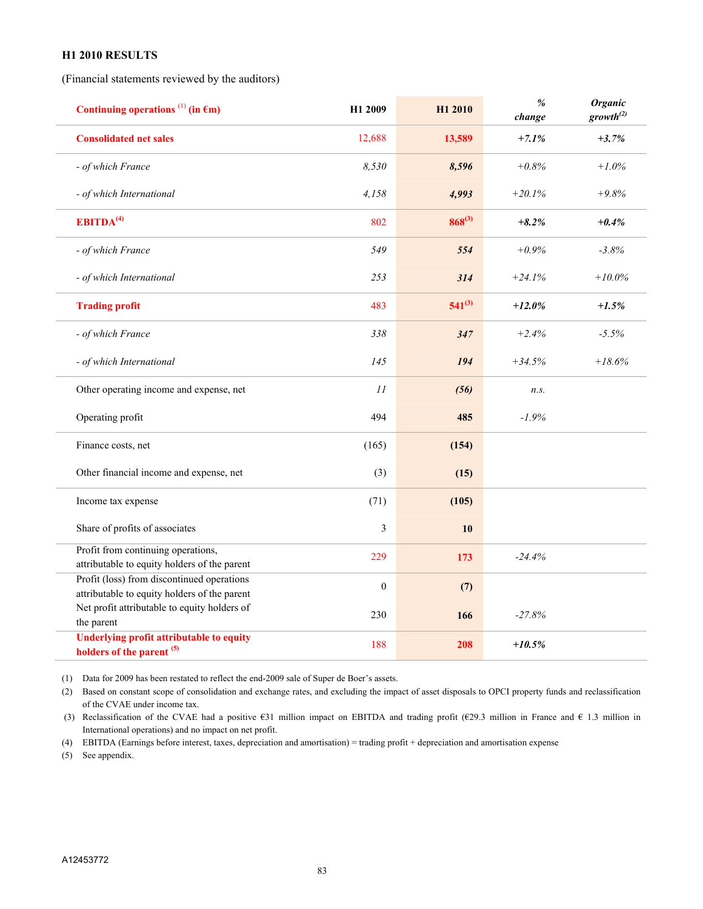#### **H1 2010 RESULTS**

(Financial statements reviewed by the auditors)

| Continuing operations $^{(1)}$ (in $\epsilon$ m)                                           | H1 2009      | H1 2010     | $\%$<br>change | <b>Organic</b><br>growth <sup>(2)</sup> |
|--------------------------------------------------------------------------------------------|--------------|-------------|----------------|-----------------------------------------|
| <b>Consolidated net sales</b>                                                              | 12,688       | 13,589      | $+7.1%$        | $+3.7%$                                 |
| - of which France                                                                          | 8,530        | 8,596       | $+0.8%$        | $+1.0%$                                 |
| - of which International                                                                   | 4,158        | 4,993       | $+20.1%$       | $+9.8%$                                 |
| EBITDA <sup>(4)</sup>                                                                      | 802          | $868^{(3)}$ | $+8.2%$        | $+0.4%$                                 |
| - of which France                                                                          | 549          | 554         | $+0.9%$        | $-3.8%$                                 |
| - of which International                                                                   | 253          | 314         | $+24.1%$       | $+10.0\%$                               |
| <b>Trading profit</b>                                                                      | 483          | $541^{(3)}$ | $+12.0%$       | $+1.5%$                                 |
| - of which France                                                                          | 338          | 347         | $+2.4%$        | $-5.5%$                                 |
| - of which International                                                                   | 145          | 194         | $+34.5%$       | $+18.6%$                                |
| Other operating income and expense, net                                                    | 11           | (56)        | n.s.           |                                         |
| Operating profit                                                                           | 494          | 485         | $-1.9%$        |                                         |
| Finance costs, net                                                                         | (165)        | (154)       |                |                                         |
| Other financial income and expense, net                                                    | (3)          | (15)        |                |                                         |
| Income tax expense                                                                         | (71)         | (105)       |                |                                         |
| Share of profits of associates                                                             | 3            | 10          |                |                                         |
| Profit from continuing operations,<br>attributable to equity holders of the parent         | 229          | 173         | $-24.4%$       |                                         |
| Profit (loss) from discontinued operations<br>attributable to equity holders of the parent | $\mathbf{0}$ | (7)         |                |                                         |
| Net profit attributable to equity holders of<br>the parent                                 | 230          | 166         | $-27.8%$       |                                         |
| <b>Underlying profit attributable to equity</b><br>holders of the parent <sup>(5)</sup>    | 188          | 208         | $+10.5%$       |                                         |

(1) Data for 2009 has been restated to reflect the end-2009 sale of Super de Boer's assets.

(2) Based on constant scope of consolidation and exchange rates, and excluding the impact of asset disposals to OPCI property funds and reclassification of the CVAE under income tax.

(3) Reclassification of the CVAE had a positive  $631$  million impact on EBITDA and trading profit ( $629.3$  million in France and  $61.3$  million in International operations) and no impact on net profit.

(4) EBITDA (Earnings before interest, taxes, depreciation and amortisation) = trading profit + depreciation and amortisation expense

(5) See appendix.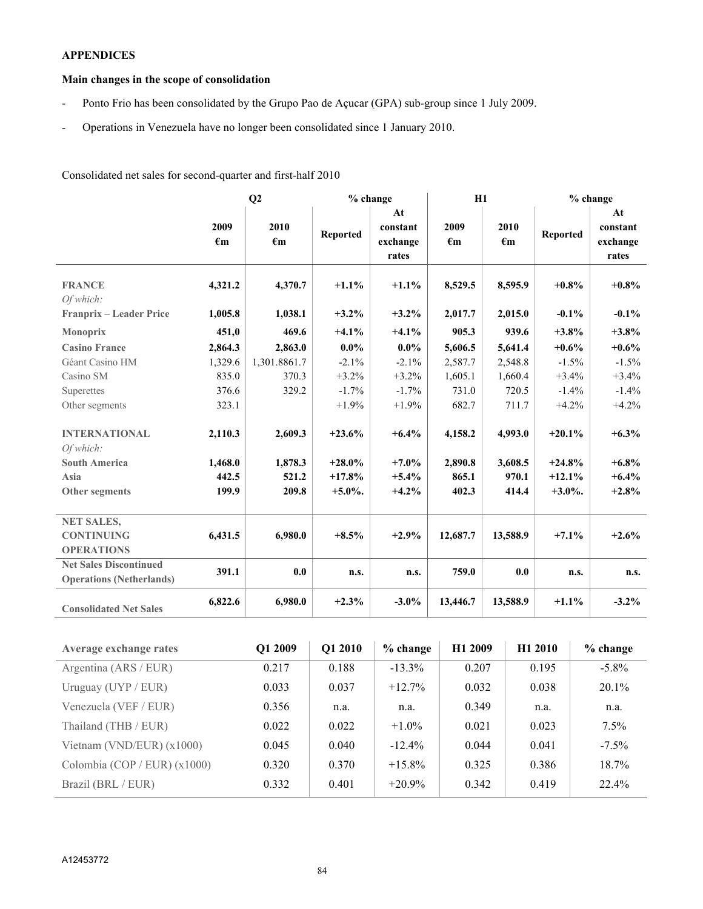# **APPENDICES**

# **Main changes in the scope of consolidation**

- Ponto Frio has been consolidated by the Grupo Pao de Açucar (GPA) sub-group since 1 July 2009.
- Operations in Venezuela have no longer been consolidated since 1 January 2010.

Consolidated net sales for second-quarter and first-half 2010

|                                 | Q2                   |                      | $%$ change      |                                     | H1                   |                      | $%$ change      |                                     |
|---------------------------------|----------------------|----------------------|-----------------|-------------------------------------|----------------------|----------------------|-----------------|-------------------------------------|
|                                 | 2009<br>$\epsilon$ m | 2010<br>$\epsilon$ m | <b>Reported</b> | At<br>constant<br>exchange<br>rates | 2009<br>$\epsilon$ m | 2010<br>$\epsilon$ m | <b>Reported</b> | At<br>constant<br>exchange<br>rates |
| <b>FRANCE</b><br>Of which:      | 4,321.2              | 4,370.7              | $+1.1%$         | $+1.1%$                             | 8,529.5              | 8,595.9              | $+0.8\%$        | $+0.8\%$                            |
| Franprix - Leader Price         | 1,005.8              | 1,038.1              | $+3.2\%$        | $+3.2\%$                            | 2,017.7              | 2,015.0              | $-0.1\%$        | $-0.1\%$                            |
| <b>Monoprix</b>                 | 451,0                | 469.6                | $+4.1%$         | $+4.1%$                             | 905.3                | 939.6                | $+3.8%$         | $+3.8\%$                            |
| <b>Casino France</b>            | 2,864.3              | 2,863.0              | $0.0\%$         | $0.0\%$                             | 5,606.5              | 5,641.4              | $+0.6%$         | $+0.6\%$                            |
| Géant Casino HM                 | 1,329.6              | 1,301.8861.7         | $-2.1%$         | $-2.1\%$                            | 2,587.7              | 2,548.8              | $-1.5%$         | $-1.5%$                             |
| Casino SM                       | 835.0                | 370.3                | $+3.2%$         | $+3.2%$                             | 1,605.1              | 1,660.4              | $+3.4%$         | $+3.4%$                             |
| Superettes                      | 376.6                | 329.2                | $-1.7%$         | $-1.7\%$                            | 731.0                | 720.5                | $-1.4%$         | $-1.4%$                             |
| Other segments                  | 323.1                |                      | $+1.9%$         | $+1.9%$                             | 682.7                | 711.7                | $+4.2%$         | $+4.2%$                             |
| <b>INTERNATIONAL</b>            | 2,110.3              | 2,609.3              | $+23.6%$        | $+6.4%$                             | 4,158.2              | 4,993.0              | $+20.1%$        | $+6.3\%$                            |
| Of which:                       |                      |                      |                 |                                     |                      |                      |                 |                                     |
| <b>South America</b>            | 1,468.0              | 1,878.3              | $+28.0\%$       | $+7.0\%$                            | 2,890.8              | 3,608.5              | $+24.8%$        | $+6.8\%$                            |
| Asia                            | 442.5                | 521.2                | $+17.8%$        | $+5.4\%$                            | 865.1                | 970.1                | $+12.1%$        | $+6.4\%$                            |
| Other segments                  | 199.9                | 209.8                | $+5.0\%$ .      | $+4.2%$                             | 402.3                | 414.4                | $+3.0\%$ .      | $+2.8%$                             |
| <b>NET SALES,</b>               |                      |                      |                 |                                     |                      |                      |                 |                                     |
| <b>CONTINUING</b>               | 6,431.5              | 6,980.0              | $+8.5%$         | $+2.9%$                             | 12,687.7             | 13,588.9             | $+7.1%$         | $+2.6%$                             |
| <b>OPERATIONS</b>               |                      |                      |                 |                                     |                      |                      |                 |                                     |
| <b>Net Sales Discontinued</b>   | 391.1                | 0.0                  |                 |                                     | 759.0                | 0.0                  |                 |                                     |
| <b>Operations (Netherlands)</b> |                      |                      | n.s.            | n.s.                                |                      |                      | n.s.            | n.s.                                |
| <b>Consolidated Net Sales</b>   | 6,822.6              | 6,980.0              | $+2.3%$         | $-3.0\%$                            | 13,446.7             | 13,588.9             | $+1.1%$         | $-3.2\%$                            |

| <b>Average exchange rates</b>  | Q1 2009 | O1 2010 | $%$ change | H1 2009 | H <sub>1</sub> 2010 | $%$ change |
|--------------------------------|---------|---------|------------|---------|---------------------|------------|
| Argentina (ARS / EUR)          | 0.217   | 0.188   | $-13.3\%$  | 0.207   | 0.195               | $-5.8\%$   |
| Uruguay (UYP / EUR)            | 0.033   | 0.037   | $+12.7\%$  | 0.032   | 0.038               | $20.1\%$   |
| Venezuela (VEF / EUR)          | 0.356   | n.a.    | n.a.       | 0.349   | n.a.                | n.a.       |
| Thailand (THB / EUR)           | 0.022   | 0.022   | $+1.0\%$   | 0.021   | 0.023               | $7.5\%$    |
| Vietnam (VND/EUR) $(x1000)$    | 0.045   | 0.040   | $-12.4\%$  | 0.044   | 0.041               | $-7.5\%$   |
| Colombia (COP / EUR) $(x1000)$ | 0.320   | 0.370   | $+15.8\%$  | 0.325   | 0.386               | $18.7\%$   |
| Brazil (BRL / EUR)             | 0.332   | 0.401   | $+20.9\%$  | 0.342   | 0.419               | 22.4%      |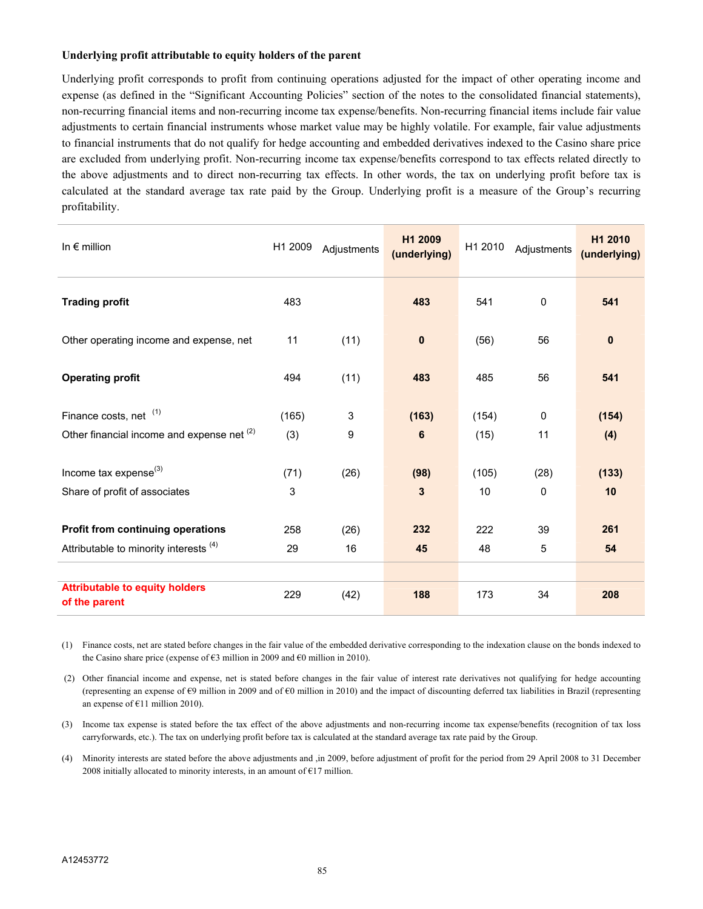#### **Underlying profit attributable to equity holders of the parent**

Underlying profit corresponds to profit from continuing operations adjusted for the impact of other operating income and expense (as defined in the "Significant Accounting Policies" section of the notes to the consolidated financial statements), non-recurring financial items and non-recurring income tax expense/benefits. Non-recurring financial items include fair value adjustments to certain financial instruments whose market value may be highly volatile. For example, fair value adjustments to financial instruments that do not qualify for hedge accounting and embedded derivatives indexed to the Casino share price are excluded from underlying profit. Non-recurring income tax expense/benefits correspond to tax effects related directly to the above adjustments and to direct non-recurring tax effects. In other words, the tax on underlying profit before tax is calculated at the standard average tax rate paid by the Group. Underlying profit is a measure of the Group's recurring profitability.

| In $\epsilon$ million                                  | H1 2009 | Adjustments | H1 2009<br>(underlying) | H1 2010 | Adjustments  | H1 2010<br>(underlying) |
|--------------------------------------------------------|---------|-------------|-------------------------|---------|--------------|-------------------------|
| <b>Trading profit</b>                                  | 483     |             | 483                     | 541     | 0            | 541                     |
| Other operating income and expense, net                | 11      | (11)        | $\mathbf 0$             | (56)    | 56           | $\bf{0}$                |
| <b>Operating profit</b>                                | 494     | (11)        | 483                     | 485     | 56           | 541                     |
| Finance costs, net (1)                                 | (165)   | 3           | (163)                   | (154)   | $\mathbf{0}$ | (154)                   |
| Other financial income and expense net (2)             | (3)     | 9           | 6                       | (15)    | 11           | (4)                     |
| Income tax expense <sup>(3)</sup>                      | (71)    | (26)        | (98)                    | (105)   | (28)         | (133)                   |
| Share of profit of associates                          | 3       |             | 3                       | 10      | 0            | 10                      |
| Profit from continuing operations                      | 258     | (26)        | 232                     | 222     | 39           | 261                     |
| Attributable to minority interests (4)                 | 29      | 16          | 45                      | 48      | 5            | 54                      |
|                                                        |         |             |                         |         |              |                         |
| <b>Attributable to equity holders</b><br>of the parent | 229     | (42)        | 188                     | 173     | 34           | 208                     |

(1) Finance costs, net are stated before changes in the fair value of the embedded derivative corresponding to the indexation clause on the bonds indexed to the Casino share price (expense of  $\epsilon$ 3 million in 2009 and  $\epsilon$ 0 million in 2010).

 (2) Other financial income and expense, net is stated before changes in the fair value of interest rate derivatives not qualifying for hedge accounting (representing an expense of €9 million in 2009 and of €0 million in 2010) and the impact of discounting deferred tax liabilities in Brazil (representing an expense of €11 million 2010).

(3) Income tax expense is stated before the tax effect of the above adjustments and non-recurring income tax expense/benefits (recognition of tax loss carryforwards, etc.). The tax on underlying profit before tax is calculated at the standard average tax rate paid by the Group.

(4) Minority interests are stated before the above adjustments and ,in 2009, before adjustment of profit for the period from 29 April 2008 to 31 December 2008 initially allocated to minority interests, in an amount of  $E17$  million.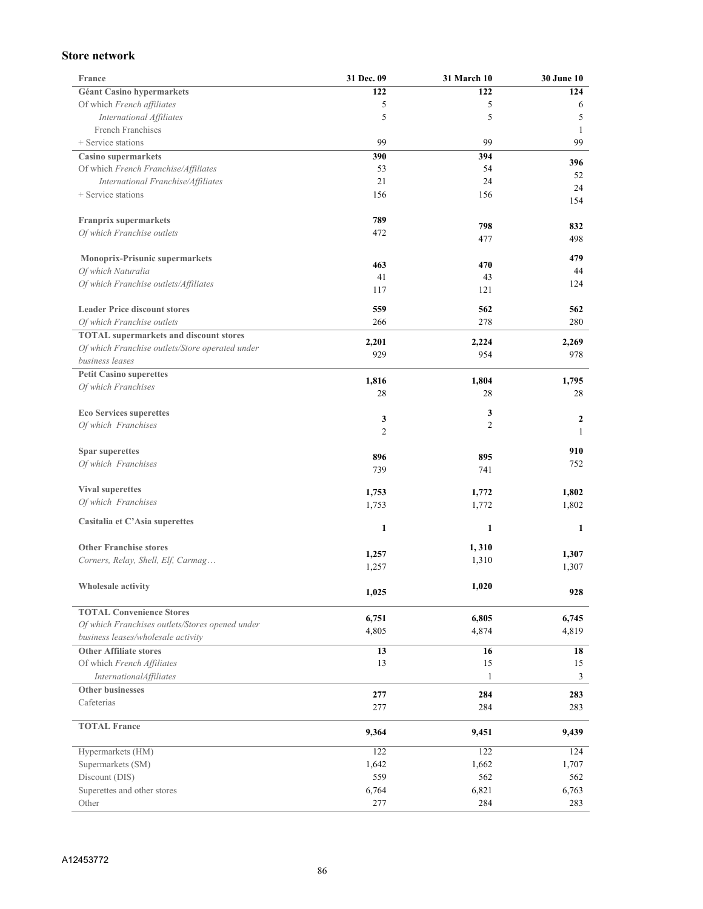## **Store network**

| <b>France</b>                                   | 31 Dec. 09     | <b>31 March 10</b> | <b>30 June 10</b> |
|-------------------------------------------------|----------------|--------------------|-------------------|
| <b>Géant Casino hypermarkets</b>                | 122            | 122                | 124               |
| Of which French affiliates                      | 5              | 5                  | 6                 |
| International Affiliates                        | 5              | 5                  | 5                 |
| French Franchises                               |                |                    | 1                 |
| + Service stations                              | 99             | 99                 | 99                |
| <b>Casino supermarkets</b>                      | 390            | 394                |                   |
| Of which French Franchise/Affiliates            | 53             | 54                 | 396               |
| International Franchise/Affiliates              | 21             | 24                 | 52<br>24          |
| + Service stations                              | 156            | 156                | 154               |
|                                                 |                |                    |                   |
| <b>Franprix supermarkets</b>                    | 789            | 798                | 832               |
| Of which Franchise outlets                      | 472            | 477                | 498               |
|                                                 |                |                    |                   |
| Monoprix-Prisunic supermarkets                  | 463            | 470                | 479               |
| Of which Naturalia                              | 41             | 43                 | 44                |
| Of which Franchise outlets/Affiliates           | 117            | 121                | 124               |
|                                                 |                |                    |                   |
| <b>Leader Price discount stores</b>             | 559            | 562                | 562               |
| Of which Franchise outlets                      | 266            | 278                | 280               |
| <b>TOTAL</b> supermarkets and discount stores   |                |                    |                   |
| Of which Franchise outlets/Store operated under | 2,201<br>929   | 2,224<br>954       | 2,269<br>978      |
| business leases                                 |                |                    |                   |
| <b>Petit Casino superettes</b>                  | 1,816          | 1,804              | 1,795             |
| Of which Franchises                             | 28             | 28                 | 28                |
|                                                 |                |                    |                   |
| <b>Eco Services superettes</b>                  | 3              | 3                  | $\boldsymbol{2}$  |
| Of which Franchises                             | $\overline{2}$ | $\overline{c}$     | 1                 |
|                                                 |                |                    |                   |
| Spar superettes                                 | 896            | 895                | 910               |
| Of which Franchises                             | 739            | 741                | 752               |
|                                                 |                |                    |                   |
| <b>Vival superettes</b>                         | 1,753          | 1,772              | 1,802             |
| Of which Franchises                             | 1,753          | 1,772              | 1,802             |
|                                                 |                |                    |                   |
| Casitalia et C'Asia superettes                  | 1              | 1                  | 1                 |
| <b>Other Franchise stores</b>                   |                |                    |                   |
|                                                 | 1,257          | 1,310              | 1,307             |
| Corners, Relay, Shell, Elf, Carmag              | 1,257          | 1,310              | 1,307             |
|                                                 |                |                    |                   |
| Wholesale activity                              | 1,025          | 1,020              | 928               |
| <b>TOTAL Convenience Stores</b>                 |                |                    |                   |
| Of which Franchises outlets/Stores opened under | 6,751          | 6,805              | 6,745             |
| business leases/wholesale activity              | 4,805          | 4,874              | 4,819             |
| <b>Other Affiliate stores</b>                   | 13             | 16                 | 18                |
| Of which French Affiliates                      | 13             | 15                 | 15                |
| <b>InternationalAffiliates</b>                  |                | 1                  | 3                 |
| <b>Other businesses</b>                         |                |                    |                   |
| Cafeterias                                      | 277            | 284                | 283               |
|                                                 | 277            | 284                | 283               |
| <b>TOTAL France</b>                             |                |                    |                   |
|                                                 | 9,364          | 9,451              | 9,439             |
| Hypermarkets (HM)                               | 122            | 122                | 124               |
| Supermarkets (SM)                               | 1,642          | 1,662              | 1,707             |
| Discount (DIS)                                  | 559            | 562                | 562               |
| Superettes and other stores                     | 6,764          | 6,821              | 6,763             |
| Other                                           | 277            | 284                | 283               |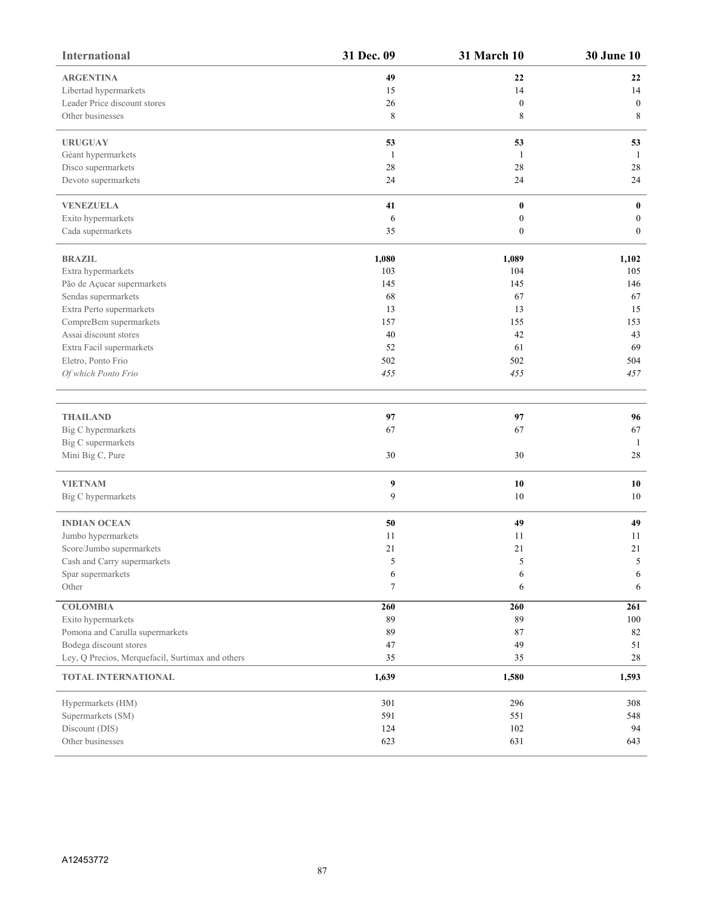| <b>International</b>                             | 31 Dec. 09  | <b>31 March 10</b> | <b>30 June 10</b> |
|--------------------------------------------------|-------------|--------------------|-------------------|
| <b>ARGENTINA</b>                                 | 49          | 22                 | 22                |
| Libertad hypermarkets                            | 15          | 14                 | 14                |
| Leader Price discount stores                     | 26          | $\boldsymbol{0}$   | $\bf{0}$          |
| Other businesses                                 | $\,$ 8 $\,$ | 8                  | $\,$ 8 $\,$       |
| <b>URUGUAY</b>                                   | 53          | 53                 | 53                |
| Géant hypermarkets                               | 1           | 1                  | -1                |
| Disco supermarkets                               | 28          | 28                 | 28                |
| Devoto supermarkets                              | 24          | 24                 | 24                |
| <b>VENEZUELA</b>                                 | 41          | $\pmb{0}$          | $\bf{0}$          |
| Exito hypermarkets                               | 6           | $\boldsymbol{0}$   | $\bf{0}$          |
| Cada supermarkets                                | 35          | $\boldsymbol{0}$   | $\bf{0}$          |
| <b>BRAZIL</b>                                    | 1,080       | 1,089              | 1,102             |
| Extra hypermarkets                               | 103         | 104                | 105               |
| Pão de Açucar supermarkets                       | 145         | 145                | 146               |
| Sendas supermarkets                              | 68          | 67                 | 67                |
| Extra Perto supermarkets                         | 13          | 13                 | 15                |
| CompreBem supermarkets                           | 157         | 155                | 153               |
| Assai discount stores                            | 40          | 42                 | 43                |
| Extra Facil supermarkets                         | 52          | 61                 | 69                |
| Eletro, Ponto Frio                               | 502         | 502                | 504               |
| Of which Ponto Frio                              | 455         | 455                | 457               |
|                                                  |             |                    |                   |
| <b>THAILAND</b>                                  | 97          | 97                 | 96                |
| Big C hypermarkets                               | 67          | 67                 | 67                |
| Big C supermarkets                               |             |                    | -1                |
| Mini Big C, Pure                                 | 30          | 30                 | 28                |
| <b>VIETNAM</b>                                   | 9           | 10                 | 10                |
| Big C hypermarkets                               | 9           | $10\,$             | 10                |
| <b>INDIAN OCEAN</b>                              | 50          | 49                 | 49                |
| Jumbo hypermarkets                               | 11          | 11                 | 11                |
| Score/Jumbo supermarkets                         | 21          | 21                 | $21\,$            |
| Cash and Carry supermarkets                      | 5           | 5                  | 5                 |
| Spar supermarkets                                | 6           | 6                  | 6                 |
| Other                                            | $\tau$      | 6                  | 6                 |
| <b>COLOMBIA</b>                                  | 260         | 260                | 261               |
| Exito hypermarkets                               | 89          | 89                 | $100\,$           |
| Pomona and Carulla supermarkets                  | 89          | 87                 | 82                |
| Bodega discount stores                           | 47          | 49                 | 51                |
| Ley, Q Precios, Merquefacil, Surtimax and others | 35          | 35                 | $28\,$            |
| TOTAL INTERNATIONAL                              | 1,639       | 1,580              | 1,593             |
| Hypermarkets (HM)                                | 301         | 296                | 308               |
| Supermarkets (SM)                                | 591         | 551                | 548               |
| Discount (DIS)                                   | 124         | 102                | 94                |
| Other businesses                                 | 623         | 631                | 643               |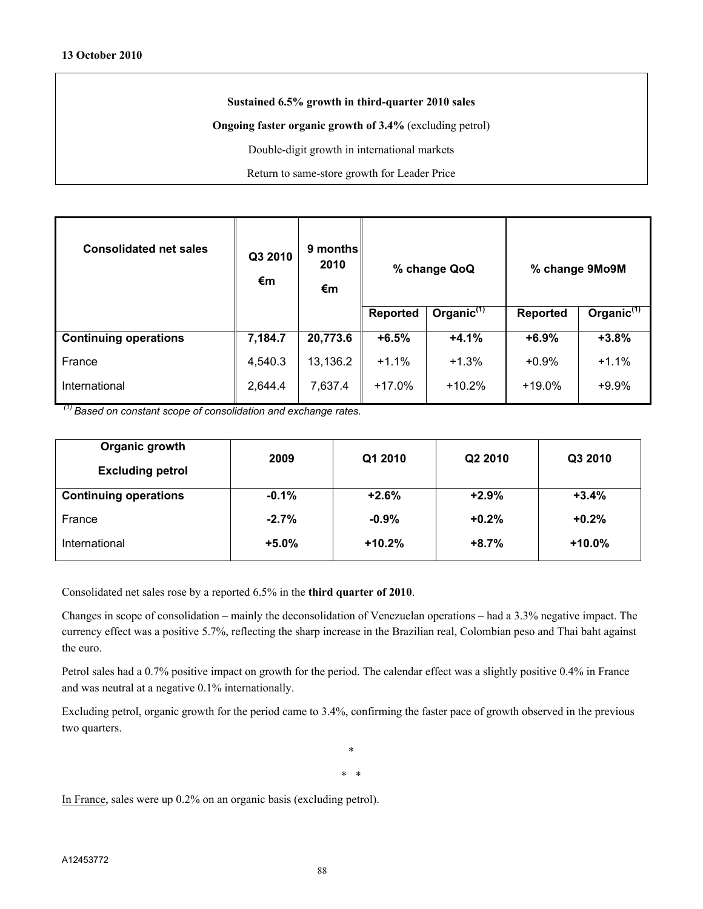#### **Sustained 6.5% growth in third-quarter 2010 sales**

**Ongoing faster organic growth of 3.4%** (excluding petrol)

Double-digit growth in international markets

Return to same-store growth for Leader Price

| <b>Consolidated net sales</b> | Q3 2010<br>€m | 9 months<br>2010<br>€m | % change QoQ    |                        |                 | % change 9Mo9M         |
|-------------------------------|---------------|------------------------|-----------------|------------------------|-----------------|------------------------|
|                               |               |                        | <b>Reported</b> | Organic <sup>(1)</sup> | <b>Reported</b> | Organic $\mathfrak{h}$ |
| <b>Continuing operations</b>  | 7,184.7       | 20,773.6               | $+6.5%$         | $+4.1%$                | $+6.9%$         | $+3.8%$                |
| France                        | 4,540.3       | 13,136.2               | $+1.1%$         | $+1.3%$                | $+0.9%$         | $+1.1%$                |
| International                 | 2,644.4       | 7,637.4                | $+17.0%$        | $+10.2%$               | $+19.0%$        | $+9.9%$                |

 *(1) Based on constant scope of consolidation and exchange rates.*

| Organic growth<br><b>Excluding petrol</b> | 2009    | Q1 2010  | Q2 2010 | Q3 2010  |
|-------------------------------------------|---------|----------|---------|----------|
| <b>Continuing operations</b>              | $-0.1%$ | $+2.6%$  | $+2.9%$ | $+3.4%$  |
| France                                    | $-2.7%$ | $-0.9%$  | $+0.2%$ | $+0.2%$  |
| International                             | $+5.0%$ | $+10.2%$ | $+8.7%$ | $+10.0%$ |

Consolidated net sales rose by a reported 6.5% in the **third quarter of 2010**.

Changes in scope of consolidation – mainly the deconsolidation of Venezuelan operations – had a 3.3% negative impact. The currency effect was a positive 5.7%, reflecting the sharp increase in the Brazilian real, Colombian peso and Thai baht against the euro.

Petrol sales had a 0.7% positive impact on growth for the period. The calendar effect was a slightly positive 0.4% in France and was neutral at a negative 0.1% internationally.

Excluding petrol, organic growth for the period came to 3.4%, confirming the faster pace of growth observed in the previous two quarters.

> \* \* \*

In France, sales were up 0.2% on an organic basis (excluding petrol).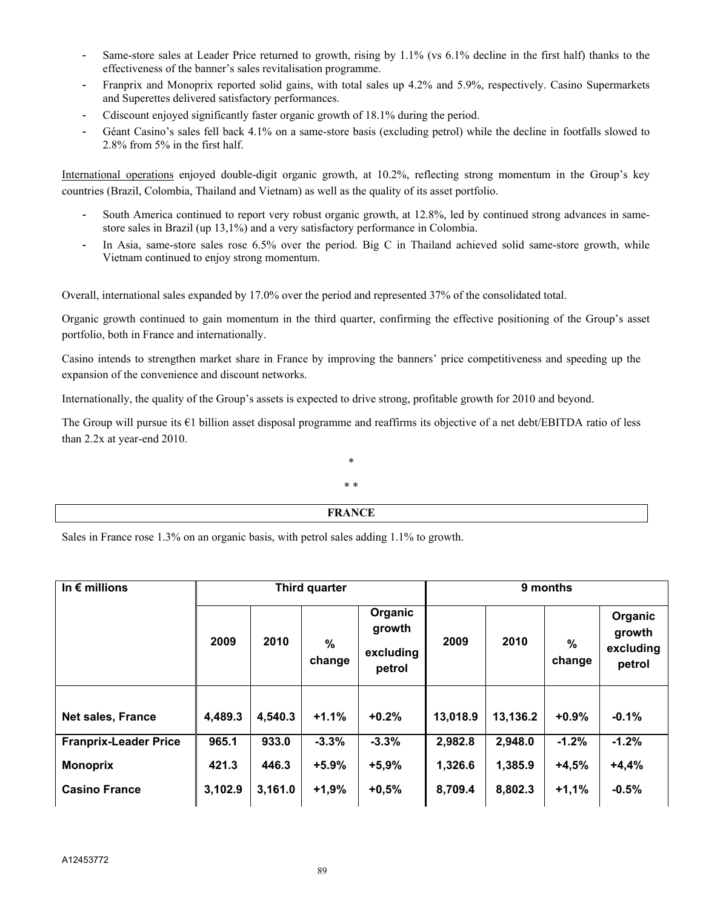- Same-store sales at Leader Price returned to growth, rising by 1.1% (vs 6.1% decline in the first half) thanks to the effectiveness of the banner's sales revitalisation programme.
- Franprix and Monoprix reported solid gains, with total sales up 4.2% and 5.9%, respectively. Casino Supermarkets and Superettes delivered satisfactory performances.
- Cdiscount enjoyed significantly faster organic growth of 18.1% during the period.
- Géant Casino's sales fell back 4.1% on a same-store basis (excluding petrol) while the decline in footfalls slowed to 2.8% from 5% in the first half.

International operations enjoyed double-digit organic growth, at 10.2%, reflecting strong momentum in the Group's key countries (Brazil, Colombia, Thailand and Vietnam) as well as the quality of its asset portfolio.

- South America continued to report very robust organic growth, at 12.8%, led by continued strong advances in samestore sales in Brazil (up 13,1%) and a very satisfactory performance in Colombia.
- In Asia, same-store sales rose 6.5% over the period. Big C in Thailand achieved solid same-store growth, while Vietnam continued to enjoy strong momentum.

Overall, international sales expanded by 17.0% over the period and represented 37% of the consolidated total.

Organic growth continued to gain momentum in the third quarter, confirming the effective positioning of the Group's asset portfolio, both in France and internationally.

Casino intends to strengthen market share in France by improving the banners' price competitiveness and speeding up the expansion of the convenience and discount networks.

Internationally, the quality of the Group's assets is expected to drive strong, profitable growth for 2010 and beyond.

The Group will pursue its €1 billion asset disposal programme and reaffirms its objective of a net debt/EBITDA ratio of less than 2.2x at year-end 2010.

# \* \* \*

## **FRANCE**

Sales in France rose 1.3% on an organic basis, with petrol sales adding 1.1% to growth.

| In $\epsilon$ millions       | Third quarter |         |                         | 9 months                                 |          |          |             |                                          |
|------------------------------|---------------|---------|-------------------------|------------------------------------------|----------|----------|-------------|------------------------------------------|
|                              | 2009          | 2010    | $\frac{0}{0}$<br>change | Organic<br>growth<br>excluding<br>petrol | 2009     | 2010     | %<br>change | Organic<br>growth<br>excluding<br>petrol |
|                              |               |         |                         |                                          |          |          |             |                                          |
| <b>Net sales, France</b>     | 4,489.3       | 4,540.3 | $+1.1%$                 | $+0.2%$                                  | 13,018.9 | 13,136.2 | $+0.9%$     | $-0.1%$                                  |
| <b>Franprix-Leader Price</b> | 965.1         | 933.0   | $-3.3%$                 | $-3.3%$                                  | 2,982.8  | 2,948.0  | $-1.2%$     | $-1.2%$                                  |
| <b>Monoprix</b>              | 421.3         | 446.3   | $+5.9%$                 | $+5,9%$                                  | 1,326.6  | 1,385.9  | $+4,5%$     | $+4,4%$                                  |
| <b>Casino France</b>         | 3,102.9       | 3,161.0 | $+1,9%$                 | $+0,5%$                                  | 8,709.4  | 8,802.3  | $+1,1%$     | $-0.5%$                                  |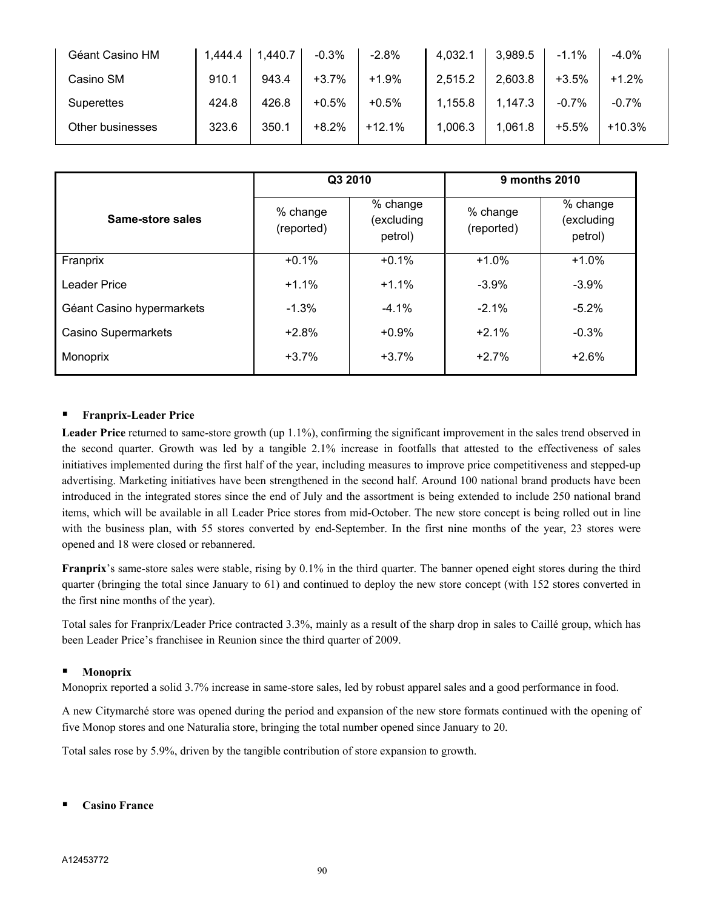| Géant Casino HM  | 1,444.4 | 1,440.7 | $-0.3%$ | $-2.8%$  | 4,032.1 | 3,989.5 | $-1.1%$ | $-4.0\%$ |
|------------------|---------|---------|---------|----------|---------|---------|---------|----------|
| Casino SM        | 910.1   | 943.4   | $+3.7%$ | $+1.9%$  | 2,515.2 | 2,603.8 | $+3.5%$ | $+1.2%$  |
| Superettes       | 424.8   | 426.8   | $+0.5%$ | $+0.5%$  | 1,155.8 | 1,147.3 | $-0.7%$ | $-0.7%$  |
| Other businesses | 323.6   | 350.1   | $+8.2%$ | $+12.1%$ | 1,006.3 | 1,061.8 | $+5.5%$ | $+10.3%$ |

|                           | Q3 2010                |                                   | 9 months 2010          |                                   |  |
|---------------------------|------------------------|-----------------------------------|------------------------|-----------------------------------|--|
| Same-store sales          | % change<br>(reported) | % change<br>(excluding<br>petrol) | % change<br>(reported) | % change<br>(excluding<br>petrol) |  |
| Franprix                  | $+0.1%$                | $+0.1%$                           | $+1.0%$                | $+1.0%$                           |  |
| Leader Price              | $+1.1%$                | $+1.1%$                           | $-3.9%$                | $-3.9%$                           |  |
| Géant Casino hypermarkets | $-1.3%$                | $-4.1%$                           | $-2.1%$                | $-5.2%$                           |  |
| Casino Supermarkets       | $+2.8%$                | $+0.9%$                           | $+2.1%$                | $-0.3%$                           |  |
| Monoprix                  | $+3.7%$                | $+3.7%$                           | $+2.7%$                | $+2.6%$                           |  |

## **Franprix-Leader Price**

Leader Price returned to same-store growth (up 1.1%), confirming the significant improvement in the sales trend observed in the second quarter. Growth was led by a tangible 2.1% increase in footfalls that attested to the effectiveness of sales initiatives implemented during the first half of the year, including measures to improve price competitiveness and stepped-up advertising. Marketing initiatives have been strengthened in the second half. Around 100 national brand products have been introduced in the integrated stores since the end of July and the assortment is being extended to include 250 national brand items, which will be available in all Leader Price stores from mid-October. The new store concept is being rolled out in line with the business plan, with 55 stores converted by end-September. In the first nine months of the year, 23 stores were opened and 18 were closed or rebannered.

**Franprix**'s same-store sales were stable, rising by 0.1% in the third quarter. The banner opened eight stores during the third quarter (bringing the total since January to 61) and continued to deploy the new store concept (with 152 stores converted in the first nine months of the year).

Total sales for Franprix/Leader Price contracted 3.3%, mainly as a result of the sharp drop in sales to Caillé group, which has been Leader Price's franchisee in Reunion since the third quarter of 2009.

## **Monoprix**

Monoprix reported a solid 3.7% increase in same-store sales, led by robust apparel sales and a good performance in food.

A new Citymarché store was opened during the period and expansion of the new store formats continued with the opening of five Monop stores and one Naturalia store, bringing the total number opened since January to 20.

Total sales rose by 5.9%, driven by the tangible contribution of store expansion to growth.

**Casino France**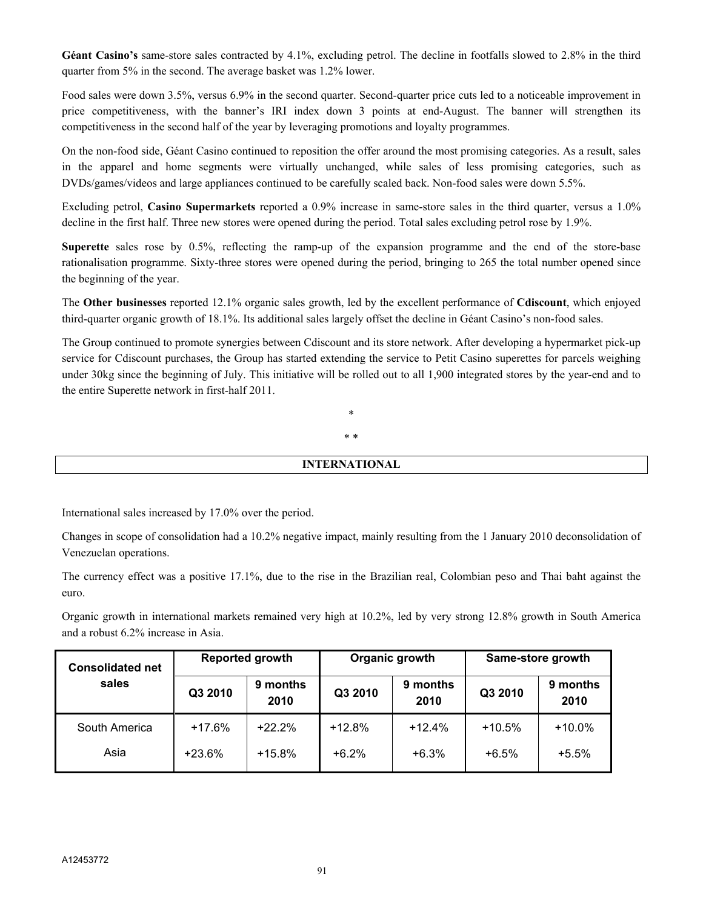**Géant Casino's** same-store sales contracted by 4.1%, excluding petrol. The decline in footfalls slowed to 2.8% in the third quarter from 5% in the second. The average basket was 1.2% lower.

Food sales were down 3.5%, versus 6.9% in the second quarter. Second-quarter price cuts led to a noticeable improvement in price competitiveness, with the banner's IRI index down 3 points at end-August. The banner will strengthen its competitiveness in the second half of the year by leveraging promotions and loyalty programmes.

On the non-food side, Géant Casino continued to reposition the offer around the most promising categories. As a result, sales in the apparel and home segments were virtually unchanged, while sales of less promising categories, such as DVDs/games/videos and large appliances continued to be carefully scaled back. Non-food sales were down 5.5%.

Excluding petrol, **Casino Supermarkets** reported a 0.9% increase in same-store sales in the third quarter, versus a 1.0% decline in the first half. Three new stores were opened during the period. Total sales excluding petrol rose by 1.9%.

**Superette** sales rose by 0.5%, reflecting the ramp-up of the expansion programme and the end of the store-base rationalisation programme. Sixty-three stores were opened during the period, bringing to 265 the total number opened since the beginning of the year.

The **Other businesses** reported 12.1% organic sales growth, led by the excellent performance of **Cdiscount**, which enjoyed third-quarter organic growth of 18.1%. Its additional sales largely offset the decline in Géant Casino's non-food sales.

The Group continued to promote synergies between Cdiscount and its store network. After developing a hypermarket pick-up service for Cdiscount purchases, the Group has started extending the service to Petit Casino superettes for parcels weighing under 30kg since the beginning of July. This initiative will be rolled out to all 1,900 integrated stores by the year-end and to the entire Superette network in first-half 2011.

> \* \* \*

## **INTERNATIONAL**

International sales increased by 17.0% over the period.

Changes in scope of consolidation had a 10.2% negative impact, mainly resulting from the 1 January 2010 deconsolidation of Venezuelan operations.

The currency effect was a positive 17.1%, due to the rise in the Brazilian real, Colombian peso and Thai baht against the euro.

Organic growth in international markets remained very high at 10.2%, led by very strong 12.8% growth in South America and a robust 6.2% increase in Asia.

| <b>Reported growth</b><br><b>Consolidated net</b> |          |                  | Organic growth |                  | Same-store growth |                  |
|---------------------------------------------------|----------|------------------|----------------|------------------|-------------------|------------------|
| sales                                             | Q3 2010  | 9 months<br>2010 | Q3 2010        | 9 months<br>2010 | Q3 2010           | 9 months<br>2010 |
| South America                                     | $+17.6%$ | $+22.2%$         | $+12.8%$       | $+12.4%$         | $+10.5%$          | $+10.0%$         |
| Asia                                              | $+23.6%$ | $+15.8%$         | $+6.2%$        | $+6.3%$          | $+6.5%$           | $+5.5%$          |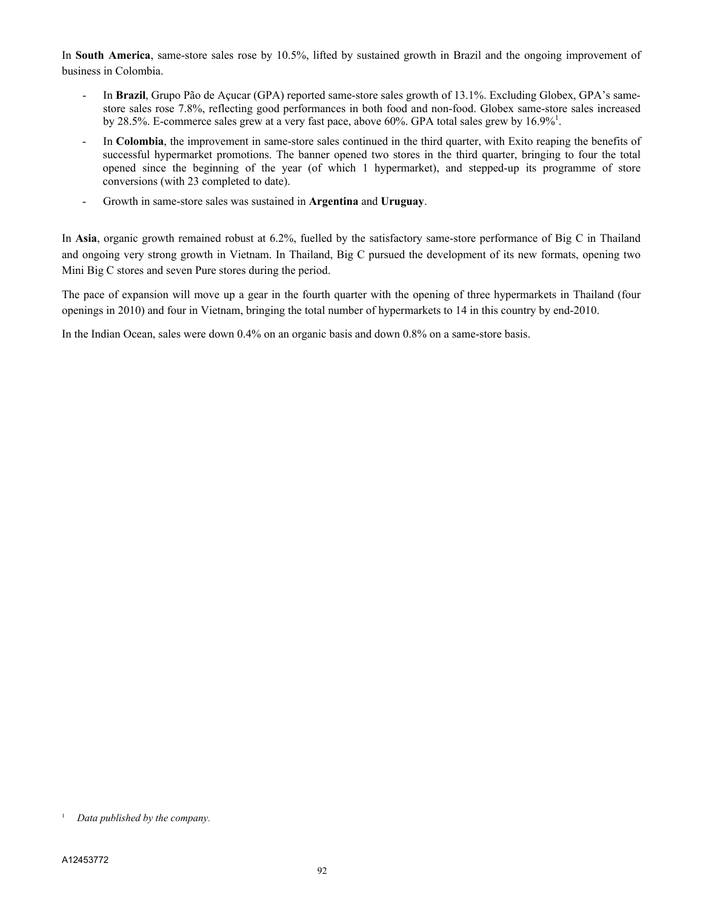In **South America**, same-store sales rose by 10.5%, lifted by sustained growth in Brazil and the ongoing improvement of business in Colombia.

- In **Brazil**, Grupo Pão de Açucar (GPA) reported same-store sales growth of 13.1%. Excluding Globex, GPA's samestore sales rose 7.8%, reflecting good performances in both food and non-food. Globex same-store sales increased by 28.5%. E-commerce sales grew at a very fast pace, above 60%. GPA total sales grew by  $16.9\%$ <sup>1</sup>.
- In **Colombia**, the improvement in same-store sales continued in the third quarter, with Exito reaping the benefits of successful hypermarket promotions. The banner opened two stores in the third quarter, bringing to four the total opened since the beginning of the year (of which 1 hypermarket), and stepped-up its programme of store conversions (with 23 completed to date).
- Growth in same-store sales was sustained in **Argentina** and **Uruguay**.

In **Asia**, organic growth remained robust at 6.2%, fuelled by the satisfactory same-store performance of Big C in Thailand and ongoing very strong growth in Vietnam. In Thailand, Big C pursued the development of its new formats, opening two Mini Big C stores and seven Pure stores during the period.

The pace of expansion will move up a gear in the fourth quarter with the opening of three hypermarkets in Thailand (four openings in 2010) and four in Vietnam, bringing the total number of hypermarkets to 14 in this country by end-2010.

In the Indian Ocean, sales were down 0.4% on an organic basis and down 0.8% on a same-store basis.

<sup>1</sup> *Data published by the company.*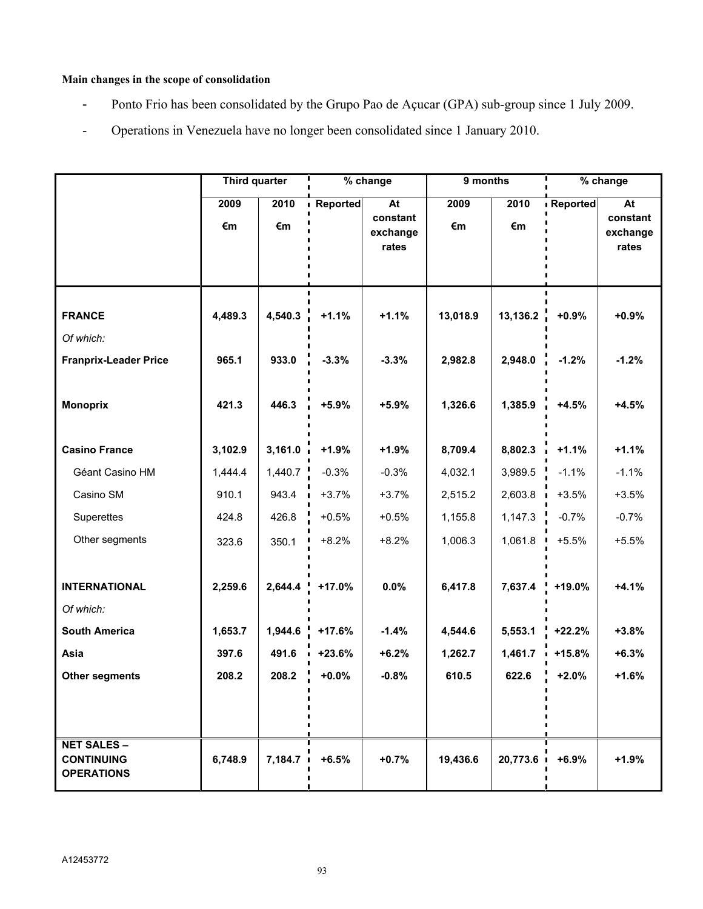# **Main changes in the scope of consolidation**

- Ponto Frio has been consolidated by the Grupo Pao de Açucar (GPA) sub-group since 1 July 2009.
- Operations in Venezuela have no longer been consolidated since 1 January 2010.

|                                                              | <b>Third quarter</b> |                  |                      | % change                            | 9 months            |                     | % change            |                                     |
|--------------------------------------------------------------|----------------------|------------------|----------------------|-------------------------------------|---------------------|---------------------|---------------------|-------------------------------------|
|                                                              | 2009<br>€m           | 2010<br>€m       | Reported             | At<br>constant<br>exchange<br>rates | 2009<br>€m          | 2010<br>€m          | Reported            | At<br>constant<br>exchange<br>rates |
| <b>FRANCE</b><br>Of which:<br><b>Franprix-Leader Price</b>   | 4,489.3<br>965.1     | 4,540.3<br>933.0 | $+1.1%$<br>$-3.3%$   | $+1.1%$<br>$-3.3%$                  | 13,018.9<br>2,982.8 | 13,136.2<br>2,948.0 | $+0.9%$<br>$-1.2%$  | $+0.9%$<br>$-1.2%$                  |
| <b>Monoprix</b>                                              | 421.3                | 446.3            | $+5.9%$              | $+5.9%$                             | 1,326.6             | 1,385.9             | $+4.5%$             | $+4.5%$                             |
| <b>Casino France</b>                                         | 3,102.9              | 3,161.0          | $+1.9%$              | $+1.9%$                             | 8,709.4             | 8,802.3             | $+1.1%$             | $+1.1%$                             |
| Géant Casino HM                                              | 1,444.4              | 1,440.7          | $-0.3%$              | $-0.3%$                             | 4,032.1             | 3,989.5             | $-1.1%$             | $-1.1%$                             |
| Casino SM                                                    | 910.1                | 943.4            | $+3.7%$              | $+3.7%$                             | 2,515.2             | 2,603.8             | $+3.5%$             | $+3.5%$                             |
| Superettes                                                   | 424.8                | 426.8            | $+0.5%$              | $+0.5%$                             | 1,155.8             | 1,147.3             | $-0.7%$             | $-0.7%$                             |
| Other segments                                               | 323.6                | 350.1            | $+8.2%$              | $+8.2%$                             | 1,006.3             | 1,061.8             | $+5.5%$             | $+5.5%$                             |
| <b>INTERNATIONAL</b>                                         | 2,259.6              | 2,644.4          | $+17.0%$             | 0.0%                                | 6,417.8             | 7,637.4             | +19.0%              | $+4.1%$                             |
| Of which:                                                    |                      |                  |                      |                                     |                     |                     |                     |                                     |
| <b>South America</b><br>Asia                                 | 1,653.7<br>397.6     | 1,944.6<br>491.6 | $+17.6%$<br>$+23.6%$ | $-1.4%$<br>$+6.2%$                  | 4,544.6             | 5,553.1<br>1,461.7  | $+22.2%$            | $+3.8%$<br>$+6.3%$                  |
| <b>Other segments</b>                                        | 208.2                | 208.2            | $+0.0%$              | $-0.8%$                             | 1,262.7<br>610.5    | 622.6               | $+15.8%$<br>$+2.0%$ | $+1.6%$                             |
|                                                              |                      |                  |                      |                                     |                     |                     |                     |                                     |
| <b>NET SALES -</b><br><b>CONTINUING</b><br><b>OPERATIONS</b> | 6,748.9              | 7,184.7          | $+6.5%$              | $+0.7%$                             | 19,436.6            | 20,773.6            | $+6.9%$             | $+1.9%$                             |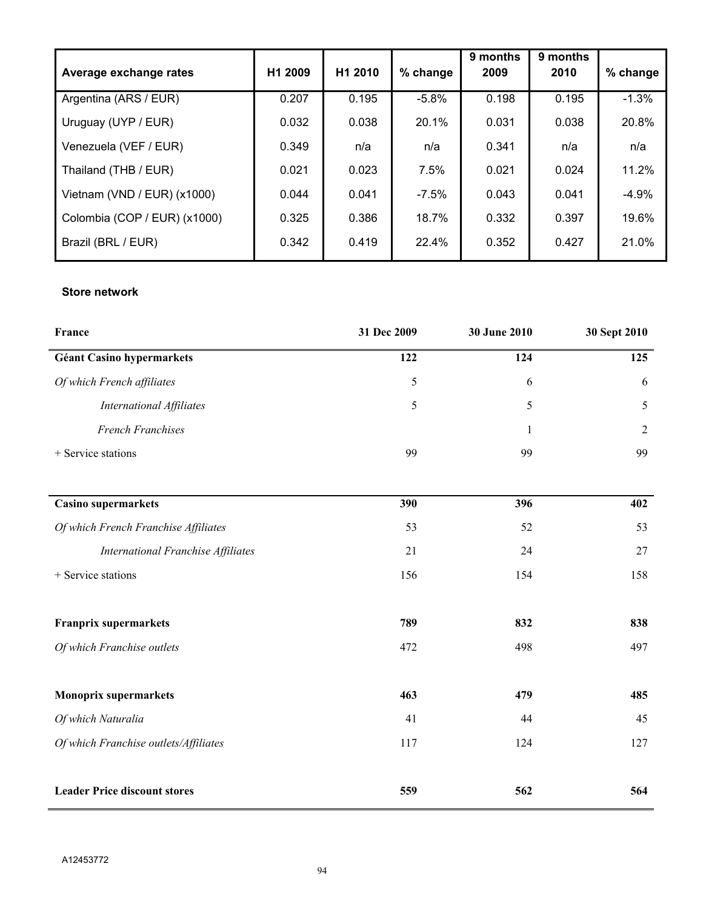|                               |                     |         |          | 9 months | 9 months |          |
|-------------------------------|---------------------|---------|----------|----------|----------|----------|
| Average exchange rates        | H <sub>1</sub> 2009 | H1 2010 | % change | 2009     | 2010     | % change |
| Argentina (ARS / EUR)         | 0.207               | 0.195   | $-5.8%$  | 0.198    | 0.195    | $-1.3%$  |
| Uruguay (UYP / EUR)           | 0.032               | 0.038   | 20.1%    | 0.031    | 0.038    | 20.8%    |
| Venezuela (VEF / EUR)         | 0.349               | n/a     | n/a      | 0.341    | n/a      | n/a      |
| Thailand (THB / EUR)          | 0.021               | 0.023   | 7.5%     | 0.021    | 0.024    | 11.2%    |
| Vietnam (VND / EUR) $(x1000)$ | 0.044               | 0.041   | $-7.5\%$ | 0.043    | 0.041    | $-4.9%$  |
| Colombia (COP / EUR) (x1000)  | 0.325               | 0.386   | 18.7%    | 0.332    | 0.397    | 19.6%    |
| Brazil (BRL / EUR)            | 0.342               | 0.419   | 22.4%    | 0.352    | 0.427    | 21.0%    |

# **Store network**

| France                                    | 31 Dec 2009 | 30 June 2010 | 30 Sept 2010   |
|-------------------------------------------|-------------|--------------|----------------|
| <b>Géant Casino hypermarkets</b>          | 122         | 124          | 125            |
| Of which French affiliates                | 5           | 6            | 6              |
| International Affiliates                  | 5           | 5            | 5              |
| <b>French Franchises</b>                  |             | 1            | $\overline{2}$ |
| + Service stations                        | 99          | 99           | 99             |
| <b>Casino supermarkets</b>                | 390         | 396          | 402            |
| Of which French Franchise Affiliates      | 53          | 52           | 53             |
| <b>International Franchise Affiliates</b> | 21          | 24           | 27             |
| + Service stations                        | 156         | 154          | 158            |
| <b>Franprix supermarkets</b>              | 789         | 832          | 838            |
| Of which Franchise outlets                | 472         | 498          | 497            |
| <b>Monoprix supermarkets</b>              | 463         | 479          | 485            |
| Of which Naturalia                        | 41          | 44           | 45             |
| Of which Franchise outlets/Affiliates     | 117         | 124          | 127            |
| <b>Leader Price discount stores</b>       | 559         | 562          | 564            |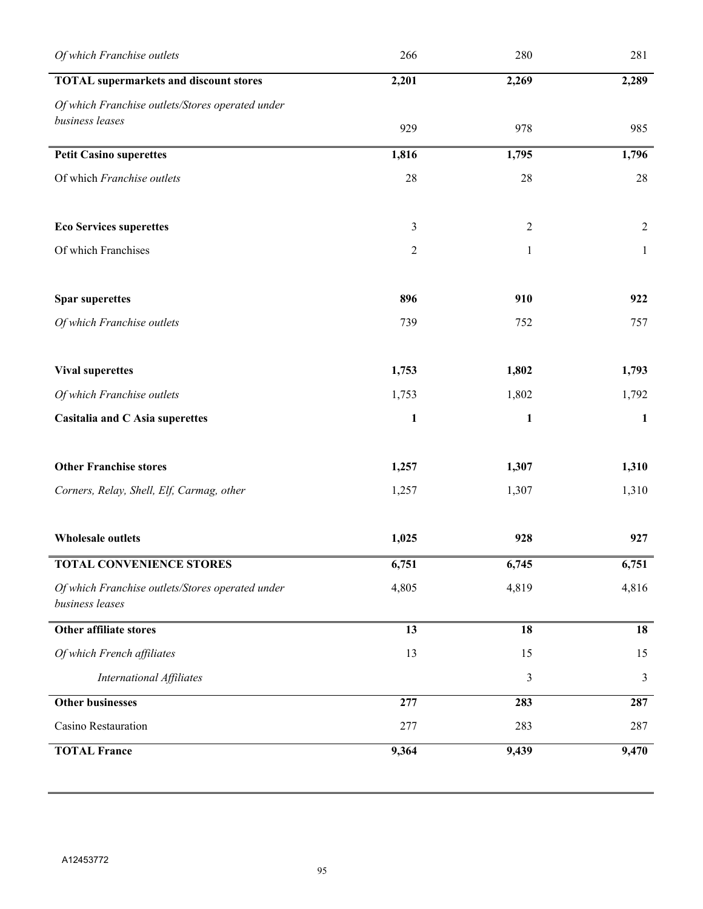| Of which Franchise outlets                                          | 266            | 280            | 281          |
|---------------------------------------------------------------------|----------------|----------------|--------------|
| <b>TOTAL</b> supermarkets and discount stores                       | 2,201          | 2,269          | 2,289        |
| Of which Franchise outlets/Stores operated under                    |                |                |              |
| business leases                                                     | 929            | 978            | 985          |
| <b>Petit Casino superettes</b>                                      | 1,816          | 1,795          | 1,796        |
| Of which Franchise outlets                                          | 28             | 28             | 28           |
| <b>Eco Services superettes</b>                                      | $\mathfrak{Z}$ | $\mathfrak{2}$ | 2            |
| Of which Franchises                                                 | $\overline{2}$ | $\mathbf{1}$   | $\mathbf{1}$ |
| <b>Spar superettes</b>                                              | 896            | 910            | 922          |
| Of which Franchise outlets                                          | 739            | 752            | 757          |
| <b>Vival superettes</b>                                             | 1,753          | 1,802          | 1,793        |
| Of which Franchise outlets                                          | 1,753          | 1,802          | 1,792        |
| Casitalia and C Asia superettes                                     | $\mathbf{1}$   | $\mathbf{1}$   | 1            |
| <b>Other Franchise stores</b>                                       | 1,257          | 1,307          | 1,310        |
| Corners, Relay, Shell, Elf, Carmag, other                           | 1,257          | 1,307          | 1,310        |
| <b>Wholesale outlets</b>                                            | 1,025          | 928            | 927          |
| <b>TOTAL CONVENIENCE STORES</b>                                     | 6,751          | 6,745          | 6,751        |
| Of which Franchise outlets/Stores operated under<br>business leases | 4,805          | 4,819          | 4,816        |
| Other affiliate stores                                              | 13             | 18             | 18           |
| Of which French affiliates                                          | 13             | 15             | 15           |
| <b>International Affiliates</b>                                     |                | 3              | 3            |
| <b>Other businesses</b>                                             | 277            | 283            | 287          |
| Casino Restauration                                                 | 277            | 283            | 287          |
| <b>TOTAL France</b>                                                 | 9,364          | 9,439          | 9,470        |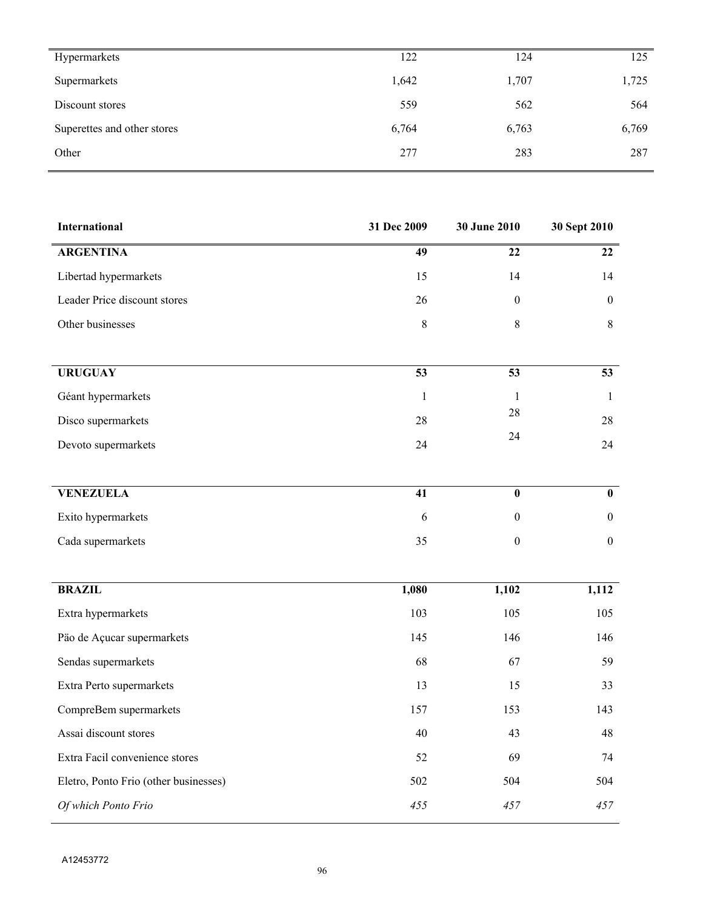| Hypermarkets                | 122   | 124   | 125   |
|-----------------------------|-------|-------|-------|
| Supermarkets                | 1,642 | 1,707 | 1,725 |
| Discount stores             | 559   | 562   | 564   |
| Superettes and other stores | 6,764 | 6,763 | 6,769 |
| Other                       | 277   | 283   | 287   |

| <b>International</b>                  | 31 Dec 2009     | 30 June 2010            | 30 Sept 2010     |
|---------------------------------------|-----------------|-------------------------|------------------|
| <b>ARGENTINA</b>                      | $\overline{49}$ | $\overline{22}$         | $\overline{22}$  |
| Libertad hypermarkets                 | 15              | 14                      | 14               |
| Leader Price discount stores          | 26              | $\boldsymbol{0}$        | $\boldsymbol{0}$ |
| Other businesses                      | 8               | $\,8\,$                 | 8                |
|                                       |                 |                         |                  |
| <b>URUGUAY</b>                        | $\overline{53}$ | $\overline{53}$         | $\overline{53}$  |
| Géant hypermarkets                    | $\mathbf{1}$    | $\mathbf{1}$            | $\mathbf{1}$     |
| Disco supermarkets                    | 28              | $28\,$                  | 28               |
| Devoto supermarkets                   | 24              | 24                      | 24               |
|                                       |                 |                         |                  |
| <b>VENEZUELA</b>                      | 41              | $\overline{\mathbf{0}}$ | $\mathbf{0}$     |
| Exito hypermarkets                    | 6               | $\boldsymbol{0}$        | $\boldsymbol{0}$ |
| Cada supermarkets                     | 35              | $\mathbf{0}$            | $\mathbf{0}$     |
|                                       |                 |                         |                  |
| <b>BRAZIL</b>                         | 1,080           | 1,102                   | 1,112            |
| Extra hypermarkets                    | 103             | 105                     | 105              |
| Päo de Açucar supermarkets            | 145             | 146                     | 146              |
| Sendas supermarkets                   | 68              | 67                      | 59               |
| Extra Perto supermarkets              | 13              | 15                      | 33               |
| CompreBem supermarkets                | 157             | 153                     | 143              |
| Assai discount stores                 | 40              | 43                      | 48               |
| Extra Facil convenience stores        | 52              | 69                      | 74               |
| Eletro, Ponto Frio (other businesses) | 502             | 504                     | 504              |
| Of which Ponto Frio                   | 455             | 457                     | 457              |

 $\overline{a}$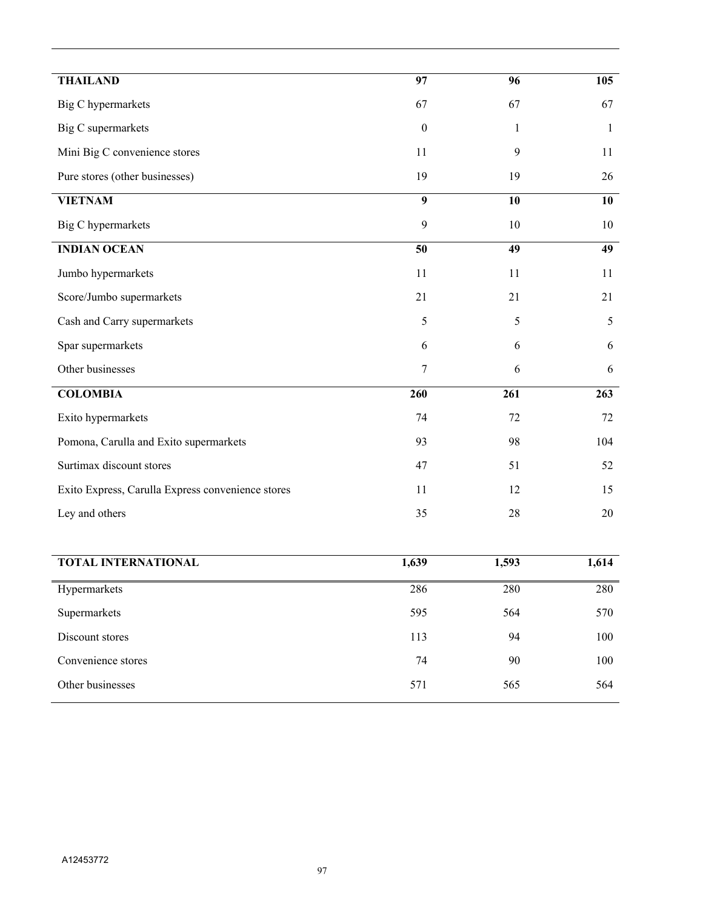| <b>THAILAND</b>                                   | 97               | 96           | 105             |
|---------------------------------------------------|------------------|--------------|-----------------|
| <b>Big C</b> hypermarkets                         | 67               | 67           | 67              |
| Big C supermarkets                                | $\mathbf{0}$     | $\mathbf{1}$ | $\mathbf{1}$    |
| Mini Big C convenience stores                     | 11               | 9            | 11              |
| Pure stores (other businesses)                    | 19               | 19           | 26              |
| <b>VIETNAM</b>                                    | $\boldsymbol{9}$ | 10           | 10              |
| <b>Big C</b> hypermarkets                         | 9                | 10           | 10              |
| <b>INDIAN OCEAN</b>                               | $\overline{50}$  | 49           | $\overline{49}$ |
| Jumbo hypermarkets                                | 11               | 11           | 11              |
| Score/Jumbo supermarkets                          | 21               | 21           | 21              |
| Cash and Carry supermarkets                       | 5                | 5            | 5               |
| Spar supermarkets                                 | 6                | 6            | 6               |
| Other businesses                                  | 7                | 6            | 6               |
| <b>COLOMBIA</b>                                   | 260              | 261          | 263             |
| Exito hypermarkets                                | 74               | 72           | 72              |
| Pomona, Carulla and Exito supermarkets            | 93               | 98           | 104             |
| Surtimax discount stores                          | 47               | 51           | 52              |
| Exito Express, Carulla Express convenience stores | 11               | 12           | 15              |
| Ley and others                                    | 35               | 28           | 20              |
|                                                   |                  |              |                 |
| TOTAL INTERNATIONAL                               | 1,639            | 1,593        | 1,614           |
| Hypermarkets                                      | 286              | 280          | 280             |
| Supermarkets                                      | 595              | 564          | 570             |

Discount stores

Convenience stores

Other businesses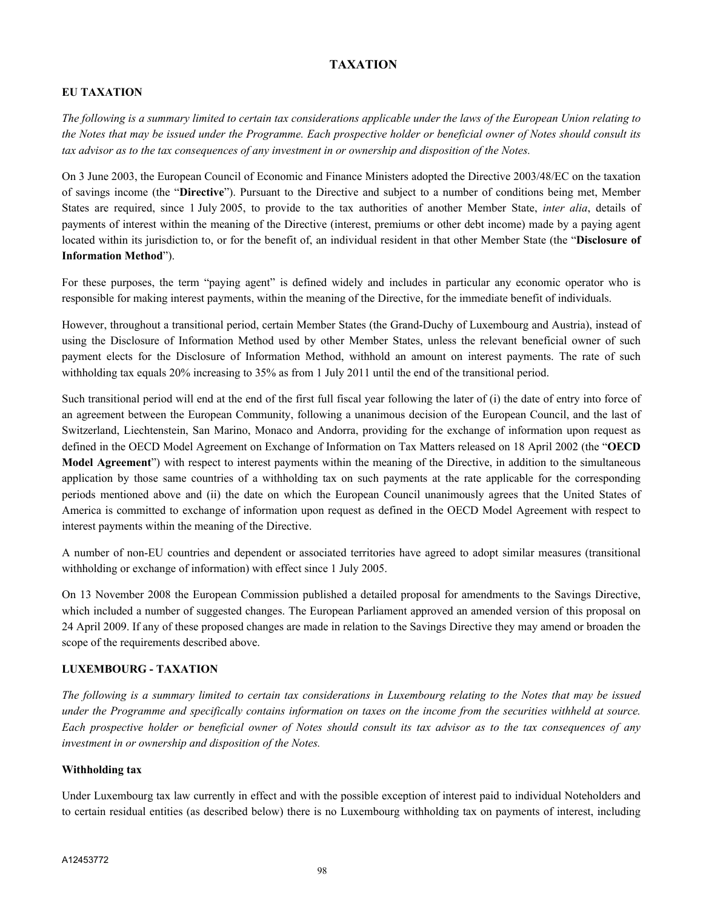# **TAXATION**

# **EU TAXATION**

*The following is a summary limited to certain tax considerations applicable under the laws of the European Union relating to the Notes that may be issued under the Programme. Each prospective holder or beneficial owner of Notes should consult its tax advisor as to the tax consequences of any investment in or ownership and disposition of the Notes.*

On 3 June 2003, the European Council of Economic and Finance Ministers adopted the Directive 2003/48/EC on the taxation of savings income (the "**Directive**"). Pursuant to the Directive and subject to a number of conditions being met, Member States are required, since 1 July 2005, to provide to the tax authorities of another Member State, *inter alia*, details of payments of interest within the meaning of the Directive (interest, premiums or other debt income) made by a paying agent located within its jurisdiction to, or for the benefit of, an individual resident in that other Member State (the "**Disclosure of Information Method**").

For these purposes, the term "paying agent" is defined widely and includes in particular any economic operator who is responsible for making interest payments, within the meaning of the Directive, for the immediate benefit of individuals.

However, throughout a transitional period, certain Member States (the Grand-Duchy of Luxembourg and Austria), instead of using the Disclosure of Information Method used by other Member States, unless the relevant beneficial owner of such payment elects for the Disclosure of Information Method, withhold an amount on interest payments. The rate of such withholding tax equals 20% increasing to 35% as from 1 July 2011 until the end of the transitional period.

Such transitional period will end at the end of the first full fiscal year following the later of (i) the date of entry into force of an agreement between the European Community, following a unanimous decision of the European Council, and the last of Switzerland, Liechtenstein, San Marino, Monaco and Andorra, providing for the exchange of information upon request as defined in the OECD Model Agreement on Exchange of Information on Tax Matters released on 18 April 2002 (the "**OECD Model Agreement**") with respect to interest payments within the meaning of the Directive, in addition to the simultaneous application by those same countries of a withholding tax on such payments at the rate applicable for the corresponding periods mentioned above and (ii) the date on which the European Council unanimously agrees that the United States of America is committed to exchange of information upon request as defined in the OECD Model Agreement with respect to interest payments within the meaning of the Directive.

A number of non-EU countries and dependent or associated territories have agreed to adopt similar measures (transitional withholding or exchange of information) with effect since 1 July 2005.

On 13 November 2008 the European Commission published a detailed proposal for amendments to the Savings Directive, which included a number of suggested changes. The European Parliament approved an amended version of this proposal on 24 April 2009. If any of these proposed changes are made in relation to the Savings Directive they may amend or broaden the scope of the requirements described above.

## **LUXEMBOURG - TAXATION**

*The following is a summary limited to certain tax considerations in Luxembourg relating to the Notes that may be issued under the Programme and specifically contains information on taxes on the income from the securities withheld at source. Each prospective holder or beneficial owner of Notes should consult its tax advisor as to the tax consequences of any investment in or ownership and disposition of the Notes.*

#### **Withholding tax**

Under Luxembourg tax law currently in effect and with the possible exception of interest paid to individual Noteholders and to certain residual entities (as described below) there is no Luxembourg withholding tax on payments of interest, including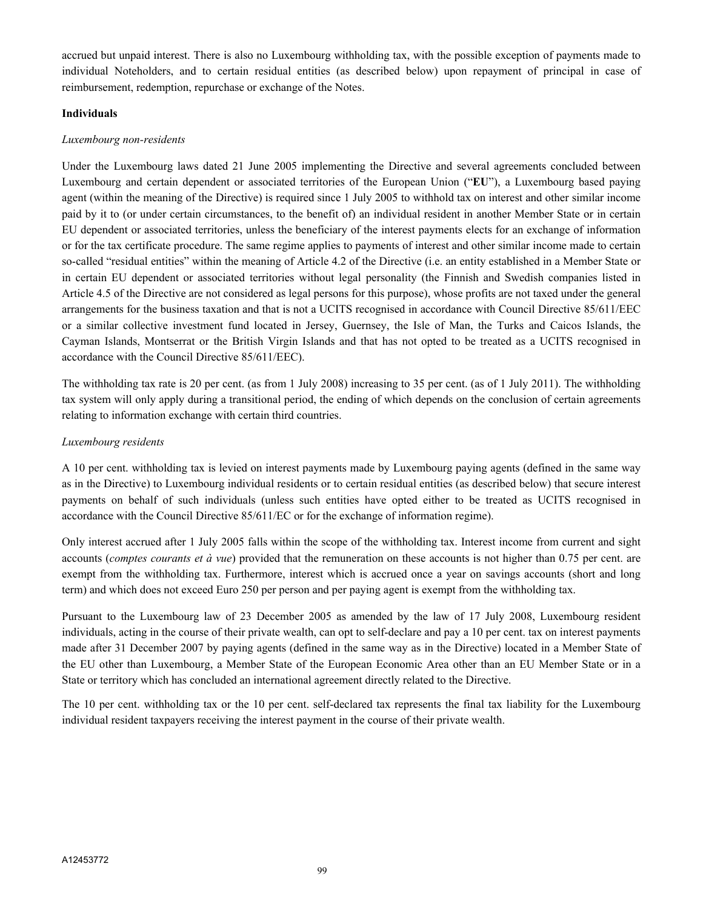accrued but unpaid interest. There is also no Luxembourg withholding tax, with the possible exception of payments made to individual Noteholders, and to certain residual entities (as described below) upon repayment of principal in case of reimbursement, redemption, repurchase or exchange of the Notes.

#### **Individuals**

#### *Luxembourg non-residents*

Under the Luxembourg laws dated 21 June 2005 implementing the Directive and several agreements concluded between Luxembourg and certain dependent or associated territories of the European Union ("**EU**"), a Luxembourg based paying agent (within the meaning of the Directive) is required since 1 July 2005 to withhold tax on interest and other similar income paid by it to (or under certain circumstances, to the benefit of) an individual resident in another Member State or in certain EU dependent or associated territories, unless the beneficiary of the interest payments elects for an exchange of information or for the tax certificate procedure. The same regime applies to payments of interest and other similar income made to certain so-called "residual entities" within the meaning of Article 4.2 of the Directive (i.e. an entity established in a Member State or in certain EU dependent or associated territories without legal personality (the Finnish and Swedish companies listed in Article 4.5 of the Directive are not considered as legal persons for this purpose), whose profits are not taxed under the general arrangements for the business taxation and that is not a UCITS recognised in accordance with Council Directive 85/611/EEC or a similar collective investment fund located in Jersey, Guernsey, the Isle of Man, the Turks and Caicos Islands, the Cayman Islands, Montserrat or the British Virgin Islands and that has not opted to be treated as a UCITS recognised in accordance with the Council Directive 85/611/EEC).

The withholding tax rate is 20 per cent. (as from 1 July 2008) increasing to 35 per cent. (as of 1 July 2011). The withholding tax system will only apply during a transitional period, the ending of which depends on the conclusion of certain agreements relating to information exchange with certain third countries.

## *Luxembourg residents*

A 10 per cent. withholding tax is levied on interest payments made by Luxembourg paying agents (defined in the same way as in the Directive) to Luxembourg individual residents or to certain residual entities (as described below) that secure interest payments on behalf of such individuals (unless such entities have opted either to be treated as UCITS recognised in accordance with the Council Directive 85/611/EC or for the exchange of information regime).

Only interest accrued after 1 July 2005 falls within the scope of the withholding tax. Interest income from current and sight accounts (*comptes courants et à vue*) provided that the remuneration on these accounts is not higher than 0.75 per cent. are exempt from the withholding tax. Furthermore, interest which is accrued once a year on savings accounts (short and long term) and which does not exceed Euro 250 per person and per paying agent is exempt from the withholding tax.

Pursuant to the Luxembourg law of 23 December 2005 as amended by the law of 17 July 2008, Luxembourg resident individuals, acting in the course of their private wealth, can opt to self-declare and pay a 10 per cent. tax on interest payments made after 31 December 2007 by paying agents (defined in the same way as in the Directive) located in a Member State of the EU other than Luxembourg, a Member State of the European Economic Area other than an EU Member State or in a State or territory which has concluded an international agreement directly related to the Directive.

The 10 per cent. withholding tax or the 10 per cent. self-declared tax represents the final tax liability for the Luxembourg individual resident taxpayers receiving the interest payment in the course of their private wealth.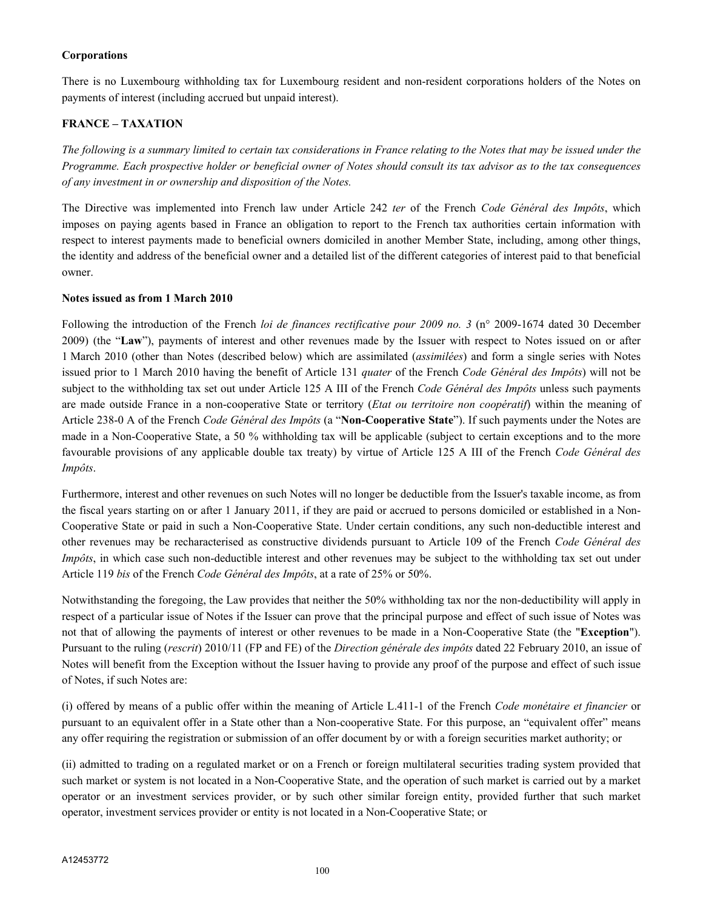## **Corporations**

There is no Luxembourg withholding tax for Luxembourg resident and non-resident corporations holders of the Notes on payments of interest (including accrued but unpaid interest).

# **FRANCE – TAXATION**

*The following is a summary limited to certain tax considerations in France relating to the Notes that may be issued under the Programme. Each prospective holder or beneficial owner of Notes should consult its tax advisor as to the tax consequences of any investment in or ownership and disposition of the Notes.*

The Directive was implemented into French law under Article 242 *ter* of the French *Code Général des Impôts*, which imposes on paying agents based in France an obligation to report to the French tax authorities certain information with respect to interest payments made to beneficial owners domiciled in another Member State, including, among other things, the identity and address of the beneficial owner and a detailed list of the different categories of interest paid to that beneficial owner.

## **Notes issued as from 1 March 2010**

Following the introduction of the French *loi de finances rectificative pour 2009 no. 3* (n° 2009-1674 dated 30 December 2009) (the "**Law**"), payments of interest and other revenues made by the Issuer with respect to Notes issued on or after 1 March 2010 (other than Notes (described below) which are assimilated (*assimilées*) and form a single series with Notes issued prior to 1 March 2010 having the benefit of Article 131 *quater* of the French *Code Général des Impôts*) will not be subject to the withholding tax set out under Article 125 A III of the French *Code Général des Impôts* unless such payments are made outside France in a non-cooperative State or territory (*Etat ou territoire non coopératif*) within the meaning of Article 238-0 A of the French *Code Général des Impôts* (a "**Non-Cooperative State**"). If such payments under the Notes are made in a Non-Cooperative State, a 50 % withholding tax will be applicable (subject to certain exceptions and to the more favourable provisions of any applicable double tax treaty) by virtue of Article 125 A III of the French *Code Général des Impôts*.

Furthermore, interest and other revenues on such Notes will no longer be deductible from the Issuer's taxable income, as from the fiscal years starting on or after 1 January 2011, if they are paid or accrued to persons domiciled or established in a Non-Cooperative State or paid in such a Non-Cooperative State. Under certain conditions, any such non-deductible interest and other revenues may be recharacterised as constructive dividends pursuant to Article 109 of the French *Code Général des Impôts*, in which case such non-deductible interest and other revenues may be subject to the withholding tax set out under Article 119 *bis* of the French *Code Général des Impôts*, at a rate of 25% or 50%.

Notwithstanding the foregoing, the Law provides that neither the 50% withholding tax nor the non-deductibility will apply in respect of a particular issue of Notes if the Issuer can prove that the principal purpose and effect of such issue of Notes was not that of allowing the payments of interest or other revenues to be made in a Non-Cooperative State (the "**Exception**"). Pursuant to the ruling (*rescrit*) 2010/11 (FP and FE) of the *Direction générale des impôts* dated 22 February 2010, an issue of Notes will benefit from the Exception without the Issuer having to provide any proof of the purpose and effect of such issue of Notes, if such Notes are:

(i) offered by means of a public offer within the meaning of Article L.411-1 of the French *Code monétaire et financier* or pursuant to an equivalent offer in a State other than a Non-cooperative State. For this purpose, an "equivalent offer" means any offer requiring the registration or submission of an offer document by or with a foreign securities market authority; or

(ii) admitted to trading on a regulated market or on a French or foreign multilateral securities trading system provided that such market or system is not located in a Non-Cooperative State, and the operation of such market is carried out by a market operator or an investment services provider, or by such other similar foreign entity, provided further that such market operator, investment services provider or entity is not located in a Non-Cooperative State; or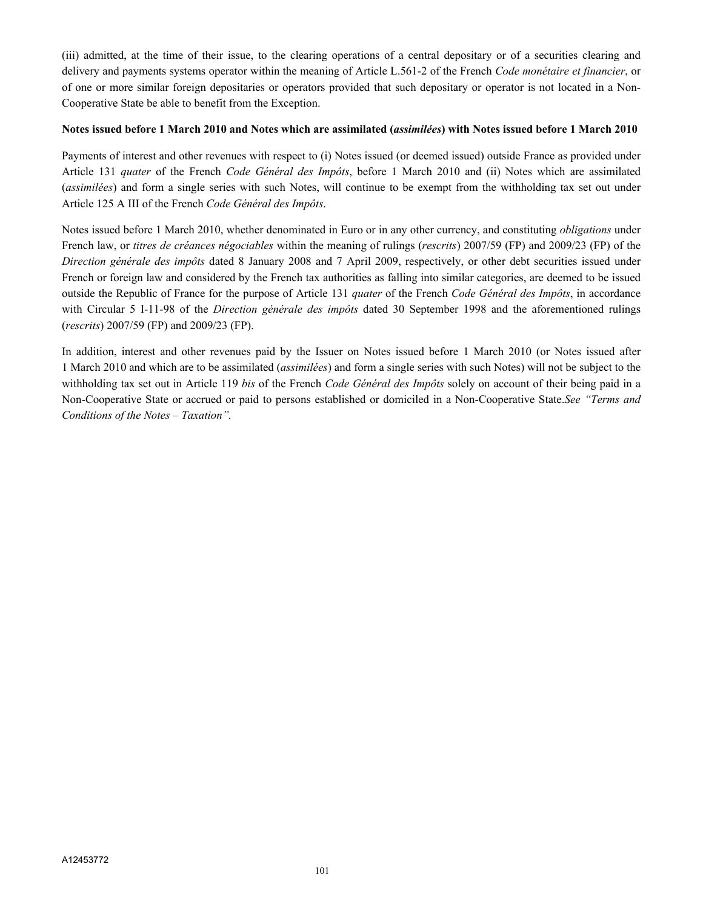(iii) admitted, at the time of their issue, to the clearing operations of a central depositary or of a securities clearing and delivery and payments systems operator within the meaning of Article L.561-2 of the French *Code monétaire et financier*, or of one or more similar foreign depositaries or operators provided that such depositary or operator is not located in a Non-Cooperative State be able to benefit from the Exception.

## **Notes issued before 1 March 2010 and Notes which are assimilated (***assimilées***) with Notes issued before 1 March 2010**

Payments of interest and other revenues with respect to (i) Notes issued (or deemed issued) outside France as provided under Article 131 *quater* of the French *Code Général des Impôts*, before 1 March 2010 and (ii) Notes which are assimilated (*assimilées*) and form a single series with such Notes, will continue to be exempt from the withholding tax set out under Article 125 A III of the French *Code Général des Impôts*.

Notes issued before 1 March 2010, whether denominated in Euro or in any other currency, and constituting *obligations* under French law, or *titres de créances négociables* within the meaning of rulings (*rescrits*) 2007/59 (FP) and 2009/23 (FP) of the *Direction générale des impôts* dated 8 January 2008 and 7 April 2009, respectively, or other debt securities issued under French or foreign law and considered by the French tax authorities as falling into similar categories, are deemed to be issued outside the Republic of France for the purpose of Article 131 *quater* of the French *Code Général des Impôts*, in accordance with Circular 5 I-11-98 of the *Direction générale des impôts* dated 30 September 1998 and the aforementioned rulings (*rescrits*) 2007/59 (FP) and 2009/23 (FP).

In addition, interest and other revenues paid by the Issuer on Notes issued before 1 March 2010 (or Notes issued after 1 March 2010 and which are to be assimilated (*assimilées*) and form a single series with such Notes) will not be subject to the withholding tax set out in Article 119 *bis* of the French *Code Général des Impôts* solely on account of their being paid in a Non-Cooperative State or accrued or paid to persons established or domiciled in a Non-Cooperative State.*See "Terms and Conditions of the Notes – Taxation".*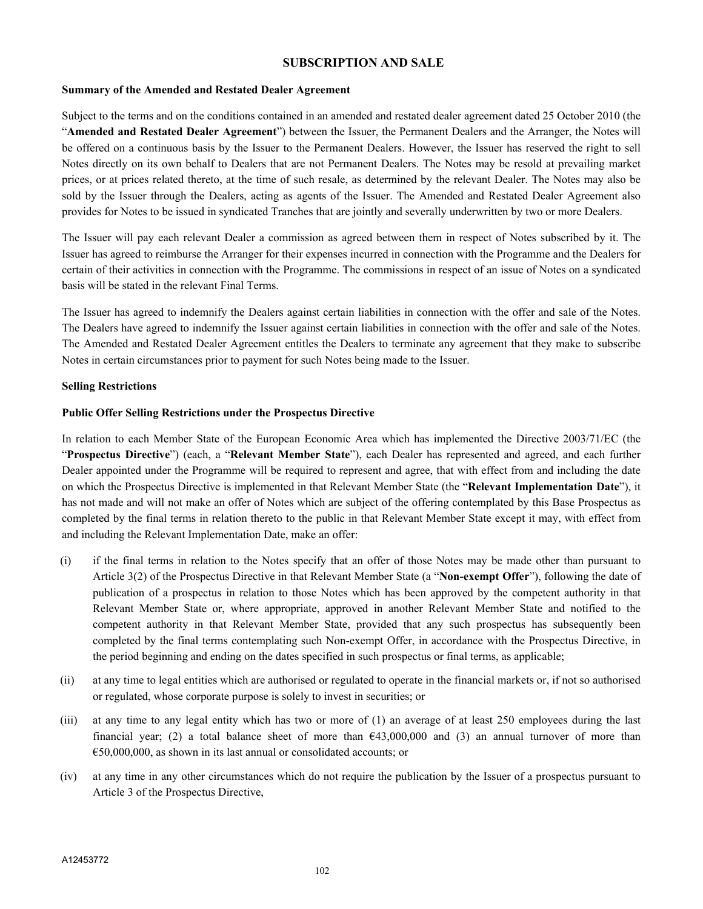# **SUBSCRIPTION AND SALE**

#### **Summary of the Amended and Restated Dealer Agreement**

Subject to the terms and on the conditions contained in an amended and restated dealer agreement dated 25 October 2010 (the "**Amended and Restated Dealer Agreement**") between the Issuer, the Permanent Dealers and the Arranger, the Notes will be offered on a continuous basis by the Issuer to the Permanent Dealers. However, the Issuer has reserved the right to sell Notes directly on its own behalf to Dealers that are not Permanent Dealers. The Notes may be resold at prevailing market prices, or at prices related thereto, at the time of such resale, as determined by the relevant Dealer. The Notes may also be sold by the Issuer through the Dealers, acting as agents of the Issuer. The Amended and Restated Dealer Agreement also provides for Notes to be issued in syndicated Tranches that are jointly and severally underwritten by two or more Dealers.

The Issuer will pay each relevant Dealer a commission as agreed between them in respect of Notes subscribed by it. The Issuer has agreed to reimburse the Arranger for their expenses incurred in connection with the Programme and the Dealers for certain of their activities in connection with the Programme. The commissions in respect of an issue of Notes on a syndicated basis will be stated in the relevant Final Terms.

The Issuer has agreed to indemnify the Dealers against certain liabilities in connection with the offer and sale of the Notes. The Dealers have agreed to indemnify the Issuer against certain liabilities in connection with the offer and sale of the Notes. The Amended and Restated Dealer Agreement entitles the Dealers to terminate any agreement that they make to subscribe Notes in certain circumstances prior to payment for such Notes being made to the Issuer.

## **Selling Restrictions**

## **Public Offer Selling Restrictions under the Prospectus Directive**

In relation to each Member State of the European Economic Area which has implemented the Directive 2003/71/EC (the "**Prospectus Directive**") (each, a "**Relevant Member State**"), each Dealer has represented and agreed, and each further Dealer appointed under the Programme will be required to represent and agree, that with effect from and including the date on which the Prospectus Directive is implemented in that Relevant Member State (the "**Relevant Implementation Date**"), it has not made and will not make an offer of Notes which are subject of the offering contemplated by this Base Prospectus as completed by the final terms in relation thereto to the public in that Relevant Member State except it may, with effect from and including the Relevant Implementation Date, make an offer:

- (i) if the final terms in relation to the Notes specify that an offer of those Notes may be made other than pursuant to Article 3(2) of the Prospectus Directive in that Relevant Member State (a "**Non-exempt Offer**"), following the date of publication of a prospectus in relation to those Notes which has been approved by the competent authority in that Relevant Member State or, where appropriate, approved in another Relevant Member State and notified to the competent authority in that Relevant Member State, provided that any such prospectus has subsequently been completed by the final terms contemplating such Non-exempt Offer, in accordance with the Prospectus Directive, in the period beginning and ending on the dates specified in such prospectus or final terms, as applicable;
- (ii) at any time to legal entities which are authorised or regulated to operate in the financial markets or, if not so authorised or regulated, whose corporate purpose is solely to invest in securities; or
- (iii) at any time to any legal entity which has two or more of (1) an average of at least 250 employees during the last financial year; (2) a total balance sheet of more than  $\epsilon$ 43,000,000 and (3) an annual turnover of more than €50,000,000, as shown in its last annual or consolidated accounts; or
- (iv) at any time in any other circumstances which do not require the publication by the Issuer of a prospectus pursuant to Article 3 of the Prospectus Directive,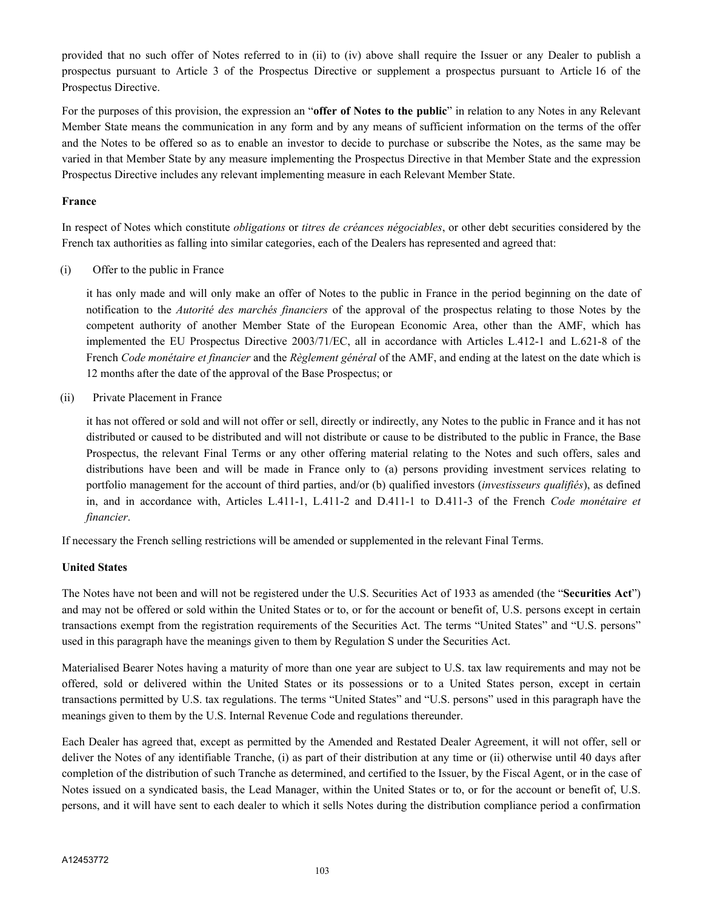provided that no such offer of Notes referred to in (ii) to (iv) above shall require the Issuer or any Dealer to publish a prospectus pursuant to Article 3 of the Prospectus Directive or supplement a prospectus pursuant to Article 16 of the Prospectus Directive.

For the purposes of this provision, the expression an "**offer of Notes to the public**" in relation to any Notes in any Relevant Member State means the communication in any form and by any means of sufficient information on the terms of the offer and the Notes to be offered so as to enable an investor to decide to purchase or subscribe the Notes, as the same may be varied in that Member State by any measure implementing the Prospectus Directive in that Member State and the expression Prospectus Directive includes any relevant implementing measure in each Relevant Member State.

## **France**

In respect of Notes which constitute *obligations* or *titres de créances négociables*, or other debt securities considered by the French tax authorities as falling into similar categories, each of the Dealers has represented and agreed that:

(i) Offer to the public in France

it has only made and will only make an offer of Notes to the public in France in the period beginning on the date of notification to the *Autorité des marchés financiers* of the approval of the prospectus relating to those Notes by the competent authority of another Member State of the European Economic Area, other than the AMF, which has implemented the EU Prospectus Directive 2003/71/EC, all in accordance with Articles L.412-1 and L.621-8 of the French *Code monétaire et financier* and the *Règlement général* of the AMF, and ending at the latest on the date which is 12 months after the date of the approval of the Base Prospectus; or

(ii) Private Placement in France

it has not offered or sold and will not offer or sell, directly or indirectly, any Notes to the public in France and it has not distributed or caused to be distributed and will not distribute or cause to be distributed to the public in France, the Base Prospectus, the relevant Final Terms or any other offering material relating to the Notes and such offers, sales and distributions have been and will be made in France only to (a) persons providing investment services relating to portfolio management for the account of third parties, and/or (b) qualified investors (*investisseurs qualifiés*), as defined in, and in accordance with, Articles L.411-1, L.411-2 and D.411-1 to D.411-3 of the French *Code monétaire et financier*.

If necessary the French selling restrictions will be amended or supplemented in the relevant Final Terms.

# **United States**

The Notes have not been and will not be registered under the U.S. Securities Act of 1933 as amended (the "**Securities Act**") and may not be offered or sold within the United States or to, or for the account or benefit of, U.S. persons except in certain transactions exempt from the registration requirements of the Securities Act. The terms "United States" and "U.S. persons" used in this paragraph have the meanings given to them by Regulation S under the Securities Act.

Materialised Bearer Notes having a maturity of more than one year are subject to U.S. tax law requirements and may not be offered, sold or delivered within the United States or its possessions or to a United States person, except in certain transactions permitted by U.S. tax regulations. The terms "United States" and "U.S. persons" used in this paragraph have the meanings given to them by the U.S. Internal Revenue Code and regulations thereunder.

Each Dealer has agreed that, except as permitted by the Amended and Restated Dealer Agreement, it will not offer, sell or deliver the Notes of any identifiable Tranche, (i) as part of their distribution at any time or (ii) otherwise until 40 days after completion of the distribution of such Tranche as determined, and certified to the Issuer, by the Fiscal Agent, or in the case of Notes issued on a syndicated basis, the Lead Manager, within the United States or to, or for the account or benefit of, U.S. persons, and it will have sent to each dealer to which it sells Notes during the distribution compliance period a confirmation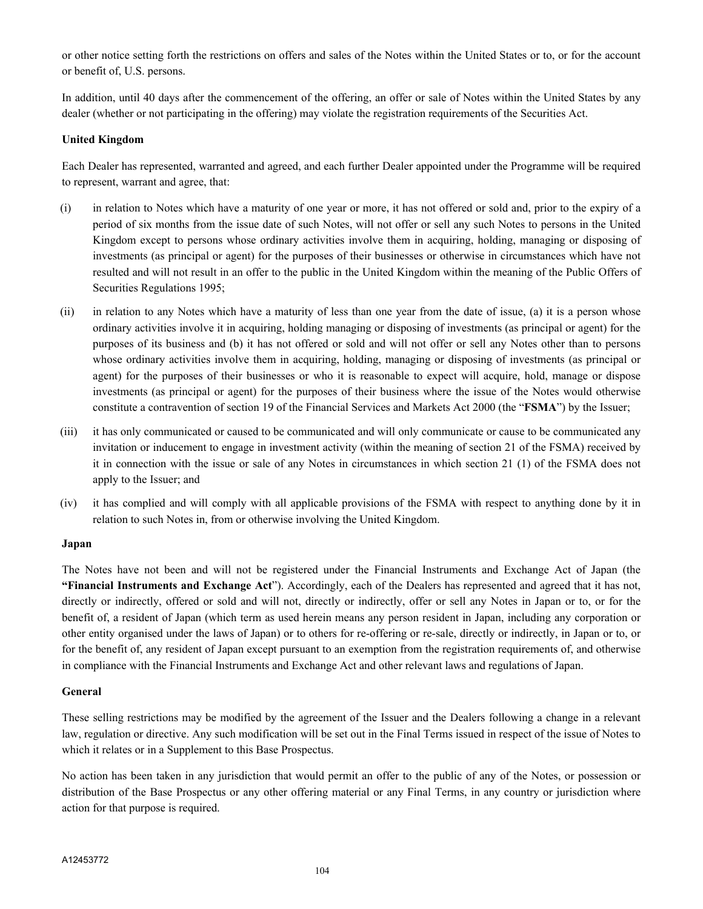or other notice setting forth the restrictions on offers and sales of the Notes within the United States or to, or for the account or benefit of, U.S. persons.

In addition, until 40 days after the commencement of the offering, an offer or sale of Notes within the United States by any dealer (whether or not participating in the offering) may violate the registration requirements of the Securities Act.

#### **United Kingdom**

Each Dealer has represented, warranted and agreed, and each further Dealer appointed under the Programme will be required to represent, warrant and agree, that:

- (i) in relation to Notes which have a maturity of one year or more, it has not offered or sold and, prior to the expiry of a period of six months from the issue date of such Notes, will not offer or sell any such Notes to persons in the United Kingdom except to persons whose ordinary activities involve them in acquiring, holding, managing or disposing of investments (as principal or agent) for the purposes of their businesses or otherwise in circumstances which have not resulted and will not result in an offer to the public in the United Kingdom within the meaning of the Public Offers of Securities Regulations 1995;
- (ii) in relation to any Notes which have a maturity of less than one year from the date of issue, (a) it is a person whose ordinary activities involve it in acquiring, holding managing or disposing of investments (as principal or agent) for the purposes of its business and (b) it has not offered or sold and will not offer or sell any Notes other than to persons whose ordinary activities involve them in acquiring, holding, managing or disposing of investments (as principal or agent) for the purposes of their businesses or who it is reasonable to expect will acquire, hold, manage or dispose investments (as principal or agent) for the purposes of their business where the issue of the Notes would otherwise constitute a contravention of section 19 of the Financial Services and Markets Act 2000 (the "**FSMA**") by the Issuer;
- (iii) it has only communicated or caused to be communicated and will only communicate or cause to be communicated any invitation or inducement to engage in investment activity (within the meaning of section 21 of the FSMA) received by it in connection with the issue or sale of any Notes in circumstances in which section 21 (1) of the FSMA does not apply to the Issuer; and
- (iv) it has complied and will comply with all applicable provisions of the FSMA with respect to anything done by it in relation to such Notes in, from or otherwise involving the United Kingdom.

#### **Japan**

The Notes have not been and will not be registered under the Financial Instruments and Exchange Act of Japan (the **"Financial Instruments and Exchange Act**"). Accordingly, each of the Dealers has represented and agreed that it has not, directly or indirectly, offered or sold and will not, directly or indirectly, offer or sell any Notes in Japan or to, or for the benefit of, a resident of Japan (which term as used herein means any person resident in Japan, including any corporation or other entity organised under the laws of Japan) or to others for re-offering or re-sale, directly or indirectly, in Japan or to, or for the benefit of, any resident of Japan except pursuant to an exemption from the registration requirements of, and otherwise in compliance with the Financial Instruments and Exchange Act and other relevant laws and regulations of Japan.

#### **General**

These selling restrictions may be modified by the agreement of the Issuer and the Dealers following a change in a relevant law, regulation or directive. Any such modification will be set out in the Final Terms issued in respect of the issue of Notes to which it relates or in a Supplement to this Base Prospectus.

No action has been taken in any jurisdiction that would permit an offer to the public of any of the Notes, or possession or distribution of the Base Prospectus or any other offering material or any Final Terms, in any country or jurisdiction where action for that purpose is required.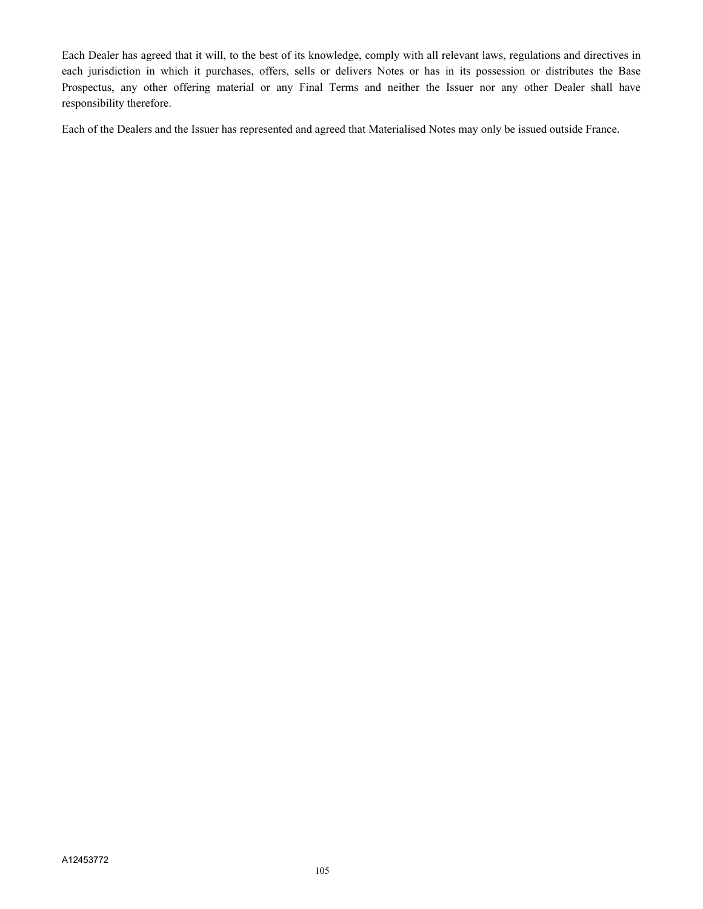Each Dealer has agreed that it will, to the best of its knowledge, comply with all relevant laws, regulations and directives in each jurisdiction in which it purchases, offers, sells or delivers Notes or has in its possession or distributes the Base Prospectus, any other offering material or any Final Terms and neither the Issuer nor any other Dealer shall have responsibility therefore.

Each of the Dealers and the Issuer has represented and agreed that Materialised Notes may only be issued outside France.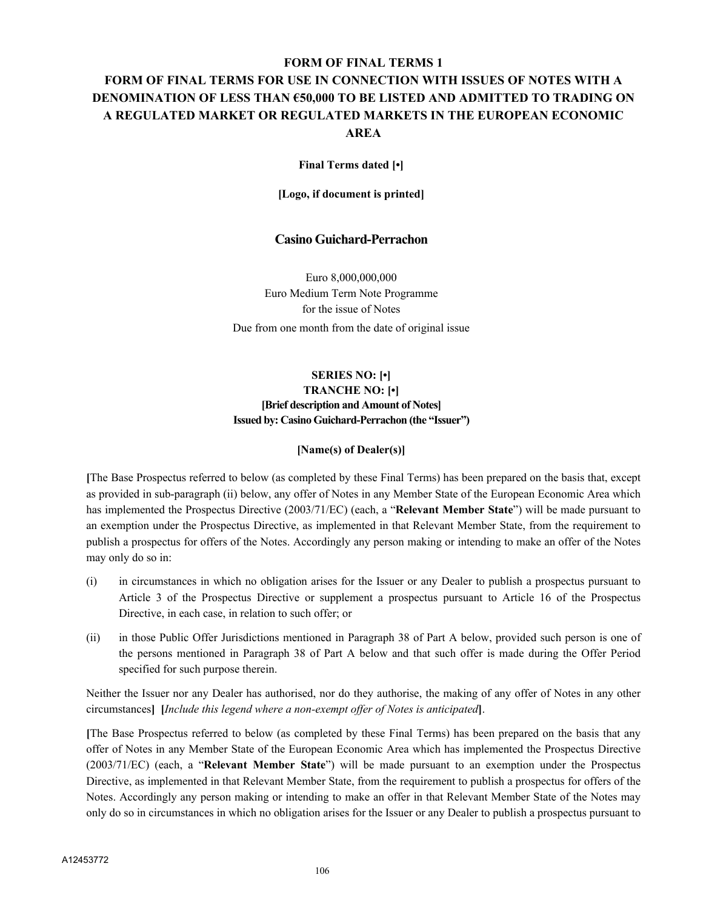# **FORM OF FINAL TERMS 1**

# **FORM OF FINAL TERMS FOR USE IN CONNECTION WITH ISSUES OF NOTES WITH A DENOMINATION OF LESS THAN €50,000 TO BE LISTED AND ADMITTED TO TRADING ON A REGULATED MARKET OR REGULATED MARKETS IN THE EUROPEAN ECONOMIC AREA**

#### **Final Terms dated [•]**

**[Logo, if document is printed]**

## **Casino Guichard-Perrachon**

Euro 8,000,000,000 Euro Medium Term Note Programme for the issue of Notes Due from one month from the date of original issue

# **SERIES NO: [•] TRANCHE NO: [•] [Brief description and Amount of Notes] Issued by: Casino Guichard-Perrachon (the "Issuer")**

#### **[Name(s) of Dealer(s)]**

**[**The Base Prospectus referred to below (as completed by these Final Terms) has been prepared on the basis that, except as provided in sub-paragraph (ii) below, any offer of Notes in any Member State of the European Economic Area which has implemented the Prospectus Directive (2003/71/EC) (each, a "**Relevant Member State**") will be made pursuant to an exemption under the Prospectus Directive, as implemented in that Relevant Member State, from the requirement to publish a prospectus for offers of the Notes. Accordingly any person making or intending to make an offer of the Notes may only do so in:

- (i) in circumstances in which no obligation arises for the Issuer or any Dealer to publish a prospectus pursuant to Article 3 of the Prospectus Directive or supplement a prospectus pursuant to Article 16 of the Prospectus Directive, in each case, in relation to such offer; or
- (ii) in those Public Offer Jurisdictions mentioned in Paragraph 38 of Part A below, provided such person is one of the persons mentioned in Paragraph 38 of Part A below and that such offer is made during the Offer Period specified for such purpose therein.

Neither the Issuer nor any Dealer has authorised, nor do they authorise, the making of any offer of Notes in any other circumstances**] [***Include this legend where a non-exempt offer of Notes is anticipated***]**.

**[**The Base Prospectus referred to below (as completed by these Final Terms) has been prepared on the basis that any offer of Notes in any Member State of the European Economic Area which has implemented the Prospectus Directive (2003/71/EC) (each, a "**Relevant Member State**") will be made pursuant to an exemption under the Prospectus Directive, as implemented in that Relevant Member State, from the requirement to publish a prospectus for offers of the Notes. Accordingly any person making or intending to make an offer in that Relevant Member State of the Notes may only do so in circumstances in which no obligation arises for the Issuer or any Dealer to publish a prospectus pursuant to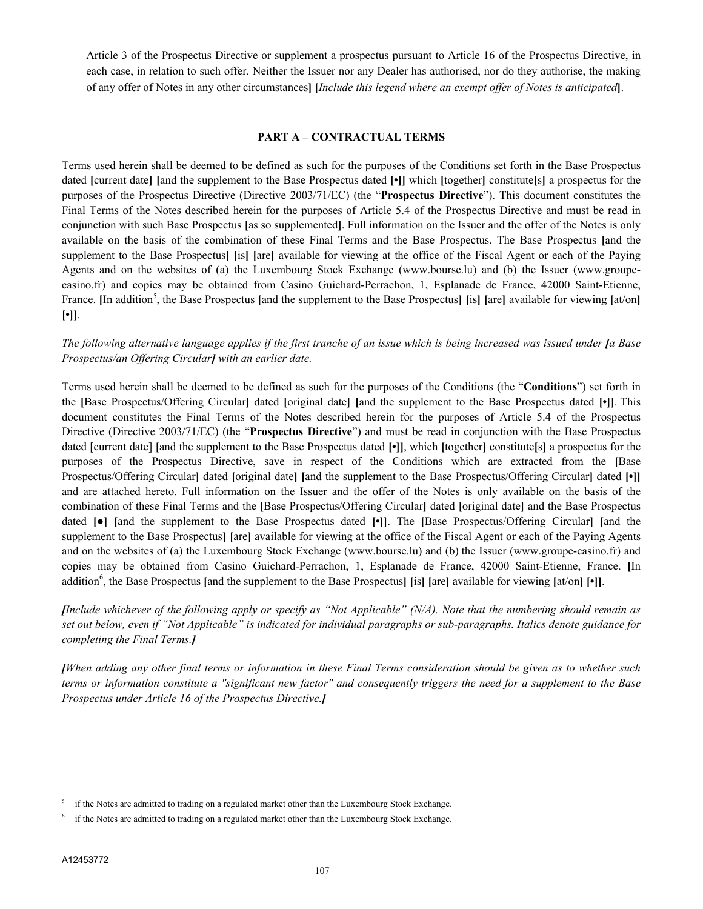Article 3 of the Prospectus Directive or supplement a prospectus pursuant to Article 16 of the Prospectus Directive, in each case, in relation to such offer. Neither the Issuer nor any Dealer has authorised, nor do they authorise, the making of any offer of Notes in any other circumstances**] [***Include this legend where an exempt offer of Notes is anticipated***]**.

#### **PART A – CONTRACTUAL TERMS**

Terms used herein shall be deemed to be defined as such for the purposes of the Conditions set forth in the Base Prospectus dated **[**current date**] [**and the supplement to the Base Prospectus dated **[•]]** which **[**together**]** constitute**[**s**]** a prospectus for the purposes of the Prospectus Directive (Directive 2003/71/EC) (the "**Prospectus Directive**"). This document constitutes the Final Terms of the Notes described herein for the purposes of Article 5.4 of the Prospectus Directive and must be read in conjunction with such Base Prospectus **[**as so supplemented**]**. Full information on the Issuer and the offer of the Notes is only available on the basis of the combination of these Final Terms and the Base Prospectus. The Base Prospectus **[**and the supplement to the Base Prospectus**] [**is**] [**are**]** available for viewing at the office of the Fiscal Agent or each of the Paying Agents and on the websites of (a) the Luxembourg Stock Exchange (www.bourse.lu) and (b) the Issuer (www.groupecasino.fr) and copies may be obtained from Casino Guichard-Perrachon, 1, Esplanade de France, 42000 Saint-Etienne, France. [In addition<sup>5</sup>, the Base Prospectus [and the supplement to the Base Prospectus] [is] [are] available for viewing [at/on] **[•]]**.

# *The following alternative language applies if the first tranche of an issue which is being increased was issued under [a Base Prospectus/an Offering Circular] with an earlier date.*

Terms used herein shall be deemed to be defined as such for the purposes of the Conditions (the "**Conditions**") set forth in the **[**Base Prospectus/Offering Circular**]** dated **[**original date**] [**and the supplement to the Base Prospectus dated **[•]]**. This document constitutes the Final Terms of the Notes described herein for the purposes of Article 5.4 of the Prospectus Directive (Directive 2003/71/EC) (the "**Prospectus Directive**") and must be read in conjunction with the Base Prospectus dated [current date] **[**and the supplement to the Base Prospectus dated **[•]]**, which **[**together**]** constitute**[**s**]** a prospectus for the purposes of the Prospectus Directive, save in respect of the Conditions which are extracted from the **[**Base Prospectus/Offering Circular**]** dated **[**original date**] [**and the supplement to the Base Prospectus/Offering Circular**]** dated **[•]]** and are attached hereto. Full information on the Issuer and the offer of the Notes is only available on the basis of the combination of these Final Terms and the **[**Base Prospectus/Offering Circular**]** dated **[**original date**]** and the Base Prospectus dated **[●] [**and the supplement to the Base Prospectus dated **[•]]**. The **[**Base Prospectus/Offering Circular**] [**and the supplement to the Base Prospectus<sup>[are]</sup> available for viewing at the office of the Fiscal Agent or each of the Paying Agents and on the websites of (a) the Luxembourg Stock Exchange (www.bourse.lu) and (b) the Issuer (www.groupe-casino.fr) and copies may be obtained from Casino Guichard-Perrachon, 1, Esplanade de France, 42000 Saint-Etienne, France. **[**In addition<sup>6</sup>, the Base Prospectus [and the supplement to the Base Prospectus] [is] [are] available for viewing [at/on] [•]].

*[Include whichever of the following apply or specify as "Not Applicable" (N/A). Note that the numbering should remain as set out below, even if "Not Applicable" is indicated for individual paragraphs or sub-paragraphs. Italics denote guidance for completing the Final Terms.]*

*[When adding any other final terms or information in these Final Terms consideration should be given as to whether such terms or information constitute a "significant new factor" and consequently triggers the need for a supplement to the Base Prospectus under Article 16 of the Prospectus Directive.]*

<sup>5</sup> if the Notes are admitted to trading on a regulated market other than the Luxembourg Stock Exchange.

<sup>6</sup> if the Notes are admitted to trading on a regulated market other than the Luxembourg Stock Exchange.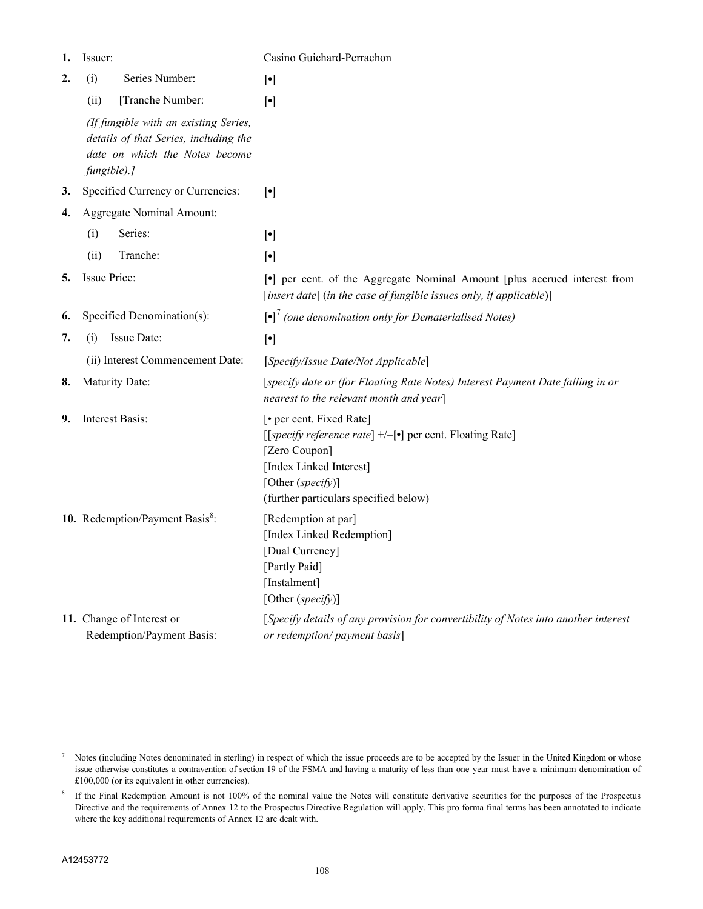| 1. | Issuer:                                                                                                                         | Casino Guichard-Perrachon                                                                                                                                                                          |
|----|---------------------------------------------------------------------------------------------------------------------------------|----------------------------------------------------------------------------------------------------------------------------------------------------------------------------------------------------|
| 2. | Series Number:<br>(i)                                                                                                           | $[\cdot]$                                                                                                                                                                                          |
|    | [Tranche Number:<br>(ii)                                                                                                        | $[\cdot]$                                                                                                                                                                                          |
|    | (If fungible with an existing Series,<br>details of that Series, including the<br>date on which the Notes become<br>fungible).] |                                                                                                                                                                                                    |
| 3. | Specified Currency or Currencies:                                                                                               | $[\cdot]$                                                                                                                                                                                          |
| 4. | Aggregate Nominal Amount:                                                                                                       |                                                                                                                                                                                                    |
|    | Series:<br>(i)                                                                                                                  | $[\cdot]$                                                                                                                                                                                          |
|    | Tranche:<br>(ii)                                                                                                                | $[\cdot]$                                                                                                                                                                                          |
| 5. | <b>Issue Price:</b>                                                                                                             | • per cent. of the Aggregate Nominal Amount [plus accrued interest from<br>[insert date] (in the case of fungible issues only, if applicable)]                                                     |
| 6. | Specified Denomination(s):                                                                                                      | $\left[\bullet\right]$ <sup>7</sup> (one denomination only for Dematerialised Notes)                                                                                                               |
| 7. | Issue Date:<br>(i)                                                                                                              | $[\cdot]$                                                                                                                                                                                          |
|    | (ii) Interest Commencement Date:                                                                                                | [Specify/Issue Date/Not Applicable]                                                                                                                                                                |
| 8. | <b>Maturity Date:</b>                                                                                                           | [specify date or (for Floating Rate Notes) Interest Payment Date falling in or<br>nearest to the relevant month and year]                                                                          |
| 9. | Interest Basis:                                                                                                                 | [• per cent. Fixed Rate]<br>[[specify reference rate] +/-[•] per cent. Floating Rate]<br>[Zero Coupon]<br>[Index Linked Interest]<br>[Other $(specify)$ ]<br>(further particulars specified below) |
|    | 10. Redemption/Payment Basis <sup>8</sup> :                                                                                     | [Redemption at par]<br>[Index Linked Redemption]<br>[Dual Currency]<br>[Partly Paid]<br>[Instalment]<br>[Other (specify)]                                                                          |
|    | 11. Change of Interest or<br>Redemption/Payment Basis:                                                                          | [Specify details of any provision for convertibility of Notes into another interest<br>or redemption/ payment basis]                                                                               |

<sup>&</sup>lt;sup>7</sup> Notes (including Notes denominated in sterling) in respect of which the issue proceeds are to be accepted by the Issuer in the United Kingdom or whose issue otherwise constitutes a contravention of section 19 of the FSMA and having a maturity of less than one year must have a minimum denomination of £100,000 (or its equivalent in other currencies).

<sup>8</sup> If the Final Redemption Amount is not 100% of the nominal value the Notes will constitute derivative securities for the purposes of the Prospectus Directive and the requirements of Annex 12 to the Prospectus Directive Regulation will apply. This pro forma final terms has been annotated to indicate where the key additional requirements of Annex 12 are dealt with.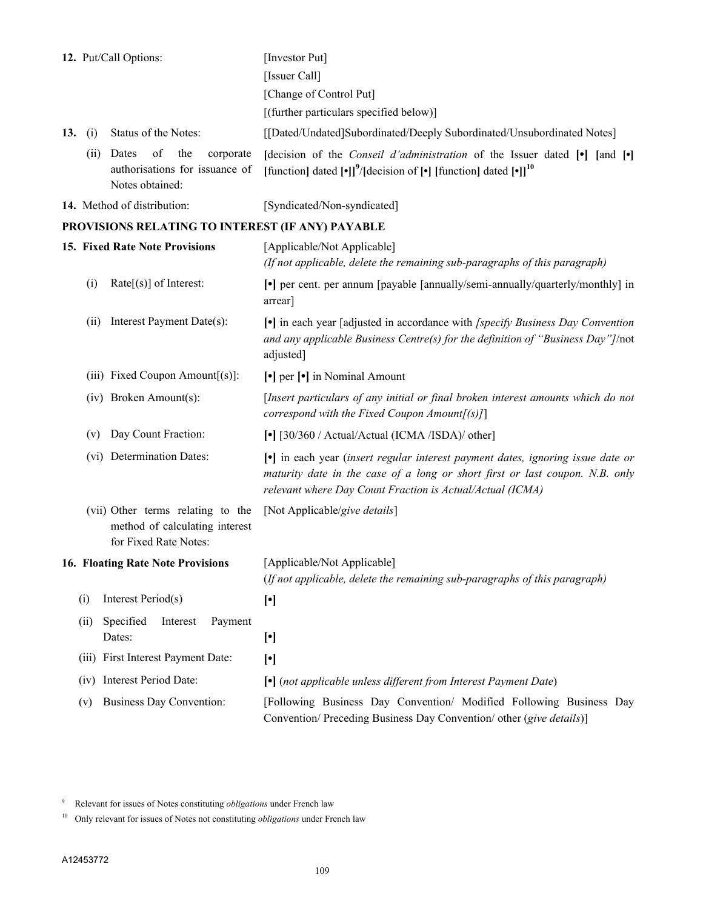| 12. Put/Call Options:                                                                        | [Investor Put]                                                                                                                                                                                                             |  |  |  |
|----------------------------------------------------------------------------------------------|----------------------------------------------------------------------------------------------------------------------------------------------------------------------------------------------------------------------------|--|--|--|
|                                                                                              | [Issuer Call]                                                                                                                                                                                                              |  |  |  |
|                                                                                              | [Change of Control Put]                                                                                                                                                                                                    |  |  |  |
|                                                                                              | [(further particulars specified below)]                                                                                                                                                                                    |  |  |  |
| Status of the Notes:<br>13.<br>(i)                                                           | [[Dated/Undated]Subordinated/Deeply Subordinated/Unsubordinated Notes]                                                                                                                                                     |  |  |  |
| Dates<br>of<br>the<br>corporate<br>(ii)<br>authorisations for issuance of<br>Notes obtained: | [decision of the <i>Conseil d'administration</i> of the Issuer dated [•] [and [•]<br>[function] dated $[\cdot]]^9$ /[decision of $[\cdot]$ [function] dated $[\cdot]]^{10}$                                                |  |  |  |
| 14. Method of distribution:                                                                  | [Syndicated/Non-syndicated]                                                                                                                                                                                                |  |  |  |
| PROVISIONS RELATING TO INTEREST (IF ANY) PAYABLE                                             |                                                                                                                                                                                                                            |  |  |  |
| 15. Fixed Rate Note Provisions                                                               | [Applicable/Not Applicable]<br>(If not applicable, delete the remaining sub-paragraphs of this paragraph)                                                                                                                  |  |  |  |
| (i)<br>$Rate[s]$ of Interest:                                                                | • per cent. per annum [payable [annually/semi-annually/quarterly/monthly] in<br>arrear]                                                                                                                                    |  |  |  |
| Interest Payment Date(s):<br>(ii)                                                            | [•] in each year [adjusted in accordance with [specify Business Day Convention<br>and any applicable Business Centre(s) for the definition of "Business Day"]/not<br>adjusted]                                             |  |  |  |
| (iii) Fixed Coupon Amount[(s)]:                                                              | [•] per [•] in Nominal Amount                                                                                                                                                                                              |  |  |  |
| (iv) Broken Amount(s):                                                                       | [Insert particulars of any initial or final broken interest amounts which do not<br>correspond with the Fixed Coupon Amount $[(s)]$                                                                                        |  |  |  |
| Day Count Fraction:<br>(v)                                                                   | [•] [30/360 / Actual/Actual (ICMA /ISDA)/ other]                                                                                                                                                                           |  |  |  |
| (vi) Determination Dates:                                                                    | • in each year (insert regular interest payment dates, ignoring issue date or<br>maturity date in the case of a long or short first or last coupon. N.B. only<br>relevant where Day Count Fraction is Actual/Actual (ICMA) |  |  |  |
| (vii) Other terms relating to the<br>method of calculating interest<br>for Fixed Rate Notes: | [Not Applicable/give details]                                                                                                                                                                                              |  |  |  |
| <b>16. Floating Rate Note Provisions</b>                                                     | [Applicable/Not Applicable]<br>(If not applicable, delete the remaining sub-paragraphs of this paragraph)                                                                                                                  |  |  |  |
| Interest Period(s)<br>(i)                                                                    | $[\cdot]$                                                                                                                                                                                                                  |  |  |  |
| Specified<br>Interest<br>(ii)<br>Payment<br>Dates:                                           | $[\cdot]$                                                                                                                                                                                                                  |  |  |  |
| (iii) First Interest Payment Date:                                                           | $[\cdot]$                                                                                                                                                                                                                  |  |  |  |
| Interest Period Date:<br>(iv)                                                                | [•] (not applicable unless different from Interest Payment Date)                                                                                                                                                           |  |  |  |
| <b>Business Day Convention:</b><br>(v)                                                       | [Following Business Day Convention/ Modified Following Business Day<br>Convention/ Preceding Business Day Convention/ other (give details)]                                                                                |  |  |  |

<sup>9</sup> Relevant for issues of Notes constituting *obligations* under French law

<sup>10</sup> Only relevant for issues of Notes not constituting *obligations* under French law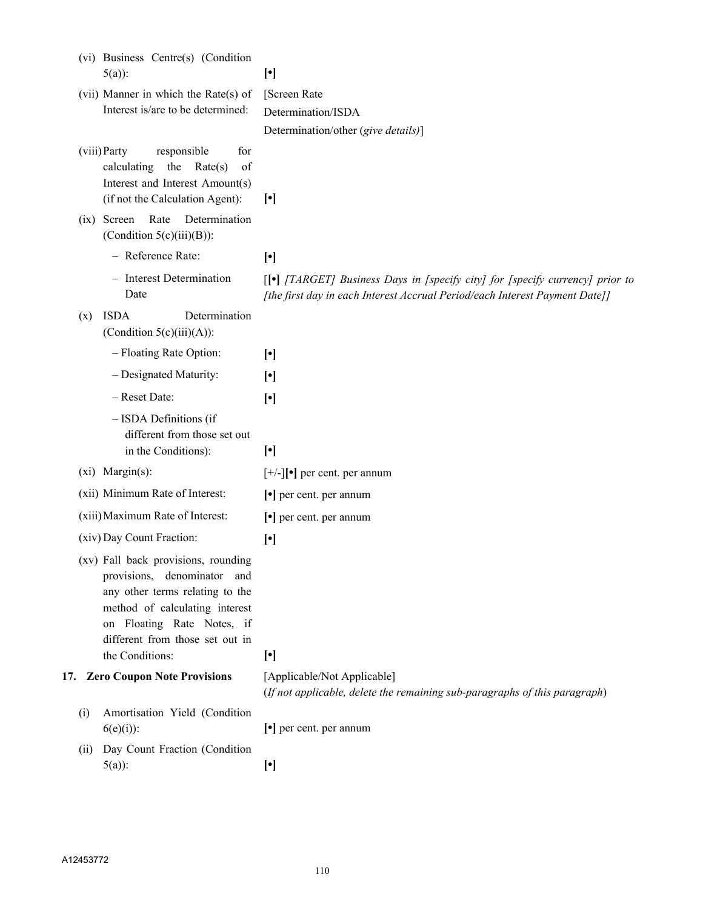|     | (vi) Business Centre(s) (Condition<br>$5(a)$ :                                                                                                                                                                              | $[\cdot]$                                                                                                                                                    |
|-----|-----------------------------------------------------------------------------------------------------------------------------------------------------------------------------------------------------------------------------|--------------------------------------------------------------------------------------------------------------------------------------------------------------|
|     | (vii) Manner in which the Rate(s) of                                                                                                                                                                                        | [Screen Rate                                                                                                                                                 |
|     | Interest is/are to be determined:                                                                                                                                                                                           | Determination/ISDA                                                                                                                                           |
|     |                                                                                                                                                                                                                             | Determination/other (give details)]                                                                                                                          |
|     | (viii) Party<br>responsible<br>for<br>the<br>Rate(s)<br>calculating<br>of<br>Interest and Interest Amount(s)<br>(if not the Calculation Agent):                                                                             | $\lbrack$                                                                                                                                                    |
|     | (ix) Screen Rate<br>Determination<br>(Condition $5(c)(iii)(B)$ ):                                                                                                                                                           |                                                                                                                                                              |
|     | - Reference Rate:                                                                                                                                                                                                           | $[\cdot]$                                                                                                                                                    |
|     | - Interest Determination<br>Date                                                                                                                                                                                            | [[•] [TARGET] Business Days in [specify city] for [specify currency] prior to<br>[the first day in each Interest Accrual Period/each Interest Payment Date]] |
| (x) | <b>ISDA</b><br>Determination<br>(Condition $5(c)(iii)(A)$ ):                                                                                                                                                                |                                                                                                                                                              |
|     | - Floating Rate Option:                                                                                                                                                                                                     | $[\cdot]$                                                                                                                                                    |
|     | - Designated Maturity:                                                                                                                                                                                                      | $[\cdot]$                                                                                                                                                    |
|     | - Reset Date:                                                                                                                                                                                                               | $[\cdot]$                                                                                                                                                    |
|     | - ISDA Definitions (if<br>different from those set out<br>in the Conditions):                                                                                                                                               | $[\cdot]$                                                                                                                                                    |
|     | $(xi)$ Margin $(s)$ :                                                                                                                                                                                                       | $[+/$ ] $[•]$ per cent. per annum                                                                                                                            |
|     | (xii) Minimum Rate of Interest:                                                                                                                                                                                             | $\lceil \cdot \rceil$ per cent. per annum                                                                                                                    |
|     | (xiii) Maximum Rate of Interest:                                                                                                                                                                                            | $\lceil \cdot \rceil$ per cent. per annum                                                                                                                    |
|     | (xiv) Day Count Fraction:                                                                                                                                                                                                   | $[\cdot]$                                                                                                                                                    |
|     | (xv) Fall back provisions, rounding<br>provisions, denominator and<br>any other terms relating to the<br>method of calculating interest<br>on Floating Rate Notes, if<br>different from those set out in<br>the Conditions: | $[\cdot]$                                                                                                                                                    |
|     | 17. Zero Coupon Note Provisions                                                                                                                                                                                             | [Applicable/Not Applicable]                                                                                                                                  |
|     |                                                                                                                                                                                                                             | (If not applicable, delete the remaining sub-paragraphs of this paragraph)                                                                                   |
| (i) | Amortisation Yield (Condition<br>$6(e)(i)$ :                                                                                                                                                                                | $\lceil \cdot \rceil$ per cent. per annum                                                                                                                    |
| (i) | Day Count Fraction (Condition                                                                                                                                                                                               |                                                                                                                                                              |
|     | $5(a)$ :                                                                                                                                                                                                                    | $[\cdot]$                                                                                                                                                    |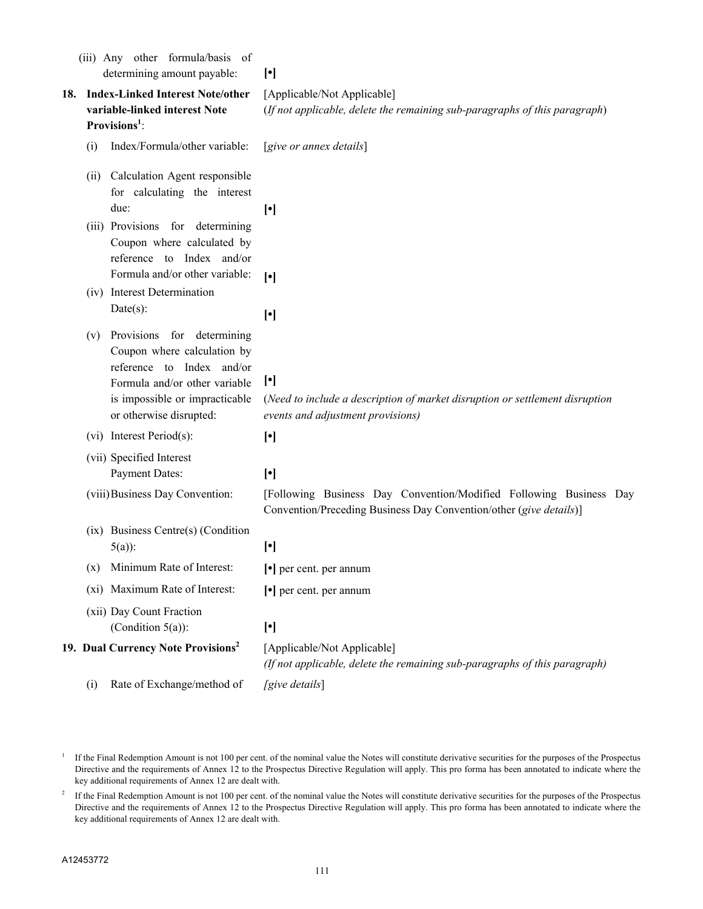| (iii) Any other formula/basis of<br>determining amount payable:                                                                                                                             | $[\cdot]$                                                                                                                                |  |  |
|---------------------------------------------------------------------------------------------------------------------------------------------------------------------------------------------|------------------------------------------------------------------------------------------------------------------------------------------|--|--|
| 18. Index-Linked Interest Note/other<br>variable-linked interest Note<br>Provisions <sup>1</sup> :                                                                                          | [Applicable/Not Applicable]<br>(If not applicable, delete the remaining sub-paragraphs of this paragraph)                                |  |  |
| Index/Formula/other variable:<br>(i)                                                                                                                                                        | [give or annex details]                                                                                                                  |  |  |
| Calculation Agent responsible<br>(ii)<br>for calculating the interest<br>due:                                                                                                               | $[\cdot]$                                                                                                                                |  |  |
| (iii) Provisions for determining<br>Coupon where calculated by<br>reference to Index and/or<br>Formula and/or other variable:                                                               | $[\cdot]$                                                                                                                                |  |  |
| (iv) Interest Determination<br>$Date(s)$ :                                                                                                                                                  | $[\cdot]$                                                                                                                                |  |  |
| Provisions for determining<br>(v)<br>Coupon where calculation by<br>reference to Index and/or<br>Formula and/or other variable<br>is impossible or impracticable<br>or otherwise disrupted: | $[\cdot]$<br>(Need to include a description of market disruption or settlement disruption<br>events and adjustment provisions)           |  |  |
| $(vi)$ Interest Period(s):                                                                                                                                                                  | $[\cdot]$                                                                                                                                |  |  |
| (vii) Specified Interest<br><b>Payment Dates:</b>                                                                                                                                           | $[\cdot]$                                                                                                                                |  |  |
| (viii) Business Day Convention:                                                                                                                                                             | [Following Business Day Convention/Modified Following Business Day<br>Convention/Preceding Business Day Convention/other (give details)] |  |  |
| (ix) Business Centre(s) (Condition<br>$5(a)$ :                                                                                                                                              | $[\cdot]$                                                                                                                                |  |  |
| Minimum Rate of Interest:<br>(x)                                                                                                                                                            | $\lceil \cdot \rceil$ per cent. per annum                                                                                                |  |  |
| (xi) Maximum Rate of Interest:                                                                                                                                                              | $\lceil \cdot \rceil$ per cent. per annum                                                                                                |  |  |
| (xii) Day Count Fraction<br>(Condition $5(a)$ ):                                                                                                                                            | $[\cdot]$                                                                                                                                |  |  |
| 19. Dual Currency Note Provisions <sup>2</sup>                                                                                                                                              | [Applicable/Not Applicable]<br>(If not applicable, delete the remaining sub-paragraphs of this paragraph)                                |  |  |
| Rate of Exchange/method of<br>(i)                                                                                                                                                           | [give details]                                                                                                                           |  |  |

<sup>&</sup>lt;sup>1</sup> If the Final Redemption Amount is not 100 per cent. of the nominal value the Notes will constitute derivative securities for the purposes of the Prospectus Directive and the requirements of Annex 12 to the Prospectus Directive Regulation will apply. This pro forma has been annotated to indicate where the key additional requirements of Annex 12 are dealt with.

<sup>2</sup> If the Final Redemption Amount is not 100 per cent. of the nominal value the Notes will constitute derivative securities for the purposes of the Prospectus Directive and the requirements of Annex 12 to the Prospectus Directive Regulation will apply. This pro forma has been annotated to indicate where the key additional requirements of Annex 12 are dealt with.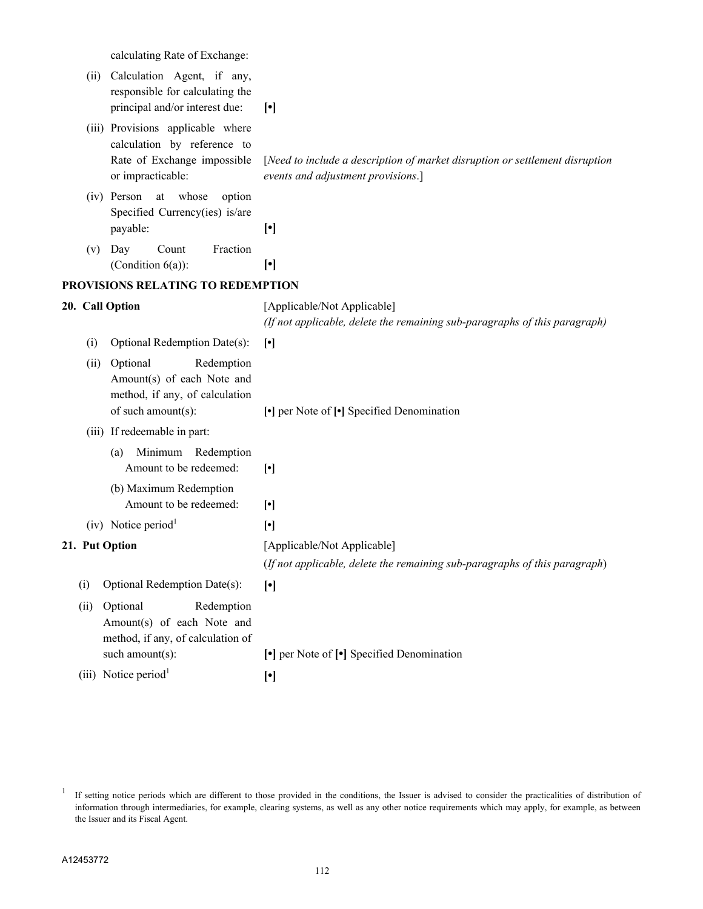calculating Rate of Exchange:

|                | (ii)  | Calculation Agent, if any,<br>responsible for calculating the<br>principal and/or interest due:                      | $[\cdot]$                                                                                                              |  |  |
|----------------|-------|----------------------------------------------------------------------------------------------------------------------|------------------------------------------------------------------------------------------------------------------------|--|--|
|                |       | (iii) Provisions applicable where<br>calculation by reference to<br>Rate of Exchange impossible<br>or impracticable: | [Need to include a description of market disruption or settlement disruption<br>events and adjustment provisions.]     |  |  |
|                |       | (iv) Person at whose<br>option<br>Specified Currency(ies) is/are<br>payable:                                         | $[\cdot]$                                                                                                              |  |  |
|                | (v)   | Day<br>Count<br>Fraction<br>(Condition $6(a)$ ):                                                                     | $[\cdot]$                                                                                                              |  |  |
|                |       | PROVISIONS RELATING TO REDEMPTION                                                                                    |                                                                                                                        |  |  |
|                |       | 20. Call Option                                                                                                      | [Applicable/Not Applicable]<br>(If not applicable, delete the remaining sub-paragraphs of this paragraph)              |  |  |
|                | (i)   | Optional Redemption Date(s):                                                                                         | $[\cdot]$                                                                                                              |  |  |
|                | (ii)  | Optional<br>Redemption<br>Amount(s) of each Note and<br>method, if any, of calculation<br>of such amount(s):         | •] per Note of [•] Specified Denomination                                                                              |  |  |
|                |       | (iii) If redeemable in part:                                                                                         |                                                                                                                        |  |  |
|                |       | Minimum Redemption<br>(a)<br>Amount to be redeemed:<br>(b) Maximum Redemption<br>Amount to be redeemed:              | $[\cdot]$                                                                                                              |  |  |
|                |       | $(iv)$ Notice period <sup>1</sup>                                                                                    | $[\cdot]$                                                                                                              |  |  |
| 21. Put Option |       |                                                                                                                      | $[\cdot]$<br>[Applicable/Not Applicable]<br>(If not applicable, delete the remaining sub-paragraphs of this paragraph) |  |  |
|                | (i)   | Optional Redemption Date(s):                                                                                         | $[\cdot]$                                                                                                              |  |  |
|                | (ii)  | Optional<br>Redemption<br>Amount(s) of each Note and<br>method, if any, of calculation of<br>such amount(s):         | • per Note of • Specified Denomination                                                                                 |  |  |
|                | (iii) | Notice period <sup>1</sup>                                                                                           | $[\cdot]$                                                                                                              |  |  |
|                |       |                                                                                                                      |                                                                                                                        |  |  |

<sup>&</sup>lt;sup>1</sup> If setting notice periods which are different to those provided in the conditions, the Issuer is advised to consider the practicalities of distribution of information through intermediaries, for example, clearing systems, as well as any other notice requirements which may apply, for example, as between the Issuer and its Fiscal Agent.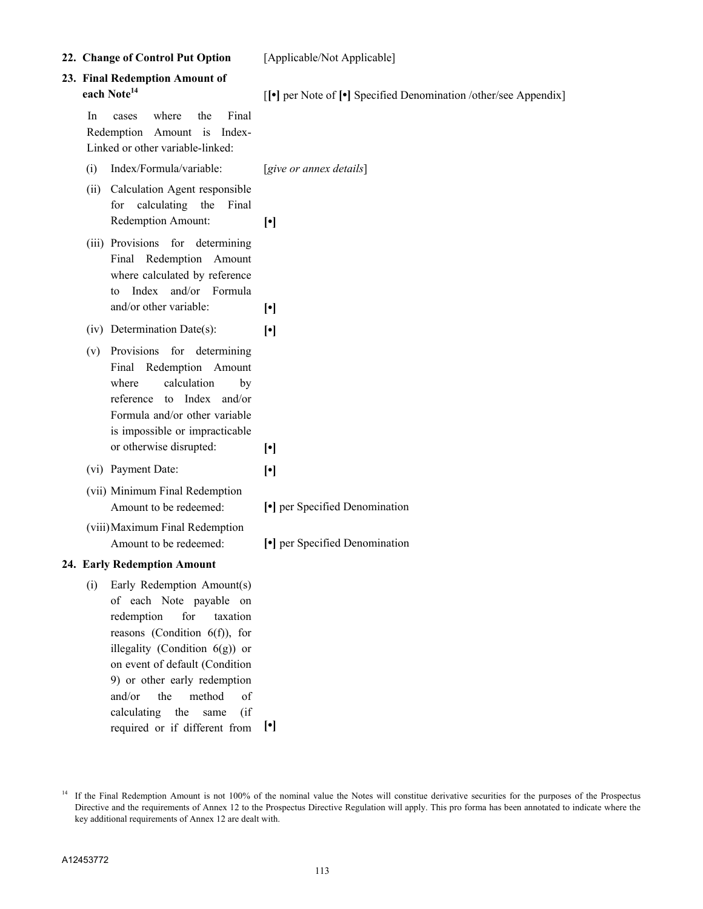A12453772

key additional requirements of Annex 12 are dealt with.

113

<sup>14</sup> If the Final Redemption Amount is not 100% of the nominal value the Notes will constitue derivative securities for the purposes of the Prospectus Directive and the requirements of Annex 12 to the Prospectus Directive Regulation will apply. This pro forma has been annotated to indicate where the

Redemption Amount: **[•]** (iii) Provisions for determining Final Redemption Amount where calculated by reference to Index and/or Formula and/or other variable: **[•]** (iv) Determination Date(s): **[•]** (v) Provisions for determining Final Redemption Amount where calculation by reference to Index and/or Formula and/or other variable is impossible or impracticable or otherwise disrupted: **[•]** (vi) Payment Date: **[•]** (vii) Minimum Final Redemption Amount to be redeemed: **[•]** per Specified Denomination (viii)Maximum Final Redemption Amount to be redeemed:  $\begin{bmatrix} \bullet \\ \end{bmatrix}$  per Specified Denomination **24. Early Redemption Amount** (i) Early Redemption Amount(s) of each Note payable on redemption for taxation reasons (Condition 6(f)), for illegality (Condition 6(g)) or on event of default (Condition 9) or other early redemption and/or the method of calculating the same (if required or if different from **[•]**

**22. Change of Control Put Option** [Applicable/Not Applicable]

# **23. Final Redemption Amount of**

In cases where the Final Redemption Amount is Index-Linked or other variable-linked:

- (i) Index/Formula/variable: [*give or annex details*]
- (ii) Calculation Agent responsible for calculating the Final

**each Note<sup>14</sup>** [[•] per Note of [•] Specified Denomination /other/see Appendix]

- 
-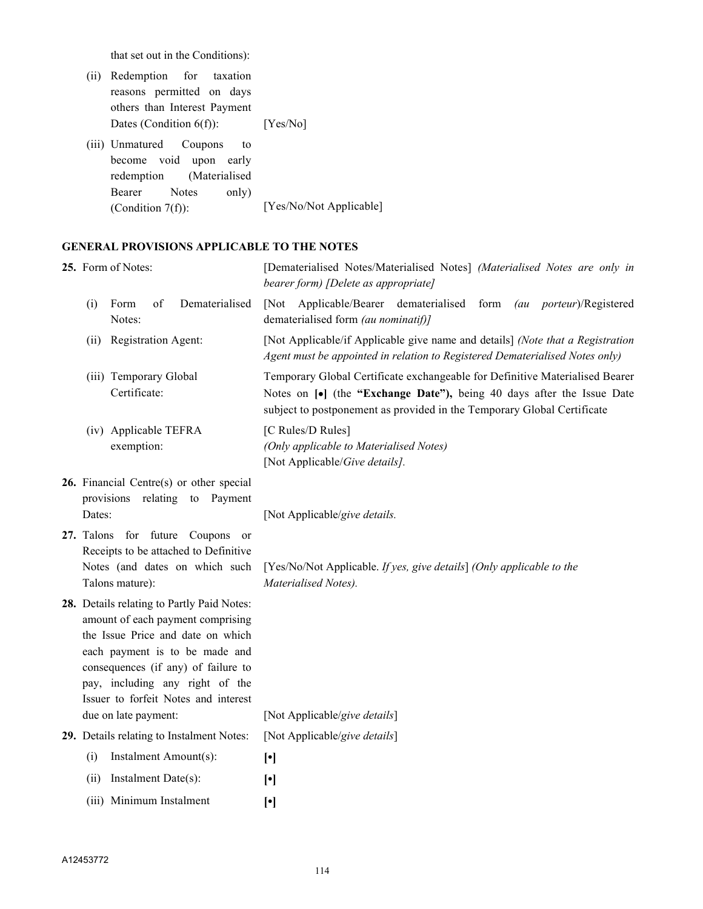that set out in the Conditions):

- (ii) Redemption for taxation reasons permitted on days others than Interest Payment Dates (Condition 6(f)): [Yes/No]
- (iii) Unmatured Coupons to become void upon early redemption (Materialised Bearer Notes only) (Condition 7(f)): [Yes/No/Not Applicable]

#### **GENERAL PROVISIONS APPLICABLE TO THE NOTES**

| 25. Form of Notes: |                                                                                                                                                                                                                                                                                                  | [Dematerialised Notes/Materialised Notes] (Materialised Notes are only in<br>bearer form) [Delete as appropriate]                                                                                                                 |  |  |
|--------------------|--------------------------------------------------------------------------------------------------------------------------------------------------------------------------------------------------------------------------------------------------------------------------------------------------|-----------------------------------------------------------------------------------------------------------------------------------------------------------------------------------------------------------------------------------|--|--|
|                    | of<br>Dematerialised<br>Form<br>(i)<br>Notes:                                                                                                                                                                                                                                                    | [Not Applicable/Bearer dematerialised form<br>(au porteur)/Registered<br>dematerialised form (au nominatif)]                                                                                                                      |  |  |
|                    | (ii) Registration Agent:                                                                                                                                                                                                                                                                         | [Not Applicable/if Applicable give name and details] (Note that a Registration<br>Agent must be appointed in relation to Registered Dematerialised Notes only)                                                                    |  |  |
|                    | (iii) Temporary Global<br>Certificate:                                                                                                                                                                                                                                                           | Temporary Global Certificate exchangeable for Definitive Materialised Bearer<br>Notes on [•] (the "Exchange Date"), being 40 days after the Issue Date<br>subject to postponement as provided in the Temporary Global Certificate |  |  |
|                    | (iv) Applicable TEFRA<br>exemption:                                                                                                                                                                                                                                                              | [C Rules/D Rules]<br>(Only applicable to Materialised Notes)<br>[Not Applicable/Give details].                                                                                                                                    |  |  |
|                    | 26. Financial Centre(s) or other special<br>provisions relating to Payment<br>Dates:                                                                                                                                                                                                             | [Not Applicable/give details.                                                                                                                                                                                                     |  |  |
|                    | for future Coupons<br>27. Talons<br>or<br>Receipts to be attached to Definitive<br>Notes (and dates on which such<br>Talons mature):                                                                                                                                                             | [Yes/No/Not Applicable. If yes, give details] (Only applicable to the<br>Materialised Notes).                                                                                                                                     |  |  |
|                    | 28. Details relating to Partly Paid Notes:<br>amount of each payment comprising<br>the Issue Price and date on which<br>each payment is to be made and<br>consequences (if any) of failure to<br>pay, including any right of the<br>Issuer to forfeit Notes and interest<br>due on late payment: | [Not Applicable/give details]                                                                                                                                                                                                     |  |  |
|                    | 29. Details relating to Instalment Notes:                                                                                                                                                                                                                                                        | [Not Applicable/give details]                                                                                                                                                                                                     |  |  |
|                    | Instalment Amount(s):<br>(i)                                                                                                                                                                                                                                                                     | $[\cdot]$                                                                                                                                                                                                                         |  |  |
|                    | Instalment Date(s):<br>(ii)                                                                                                                                                                                                                                                                      | $[\cdot]$                                                                                                                                                                                                                         |  |  |
|                    | (iii) Minimum Instalment                                                                                                                                                                                                                                                                         | $[\cdot]$                                                                                                                                                                                                                         |  |  |
|                    |                                                                                                                                                                                                                                                                                                  |                                                                                                                                                                                                                                   |  |  |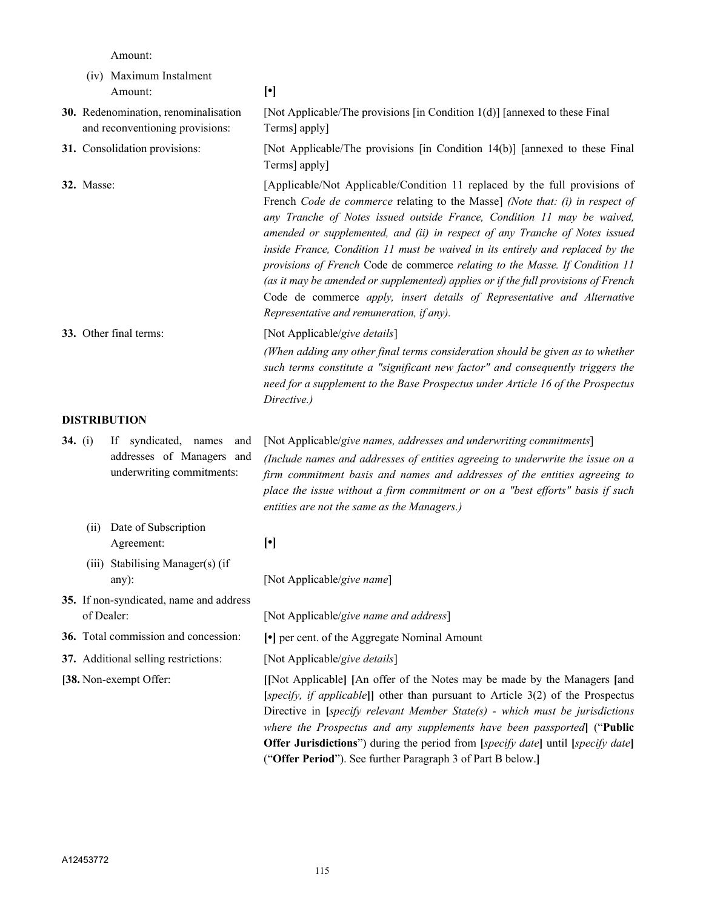Amount:

- (iv) Maximum Instalment Amount: **[•] 30.** Redenomination, renominalisation and reconventioning provisions: [Not Applicable/The provisions [in Condition 1(d)] [annexed to these Final Terms] apply] **31.** Consolidation provisions: [Not Applicable/The provisions [in Condition 14(b)] [annexed to these Final Terms] apply] **32.** Masse: [Applicable/Not Applicable/Condition 11 replaced by the full provisions of French *Code de commerce* relating to the Masse] *(Note that: (i) in respect of any Tranche of Notes issued outside France, Condition 11 may be waived, amended or supplemented, and (ii) in respect of any Tranche of Notes issued inside France, Condition 11 must be waived in its entirely and replaced by the provisions of French* Code de commerce *relating to the Masse. If Condition 11 (as it may be amended or supplemented) applies or if the full provisions of French*  Code de commerce *apply, insert details of Representative and Alternative Representative and remuneration, if any).* **33.** Other final terms: [Not Applicable/*give details*] *(When adding any other final terms consideration should be given as to whether such terms constitute a "significant new factor" and consequently triggers the need for a supplement to the Base Prospectus under Article 16 of the Prospectus Directive.)* **DISTRIBUTION 34.** (i) If syndicated, names and addresses of Managers and underwriting commitments: [Not Applicable/*give names, addresses and underwriting commitments*] *(Include names and addresses of entities agreeing to underwrite the issue on a firm commitment basis and names and addresses of the entities agreeing to place the issue without a firm commitment or on a "best efforts" basis if such entities are not the same as the Managers.)* (ii) Date of Subscription Agreement: **[•]** (iii) Stabilising Manager(s) (if any): [Not Applicable/*give name*] **35.** If non-syndicated, name and address of Dealer: [Not Applicable/*give name and address*] **36.** Total commission and concession: **[•]** per cent. of the Aggregate Nominal Amount
- **37.** Additional selling restrictions: [Not Applicable/*give details*]
- 

**[38.** Non-exempt Offer: **[[**Not Applicable**] [**An offer of the Notes may be made by the Managers **[**and **[***specify, if applicable***]]** other than pursuant to Article 3(2) of the Prospectus Directive in **[***specify relevant Member State(s) - which must be jurisdictions where the Prospectus and any supplements have been passported***]** ("**Public Offer Jurisdictions**") during the period from **[***specify date***]** until **[***specify date***]** ("**Offer Period**"). See further Paragraph 3 of Part B below.**]**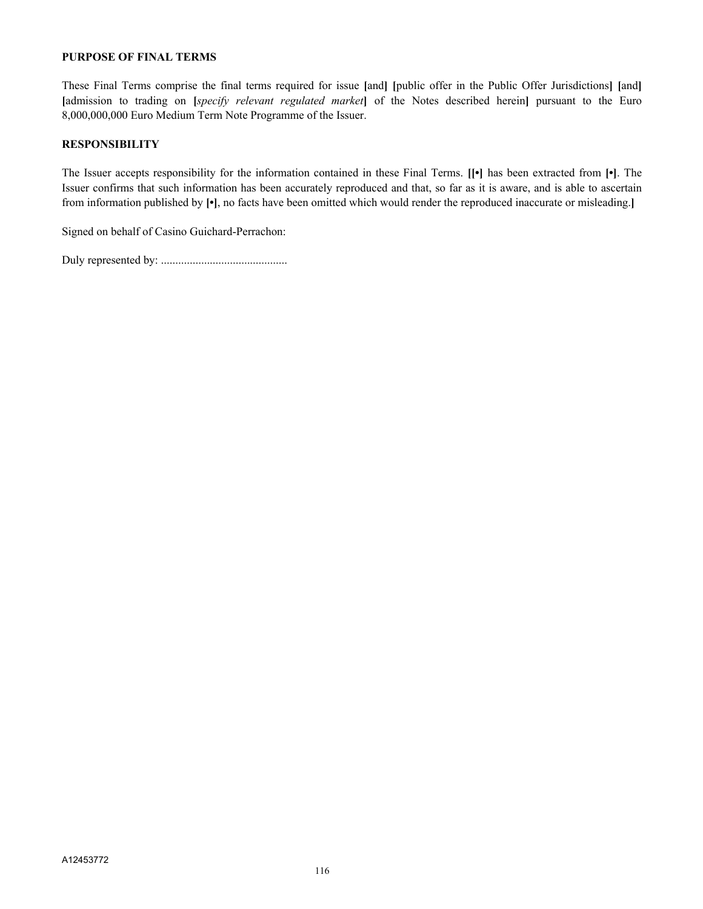#### **PURPOSE OF FINAL TERMS**

These Final Terms comprise the final terms required for issue **[**and**] [**public offer in the Public Offer Jurisdictions**] [**and**] [**admission to trading on **[***specify relevant regulated market***]** of the Notes described herein**]** pursuant to the Euro 8,000,000,000 Euro Medium Term Note Programme of the Issuer.

#### **RESPONSIBILITY**

The Issuer accepts responsibility for the information contained in these Final Terms. **[[•]** has been extracted from **[•]**. The Issuer confirms that such information has been accurately reproduced and that, so far as it is aware, and is able to ascertain from information published by **[•]**, no facts have been omitted which would render the reproduced inaccurate or misleading.**]**

Signed on behalf of Casino Guichard-Perrachon:

Duly represented by: ............................................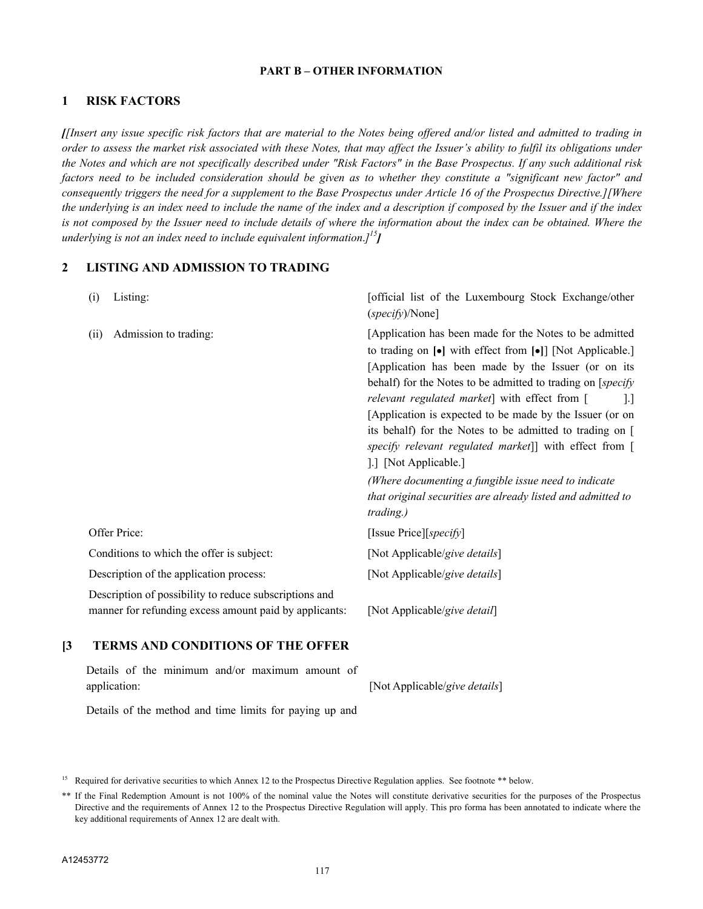#### **PART B – OTHER INFORMATION**

#### **1 RISK FACTORS**

*[[Insert any issue specific risk factors that are material to the Notes being offered and/or listed and admitted to trading in order to assess the market risk associated with these Notes, that may affect the Issuer's ability to fulfil its obligations under the Notes and which are not specifically described under "Risk Factors" in the Base Prospectus. If any such additional risk factors need to be included consideration should be given as to whether they constitute a "significant new factor" and consequently triggers the need for a supplement to the Base Prospectus under Article 16 of the Prospectus Directive.][Where the underlying is an index need to include the name of the index and a description if composed by the Issuer and if the index*  is not composed by the Issuer need to include details of where the information about the index can be obtained. Where the *underlying is not an index need to include equivalent information*.*] 15]*

#### **2 LISTING AND ADMISSION TO TRADING**

| Listing:<br>$\left( i\right)$                                                                                    | [official list of the Luxembourg Stock Exchange/other<br>(specify)/None]                                                                                                                                                                                                                                                                                                                                                                                                                                                                                                                                                                                                                          |
|------------------------------------------------------------------------------------------------------------------|---------------------------------------------------------------------------------------------------------------------------------------------------------------------------------------------------------------------------------------------------------------------------------------------------------------------------------------------------------------------------------------------------------------------------------------------------------------------------------------------------------------------------------------------------------------------------------------------------------------------------------------------------------------------------------------------------|
| Admission to trading:<br>(i)                                                                                     | [Application has been made for the Notes to be admitted<br>to trading on $\lceil \bullet \rceil$ with effect from $\lceil \bullet \rceil$ [Not Applicable.]<br>[Application has been made by the Issuer (or on its<br>behalf) for the Notes to be admitted to trading on [ <i>specify</i><br>relevant regulated market] with effect from [<br> . <br>[Application is expected to be made by the Issuer (or on<br>its behalf) for the Notes to be admitted to trading on [<br>specify relevant regulated market]] with effect from [<br>[11] [Not Applicable.]<br>(Where documenting a fungible issue need to indicate<br>that original securities are already listed and admitted to<br>trading.) |
| Offer Price:                                                                                                     | [Issue Price][ <i>specify</i> ]                                                                                                                                                                                                                                                                                                                                                                                                                                                                                                                                                                                                                                                                   |
| Conditions to which the offer is subject:                                                                        | [Not Applicable/give details]                                                                                                                                                                                                                                                                                                                                                                                                                                                                                                                                                                                                                                                                     |
| Description of the application process:                                                                          | [Not Applicable/give details]                                                                                                                                                                                                                                                                                                                                                                                                                                                                                                                                                                                                                                                                     |
| Description of possibility to reduce subscriptions and<br>manner for refunding excess amount paid by applicants: | [Not Applicable/give detail]                                                                                                                                                                                                                                                                                                                                                                                                                                                                                                                                                                                                                                                                      |

#### **[3 TERMS AND CONDITIONS OF THE OFFER**

|              |  |  | Details of the minimum and/or maximum amount of |  |                               |
|--------------|--|--|-------------------------------------------------|--|-------------------------------|
| application: |  |  |                                                 |  | [Not Applicable/give details] |

Details of the method and time limits for paying up and

<sup>&</sup>lt;sup>15</sup> Required for derivative securities to which Annex 12 to the Prospectus Directive Regulation applies. See footnote \*\* below.

<sup>\*\*</sup> If the Final Redemption Amount is not 100% of the nominal value the Notes will constitute derivative securities for the purposes of the Prospectus Directive and the requirements of Annex 12 to the Prospectus Directive Regulation will apply. This pro forma has been annotated to indicate where the key additional requirements of Annex 12 are dealt with.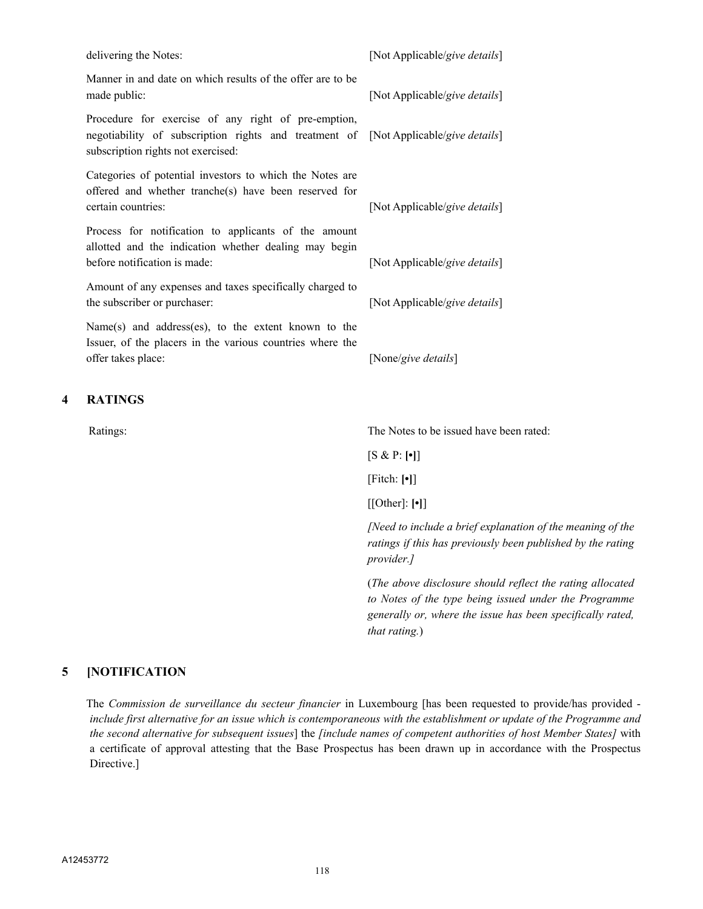|   | delivering the Notes:                                                                                                                                                            | [Not Applicable/give details] |
|---|----------------------------------------------------------------------------------------------------------------------------------------------------------------------------------|-------------------------------|
|   | Manner in and date on which results of the offer are to be<br>made public:                                                                                                       | [Not Applicable/give details] |
|   | Procedure for exercise of any right of pre-emption,<br>negotiability of subscription rights and treatment of [Not Applicable/give details]<br>subscription rights not exercised: |                               |
|   | Categories of potential investors to which the Notes are<br>offered and whether tranche(s) have been reserved for<br>certain countries:                                          | [Not Applicable/give details] |
|   | Process for notification to applicants of the amount<br>allotted and the indication whether dealing may begin<br>before notification is made:                                    | [Not Applicable/give details] |
|   | Amount of any expenses and taxes specifically charged to<br>the subscriber or purchaser:                                                                                         | [Not Applicable/give details] |
|   | Name(s) and address(es), to the extent known to the<br>Issuer, of the placers in the various countries where the<br>offer takes place:                                           | [None/give details]           |
| 4 | <b>RATINGS</b>                                                                                                                                                                   |                               |

Ratings: The Notes to be issued have been rated:

[S & P: **[•]**]

[Fitch: **[•]**]

[[Other]: **[•]**]

*[Need to include a brief explanation of the meaning of the ratings if this has previously been published by the rating provider.]*

(*The above disclosure should reflect the rating allocated to Notes of the type being issued under the Programme generally or, where the issue has been specifically rated, that rating.*)

#### **5 [NOTIFICATION**

The *Commission de surveillance du secteur financier* in Luxembourg [has been requested to provide/has provided *include first alternative for an issue which is contemporaneous with the establishment or update of the Programme and the second alternative for subsequent issues*] the *[include names of competent authorities of host Member States]* with a certificate of approval attesting that the Base Prospectus has been drawn up in accordance with the Prospectus Directive.]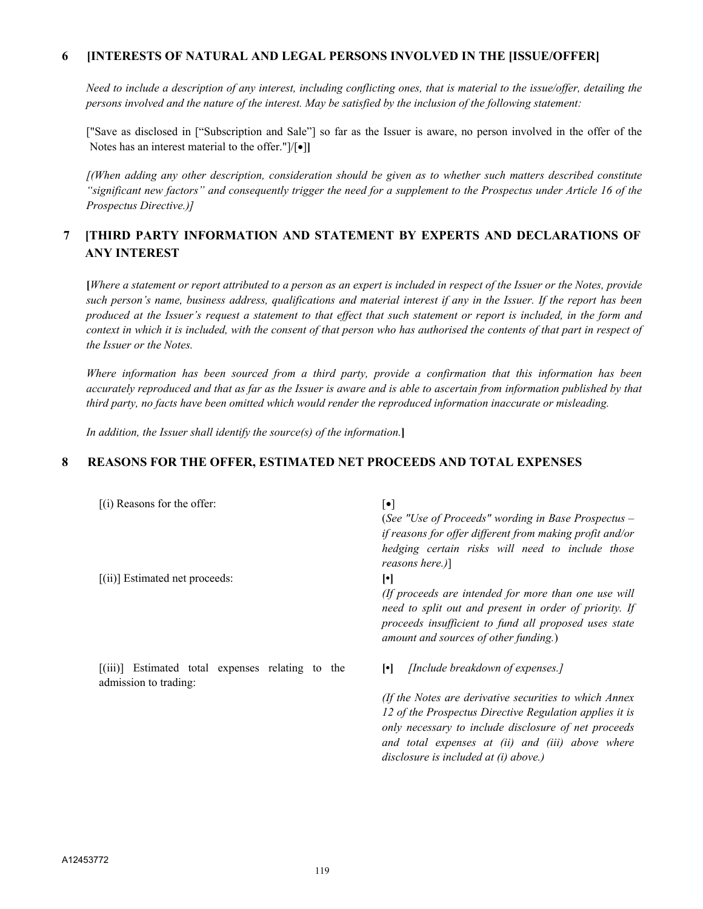#### **6 [INTERESTS OF NATURAL AND LEGAL PERSONS INVOLVED IN THE [ISSUE/OFFER]**

*Need to include a description of any interest, including conflicting ones, that is material to the issue/offer, detailing the persons involved and the nature of the interest. May be satisfied by the inclusion of the following statement:*

["Save as disclosed in ["Subscription and Sale"] so far as the Issuer is aware, no person involved in the offer of the Notes has an interest material to the offer." $|/|\bullet|$ ]

*[(When adding any other description, consideration should be given as to whether such matters described constitute "significant new factors" and consequently trigger the need for a supplement to the Prospectus under Article 16 of the Prospectus Directive.)]*

## **7 [THIRD PARTY INFORMATION AND STATEMENT BY EXPERTS AND DECLARATIONS OF ANY INTEREST**

**[***Where a statement or report attributed to a person as an expert is included in respect of the Issuer or the Notes, provide such person's name, business address, qualifications and material interest if any in the Issuer. If the report has been produced at the Issuer's request a statement to that effect that such statement or report is included, in the form and context in which it is included, with the consent of that person who has authorised the contents of that part in respect of the Issuer or the Notes.*

*Where information has been sourced from a third party, provide a confirmation that this information has been accurately reproduced and that as far as the Issuer is aware and is able to ascertain from information published by that third party, no facts have been omitted which would render the reproduced information inaccurate or misleading.*

*In addition, the Issuer shall identify the source(s) of the information.***]**

#### **8 REASONS FOR THE OFFER, ESTIMATED NET PROCEEDS AND TOTAL EXPENSES**

| $(i)$ Reasons for the offer:                                              | $\lceil \bullet \rceil$<br>(See "Use of Proceeds" wording in Base Prospectus $-$<br>if reasons for offer different from making profit and/or<br>hedging certain risks will need to include those<br>reasons here.)]                    |
|---------------------------------------------------------------------------|----------------------------------------------------------------------------------------------------------------------------------------------------------------------------------------------------------------------------------------|
| $[(ii)]$ Estimated net proceeds:                                          | ŀ۱<br>(If proceeds are intended for more than one use will<br>need to split out and present in order of priority. If<br>proceeds insufficient to fund all proposed uses state<br>amount and sources of other funding.)                 |
| [(iii)] Estimated total expenses relating to the<br>admission to trading: | [Include breakdown of expenses.]<br>$\lceil \cdot \rceil$<br>(If the Notes are derivative securities to which Annex<br>12 of the Prospectus Directive Regulation applies it is<br>only necessary to include disclosure of net proceeds |
|                                                                           | and total expenses at (ii) and (iii) above where<br>disclosure is included at (i) above.)                                                                                                                                              |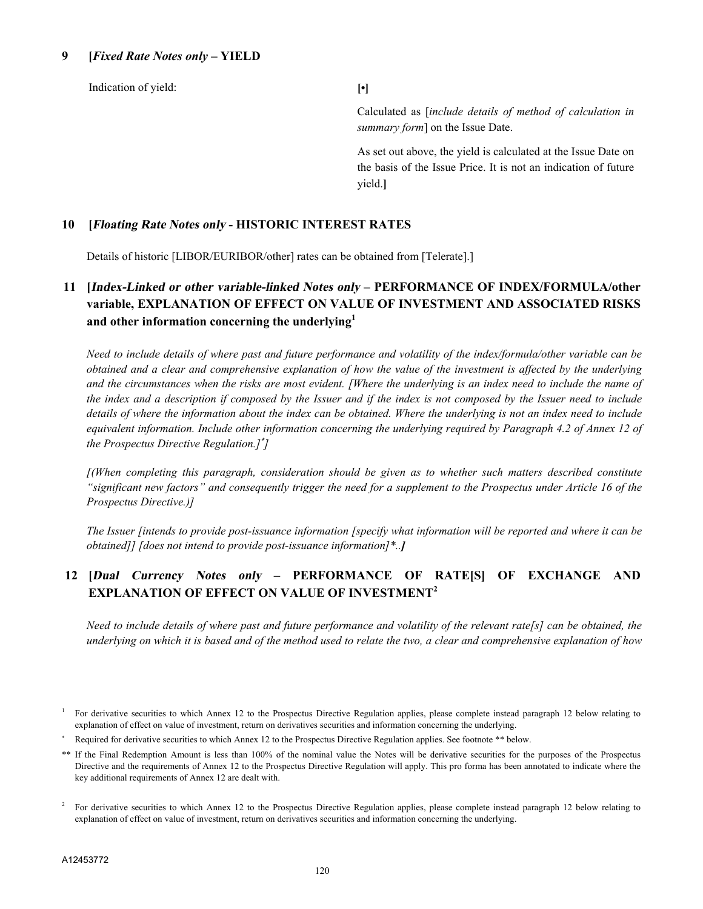#### **9 [***Fixed Rate Notes only* **– YIELD**

Indication of yield: **[•]**

Calculated as [*include details of method of calculation in summary form*] on the Issue Date.

As set out above, the yield is calculated at the Issue Date on the basis of the Issue Price. It is not an indication of future yield.**]**

#### **10 [Floating Rate Notes only - HISTORIC INTEREST RATES**

Details of historic [LIBOR/EURIBOR/other] rates can be obtained from [Telerate].]

## **11 [Index-Linked or other variable-linked Notes only – PERFORMANCE OF INDEX/FORMULA/other variable, EXPLANATION OF EFFECT ON VALUE OF INVESTMENT AND ASSOCIATED RISKS and other information concerning the underlying<sup>1</sup>**

*Need to include details of where past and future performance and volatility of the index/formula/other variable can be obtained and a clear and comprehensive explanation of how the value of the investment is affected by the underlying*  and the circumstances when the risks are most evident. [Where the underlying is an index need to include the name of *the index and a description if composed by the Issuer and if the index is not composed by the Issuer need to include details of where the information about the index can be obtained. Where the underlying is not an index need to include*  equivalent information. Include other information concerning the underlying required by Paragraph 4.2 of Annex 12 of *the Prospectus Directive Regulation.] ]*

*[(When completing this paragraph, consideration should be given as to whether such matters described constitute "significant new factors" and consequently trigger the need for a supplement to the Prospectus under Article 16 of the Prospectus Directive.)]*

*The Issuer [intends to provide post-issuance information [specify what information will be reported and where it can be obtained]] [does not intend to provide post-issuance information]\*..]*

## **12 [Dual Currency Notes only – PERFORMANCE OF RATE[S] OF EXCHANGE AND EXPLANATION OF EFFECT ON VALUE OF INVESTMENT<sup>2</sup>**

*Need to include details of where past and future performance and volatility of the relevant rate[s] can be obtained, the underlying on which it is based and of the method used to relate the two, a clear and comprehensive explanation of how* 

<sup>1</sup> For derivative securities to which Annex 12 to the Prospectus Directive Regulation applies, please complete instead paragraph 12 below relating to explanation of effect on value of investment, return on derivatives securities and information concerning the underlying.

Required for derivative securities to which Annex 12 to the Prospectus Directive Regulation applies. See footnote \*\* below.

<sup>\*\*</sup> If the Final Redemption Amount is less than 100% of the nominal value the Notes will be derivative securities for the purposes of the Prospectus Directive and the requirements of Annex 12 to the Prospectus Directive Regulation will apply. This pro forma has been annotated to indicate where the key additional requirements of Annex 12 are dealt with.

<sup>2</sup> For derivative securities to which Annex 12 to the Prospectus Directive Regulation applies, please complete instead paragraph 12 below relating to explanation of effect on value of investment, return on derivatives securities and information concerning the underlying.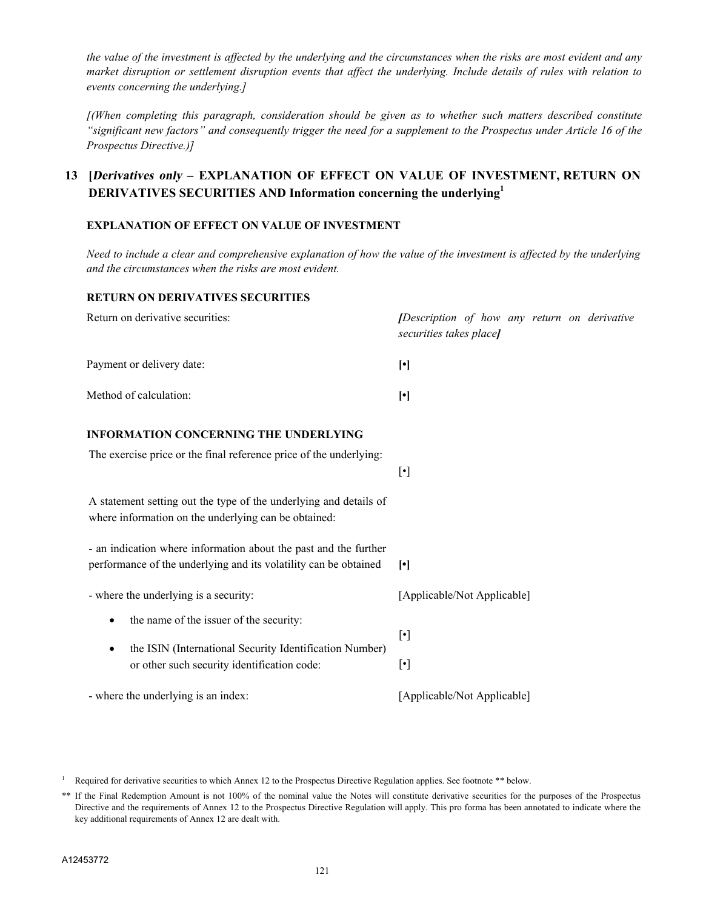*the value of the investment is affected by the underlying and the circumstances when the risks are most evident and any market disruption or settlement disruption events that affect the underlying. Include details of rules with relation to events concerning the underlying.]*

*[(When completing this paragraph, consideration should be given as to whether such matters described constitute "significant new factors" and consequently trigger the need for a supplement to the Prospectus under Article 16 of the Prospectus Directive.)]*

## **13 [Derivatives only** *–* **EXPLANATION OF EFFECT ON VALUE OF INVESTMENT, RETURN ON DERIVATIVES SECURITIES AND Information concerning the underlying<sup>1</sup>**

#### **EXPLANATION OF EFFECT ON VALUE OF INVESTMENT**

*Need to include a clear and comprehensive explanation of how the value of the investment is affected by the underlying and the circumstances when the risks are most evident.*

#### **RETURN ON DERIVATIVES SECURITIES**

| Return on derivative securities:                                                                                                                                            | [Description of how any return on derivative<br>securities takes place] |  |  |
|-----------------------------------------------------------------------------------------------------------------------------------------------------------------------------|-------------------------------------------------------------------------|--|--|
| Payment or delivery date:                                                                                                                                                   | $[\cdot]$                                                               |  |  |
| Method of calculation:                                                                                                                                                      | $[\cdot]$                                                               |  |  |
| <b>INFORMATION CONCERNING THE UNDERLYING</b><br>The exercise price or the final reference price of the underlying:                                                          | $[\cdot]$                                                               |  |  |
| A statement setting out the type of the underlying and details of<br>where information on the underlying can be obtained:                                                   |                                                                         |  |  |
| - an indication where information about the past and the further<br>performance of the underlying and its volatility can be obtained                                        | $[\cdot]$                                                               |  |  |
| - where the underlying is a security:                                                                                                                                       | [Applicable/Not Applicable]                                             |  |  |
| the name of the issuer of the security:<br>$\bullet$<br>the ISIN (International Security Identification Number)<br>$\bullet$<br>or other such security identification code: | $[\cdot]$<br>$[\cdot]$                                                  |  |  |
| - where the underlying is an index:                                                                                                                                         | [Applicable/Not Applicable]                                             |  |  |

<sup>1</sup> Required for derivative securities to which Annex 12 to the Prospectus Directive Regulation applies. See footnote \*\* below.

<sup>\*\*</sup> If the Final Redemption Amount is not 100% of the nominal value the Notes will constitute derivative securities for the purposes of the Prospectus Directive and the requirements of Annex 12 to the Prospectus Directive Regulation will apply. This pro forma has been annotated to indicate where the key additional requirements of Annex 12 are dealt with.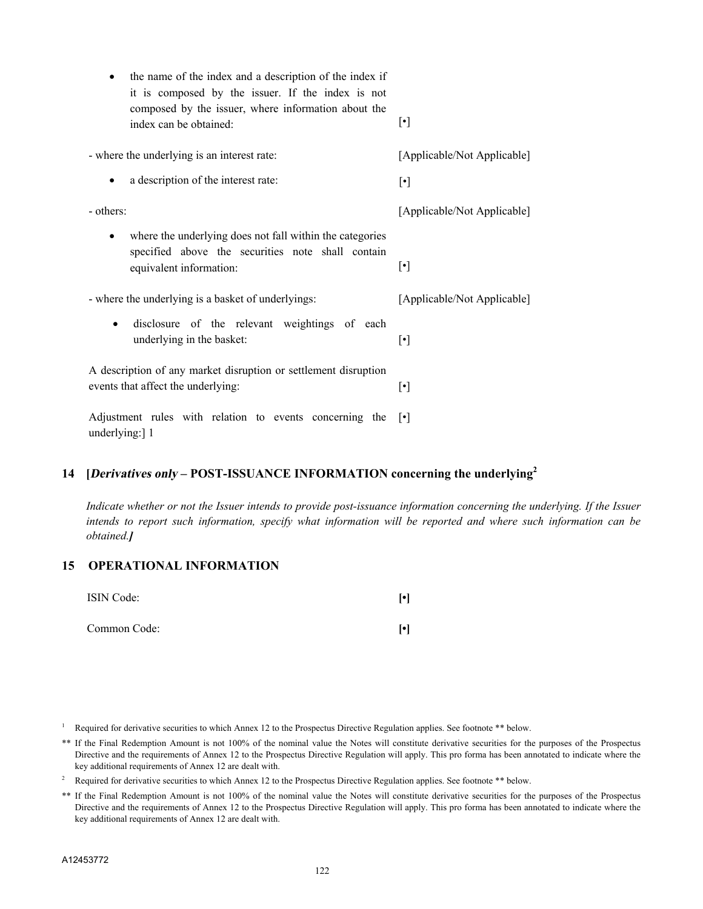| the name of the index and a description of the index if<br>$\bullet$<br>it is composed by the issuer. If the index is not                             |                             |
|-------------------------------------------------------------------------------------------------------------------------------------------------------|-----------------------------|
| composed by the issuer, where information about the<br>index can be obtained:                                                                         | $[\cdot]$                   |
| - where the underlying is an interest rate:                                                                                                           | [Applicable/Not Applicable] |
| a description of the interest rate:<br>$\bullet$                                                                                                      | $[\cdot]$                   |
| - others:                                                                                                                                             | [Applicable/Not Applicable] |
| where the underlying does not fall within the categories<br>$\bullet$<br>specified above the securities note shall contain<br>equivalent information: | $[\cdot]$                   |
| - where the underlying is a basket of underlyings:                                                                                                    | [Applicable/Not Applicable] |
| disclosure of the relevant weightings of each<br>$\bullet$<br>underlying in the basket:                                                               | $[\cdot]$                   |
| A description of any market disruption or settlement disruption<br>events that affect the underlying:                                                 | $[\cdot]$                   |
| Adjustment rules with relation to events concerning the<br>underlying:] 1                                                                             | $\lceil \cdot \rceil$       |

## **14 [Derivatives only** *–* **POST-ISSUANCE INFORMATION concerning the underlying<sup>2</sup>**

*Indicate whether or not the Issuer intends to provide post-issuance information concerning the underlying. If the Issuer intends to report such information, specify what information will be reported and where such information can be obtained.]*

#### **15 OPERATIONAL INFORMATION**

| ISIN Code:   | $\lceil \cdot \rceil$ |
|--------------|-----------------------|
| Common Code: | $\lceil \cdot \rceil$ |

Required for derivative securities to which Annex 12 to the Prospectus Directive Regulation applies. See footnote \*\* below.

\*\* If the Final Redemption Amount is not 100% of the nominal value the Notes will constitute derivative securities for the purposes of the Prospectus Directive and the requirements of Annex 12 to the Prospectus Directive Regulation will apply. This pro forma has been annotated to indicate where the key additional requirements of Annex 12 are dealt with.

- <sup>2</sup> Required for derivative securities to which Annex 12 to the Prospectus Directive Regulation applies. See footnote \*\* below.
- \*\* If the Final Redemption Amount is not 100% of the nominal value the Notes will constitute derivative securities for the purposes of the Prospectus Directive and the requirements of Annex 12 to the Prospectus Directive Regulation will apply. This pro forma has been annotated to indicate where the key additional requirements of Annex 12 are dealt with.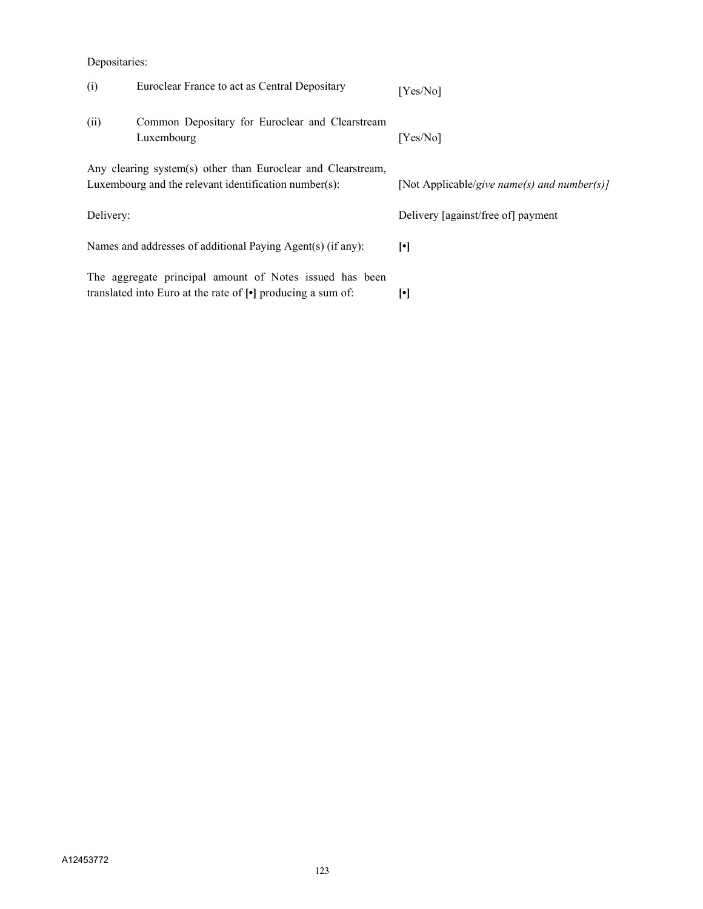#### Depositaries:

| (i)       | Euroclear France to act as Central Depositary                                                                                            | [Yes/No]                                    |
|-----------|------------------------------------------------------------------------------------------------------------------------------------------|---------------------------------------------|
| (ii)      | Common Depositary for Euroclear and Clearstream<br>Luxembourg                                                                            | [Yes/No]                                    |
|           | Any clearing system(s) other than Euroclear and Clearstream,<br>Luxembourg and the relevant identification number(s):                    | [Not Applicable/give name(s) and number(s)] |
| Delivery: |                                                                                                                                          | Delivery [against/free of] payment          |
|           | Names and addresses of additional Paying Agent(s) (if any):                                                                              | $\lceil \cdot \rceil$                       |
|           | The aggregate principal amount of Notes issued has been<br>translated into Euro at the rate of $\lceil \cdot \rceil$ producing a sum of: | $\lbrack \bullet \rbrack$                   |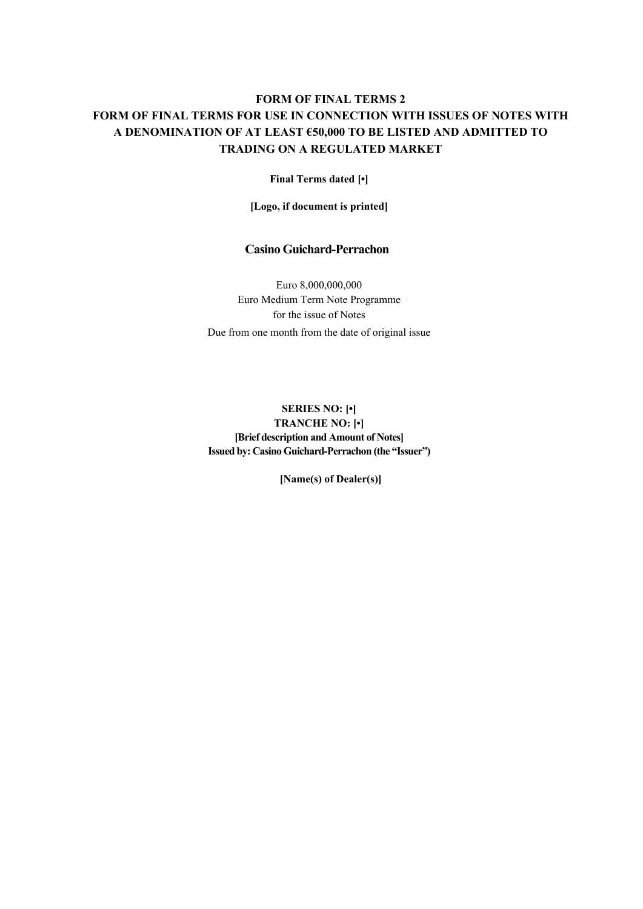## **FORM OF FINAL TERMS 2 FORM OF FINAL TERMS FOR USE IN CONNECTION WITH ISSUES OF NOTES WITH A DENOMINATION OF AT LEAST €50,000 TO BE LISTED AND ADMITTED TO TRADING ON A REGULATED MARKET**

**Final Terms dated [•]**

**[Logo, if document is printed]**

#### **Casino Guichard-Perrachon**

Euro 8,000,000,000 Euro Medium Term Note Programme for the issue of Notes Due from one month from the date of original issue

**SERIES NO: [•] TRANCHE NO: [•] [Brief description and Amount of Notes] Issued by: Casino Guichard-Perrachon (the "Issuer")**

**[Name(s) of Dealer(s)]**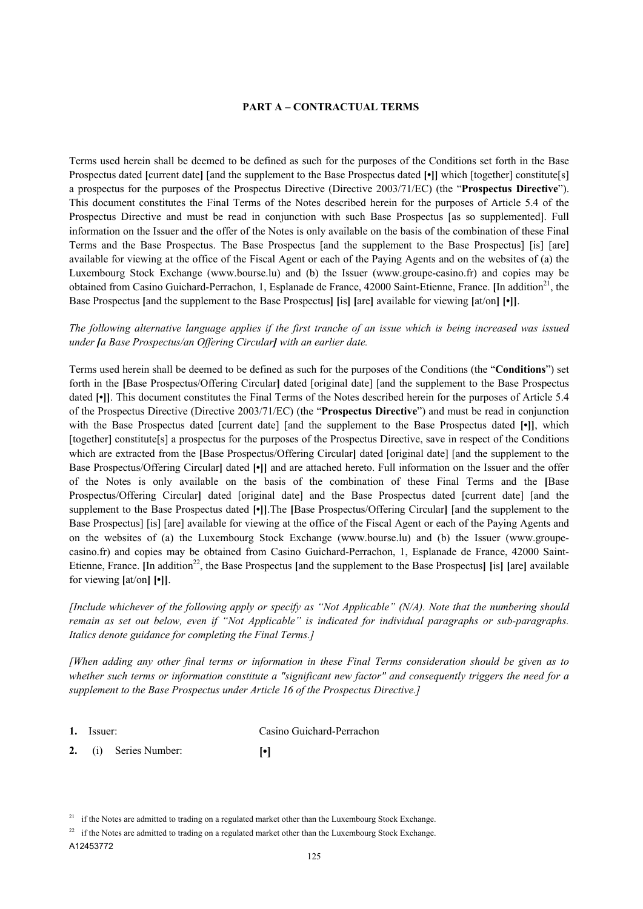#### **PART A – CONTRACTUAL TERMS**

Terms used herein shall be deemed to be defined as such for the purposes of the Conditions set forth in the Base Prospectus dated **[**current date**]** [and the supplement to the Base Prospectus dated **[•]]** which [together] constitute[s] a prospectus for the purposes of the Prospectus Directive (Directive 2003/71/EC) (the "**Prospectus Directive**"). This document constitutes the Final Terms of the Notes described herein for the purposes of Article 5.4 of the Prospectus Directive and must be read in conjunction with such Base Prospectus [as so supplemented]. Full information on the Issuer and the offer of the Notes is only available on the basis of the combination of these Final Terms and the Base Prospectus. The Base Prospectus [and the supplement to the Base Prospectus] [is] [are] available for viewing at the office of the Fiscal Agent or each of the Paying Agents and on the websites of (a) the Luxembourg Stock Exchange (www.bourse.lu) and (b) the Issuer (www.groupe-casino.fr) and copies may be obtained from Casino Guichard-Perrachon, 1, Esplanade de France, 42000 Saint-Etienne, France. [In addition<sup>21</sup>, the Base Prospectus **[**and the supplement to the Base Prospectus**] [**is**] [**are**]** available for viewing **[**at/on**] [•]]**.

*The following alternative language applies if the first tranche of an issue which is being increased was issued under [a Base Prospectus/an Offering Circular] with an earlier date.* 

Terms used herein shall be deemed to be defined as such for the purposes of the Conditions (the "**Conditions**") set forth in the **[**Base Prospectus/Offering Circular**]** dated [original date] [and the supplement to the Base Prospectus dated **[•]]**. This document constitutes the Final Terms of the Notes described herein for the purposes of Article 5.4 of the Prospectus Directive (Directive 2003/71/EC) (the "**Prospectus Directive**") and must be read in conjunction with the Base Prospectus dated [current date] [and the supplement to the Base Prospectus dated [•]], which [together] constitute[s] a prospectus for the purposes of the Prospectus Directive, save in respect of the Conditions which are extracted from the **[Base Prospectus/Offering Circular]** dated [original date] [and the supplement to the Base Prospectus/Offering Circular**]** dated **[•]]** and are attached hereto. Full information on the Issuer and the offer of the Notes is only available on the basis of the combination of these Final Terms and the **[**Base Prospectus/Offering Circular**]** dated [original date] and the Base Prospectus dated [current date] [and the supplement to the Base Prospectus dated **[•]]**.The **[**Base Prospectus/Offering Circular**]** [and the supplement to the Base Prospectus] [is] [are] available for viewing at the office of the Fiscal Agent or each of the Paying Agents and on the websites of (a) the Luxembourg Stock Exchange (www.bourse.lu) and (b) the Issuer (www.groupecasino.fr) and copies may be obtained from Casino Guichard-Perrachon, 1, Esplanade de France, 42000 Saint-Etienne, France. **In addition**<sup>22</sup>, the Base Prospectus [and the supplement to the Base Prospectus] [is] [are] available for viewing **[**at/on**] [•]]**.

*[Include whichever of the following apply or specify as "Not Applicable" (N/A). Note that the numbering should remain as set out below, even if "Not Applicable" is indicated for individual paragraphs or sub-paragraphs. Italics denote guidance for completing the Final Terms.]*

*[When adding any other final terms or information in these Final Terms consideration should be given as to whether such terms or information constitute a "significant new factor" and consequently triggers the need for a supplement to the Base Prospectus under Article 16 of the Prospectus Directive.]*

**1.** Issuer: Casino Guichard-Perrachon

**2.** (i) Series Number: **[•]**

<sup>&</sup>lt;sup>21</sup> if the Notes are admitted to trading on a regulated market other than the Luxembourg Stock Exchange.

<sup>&</sup>lt;sup>22</sup> if the Notes are admitted to trading on a regulated market other than the Luxembourg Stock Exchange.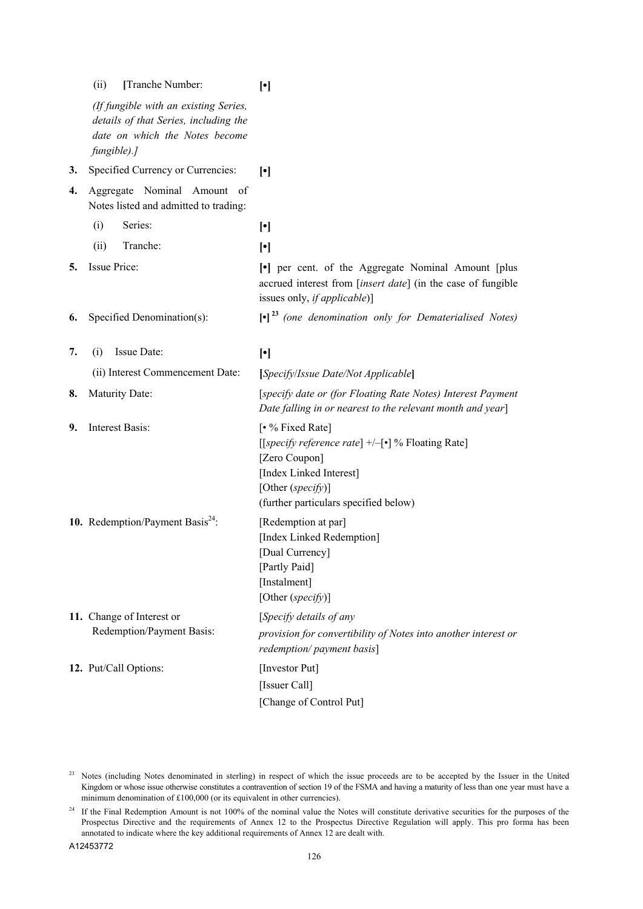|    | (ii)<br>[Tranche Number:                                                                                                        | $[\cdot]$                                                                                                                                                                       |
|----|---------------------------------------------------------------------------------------------------------------------------------|---------------------------------------------------------------------------------------------------------------------------------------------------------------------------------|
|    | (If fungible with an existing Series,<br>details of that Series, including the<br>date on which the Notes become<br>fungible).] |                                                                                                                                                                                 |
| 3. | Specified Currency or Currencies:                                                                                               | $\lceil \cdot \rceil$                                                                                                                                                           |
| 4. | Aggregate Nominal Amount of<br>Notes listed and admitted to trading:                                                            |                                                                                                                                                                                 |
|    | Series:<br>(i)                                                                                                                  | $[\cdot]$                                                                                                                                                                       |
|    | Tranche:<br>(ii)                                                                                                                | $[\cdot]$                                                                                                                                                                       |
| 5. | Issue Price:                                                                                                                    | • per cent. of the Aggregate Nominal Amount [plus]<br>accrued interest from [insert date] (in the case of fungible<br>issues only, <i>if applicable</i> )]                      |
| 6. | Specified Denomination(s):                                                                                                      | $\left[\bullet\right]^{23}$ (one denomination only for Dematerialised Notes)                                                                                                    |
| 7. | Issue Date:<br>(i)                                                                                                              | $[\cdot]$                                                                                                                                                                       |
|    | (ii) Interest Commencement Date:                                                                                                | [Specify/Issue Date/Not Applicable]                                                                                                                                             |
| 8. | Maturity Date:                                                                                                                  | [specify date or (for Floating Rate Notes) Interest Payment<br>Date falling in or nearest to the relevant month and year]                                                       |
| 9. | Interest Basis:                                                                                                                 | [• % Fixed Rate]<br>[[specify reference rate] +/-[•] % Floating Rate]<br>[Zero Coupon]<br>[Index Linked Interest]<br>[Other (specify)]<br>(further particulars specified below) |
|    | 10. Redemption/Payment Basis $^{24}$ :                                                                                          | [Redemption at par]<br>[Index Linked Redemption]<br>[Dual Currency]<br>[Partly Paid]<br>[Instalment]<br>[Other (specify)]                                                       |
|    | 11. Change of Interest or                                                                                                       | [Specify details of any                                                                                                                                                         |
|    | Redemption/Payment Basis:                                                                                                       | provision for convertibility of Notes into another interest or<br>redemption/payment basis]                                                                                     |
|    | 12. Put/Call Options:                                                                                                           | [Investor Put]                                                                                                                                                                  |
|    |                                                                                                                                 | [Issuer Call]                                                                                                                                                                   |
|    |                                                                                                                                 | [Change of Control Put]                                                                                                                                                         |

<sup>&</sup>lt;sup>23</sup> Notes (including Notes denominated in sterling) in respect of which the issue proceeds are to be accepted by the Issuer in the United Kingdom or whose issue otherwise constitutes a contravention of section 19 of the FSMA and having a maturity of less than one year must have a minimum denomination of £100,000 (or its equivalent in other currencies).

<sup>&</sup>lt;sup>24</sup> If the Final Redemption Amount is not 100% of the nominal value the Notes will constitute derivative securities for the purposes of the Prospectus Directive and the requirements of Annex 12 to the Prospectus Directive Regulation will apply. This pro forma has been annotated to indicate where the key additional requirements of Annex 12 are dealt with.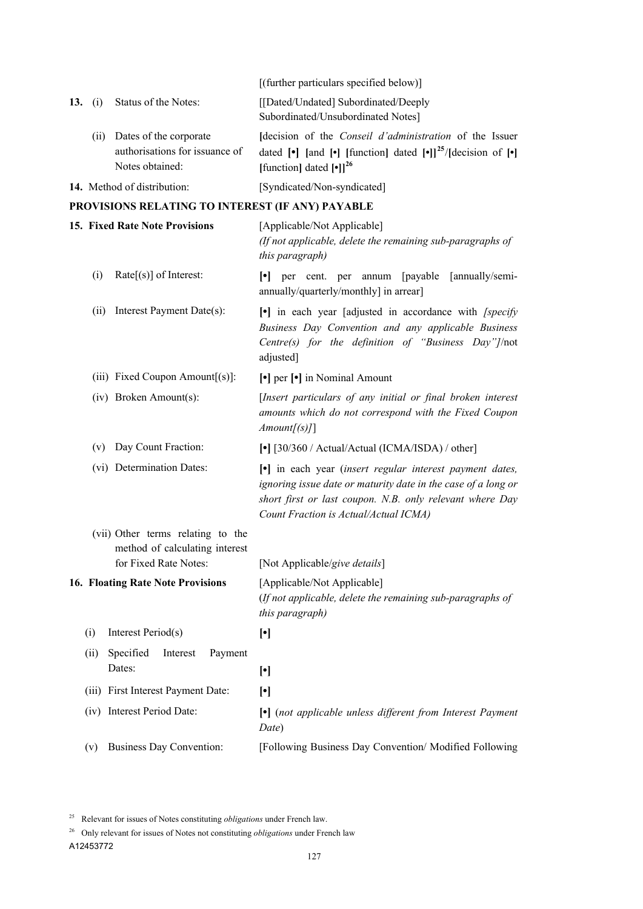|     |      |                                                                             | [(further particulars specified below)]                                                                                                                                                                                                                     |
|-----|------|-----------------------------------------------------------------------------|-------------------------------------------------------------------------------------------------------------------------------------------------------------------------------------------------------------------------------------------------------------|
| 13. | (i)  | Status of the Notes:                                                        | [[Dated/Undated] Subordinated/Deeply<br>Subordinated/Unsubordinated Notes]                                                                                                                                                                                  |
|     | (ii) | Dates of the corporate<br>authorisations for issuance of<br>Notes obtained: | Idecision of the <i>Conseil d'administration</i> of the Issuer<br>dated $\lceil \cdot \rceil$ [and $\lceil \cdot \rceil$ [function] dated $\lceil \cdot \rceil \rceil^{25}$ /[decision of $\lceil \cdot \rceil$ ]<br>[function] dated $[•]$ ] <sup>26</sup> |
|     |      | 14. Method of distribution:                                                 | [Syndicated/Non-syndicated]                                                                                                                                                                                                                                 |
|     |      | PROVISIONS RELATING TO INTEREST (IF ANY) PAYABLE                            |                                                                                                                                                                                                                                                             |
|     |      | <b>15. Fixed Rate Note Provisions</b>                                       | [Applicable/Not Applicable]<br>(If not applicable, delete the remaining sub-paragraphs of<br>this paragraph)                                                                                                                                                |
|     | (i)  | $Rate[s]$ of Interest:                                                      | $\left[ \cdot \right]$ per cent. per annum<br>[payable [annually/semi-<br>annually/quarterly/monthly] in arrear]                                                                                                                                            |
|     | (ii) | Interest Payment Date(s):                                                   | $\lceil \cdot \rceil$ in each year [adjusted in accordance with <i>[specify</i> ]<br>Business Day Convention and any applicable Business<br>Centre(s) for the definition of "Business Day"]/not<br>adjusted]                                                |
|     |      | (iii) Fixed Coupon Amount $[(s)]$ :                                         | [•] per [•] in Nominal Amount                                                                                                                                                                                                                               |
|     |      | (iv) Broken Amount(s):                                                      | [Insert particulars of any initial or final broken interest<br>amounts which do not correspond with the Fixed Coupon<br>Amount[s]]                                                                                                                          |
|     | (v)  | Day Count Fraction:                                                         | [ $\bullet$ ] [30/360 / Actual/Actual (ICMA/ISDA) / other]                                                                                                                                                                                                  |
|     |      | (vi) Determination Dates:                                                   | • in each year (insert regular interest payment dates,<br>ignoring issue date or maturity date in the case of a long or<br>short first or last coupon. N.B. only relevant where Day<br>Count Fraction is Actual/Actual ICMA)                                |
|     |      | (vii) Other terms relating to the<br>method of calculating interest         |                                                                                                                                                                                                                                                             |
|     |      | for Fixed Rate Notes:                                                       | [Not Applicable/give details]                                                                                                                                                                                                                               |
|     |      | <b>16. Floating Rate Note Provisions</b>                                    | [Applicable/Not Applicable]<br>(If not applicable, delete the remaining sub-paragraphs of<br>this paragraph)                                                                                                                                                |
|     | (i)  | Interest Period(s)                                                          | $[\cdot]$                                                                                                                                                                                                                                                   |
|     | (ii) | Specified<br>Payment<br>Interest<br>Dates:                                  | $[\cdot]$                                                                                                                                                                                                                                                   |
|     |      | (iii) First Interest Payment Date:                                          | $[\cdot]$                                                                                                                                                                                                                                                   |
|     |      | (iv) Interest Period Date:                                                  | • (not applicable unless different from Interest Payment<br>Date)                                                                                                                                                                                           |
|     | (v)  | <b>Business Day Convention:</b>                                             | [Following Business Day Convention/ Modified Following                                                                                                                                                                                                      |

<sup>25</sup> Relevant for issues of Notes constituting *obligations* under French law.

<sup>26</sup> Only relevant for issues of Notes not constituting *obligations* under French law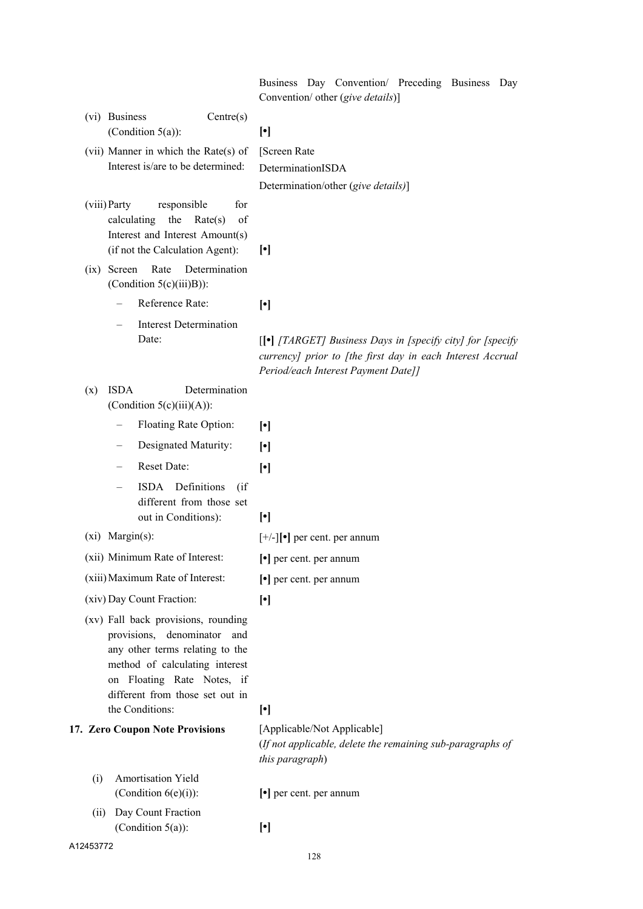|                                                                                                                                                                                                          | Business Day Convention/ Preceding Business<br>Day<br>Convention/ other (give details)]                                                                                           |
|----------------------------------------------------------------------------------------------------------------------------------------------------------------------------------------------------------|-----------------------------------------------------------------------------------------------------------------------------------------------------------------------------------|
| (vi) Business<br>Centre(s)<br>(Condition $5(a)$ ):                                                                                                                                                       | $[\cdot]$                                                                                                                                                                         |
| (vii) Manner in which the Rate(s) of                                                                                                                                                                     | [Screen Rate                                                                                                                                                                      |
| Interest is/are to be determined:                                                                                                                                                                        | DeterminationISDA                                                                                                                                                                 |
|                                                                                                                                                                                                          | Determination/other (give details)]                                                                                                                                               |
| for<br>(viii) Party<br>responsible<br>the<br>Rate(s)<br>of<br>calculating<br>Interest and Interest Amount(s)<br>(if not the Calculation Agent):                                                          | $\lceil \cdot \rceil$                                                                                                                                                             |
| Rate<br>Determination<br>Screen<br>(ix)<br>(Condition $5(c)(iii)B$ ):                                                                                                                                    |                                                                                                                                                                                   |
| Reference Rate:                                                                                                                                                                                          | $[\cdot]$                                                                                                                                                                         |
| <b>Interest Determination</b>                                                                                                                                                                            |                                                                                                                                                                                   |
| Date:                                                                                                                                                                                                    | $\Box$ [[ $\bullet$ ] [TARGET] Business Days in [specify city] for [specify]<br>currency] prior to [the first day in each Interest Accrual<br>Period/each Interest Payment Date]] |
| <b>ISDA</b><br>Determination<br>(x)<br>(Condition $5(c)(iii)(A)$ ):                                                                                                                                      |                                                                                                                                                                                   |
| Floating Rate Option:                                                                                                                                                                                    | $[\cdot]$                                                                                                                                                                         |
| Designated Maturity:                                                                                                                                                                                     | $\lceil \cdot \rceil$                                                                                                                                                             |
| Reset Date:                                                                                                                                                                                              | $\lceil \cdot \rceil$                                                                                                                                                             |
| ISDA Definitions<br>(i f)<br>different from those set<br>out in Conditions):                                                                                                                             | $[\cdot]$                                                                                                                                                                         |
| $(xi)$ Margin $(s)$ :                                                                                                                                                                                    | $[+/$ ] $\bullet$ ] per cent. per annum                                                                                                                                           |
| (xii) Minimum Rate of Interest:                                                                                                                                                                          | [•] per cent. per annum                                                                                                                                                           |
| (xiii) Maximum Rate of Interest:                                                                                                                                                                         | $\lceil \cdot \rceil$ per cent. per annum                                                                                                                                         |
| (xiv) Day Count Fraction:                                                                                                                                                                                | $[\cdot]$                                                                                                                                                                         |
| (xv) Fall back provisions, rounding<br>provisions, denominator and<br>any other terms relating to the<br>method of calculating interest<br>on Floating Rate Notes, if<br>different from those set out in |                                                                                                                                                                                   |
| the Conditions:                                                                                                                                                                                          | $[\cdot]$                                                                                                                                                                         |
| 17. Zero Coupon Note Provisions                                                                                                                                                                          | [Applicable/Not Applicable]<br>(If not applicable, delete the remaining sub-paragraphs of<br>this paragraph)                                                                      |
| Amortisation Yield<br>(i)<br>(Condition $6(e)(i)$ ):                                                                                                                                                     | $\lceil \cdot \rceil$ per cent. per annum                                                                                                                                         |
| Day Count Fraction<br>(ii)<br>(Condition $5(a)$ ):                                                                                                                                                       | $[\cdot]$                                                                                                                                                                         |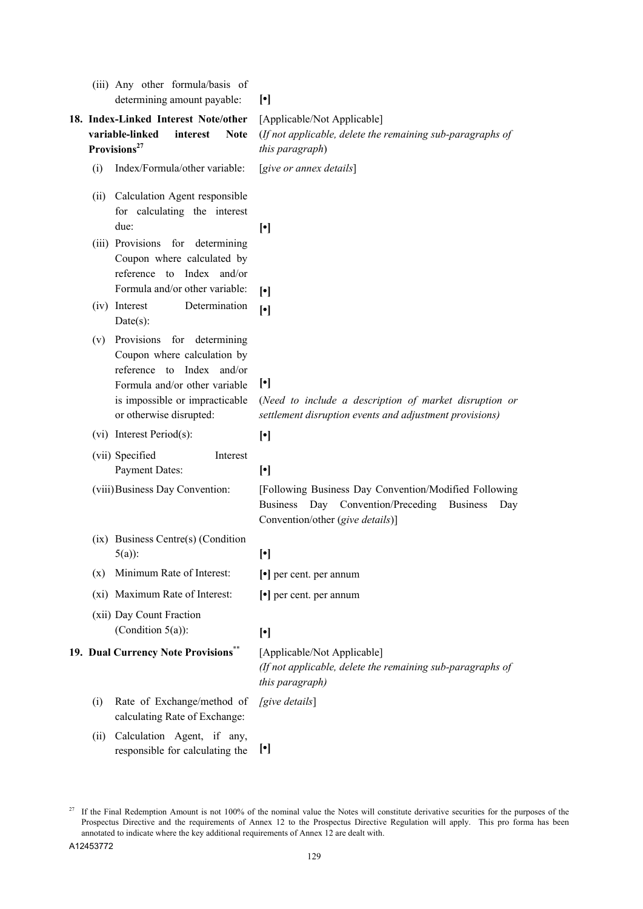|      | (iii) Any other formula/basis of<br>determining amount payable:                                                                                                                          | $\lceil \cdot \rceil$                                                                                                                                              |
|------|------------------------------------------------------------------------------------------------------------------------------------------------------------------------------------------|--------------------------------------------------------------------------------------------------------------------------------------------------------------------|
|      | 18. Index-Linked Interest Note/other<br>variable-linked<br>interest<br><b>Note</b><br>Provisions <sup>27</sup>                                                                           | [Applicable/Not Applicable]<br>(If not applicable, delete the remaining sub-paragraphs of<br>this paragraph)                                                       |
| (i)  | Index/Formula/other variable:                                                                                                                                                            | [give or annex details]                                                                                                                                            |
|      | (ii) Calculation Agent responsible<br>for calculating the interest<br>due:                                                                                                               | $[\cdot]$                                                                                                                                                          |
|      | (iii) Provisions for determining<br>Coupon where calculated by<br>reference to Index and/or<br>Formula and/or other variable:                                                            | $[\cdot]$                                                                                                                                                          |
|      | (iv) Interest<br>Determination<br>$Date(s)$ :                                                                                                                                            | $[\cdot]$                                                                                                                                                          |
|      | (v) Provisions for determining<br>Coupon where calculation by<br>reference to Index and/or<br>Formula and/or other variable<br>is impossible or impracticable<br>or otherwise disrupted: | $[\cdot]$<br>(Need to include a description of market disruption or<br>settlement disruption events and adjustment provisions)                                     |
|      | (vi) Interest Period(s):                                                                                                                                                                 | $[\cdot]$                                                                                                                                                          |
|      | (vii) Specified<br>Interest<br><b>Payment Dates:</b>                                                                                                                                     | $[\cdot]$                                                                                                                                                          |
|      | (viii) Business Day Convention:                                                                                                                                                          | [Following Business Day Convention/Modified Following<br>Day Convention/Preceding<br><b>Business</b><br><b>Business</b><br>Day<br>Convention/other (give details)] |
|      | (ix) Business Centre(s) (Condition<br>$5(a)$ :                                                                                                                                           | $[\cdot]$                                                                                                                                                          |
| (x)  | Minimum Rate of Interest:                                                                                                                                                                | $\lceil \cdot \rceil$ per cent. per annum                                                                                                                          |
|      | (xi) Maximum Rate of Interest:                                                                                                                                                           | $\lceil \cdot \rceil$ per cent. per annum                                                                                                                          |
|      | (xii) Day Count Fraction<br>(Condition $5(a)$ ):                                                                                                                                         | $[\cdot]$                                                                                                                                                          |
|      | 19. Dual Currency Note Provisions**                                                                                                                                                      | [Applicable/Not Applicable]<br>(If not applicable, delete the remaining sub-paragraphs of<br>this paragraph)                                                       |
| (i)  | Rate of Exchange/method of<br>calculating Rate of Exchange:                                                                                                                              | [give details]                                                                                                                                                     |
| (ii) | Calculation Agent, if any,<br>responsible for calculating the                                                                                                                            | $[\cdot]$                                                                                                                                                          |

<sup>&</sup>lt;sup>27</sup> If the Final Redemption Amount is not 100% of the nominal value the Notes will constitute derivative securities for the purposes of the Prospectus Directive and the requirements of Annex 12 to the Prospectus Directive Regulation will apply. This pro forma has been annotated to indicate where the key additional requirements of Annex 12 are dealt with.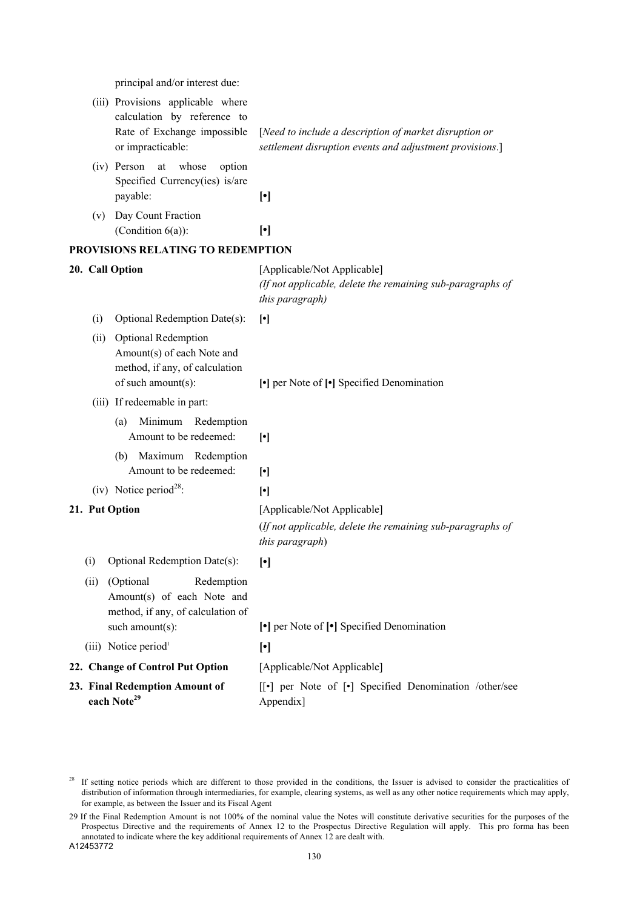principal and/or interest due:

|      | (iii) Provisions applicable where<br>calculation by reference to<br>Rate of Exchange impossible<br>or impracticable: | [Need to include a description of market disruption or<br>settlement disruption events and adjustment provisions.]                                                                                                                                                                                                                                                                                                                                                                                                                                                     |
|------|----------------------------------------------------------------------------------------------------------------------|------------------------------------------------------------------------------------------------------------------------------------------------------------------------------------------------------------------------------------------------------------------------------------------------------------------------------------------------------------------------------------------------------------------------------------------------------------------------------------------------------------------------------------------------------------------------|
|      | (iv) Person<br>whose<br>option<br>at<br>Specified Currency(ies) is/are<br>payable:                                   | $[\cdot]$                                                                                                                                                                                                                                                                                                                                                                                                                                                                                                                                                              |
|      | (v) Day Count Fraction<br>(Condition $6(a)$ ):                                                                       | $[\cdot]$                                                                                                                                                                                                                                                                                                                                                                                                                                                                                                                                                              |
|      | PROVISIONS RELATING TO REDEMPTION                                                                                    |                                                                                                                                                                                                                                                                                                                                                                                                                                                                                                                                                                        |
|      | 20. Call Option                                                                                                      | [Applicable/Not Applicable]<br>(If not applicable, delete the remaining sub-paragraphs of<br>this paragraph)                                                                                                                                                                                                                                                                                                                                                                                                                                                           |
| (i)  | Optional Redemption Date(s):                                                                                         | $[\cdot]$                                                                                                                                                                                                                                                                                                                                                                                                                                                                                                                                                              |
|      | (ii) Optional Redemption<br>Amount(s) of each Note and<br>method, if any, of calculation<br>of such amount(s):       | [•] per Note of [•] Specified Denomination                                                                                                                                                                                                                                                                                                                                                                                                                                                                                                                             |
|      | (iii) If redeemable in part:                                                                                         |                                                                                                                                                                                                                                                                                                                                                                                                                                                                                                                                                                        |
|      | Minimum<br>(a)<br>Redemption<br>Amount to be redeemed:                                                               | $[\cdot]$                                                                                                                                                                                                                                                                                                                                                                                                                                                                                                                                                              |
|      | (b) Maximum Redemption<br>Amount to be redeemed:                                                                     | $[\cdot]$                                                                                                                                                                                                                                                                                                                                                                                                                                                                                                                                                              |
|      | (iv) Notice period <sup>28</sup> :                                                                                   | $[\cdot] % \centering \includegraphics[width=0.9\columnwidth]{figures/fig_10.pdf} \caption{The average of the number of~\ref{fig:201} and the average of~\ref{fig:201} and the average of~\ref{fig:201} and the average of~\ref{fig:201} and the average of~\ref{fig:201} and the average of~\ref{fig:201} and the average of~\ref{fig:201} and the average of~\ref{fig:201} and the average of~\ref{fig:201} and the average of~\ref{fig:201} and the average of~\ref{fig:201} and the average of~\ref{fig:201} and the average of~\ref{fig:201} and the average of~$ |
|      | 21. Put Option                                                                                                       | [Applicable/Not Applicable]<br>(If not applicable, delete the remaining sub-paragraphs of                                                                                                                                                                                                                                                                                                                                                                                                                                                                              |
|      |                                                                                                                      | this paragraph)                                                                                                                                                                                                                                                                                                                                                                                                                                                                                                                                                        |
| (i)  | Optional Redemption Date(s):                                                                                         | $[\cdot]$                                                                                                                                                                                                                                                                                                                                                                                                                                                                                                                                                              |
| (ii) | (Optional<br>Redemption<br>Amount(s) of each Note and<br>method, if any, of calculation of                           |                                                                                                                                                                                                                                                                                                                                                                                                                                                                                                                                                                        |
|      | such amount(s):                                                                                                      | • per Note of [•] Specified Denomination                                                                                                                                                                                                                                                                                                                                                                                                                                                                                                                               |
|      | (iii) Notice period <sup>1</sup>                                                                                     | $[\cdot]$                                                                                                                                                                                                                                                                                                                                                                                                                                                                                                                                                              |
|      | 22. Change of Control Put Option                                                                                     | [Applicable/Not Applicable]                                                                                                                                                                                                                                                                                                                                                                                                                                                                                                                                            |
|      | 23. Final Redemption Amount of<br>each Note <sup>29</sup>                                                            | [[.] per Note of [.] Specified Denomination /other/see<br>Appendix]                                                                                                                                                                                                                                                                                                                                                                                                                                                                                                    |

<sup>&</sup>lt;sup>28</sup> If setting notice periods which are different to those provided in the conditions, the Issuer is advised to consider the practicalities of distribution of information through intermediaries, for example, clearing systems, as well as any other notice requirements which may apply, for example, as between the Issuer and its Fiscal Agent

<sup>29</sup> If the Final Redemption Amount is not 100% of the nominal value the Notes will constitute derivative securities for the purposes of the Prospectus Directive and the requirements of Annex 12 to the Prospectus Directive Regulation will apply. This pro forma has been annotated to indicate where the key additional requirements of Annex 12 are dealt with.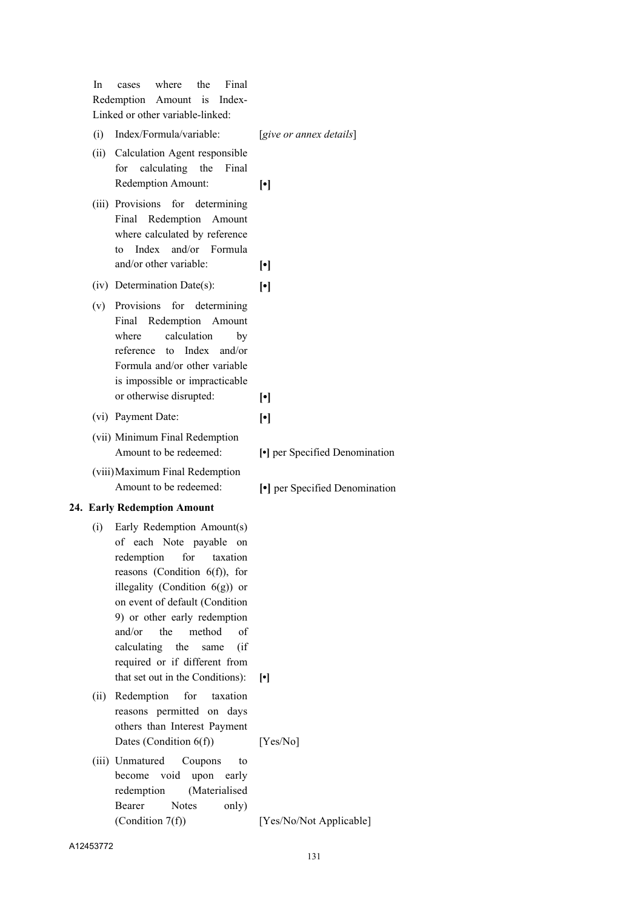| In   | Final<br>where<br>the<br>cases<br>Redemption Amount is<br>Index-<br>Linked or other variable-linked:                                                                                                                                                                                                                                                                        |                                |
|------|-----------------------------------------------------------------------------------------------------------------------------------------------------------------------------------------------------------------------------------------------------------------------------------------------------------------------------------------------------------------------------|--------------------------------|
| (i)  | Index/Formula/variable:                                                                                                                                                                                                                                                                                                                                                     | [give or annex details]        |
| (ii) | Calculation Agent responsible<br>calculating<br>the<br>Final<br>for<br>Redemption Amount:                                                                                                                                                                                                                                                                                   | $\lceil \cdot \rceil$          |
|      | (iii) Provisions<br>for determining<br>Final Redemption<br>Amount<br>where calculated by reference<br>and/or Formula<br>Index<br>to<br>and/or other variable:                                                                                                                                                                                                               | $\lceil \cdot \rceil$          |
|      | (iv) Determination Date(s):                                                                                                                                                                                                                                                                                                                                                 | $\lceil \cdot \rceil$          |
| (v)  | Provisions for determining<br>Final Redemption Amount<br>calculation<br>where<br>by<br>reference to<br>Index<br>and/or<br>Formula and/or other variable<br>is impossible or impracticable<br>or otherwise disrupted:                                                                                                                                                        | $\lceil \cdot \rceil$          |
|      | (vi) Payment Date:                                                                                                                                                                                                                                                                                                                                                          | $\lceil \cdot \rceil$          |
|      | (vii) Minimum Final Redemption<br>Amount to be redeemed:                                                                                                                                                                                                                                                                                                                    | [•] per Specified Denomination |
|      |                                                                                                                                                                                                                                                                                                                                                                             |                                |
|      | (viii) Maximum Final Redemption<br>Amount to be redeemed:                                                                                                                                                                                                                                                                                                                   | • per Specified Denomination   |
|      | 24. Early Redemption Amount                                                                                                                                                                                                                                                                                                                                                 |                                |
| (i)  | Early Redemption Amount(s)<br>of each Note payable on<br>redemption<br>for<br>taxation<br>reasons (Condition $6(f)$ ), for<br>illegality (Condition $6(g)$ ) or<br>on event of default (Condition<br>9) or other early redemption<br>the<br>method<br>and/or<br>of<br>calculating the<br>(i f)<br>same<br>required or if different from<br>that set out in the Conditions): | $\lceil \cdot \rceil$          |
| (ii) | Redemption<br>for<br>taxation<br>reasons permitted on days<br>others than Interest Payment<br>Dates (Condition $6(f)$ )                                                                                                                                                                                                                                                     | [Yes/No]                       |
|      | (iii) Unmatured<br>Coupons<br>to<br>void<br>upon<br>become<br>early<br>(Materialised<br>redemption<br><b>Notes</b><br>Bearer<br>only)<br>(Condition $7(f)$ )                                                                                                                                                                                                                | [Yes/No/Not Applicable]        |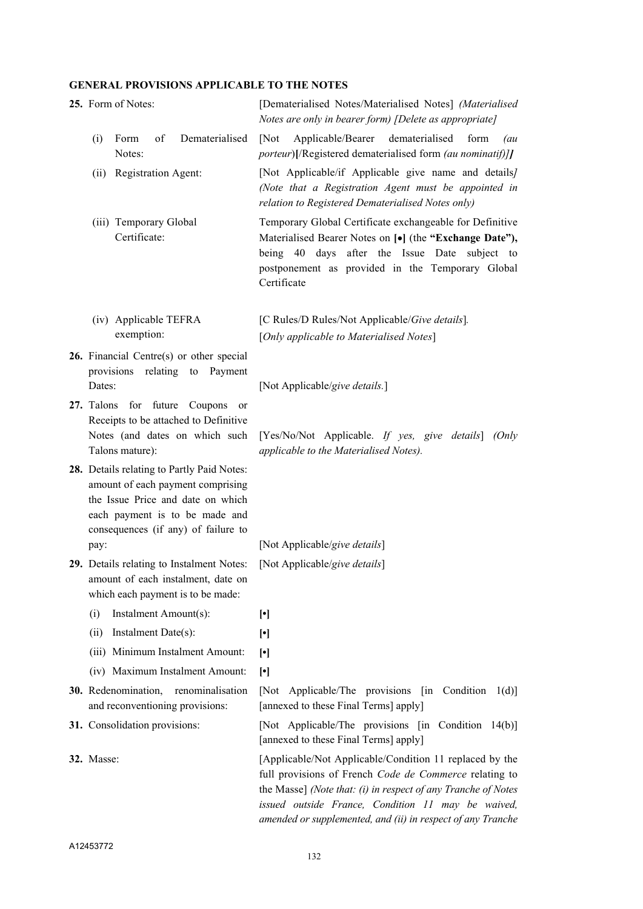## **GENERAL PROVISIONS APPLICABLE TO THE NOTES**

| 25. Form of Notes:                                                                                                                                                                            | [Dematerialised Notes/Materialised Notes] (Materialised<br>Notes are only in bearer form) [Delete as appropriate]                                                                                                                                                                                       |
|-----------------------------------------------------------------------------------------------------------------------------------------------------------------------------------------------|---------------------------------------------------------------------------------------------------------------------------------------------------------------------------------------------------------------------------------------------------------------------------------------------------------|
| of<br>Dematerialised<br>(i)<br>Form<br>Notes:                                                                                                                                                 | Applicable/Bearer<br>dematerialised<br>[Not]<br>form<br>(au<br>porteur)[/Registered dematerialised form (au nominatif)]]                                                                                                                                                                                |
| Registration Agent:<br>(ii)                                                                                                                                                                   | [Not Applicable/if Applicable give name and details]<br>(Note that a Registration Agent must be appointed in<br>relation to Registered Dematerialised Notes only)                                                                                                                                       |
| (iii) Temporary Global<br>Certificate:                                                                                                                                                        | Temporary Global Certificate exchangeable for Definitive<br>Materialised Bearer Notes on [•] (the "Exchange Date"),<br>being 40 days after the Issue Date<br>subject to<br>postponement as provided in the Temporary Global<br>Certificate                                                              |
| (iv) Applicable TEFRA<br>exemption:                                                                                                                                                           | [C Rules/D Rules/Not Applicable/Give details].<br>[Only applicable to Materialised Notes]                                                                                                                                                                                                               |
| 26. Financial Centre(s) or other special<br>relating<br>provisions<br>to<br>Payment<br>Dates:                                                                                                 | [Not Applicable/give details.]                                                                                                                                                                                                                                                                          |
| for future Coupons<br>27. Talons<br><sub>or</sub><br>Receipts to be attached to Definitive<br>Notes (and dates on which such<br>Talons mature):                                               | [Yes/No/Not Applicable. If yes, give details]<br>(Only<br>applicable to the Materialised Notes).                                                                                                                                                                                                        |
| 28. Details relating to Partly Paid Notes:<br>amount of each payment comprising<br>the Issue Price and date on which<br>each payment is to be made and<br>consequences (if any) of failure to |                                                                                                                                                                                                                                                                                                         |
| pay:                                                                                                                                                                                          | [Not Applicable/give details]                                                                                                                                                                                                                                                                           |
| 29. Details relating to Instalment Notes:<br>amount of each instalment, date on<br>which each payment is to be made:                                                                          | [Not Applicable/give details]                                                                                                                                                                                                                                                                           |
| Instalment Amount(s):<br>(i)                                                                                                                                                                  | $[\cdot]$                                                                                                                                                                                                                                                                                               |
| Instalment Date(s):<br>(ii)                                                                                                                                                                   | $[\cdot]$                                                                                                                                                                                                                                                                                               |
| (iii) Minimum Instalment Amount:                                                                                                                                                              | $[\cdot]$                                                                                                                                                                                                                                                                                               |
| (iv) Maximum Instalment Amount:                                                                                                                                                               | $[\cdot]$                                                                                                                                                                                                                                                                                               |
| 30. Redenomination,<br>renominalisation<br>and reconventioning provisions:                                                                                                                    | Applicable/The provisions $\begin{bmatrix} \text{in} \quad \text{Condition} \quad 1 \text{(d)} \end{bmatrix}$<br>$\sqrt{\text{Not}}$<br>[annexed to these Final Terms] apply]                                                                                                                           |
| 31. Consolidation provisions:                                                                                                                                                                 | [Not Applicable/The provisions [in Condition 14(b)]<br>[annexed to these Final Terms] apply]                                                                                                                                                                                                            |
| <b>32.</b> Masse:                                                                                                                                                                             | [Applicable/Not Applicable/Condition 11 replaced by the<br>full provisions of French Code de Commerce relating to<br>the Masse] (Note that: (i) in respect of any Tranche of Notes<br>issued outside France, Condition 11 may be waived,<br>amended or supplemented, and (ii) in respect of any Tranche |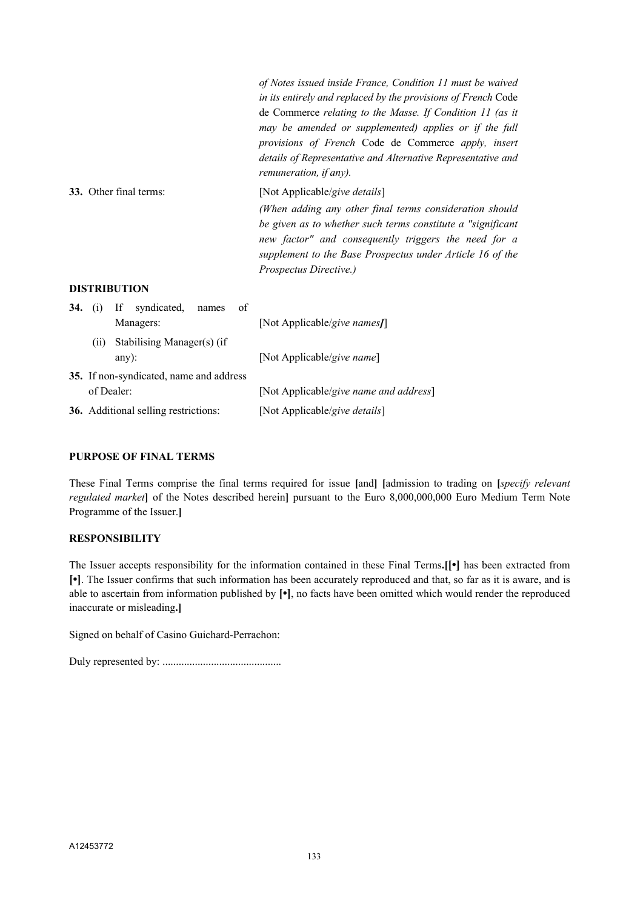|                                                  | of Notes issued inside France, Condition 11 must be waived<br>in its entirely and replaced by the provisions of French Code<br>de Commerce relating to the Masse. If Condition 11 (as it<br>may be amended or supplemented) applies or if the full<br>provisions of French Code de Commerce apply, insert<br>details of Representative and Alternative Representative and<br>remuneration, if any). |
|--------------------------------------------------|-----------------------------------------------------------------------------------------------------------------------------------------------------------------------------------------------------------------------------------------------------------------------------------------------------------------------------------------------------------------------------------------------------|
| 33. Other final terms:                           | [Not Applicable/give details]                                                                                                                                                                                                                                                                                                                                                                       |
|                                                  | (When adding any other final terms consideration should<br>be given as to whether such terms constitute a "significant"<br>new factor" and consequently triggers the need for a<br>supplement to the Base Prospectus under Article 16 of the<br><i>Prospectus Directive.)</i>                                                                                                                       |
| <b>DISTRIBUTION</b>                              |                                                                                                                                                                                                                                                                                                                                                                                                     |
| syndicated,<br>34.<br>- If<br>of<br>names<br>(1) |                                                                                                                                                                                                                                                                                                                                                                                                     |

|            | Managers:                               | [Not Applicable/give names]]           |
|------------|-----------------------------------------|----------------------------------------|
| (11)       | Stabilising Manager(s) (if<br>$any)$ :  | [Not Applicable/give name]             |
|            | 35. If non-syndicated, name and address |                                        |
| of Dealer: |                                         | [Not Applicable/give name and address] |
|            | 36. Additional selling restrictions:    | [Not Applicable/give details]          |

#### **PURPOSE OF FINAL TERMS**

These Final Terms comprise the final terms required for issue **[**and**] [**admission to trading on **[***specify relevant regulated market***]** of the Notes described herein**]** pursuant to the Euro 8,000,000,000 Euro Medium Term Note Programme of the Issuer.**]**

#### **RESPONSIBILITY**

The Issuer accepts responsibility for the information contained in these Final Terms**.[[•]** has been extracted from **[•]**. The Issuer confirms that such information has been accurately reproduced and that, so far as it is aware, and is able to ascertain from information published by **[•]**, no facts have been omitted which would render the reproduced inaccurate or misleading**.]**

Signed on behalf of Casino Guichard-Perrachon:

Duly represented by: ............................................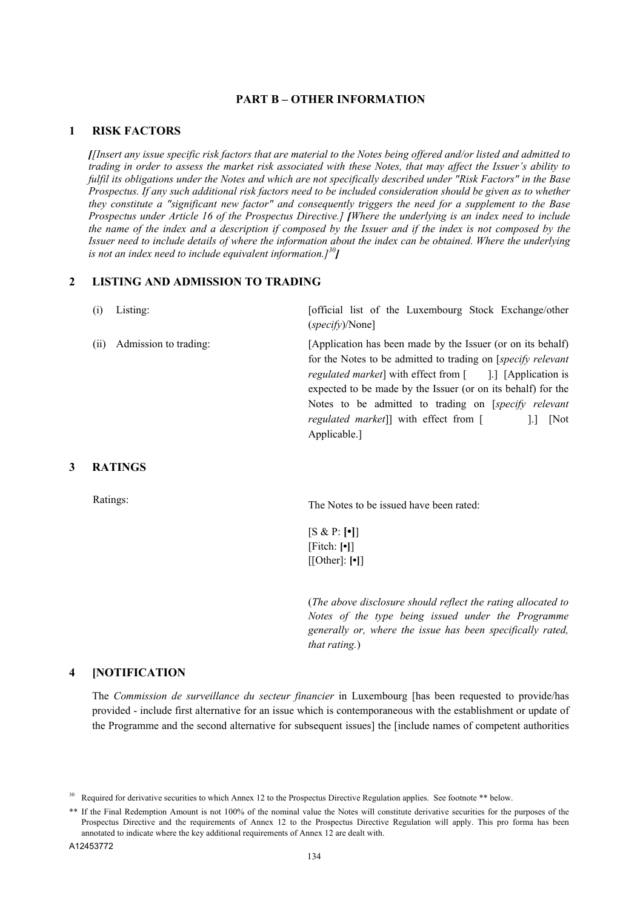#### **PART B – OTHER INFORMATION**

#### **1 RISK FACTORS**

*[[Insert any issue specific risk factors that are material to the Notes being offered and/or listed and admitted to trading in order to assess the market risk associated with these Notes, that may affect the Issuer's ability to fulfil its obligations under the Notes and which are not specifically described under "Risk Factors" in the Base Prospectus. If any such additional risk factors need to be included consideration should be given as to whether they constitute a "significant new factor" and consequently triggers the need for a supplement to the Base Prospectus under Article 16 of the Prospectus Directive.] [Where the underlying is an index need to include the name of the index and a description if composed by the Issuer and if the index is not composed by the Issuer need to include details of where the information about the index can be obtained. Where the underlying is not an index need to include equivalent information.]<sup>30</sup>]*

#### **2 LISTING AND ADMISSION TO TRADING**

| (i)  | Listing:              | [official list of the Luxembourg Stock Exchange/other<br>$(specify)/\text{None}$                                                                                                                                                                                                                                                                                                          |
|------|-----------------------|-------------------------------------------------------------------------------------------------------------------------------------------------------------------------------------------------------------------------------------------------------------------------------------------------------------------------------------------------------------------------------------------|
| (11) | Admission to trading: | [Application has been made by the Issuer (or on its behalf)<br>for the Notes to be admitted to trading on [specify relevant]<br><i>regulated market</i> ] with effect from [ ].] [Application is<br>expected to be made by the Issuer (or on its behalf) for the<br>Notes to be admitted to trading on [ <i>specify relevant</i><br><i>regulated market</i> ]] with effect from [<br>[Not |

Applicable.]

#### **3 RATINGS**

Ratings: The Notes to be issued have been rated:

[S & P: **[•]**] [Fitch: **[•]**] [[Other]: **[•]**]

(*The above disclosure should reflect the rating allocated to Notes of the type being issued under the Programme generally or, where the issue has been specifically rated, that rating.*)

#### **4 [NOTIFICATION**

The *Commission de surveillance du secteur financier* in Luxembourg [has been requested to provide/has provided - include first alternative for an issue which is contemporaneous with the establishment or update of the Programme and the second alternative for subsequent issues] the [include names of competent authorities

<sup>30</sup> Required for derivative securities to which Annex 12 to the Prospectus Directive Regulation applies. See footnote \*\* below.

<sup>\*\*</sup> If the Final Redemption Amount is not 100% of the nominal value the Notes will constitute derivative securities for the purposes of the Prospectus Directive and the requirements of Annex 12 to the Prospectus Directive Regulation will apply. This pro forma has been annotated to indicate where the key additional requirements of Annex 12 are dealt with.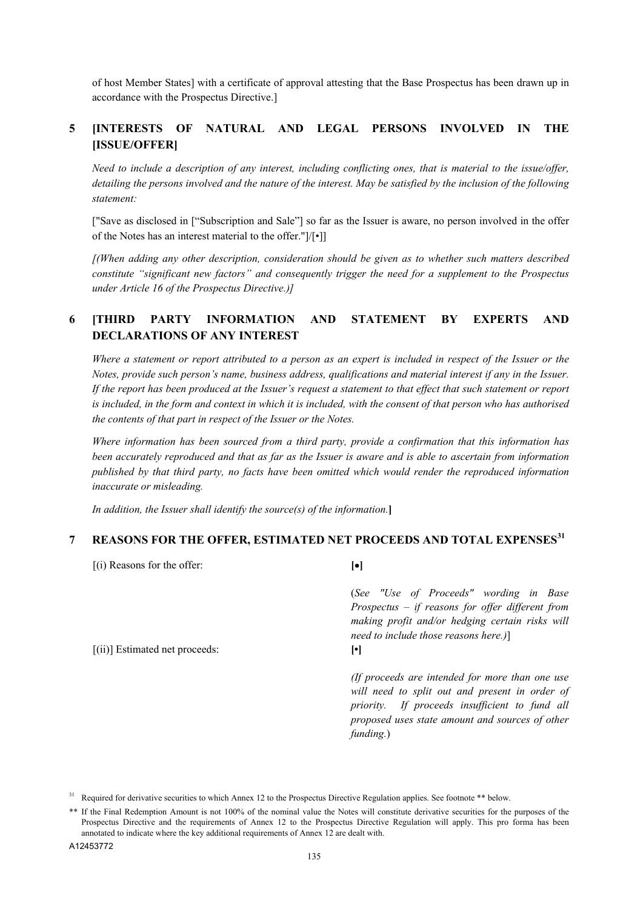of host Member States] with a certificate of approval attesting that the Base Prospectus has been drawn up in accordance with the Prospectus Directive.]

## **5 [INTERESTS OF NATURAL AND LEGAL PERSONS INVOLVED IN THE [ISSUE/OFFER]**

*Need to include a description of any interest, including conflicting ones, that is material to the issue/offer,*  detailing the persons involved and the nature of the interest. May be satisfied by the inclusion of the following *statement:*

["Save as disclosed in ["Subscription and Sale"] so far as the Issuer is aware, no person involved in the offer of the Notes has an interest material to the offer."]/[•]]

*[(When adding any other description, consideration should be given as to whether such matters described constitute "significant new factors" and consequently trigger the need for a supplement to the Prospectus under Article 16 of the Prospectus Directive.)]*

## **6 [THIRD PARTY INFORMATION AND STATEMENT BY EXPERTS AND DECLARATIONS OF ANY INTEREST**

*Where a statement or report attributed to a person as an expert is included in respect of the Issuer or the Notes, provide such person's name, business address, qualifications and material interest if any in the Issuer. If the report has been produced at the Issuer's request a statement to that effect that such statement or report is included, in the form and context in which it is included, with the consent of that person who has authorised the contents of that part in respect of the Issuer or the Notes.*

*Where information has been sourced from a third party, provide a confirmation that this information has been accurately reproduced and that as far as the Issuer is aware and is able to ascertain from information published by that third party, no facts have been omitted which would render the reproduced information inaccurate or misleading.*

*In addition, the Issuer shall identify the source(s) of the information.***]**

## **7 REASONS FOR THE OFFER, ESTIMATED NET PROCEEDS AND TOTAL EXPENSES<sup>31</sup>**

[(i) Reasons for the offer: **[]** (*See "Use of Proceeds" wording in Base Prospectus – if reasons for offer different from making profit and/or hedging certain risks will need to include those reasons here.)*] [(ii)] Estimated net proceeds: **[•]** *(If proceeds are intended for more than one use will need to split out and present in order of priority. If proceeds insufficient to fund all proposed uses state amount and sources of other funding.*)

<sup>&</sup>lt;sup>31</sup> Required for derivative securities to which Annex 12 to the Prospectus Directive Regulation applies. See footnote \*\* below.

<sup>\*\*</sup> If the Final Redemption Amount is not 100% of the nominal value the Notes will constitute derivative securities for the purposes of the Prospectus Directive and the requirements of Annex 12 to the Prospectus Directive Regulation will apply. This pro forma has been annotated to indicate where the key additional requirements of Annex 12 are dealt with.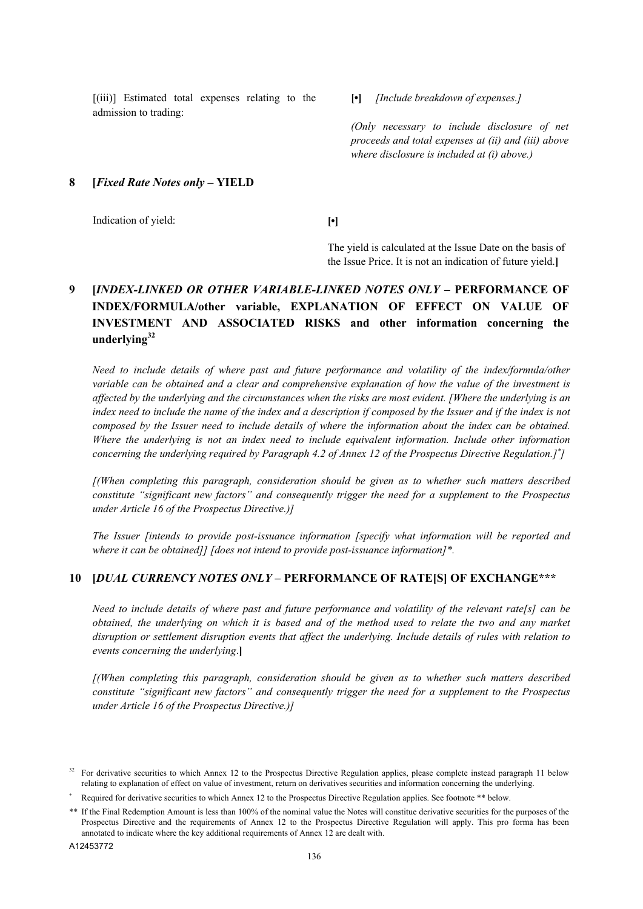[(iii)] Estimated total expenses relating to the admission to trading:

**[•]** *[Include breakdown of expenses.]*

*(Only necessary to include disclosure of net proceeds and total expenses at (ii) and (iii) above where disclosure is included at (i) above.)* 

#### **8 [***Fixed Rate Notes only* **– YIELD**

Indication of yield: **[•]**

The yield is calculated at the Issue Date on the basis of the Issue Price. It is not an indication of future yield.**]**

## **9 [***INDEX-LINKED OR OTHER VARIABLE-LINKED NOTES ONLY* **– PERFORMANCE OF INDEX/FORMULA/other variable, EXPLANATION OF EFFECT ON VALUE OF INVESTMENT AND ASSOCIATED RISKS and other information concerning the underlying<sup>32</sup>**

*Need to include details of where past and future performance and volatility of the index/formula/other variable can be obtained and a clear and comprehensive explanation of how the value of the investment is affected by the underlying and the circumstances when the risks are most evident. [Where the underlying is an*  index need to include the name of the index and a description if composed by the Issuer and if the index is not *composed by the Issuer need to include details of where the information about the index can be obtained. Where the underlying is not an index need to include equivalent information. Include other information concerning the underlying required by Paragraph 4.2 of Annex 12 of the Prospectus Directive Regulation.] ]*

*[(When completing this paragraph, consideration should be given as to whether such matters described constitute "significant new factors" and consequently trigger the need for a supplement to the Prospectus under Article 16 of the Prospectus Directive.)]*

*The Issuer [intends to provide post-issuance information [specify what information will be reported and where it can be obtained]] [does not intend to provide post-issuance information]\*.*

#### **10 [***DUAL CURRENCY NOTES ONLY* **– PERFORMANCE OF RATE[S] OF EXCHANGE\*\*\***

*Need to include details of where past and future performance and volatility of the relevant rate[s] can be obtained, the underlying on which it is based and of the method used to relate the two and any market disruption or settlement disruption events that affect the underlying. Include details of rules with relation to events concerning the underlying*.**]**

*[(When completing this paragraph, consideration should be given as to whether such matters described constitute "significant new factors" and consequently trigger the need for a supplement to the Prospectus under Article 16 of the Prospectus Directive.)]*

<sup>&</sup>lt;sup>32</sup> For derivative securities to which Annex 12 to the Prospectus Directive Regulation applies, please complete instead paragraph 11 below relating to explanation of effect on value of investment, return on derivatives securities and information concerning the underlying.

Required for derivative securities to which Annex 12 to the Prospectus Directive Regulation applies. See footnote \*\* below.

<sup>\*\*</sup> If the Final Redemption Amount is less than 100% of the nominal value the Notes will constitue derivative securities for the purposes of the Prospectus Directive and the requirements of Annex 12 to the Prospectus Directive Regulation will apply. This pro forma has been annotated to indicate where the key additional requirements of Annex 12 are dealt with.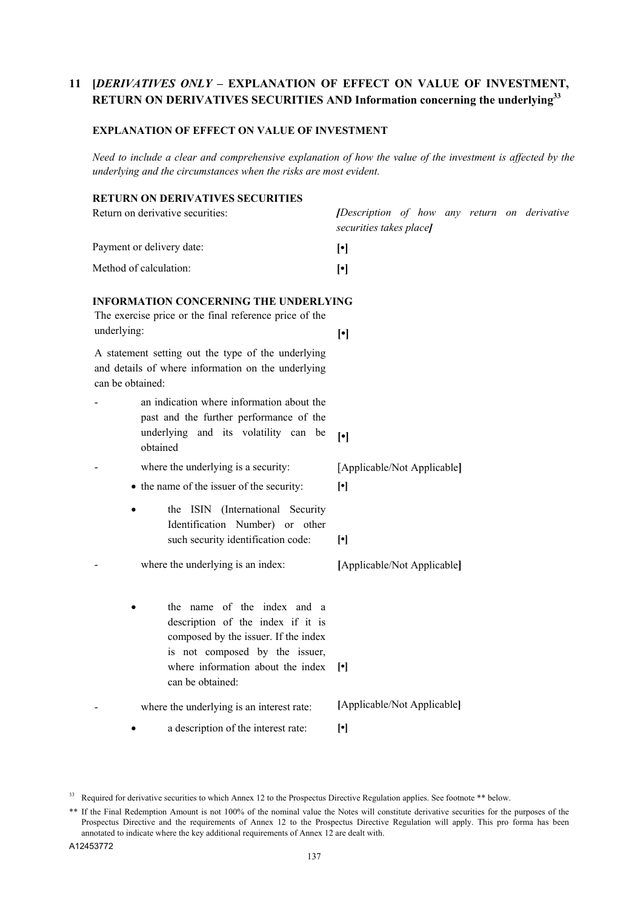## **11 [***DERIVATIVES ONLY –* **EXPLANATION OF EFFECT ON VALUE OF INVESTMENT, RETURN ON DERIVATIVES SECURITIES AND Information concerning the underlying<sup>33</sup>**

#### **EXPLANATION OF EFFECT ON VALUE OF INVESTMENT**

*Need to include a clear and comprehensive explanation of how the value of the investment is affected by the underlying and the circumstances when the risks are most evident.*

## **RETURN ON DERIVATIVES SECURITIES**

| [Description of how any return on derivative<br>securities takes place]                                                                                                                                                                                                                                                                                        |
|----------------------------------------------------------------------------------------------------------------------------------------------------------------------------------------------------------------------------------------------------------------------------------------------------------------------------------------------------------------|
| $[\cdot]$                                                                                                                                                                                                                                                                                                                                                      |
| $[\cdot]$                                                                                                                                                                                                                                                                                                                                                      |
| <b>INFORMATION CONCERNING THE UNDERLYING</b><br>$[\cdot] % \centering \includegraphics[width=0.9\columnwidth]{figures/fig_10.pdf} \caption{The graph $\mathcal{N}_1$ is a function of the number of~\textit{N}_1$ and the number of~\textit{N}_2$ is a function of the number of~\textit{N}_1$ (left) and the number of~\textit{N}_2$ (right).} \label{fig:1}$ |
|                                                                                                                                                                                                                                                                                                                                                                |
| $\left[\cdot\right]$                                                                                                                                                                                                                                                                                                                                           |
| [Applicable/Not Applicable]<br>$[\cdot] % \centering \includegraphics[width=0.9\columnwidth]{figures/fig_10.pdf} \caption{The average of the number of~\ref{fig:2016}}\label{fig:2} %$<br>$[\cdot]$                                                                                                                                                            |
| [Applicable/Not Applicable]                                                                                                                                                                                                                                                                                                                                    |
| $\lvert \cdot \rvert$                                                                                                                                                                                                                                                                                                                                          |
| [Applicable/Not Applicable]                                                                                                                                                                                                                                                                                                                                    |
| $[\cdot]$                                                                                                                                                                                                                                                                                                                                                      |
|                                                                                                                                                                                                                                                                                                                                                                |

<sup>&</sup>lt;sup>33</sup> Required for derivative securities to which Annex 12 to the Prospectus Directive Regulation applies. See footnote \*\* below.

<sup>\*\*</sup> If the Final Redemption Amount is not 100% of the nominal value the Notes will constitute derivative securities for the purposes of the Prospectus Directive and the requirements of Annex 12 to the Prospectus Directive Regulation will apply. This pro forma has been annotated to indicate where the key additional requirements of Annex 12 are dealt with.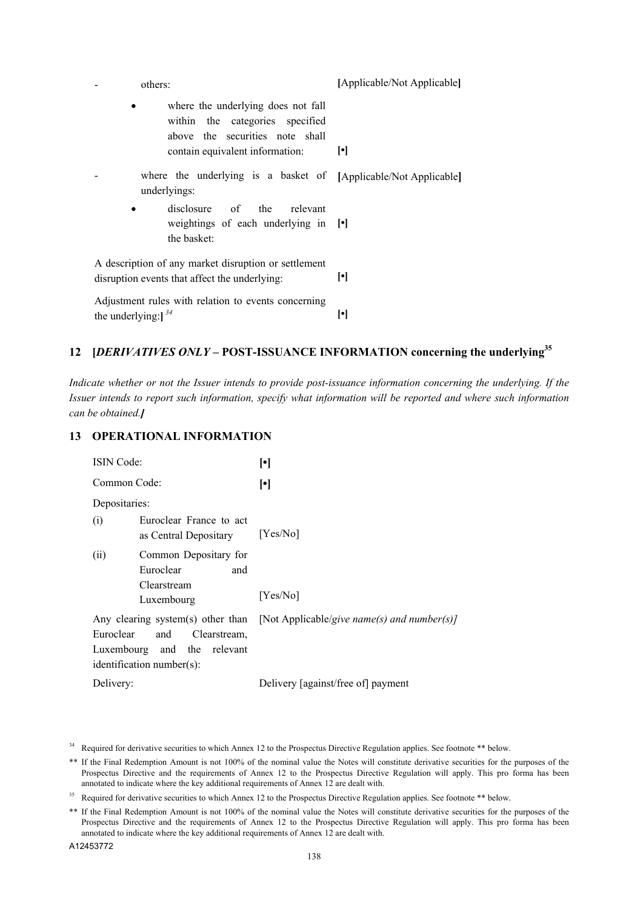| others:                                                                                                                                     | [Applicable/Not Applicable] |
|---------------------------------------------------------------------------------------------------------------------------------------------|-----------------------------|
| where the underlying does not fall<br>within the categories specified<br>above the securities note shall<br>contain equivalent information: | $\lvert \cdot \rvert$       |
| where the underlying is a basket of [Applicable/Not Applicable]<br>underlyings:                                                             |                             |
| disclosure of the relevant<br>$\bullet$<br>weightings of each underlying in [.]<br>the basket:                                              |                             |
| A description of any market disruption or settlement<br>disruption events that affect the underlying:                                       | ŀI                          |
| Adjustment rules with relation to events concerning<br>the underlying: $\int^{34}$                                                          | $[\cdot]$                   |

## **12 [***DERIVATIVES ONLY –* **POST-ISSUANCE INFORMATION concerning the underlying<sup>35</sup>**

*Indicate whether or not the Issuer intends to provide post-issuance information concerning the underlying. If the Issuer intends to report such information, specify what information will be reported and where such information can be obtained.]*

## **13 OPERATIONAL INFORMATION**

| <b>ISIN</b> Code:                                                                               | $\lbrack \bullet \rbrack$                                                     |
|-------------------------------------------------------------------------------------------------|-------------------------------------------------------------------------------|
| Common Code:                                                                                    | $\lceil \cdot \rceil$                                                         |
| Depositaries:                                                                                   |                                                                               |
| Euroclear France to act<br>(i)<br>as Central Depositary                                         | [Yes/No]                                                                      |
| Common Depositary for<br>(ii)<br>Euroclear<br>and<br>Clearstream<br>Luxembourg                  | [Yes/No]                                                                      |
| Euroclear<br>Clearstream,<br>and<br>Luxembourg and the relevant<br>$identification number(s)$ : | Any clearing system(s) other than [Not Applicable/give name(s) and number(s)] |
| Delivery:                                                                                       | Delivery [against/free of] payment                                            |

<sup>&</sup>lt;sup>34</sup> Required for derivative securities to which Annex 12 to the Prospectus Directive Regulation applies. See footnote \*\* below.

<sup>\*\*</sup> If the Final Redemption Amount is not 100% of the nominal value the Notes will constitute derivative securities for the purposes of the Prospectus Directive and the requirements of Annex 12 to the Prospectus Directive Regulation will apply. This pro forma has been annotated to indicate where the key additional requirements of Annex 12 are dealt with.

<sup>&</sup>lt;sup>35</sup> Required for derivative securities to which Annex 12 to the Prospectus Directive Regulation applies. See footnote \*\* below.

<sup>\*\*</sup> If the Final Redemption Amount is not 100% of the nominal value the Notes will constitute derivative securities for the purposes of the Prospectus Directive and the requirements of Annex 12 to the Prospectus Directive Regulation will apply. This pro forma has been annotated to indicate where the key additional requirements of Annex 12 are dealt with.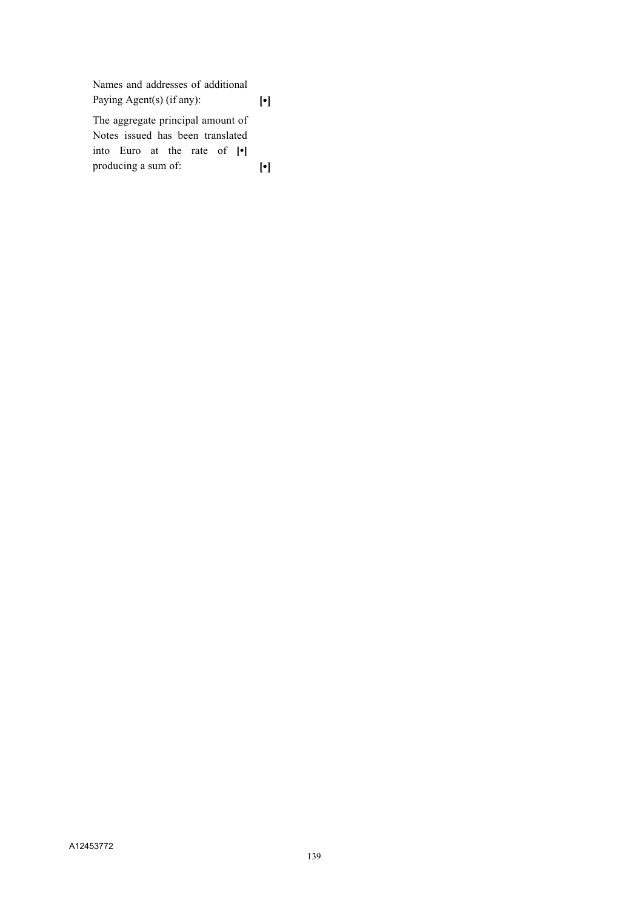Names and addresses of additional Paying Agent(s) (if any): **[•]** The aggregate principal amount of Notes issued has been translated into Euro at the rate of **[•]** producing a sum of: **[•]**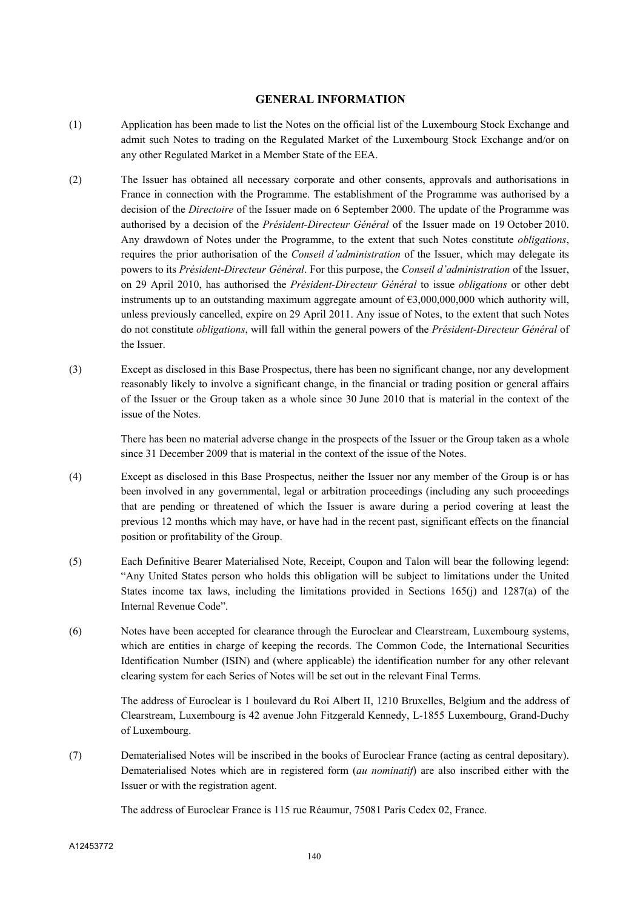#### **GENERAL INFORMATION**

- (1) Application has been made to list the Notes on the official list of the Luxembourg Stock Exchange and admit such Notes to trading on the Regulated Market of the Luxembourg Stock Exchange and/or on any other Regulated Market in a Member State of the EEA.
- (2) The Issuer has obtained all necessary corporate and other consents, approvals and authorisations in France in connection with the Programme. The establishment of the Programme was authorised by a decision of the *Directoire* of the Issuer made on 6 September 2000. The update of the Programme was authorised by a decision of the *Président-Directeur Général* of the Issuer made on 19 October 2010. Any drawdown of Notes under the Programme, to the extent that such Notes constitute *obligations*, requires the prior authorisation of the *Conseil d'administration* of the Issuer, which may delegate its powers to its *Président*-*Directeur Général*. For this purpose, the *Conseil d'administration* of the Issuer, on 29 April 2010, has authorised the *Président-Directeur Général* to issue *obligations* or other debt instruments up to an outstanding maximum aggregate amount of  $63,000,000,000$  which authority will, unless previously cancelled, expire on 29 April 2011. Any issue of Notes, to the extent that such Notes do not constitute *obligations*, will fall within the general powers of the *Président*-*Directeur Général* of the Issuer.
- (3) Except as disclosed in this Base Prospectus, there has been no significant change, nor any development reasonably likely to involve a significant change, in the financial or trading position or general affairs of the Issuer or the Group taken as a whole since 30 June 2010 that is material in the context of the issue of the Notes.

There has been no material adverse change in the prospects of the Issuer or the Group taken as a whole since 31 December 2009 that is material in the context of the issue of the Notes.

- (4) Except as disclosed in this Base Prospectus, neither the Issuer nor any member of the Group is or has been involved in any governmental, legal or arbitration proceedings (including any such proceedings that are pending or threatened of which the Issuer is aware during a period covering at least the previous 12 months which may have, or have had in the recent past, significant effects on the financial position or profitability of the Group.
- (5) Each Definitive Bearer Materialised Note, Receipt, Coupon and Talon will bear the following legend: "Any United States person who holds this obligation will be subject to limitations under the United States income tax laws, including the limitations provided in Sections  $165(i)$  and  $1287(a)$  of the Internal Revenue Code".
- (6) Notes have been accepted for clearance through the Euroclear and Clearstream, Luxembourg systems, which are entities in charge of keeping the records. The Common Code, the International Securities Identification Number (ISIN) and (where applicable) the identification number for any other relevant clearing system for each Series of Notes will be set out in the relevant Final Terms.

The address of Euroclear is 1 boulevard du Roi Albert II, 1210 Bruxelles, Belgium and the address of Clearstream, Luxembourg is 42 avenue John Fitzgerald Kennedy, L-1855 Luxembourg, Grand-Duchy of Luxembourg.

(7) Dematerialised Notes will be inscribed in the books of Euroclear France (acting as central depositary). Dematerialised Notes which are in registered form (*au nominatif*) are also inscribed either with the Issuer or with the registration agent.

The address of Euroclear France is 115 rue Réaumur, 75081 Paris Cedex 02, France.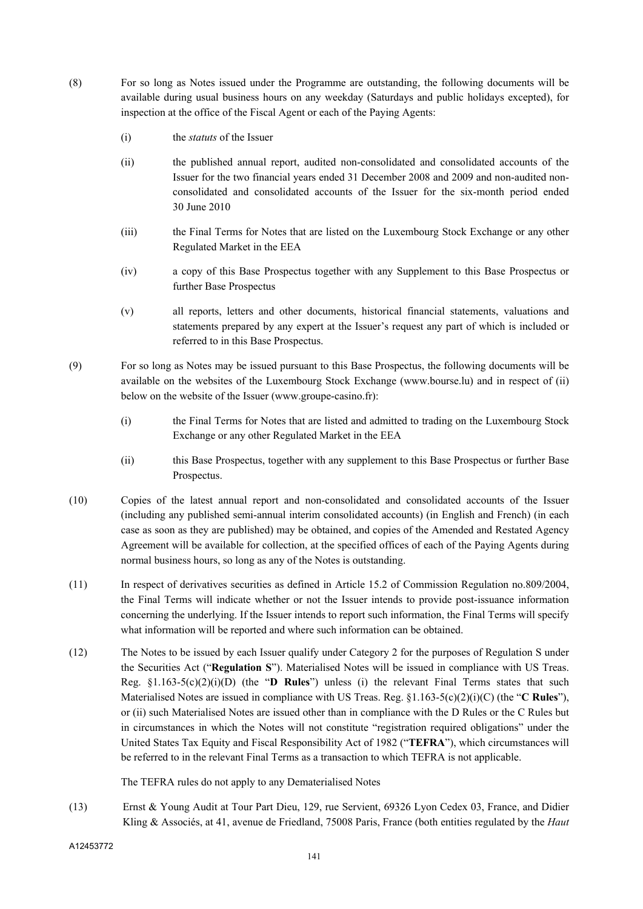- (8) For so long as Notes issued under the Programme are outstanding, the following documents will be available during usual business hours on any weekday (Saturdays and public holidays excepted), for inspection at the office of the Fiscal Agent or each of the Paying Agents:
	- (i) the *statuts* of the Issuer
	- (ii) the published annual report, audited non-consolidated and consolidated accounts of the Issuer for the two financial years ended 31 December 2008 and 2009 and non-audited nonconsolidated and consolidated accounts of the Issuer for the six-month period ended 30 June 2010
	- (iii) the Final Terms for Notes that are listed on the Luxembourg Stock Exchange or any other Regulated Market in the EEA
	- (iv) a copy of this Base Prospectus together with any Supplement to this Base Prospectus or further Base Prospectus
	- (v) all reports, letters and other documents, historical financial statements, valuations and statements prepared by any expert at the Issuer's request any part of which is included or referred to in this Base Prospectus.
- (9) For so long as Notes may be issued pursuant to this Base Prospectus, the following documents will be available on the websites of the Luxembourg Stock Exchange (www.bourse.lu) and in respect of (ii) below on the website of the Issuer (www.groupe-casino.fr):
	- (i) the Final Terms for Notes that are listed and admitted to trading on the Luxembourg Stock Exchange or any other Regulated Market in the EEA
	- (ii) this Base Prospectus, together with any supplement to this Base Prospectus or further Base Prospectus.
- (10) Copies of the latest annual report and non-consolidated and consolidated accounts of the Issuer (including any published semi-annual interim consolidated accounts) (in English and French) (in each case as soon as they are published) may be obtained, and copies of the Amended and Restated Agency Agreement will be available for collection, at the specified offices of each of the Paying Agents during normal business hours, so long as any of the Notes is outstanding.
- (11) In respect of derivatives securities as defined in Article 15.2 of Commission Regulation no.809/2004, the Final Terms will indicate whether or not the Issuer intends to provide post-issuance information concerning the underlying. If the Issuer intends to report such information, the Final Terms will specify what information will be reported and where such information can be obtained.
- (12) The Notes to be issued by each Issuer qualify under Category 2 for the purposes of Regulation S under the Securities Act ("**Regulation S**"). Materialised Notes will be issued in compliance with US Treas. Reg. §1.163-5(c)(2)(i)(D) (the "**D Rules**") unless (i) the relevant Final Terms states that such Materialised Notes are issued in compliance with US Treas. Reg. §1.163-5(c)(2)(i)(C) (the "**C Rules**"), or (ii) such Materialised Notes are issued other than in compliance with the D Rules or the C Rules but in circumstances in which the Notes will not constitute "registration required obligations" under the United States Tax Equity and Fiscal Responsibility Act of 1982 ("**TEFRA**"), which circumstances will be referred to in the relevant Final Terms as a transaction to which TEFRA is not applicable.

The TEFRA rules do not apply to any Dematerialised Notes

(13) Ernst & Young Audit at Tour Part Dieu, 129, rue Servient, 69326 Lyon Cedex 03, France, and Didier Kling & Associés, at 41, avenue de Friedland, 75008 Paris, France (both entities regulated by the *Haut* 

A12453772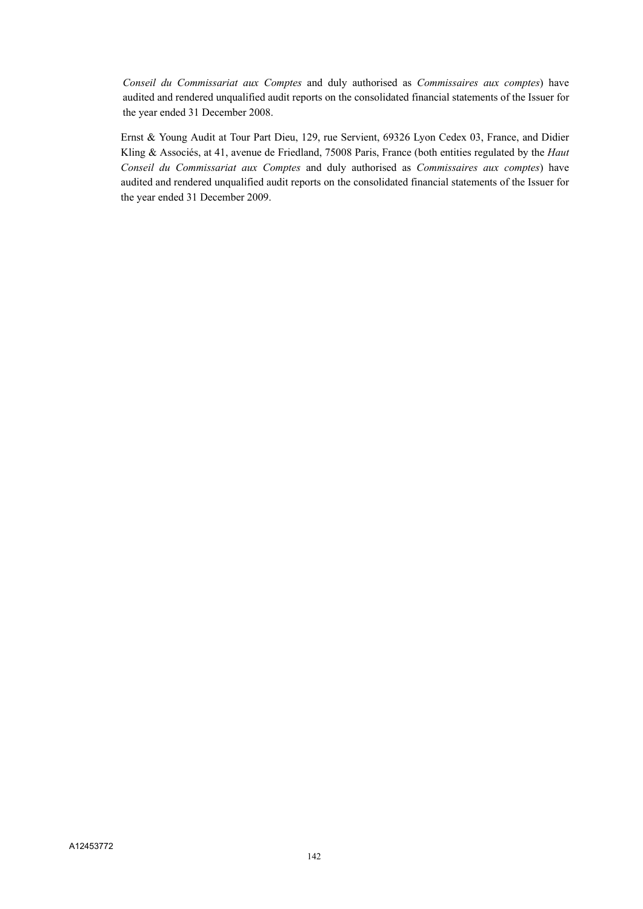*Conseil du Commissariat aux Comptes* and duly authorised as *Commissaires aux comptes*) have audited and rendered unqualified audit reports on the consolidated financial statements of the Issuer for the year ended 31 December 2008.

Ernst & Young Audit at Tour Part Dieu, 129, rue Servient, 69326 Lyon Cedex 03, France, and Didier Kling & Associés, at 41, avenue de Friedland, 75008 Paris, France (both entities regulated by the *Haut Conseil du Commissariat aux Comptes* and duly authorised as *Commissaires aux comptes*) have audited and rendered unqualified audit reports on the consolidated financial statements of the Issuer for the year ended 31 December 2009.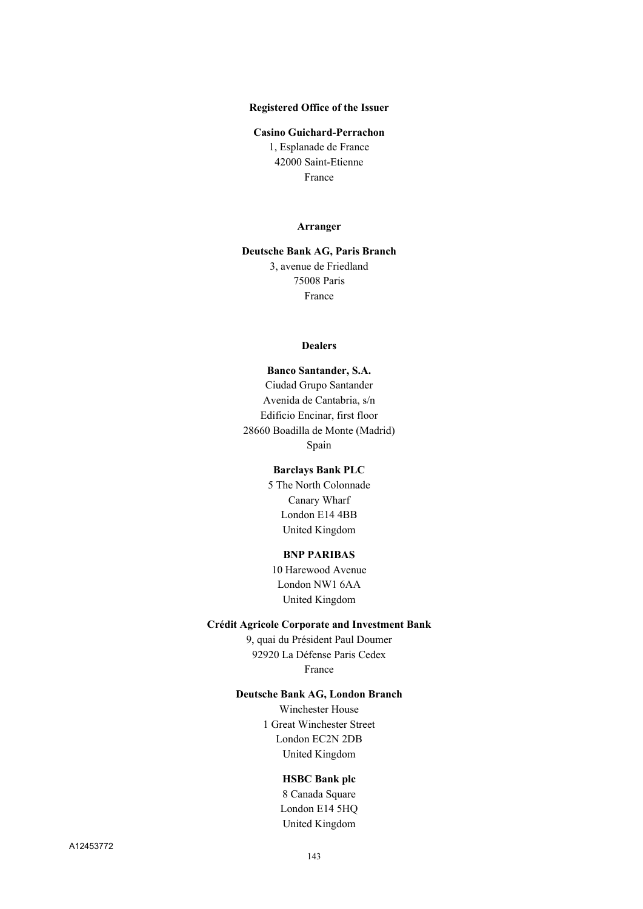#### **Registered Office of the Issuer**

#### **Casino Guichard-Perrachon**

1, Esplanade de France 42000 Saint-Etienne France

#### **Arranger**

#### **Deutsche Bank AG, Paris Branch** 3, avenue de Friedland 75008 Paris France

#### **Dealers**

**Banco Santander, S.A.** Ciudad Grupo Santander Avenida de Cantabria, s/n Edificio Encinar, first floor 28660 Boadilla de Monte (Madrid) Spain

## **Barclays Bank PLC**

5 The North Colonnade Canary Wharf London E14 4BB United Kingdom

#### **BNP PARIBAS**

10 Harewood Avenue London NW1 6AA United Kingdom

#### **Crédit Agricole Corporate and Investment Bank**

9, quai du Président Paul Doumer 92920 La Défense Paris Cedex France

#### **Deutsche Bank AG, London Branch**

Winchester House 1 Great Winchester Street London EC2N 2DB United Kingdom

#### **HSBC Bank plc**

8 Canada Square London E14 5HQ United Kingdom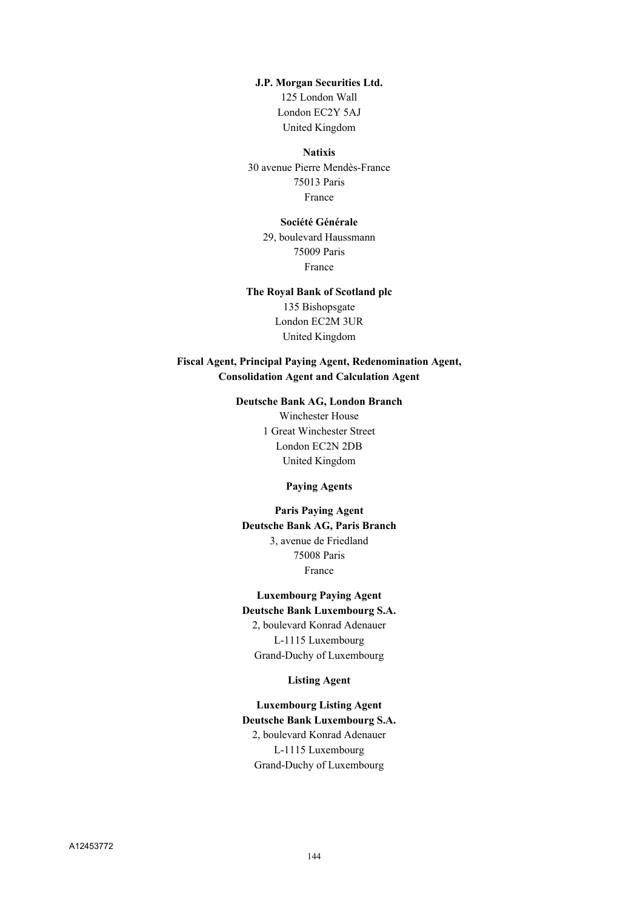#### **J.P. Morgan Securities Ltd.**

125 London Wall London EC2Y 5AJ United Kingdom

#### **Natixis**

30 avenue Pierre Mendès-France 75013 Paris France

### **Société Générale**

29, boulevard Haussmann 75009 Paris France

### **The Royal Bank of Scotland plc**

135 Bishopsgate London EC2M 3UR United Kingdom

# **Fiscal Agent, Principal Paying Agent, Redenomination Agent, Consolidation Agent and Calculation Agent**

### **Deutsche Bank AG, London Branch**

Winchester House 1 Great Winchester Street London EC2N 2DB United Kingdom

# **Paying Agents**

**Paris Paying Agent Deutsche Bank AG, Paris Branch** 3, avenue de Friedland 75008 Paris France

# **Luxembourg Paying Agent Deutsche Bank Luxembourg S.A.** 2, boulevard Konrad Adenauer

L-1115 Luxembourg Grand-Duchy of Luxembourg

#### **Listing Agent**

**Luxembourg Listing Agent Deutsche Bank Luxembourg S.A.** 2, boulevard Konrad Adenauer L-1115 Luxembourg Grand-Duchy of Luxembourg